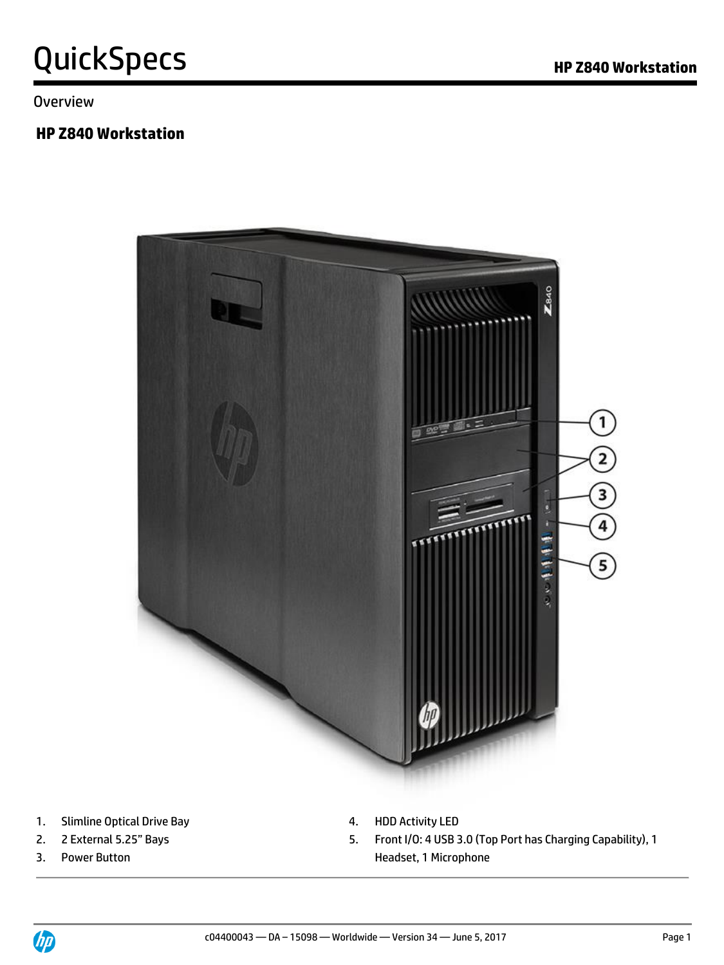**Overview** 

### **HP Z840 Workstation**



- 1. Slimline Optical Drive Bay **1. Activity LED** 4. HDD Activity LED
- 
- 
- 
- 2. 2 External 5.25" Bays **5. Front I/O: 4 USB 3.0 (Top Port has Charging Capability)**, 1 3. Power Button **Headset**, 1 Microphone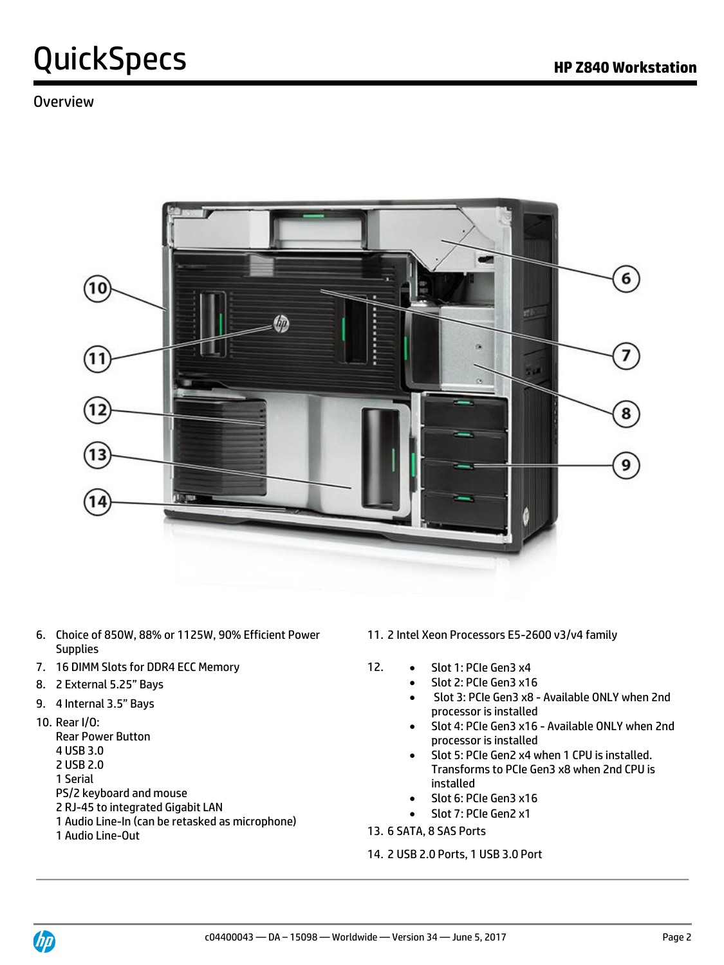#### Overview



- 6. Choice of 850W, 88% or 1125W, 90% Efficient Power **Supplies**
- 7. 16 DIMM Slots for DDR4 ECC Memory 12. . 12. . Slot 1: PCIe Gen3 x4
- 8. 2 External 5.25" Bays
- 9. 4 Internal 3.5" Bays
- 10. Rear I/O:
	- Rear Power Button 4 USB 3.0 2 USB 2.0
	- 1 Serial
	- PS/2 keyboard and mouse
	- 2 RJ-45 to integrated Gigabit LAN
	- 1 Audio Line-In (can be retasked as microphone)
	-
- 11. 2 Intel Xeon Processors E5-2600 v3/v4 family
	- - Slot 2: PCIe Gen3 x16
		- Slot 3: PCIe Gen3 x8 Available ONLY when 2nd processor is installed
		- Slot 4: PCIe Gen3 x16 Available ONLY when 2nd processor is installed
		- Slot 5: PCIe Gen2 x4 when 1 CPU is installed. Transforms to PCIe Gen3 x8 when 2nd CPU is installed
		- Slot 6: PCIe Gen3 x16
		- Slot 7: PCIe Gen2 x1
- 1 Audio Line in (can be recasived as microprione)<br>13. 6 SATA, 8 SAS Ports
	- 14. 2 USB 2.0 Ports, 1 USB 3.0 Port

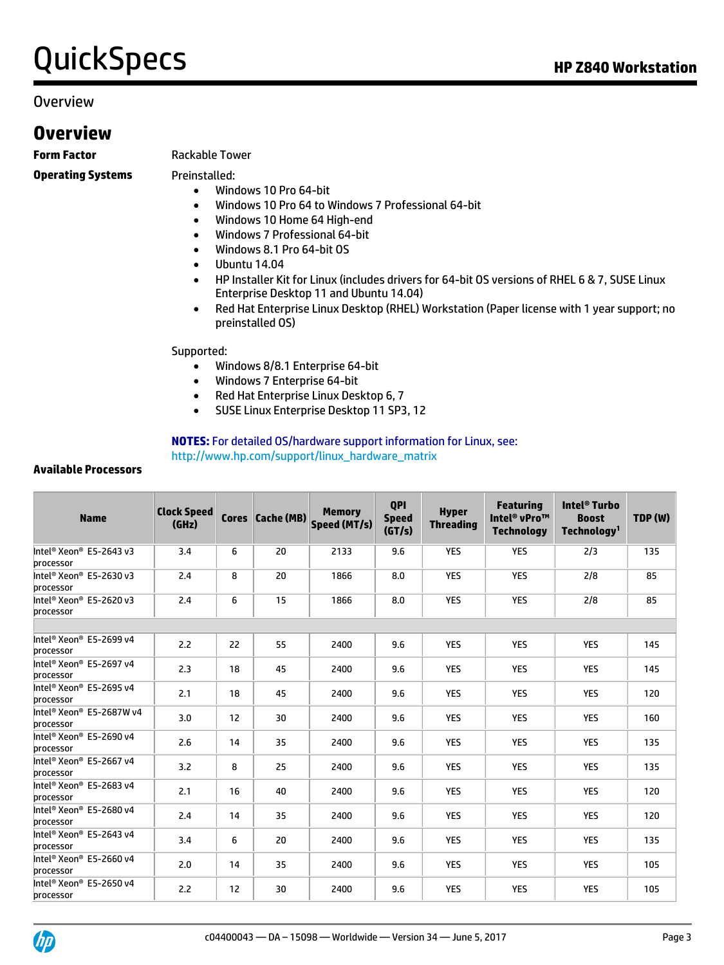#### Overview

### **Overview**

#### **Form Factor** Rackable Tower

**Operating Systems** Preinstalled:

- Windows 10 Pro 64-bit
- Windows 10 Pro 64 to Windows 7 Professional 64-bit
- Windows 10 Home 64 High-end
- Windows 7 Professional 64-bit
- Windows 8.1 Pro 64-bit OS
- Ubuntu 14.04
- HP Installer Kit for Linux (includes drivers for 64-bit OS versions of RHEL 6 & 7, SUSE Linux Enterprise Desktop 11 and Ubuntu 14.04)
- Red Hat Enterprise Linux Desktop (RHEL) Workstation (Paper license with 1 year support; no preinstalled OS)

#### Supported:

- Windows 8/8.1 Enterprise 64-bit
- Windows 7 Enterprise 64-bit
- Red Hat Enterprise Linux Desktop 6, 7
- SUSE Linux Enterprise Desktop 11 SP3, 12

#### **NOTES:** For detailed OS/hardware support information for Linux, see: [http://www.hp.com/support/linux\\_hardware\\_matrix](http://www.hp.com/support/linux_hardware_matrix)

#### **Available Processors**

| <b>Name</b>                                                  | <b>Clock Speed</b><br>(GHz) |    | <b>Cores Cache</b> (MB) | <b>Memory</b><br>Speed (MT/s) | <b>QPI</b><br><b>Speed</b><br>(GT/s) | <b>Hyper</b><br><b>Threading</b> | <b>Featuring</b><br>Intel <sup>®</sup> vPro™<br><b>Technology</b> | Intel <sup>®</sup> Turbo<br><b>Boost</b><br>Technology <sup>1</sup> | TDP (W) |
|--------------------------------------------------------------|-----------------------------|----|-------------------------|-------------------------------|--------------------------------------|----------------------------------|-------------------------------------------------------------------|---------------------------------------------------------------------|---------|
| Intel® Xeon® E5-2643 v3<br>brocessor                         | 3.4                         | 6  | 20                      | 2133                          | 9.6                                  | <b>YES</b>                       | <b>YES</b>                                                        | 2/3                                                                 | 135     |
| Intel <sup>®</sup> Xeon <sup>®</sup> E5-2630 v3<br>processor | 2.4                         | 8  | 20                      | 1866                          | 8.0                                  | <b>YES</b>                       | <b>YES</b>                                                        | 2/8                                                                 | 85      |
| Intel® Xeon® E5-2620 v3<br>processor                         | 2.4                         | 6  | 15                      | 1866                          | 8.0                                  | <b>YES</b>                       | <b>YES</b>                                                        | 2/8                                                                 | 85      |
|                                                              |                             |    |                         |                               |                                      |                                  |                                                                   |                                                                     |         |
| Intel® Xeon® E5-2699 v4<br>processor                         | 2.2                         | 22 | 55                      | 2400                          | 9.6                                  | <b>YES</b>                       | <b>YES</b>                                                        | <b>YES</b>                                                          | 145     |
| Intel® Xeon® E5-2697 v4<br>processor                         | 2.3                         | 18 | 45                      | 2400                          | 9.6                                  | <b>YES</b>                       | <b>YES</b>                                                        | <b>YES</b>                                                          | 145     |
| Intel <sup>®</sup> Xeon <sup>®</sup> E5-2695 v4<br>processor | 2.1                         | 18 | 45                      | 2400                          | 9.6                                  | <b>YES</b>                       | <b>YES</b>                                                        | <b>YES</b>                                                          | 120     |
| Intel® Xeon® E5-2687W v4<br>processor                        | 3.0                         | 12 | 30                      | 2400                          | 9.6                                  | <b>YES</b>                       | <b>YES</b>                                                        | <b>YES</b>                                                          | 160     |
| Intel® Xeon® E5-2690 v4<br><b>brocessor</b>                  | 2.6                         | 14 | 35                      | 2400                          | 9.6                                  | <b>YES</b>                       | <b>YES</b>                                                        | <b>YES</b>                                                          | 135     |
| Intel® Xeon® E5-2667 v4<br>processor                         | 3.2                         | 8  | 25                      | 2400                          | 9.6                                  | <b>YES</b>                       | <b>YES</b>                                                        | <b>YES</b>                                                          | 135     |
| Intel <sup>®</sup> Xeon <sup>®</sup> E5-2683 v4<br>processor | 2.1                         | 16 | 40                      | 2400                          | 9.6                                  | <b>YES</b>                       | <b>YES</b>                                                        | <b>YES</b>                                                          | 120     |
| Intel® Xeon® E5-2680 v4<br><b>brocessor</b>                  | 2.4                         | 14 | 35                      | 2400                          | 9.6                                  | <b>YES</b>                       | <b>YES</b>                                                        | <b>YES</b>                                                          | 120     |
| Intel <sup>®</sup> Xeon <sup>®</sup> E5-2643 v4<br>processor | 3.4                         | 6  | 20                      | 2400                          | 9.6                                  | <b>YES</b>                       | <b>YES</b>                                                        | <b>YES</b>                                                          | 135     |
| Intel® Xeon® E5-2660 v4<br>processor                         | 2.0                         | 14 | 35                      | 2400                          | 9.6                                  | <b>YES</b>                       | <b>YES</b>                                                        | <b>YES</b>                                                          | 105     |
| Intel® Xeon® E5-2650 v4<br>processor                         | 2.2                         | 12 | 30                      | 2400                          | 9.6                                  | <b>YES</b>                       | <b>YES</b>                                                        | <b>YES</b>                                                          | 105     |

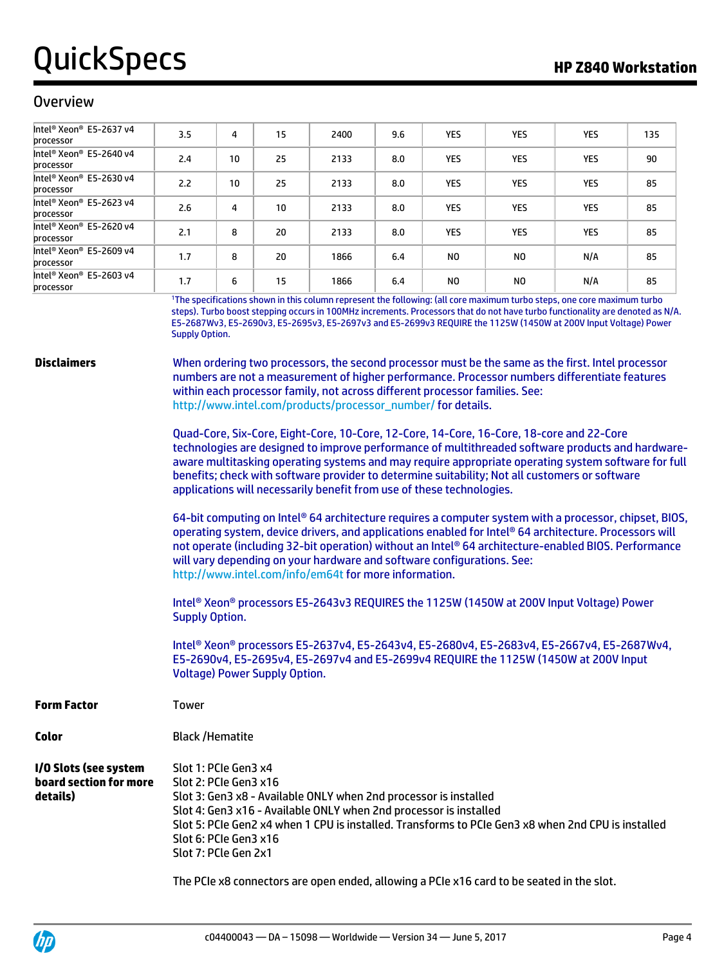#### Overview

| Intel <sup>®</sup> Xeon <sup>®</sup> E5-2637 v4<br>processor | 3.5 | 4  | 15 | 2400 | 9.6 | <b>YES</b>     | <b>YES</b>     | YES        | 135 |
|--------------------------------------------------------------|-----|----|----|------|-----|----------------|----------------|------------|-----|
| Intel <sup>®</sup> Xeon <sup>®</sup> E5-2640 v4<br>processor | 2.4 | 10 | 25 | 2133 | 8.0 | <b>YES</b>     | <b>YES</b>     | <b>YES</b> | 90  |
| Intel <sup>®</sup> Xeon <sup>®</sup> E5-2630 v4<br>processor | 2.2 | 10 | 25 | 2133 | 8.0 | <b>YES</b>     | <b>YES</b>     | <b>YES</b> | 85  |
| Intel <sup>®</sup> Xeon <sup>®</sup> E5-2623 v4<br>processor | 2.6 | 4  | 10 | 2133 | 8.0 | <b>YES</b>     | <b>YES</b>     | YES        | 85  |
| Intel <sup>®</sup> Xeon <sup>®</sup> E5-2620 v4<br>processor | 2.1 | 8  | 20 | 2133 | 8.0 | <b>YES</b>     | <b>YES</b>     | <b>YES</b> | 85  |
| Intel <sup>®</sup> Xeon <sup>®</sup> E5-2609 v4<br>processor | 1.7 | 8  | 20 | 1866 | 6.4 | N <sub>0</sub> | N <sub>0</sub> | N/A        | 85  |
| Intel <sup>®</sup> Xeon <sup>®</sup> E5-2603 v4<br>processor | 1.7 | 6  | 15 | 1866 | 6.4 | N <sub>0</sub> | N <sub>0</sub> | N/A        | 85  |

<sup>1</sup>The specifications shown in this column represent the following: (all core maximum turbo steps, one core maximum turbo steps). Turbo boost stepping occurs in 100MHz increments. Processors that do not have turbo functionality are denoted as N/A. E5-2687Wv3, E5-2690v3, E5-2695v3, E5-2697v3 and E5-2699v3 REQUIRE the 1125W (1450W at 200V Input Voltage) Power Supply Option.

**Disclaimers** When ordering two processors, the second processor must be the same as the first. Intel processor numbers are not a measurement of higher performance. Processor numbers differentiate features within each processor family, not across different processor families. See: [http://www.intel.com/products/processor\\_number/](http://www.intel.com/products/processor_number/) for details.

> Quad-Core, Six-Core, Eight-Core, 10-Core, 12-Core, 14-Core, 16-Core, 18-core and 22-Core technologies are designed to improve performance of multithreaded software products and hardwareaware multitasking operating systems and may require appropriate operating system software for full benefits; check with software provider to determine suitability; Not all customers or software applications will necessarily benefit from use of these technologies.

> 64-bit computing on Intel® 64 architecture requires a computer system with a processor, chipset, BIOS, operating system, device drivers, and applications enabled for Intel® 64 architecture. Processors will not operate (including 32-bit operation) without an Intel® 64 architecture-enabled BIOS. Performance will vary depending on your hardware and software configurations. See: <http://www.intel.com/info/em64t> for more information.

Intel® Xeon® processors E5-2643v3 REQUIRES the 1125W (1450W at 200V Input Voltage) Power Supply Option.

Intel® Xeon® processors E5-2637v4, E5-2643v4, E5-2680v4, E5-2683v4, E5-2667v4, E5-2687Wv4, E5-2690v4, E5-2695v4, E5-2697v4 and E5-2699v4 REQUIRE the 1125W (1450W at 200V Input Voltage) Power Supply Option.

**Form Factor** Tower

**Color** Black /Hematite

#### **I/O Slots (see system board section for more details)** Slot 1: PCIe Gen3 x4 Slot 2: PCIe Gen3 x16 Slot 3: Gen3 x8 - Available ONLY when 2nd processor is installed Slot 4: Gen3 x16 - Available ONLY when 2nd processor is installed Slot 5: PCIe Gen2 x4 when 1 CPU is installed. Transforms to PCIe Gen3 x8 when 2nd CPU is installed Slot 6: PCIe Gen3 x16

Slot 7: PCle Gen 2x1

The PCIe x8 connectors are open ended, allowing a PCIe x16 card to be seated in the slot.

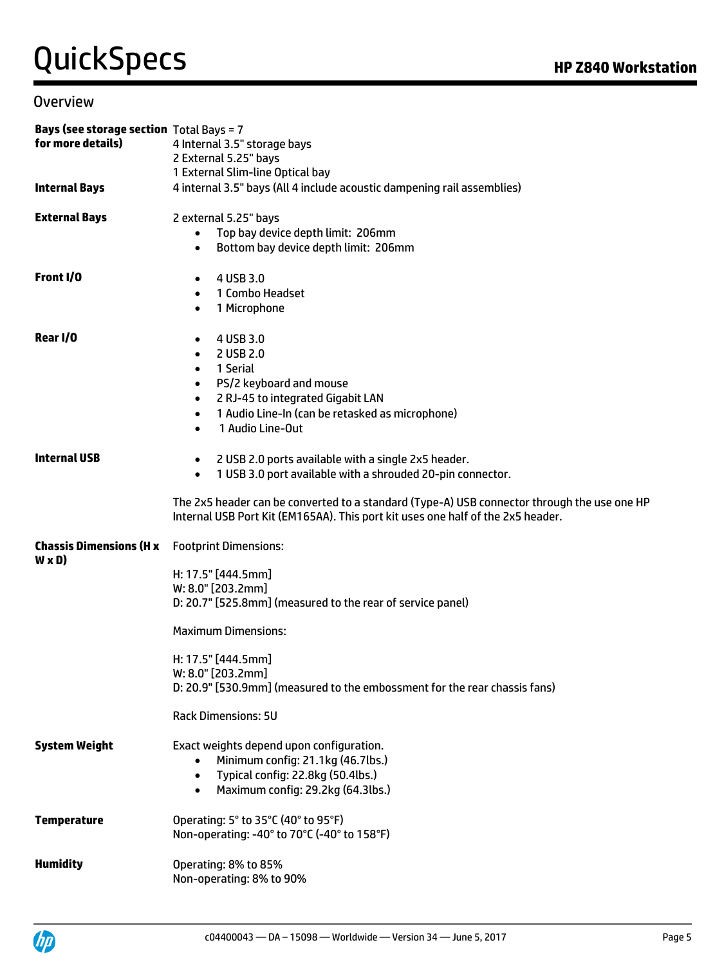#### **Overview**

| <b>Bays (see storage section Total Bays = 7</b><br>for more details) | 4 Internal 3.5" storage bays<br>2 External 5.25" bays                                                                                                                                                                                                                                                                         |  |  |  |  |  |
|----------------------------------------------------------------------|-------------------------------------------------------------------------------------------------------------------------------------------------------------------------------------------------------------------------------------------------------------------------------------------------------------------------------|--|--|--|--|--|
|                                                                      | 1 External Slim-line Optical bay                                                                                                                                                                                                                                                                                              |  |  |  |  |  |
| <b>Internal Bays</b>                                                 | 4 internal 3.5" bays (All 4 include acoustic dampening rail assemblies)                                                                                                                                                                                                                                                       |  |  |  |  |  |
| <b>External Bays</b>                                                 | 2 external 5.25" bays<br>Top bay device depth limit: 206mm<br>Bottom bay device depth limit: 206mm<br>$\bullet$                                                                                                                                                                                                               |  |  |  |  |  |
| Front I/O                                                            | 4 USB 3.0<br>$\bullet$<br>1 Combo Headset<br>1 Microphone<br>$\bullet$                                                                                                                                                                                                                                                        |  |  |  |  |  |
| Rear I/O                                                             | 4 USB 3.0<br>$\bullet$<br>2 USB 2.0<br>$\bullet$<br>1 Serial<br>$\bullet$<br>PS/2 keyboard and mouse<br>$\bullet$<br>2 RJ-45 to integrated Gigabit LAN<br>$\bullet$<br>1 Audio Line-In (can be retasked as microphone)<br>$\bullet$<br>1 Audio Line-Out<br>$\bullet$                                                          |  |  |  |  |  |
| <b>Internal USB</b>                                                  | 2 USB 2.0 ports available with a single 2x5 header.<br>$\bullet$<br>1 USB 3.0 port available with a shrouded 20-pin connector.<br>$\bullet$<br>The 2x5 header can be converted to a standard (Type-A) USB connector through the use one HP<br>Internal USB Port Kit (EM165AA). This port kit uses one half of the 2x5 header. |  |  |  |  |  |
| <b>Chassis Dimensions (H x</b><br>W x D)                             | <b>Footprint Dimensions:</b><br>H: 17.5" [444.5mm]<br>W: 8.0" [203.2mm]<br>D: 20.7" [525.8mm] (measured to the rear of service panel)<br><b>Maximum Dimensions:</b><br>H: 17.5" [444.5mm]<br>W: 8.0" [203.2mm]<br>D: 20.9" [530.9mm] (measured to the embossment for the rear chassis fans)<br><b>Rack Dimensions: 5U</b>     |  |  |  |  |  |
| <b>System Weight</b>                                                 | Exact weights depend upon configuration.<br>Minimum config: 21.1kg (46.7lbs.)<br>$\bullet$<br>Typical config: 22.8kg (50.4lbs.)<br>$\bullet$<br>Maximum config: 29.2kg (64.3lbs.)<br>$\bullet$                                                                                                                                |  |  |  |  |  |
| <b>Temperature</b>                                                   | Operating: 5° to 35°C (40° to 95°F)<br>Non-operating: -40° to 70°C (-40° to 158°F)                                                                                                                                                                                                                                            |  |  |  |  |  |
| <b>Humidity</b>                                                      | Operating: 8% to 85%<br>Non-operating: 8% to 90%                                                                                                                                                                                                                                                                              |  |  |  |  |  |

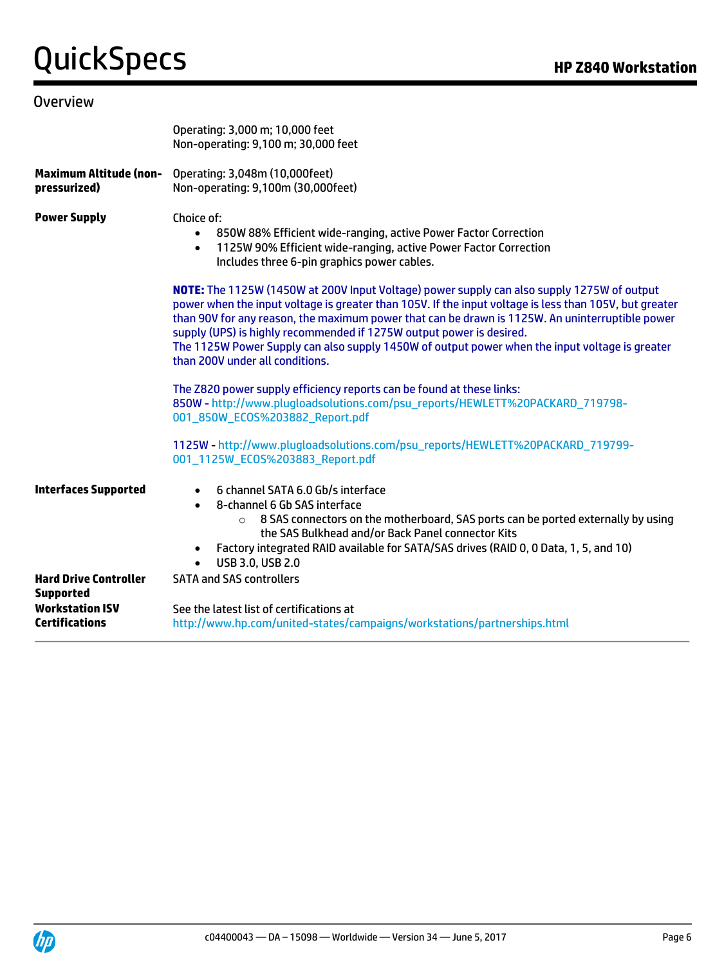#### **Overview**

|                                                  | Operating: 3,000 m; 10,000 feet                                                                                                                                                                                                                                                                                                                                                                                                                                                                                      |
|--------------------------------------------------|----------------------------------------------------------------------------------------------------------------------------------------------------------------------------------------------------------------------------------------------------------------------------------------------------------------------------------------------------------------------------------------------------------------------------------------------------------------------------------------------------------------------|
|                                                  | Non-operating: 9,100 m; 30,000 feet                                                                                                                                                                                                                                                                                                                                                                                                                                                                                  |
| <b>Maximum Altitude (non-</b><br>pressurized)    | Operating: 3,048m (10,000feet)<br>Non-operating: 9,100m (30,000feet)                                                                                                                                                                                                                                                                                                                                                                                                                                                 |
| <b>Power Supply</b>                              | Choice of:<br>850W 88% Efficient wide-ranging, active Power Factor Correction<br>1125W 90% Efficient wide-ranging, active Power Factor Correction<br>$\bullet$<br>Includes three 6-pin graphics power cables.                                                                                                                                                                                                                                                                                                        |
|                                                  | NOTE: The 1125W (1450W at 200V Input Voltage) power supply can also supply 1275W of output<br>power when the input voltage is greater than 105V. If the input voltage is less than 105V, but greater<br>than 90V for any reason, the maximum power that can be drawn is 1125W. An uninterruptible power<br>supply (UPS) is highly recommended if 1275W output power is desired.<br>The 1125W Power Supply can also supply 1450W of output power when the input voltage is greater<br>than 200V under all conditions. |
|                                                  | The Z820 power supply efficiency reports can be found at these links:<br>850W - http://www.plugloadsolutions.com/psu_reports/HEWLETT%20PACKARD_719798-<br>001_850W_EC0S%203882_Report.pdf                                                                                                                                                                                                                                                                                                                            |
|                                                  | 1125W - http://www.plugloadsolutions.com/psu_reports/HEWLETT%20PACKARD_719799-<br>001_1125W_EC0S%203883_Report.pdf                                                                                                                                                                                                                                                                                                                                                                                                   |
| <b>Interfaces Supported</b>                      | 6 channel SATA 6.0 Gb/s interface<br>8-channel 6 Gb SAS interface<br>8 SAS connectors on the motherboard, SAS ports can be ported externally by using<br>$\circ$<br>the SAS Bulkhead and/or Back Panel connector Kits<br>Factory integrated RAID available for SATA/SAS drives (RAID 0, 0 Data, 1, 5, and 10)<br><b>USB 3.0, USB 2.0</b>                                                                                                                                                                             |
| <b>Hard Drive Controller</b><br><b>Supported</b> | <b>SATA and SAS controllers</b>                                                                                                                                                                                                                                                                                                                                                                                                                                                                                      |
| <b>Workstation ISV</b><br><b>Certifications</b>  | See the latest list of certifications at<br>http://www.hp.com/united-states/campaigns/workstations/partnerships.html                                                                                                                                                                                                                                                                                                                                                                                                 |

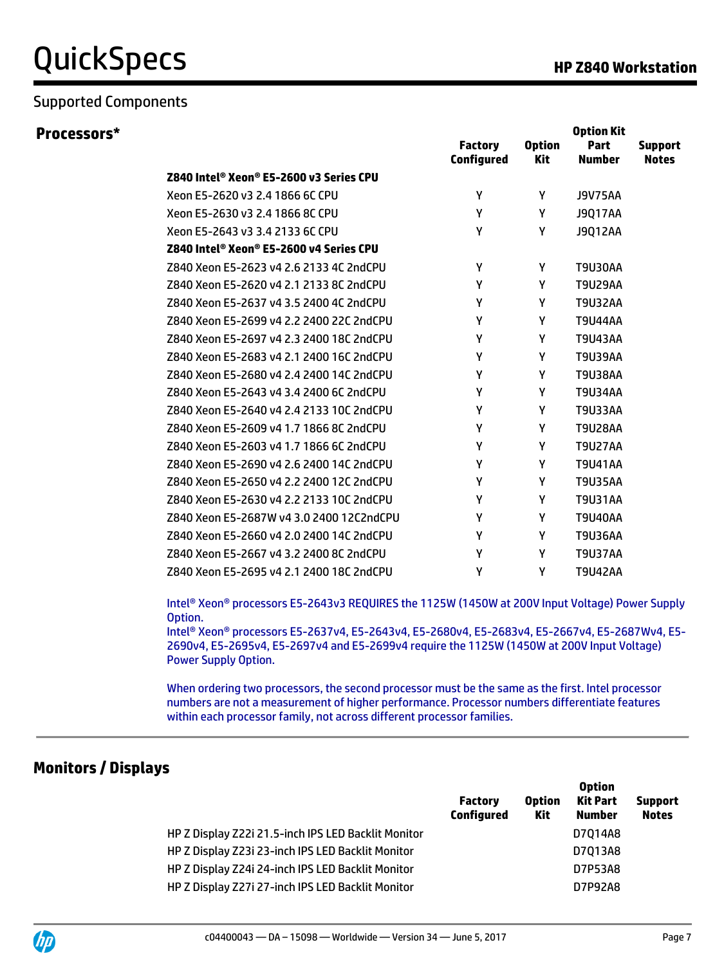### Supported Components

**Processors\***

|  | <b>HP Z840 Workstati</b> |  |
|--|--------------------------|--|
|  |                          |  |

|                                          | <b>Factory</b><br><b>Configured</b> | <b>Option</b><br>Kit | <b>Option Kit</b><br>Part<br><b>Number</b> | <b>Support</b><br><b>Notes</b> |
|------------------------------------------|-------------------------------------|----------------------|--------------------------------------------|--------------------------------|
| Z840 Intel® Xeon® E5-2600 v3 Series CPU  |                                     |                      |                                            |                                |
| Xeon E5-2620 v3 2.4 1866 6C CPU          | Y                                   | Y                    | <b>J9V75AA</b>                             |                                |
| Xeon E5-2630 v3 2.4 1866 8C CPU          | Υ                                   | Υ                    | <b>J9Q17AA</b>                             |                                |
| Xeon E5-2643 v3 3.4 2133 6C CPU          | Υ                                   | Υ                    | J9Q12AA                                    |                                |
| Z840 Intel® Xeon® E5-2600 v4 Series CPU  |                                     |                      |                                            |                                |
| Z840 Xeon E5-2623 v4 2.6 2133 4C 2ndCPU  | Υ                                   | Υ                    | <b>T9U30AA</b>                             |                                |
| Z840 Xeon E5-2620 v4 2.1 2133 8C 2ndCPU  | Y                                   | Υ                    | <b>T9U29AA</b>                             |                                |
| Z840 Xeon E5-2637 v4 3.5 2400 4C 2ndCPU  | Υ                                   | Υ                    | <b>T9U32AA</b>                             |                                |
| Z840 Xeon E5-2699 v4 2.2 2400 22C 2ndCPU | Υ                                   | Υ                    | <b>T9U44AA</b>                             |                                |
| Z840 Xeon E5-2697 v4 2.3 2400 18C 2ndCPU | Υ                                   | Υ                    | T9U43AA                                    |                                |
| Z840 Xeon E5-2683 v4 2.1 2400 16C 2ndCPU | Y                                   | Υ                    | <b>T9U39AA</b>                             |                                |
| Z840 Xeon E5-2680 v4 2.4 2400 14C 2ndCPU | Υ                                   | Υ                    | <b>T9U38AA</b>                             |                                |
| Z840 Xeon E5-2643 v4 3.4 2400 6C 2ndCPU  | Υ                                   | Υ                    | <b>T9U34AA</b>                             |                                |
| Z840 Xeon E5-2640 v4 2.4 2133 10C 2ndCPU | Y                                   | Υ                    | <b>T9U33AA</b>                             |                                |
| Z840 Xeon E5-2609 v4 1.7 1866 8C 2ndCPU  | Υ                                   | Υ                    | <b>T9U28AA</b>                             |                                |
| Z840 Xeon E5-2603 v4 1.7 1866 6C 2ndCPU  | Υ                                   | Υ                    | <b>T9U27AA</b>                             |                                |
| Z840 Xeon E5-2690 v4 2.6 2400 14C 2ndCPU | Y                                   | Υ                    | <b>T9U41AA</b>                             |                                |
| Z840 Xeon E5-2650 v4 2.2 2400 12C 2ndCPU | Υ                                   | Υ                    | <b>T9U35AA</b>                             |                                |
| Z840 Xeon E5-2630 v4 2.2 2133 10C 2ndCPU | Υ                                   | Υ                    | <b>T9U31AA</b>                             |                                |
| Z840 Xeon E5-2687W v4 3.0 2400 12C2ndCPU | Υ                                   | Υ                    | <b>T9U40AA</b>                             |                                |
| Z840 Xeon E5-2660 v4 2.0 2400 14C 2ndCPU | Υ                                   | Υ                    | <b>T9U36AA</b>                             |                                |
| Z840 Xeon E5-2667 v4 3.2 2400 8C 2ndCPU  | Υ                                   | Υ                    | <b>T9U37AA</b>                             |                                |
| Z840 Xeon E5-2695 v4 2.1 2400 18C 2ndCPU | γ                                   | Υ                    | <b>T9U42AA</b>                             |                                |

Intel® Xeon® processors E5-2643v3 REQUIRES the 1125W (1450W at 200V Input Voltage) Power Supply Option.

Intel® Xeon® processors E5-2637v4, E5-2643v4, E5-2680v4, E5-2683v4, E5-2667v4, E5-2687Wv4, E5- 2690v4, E5-2695v4, E5-2697v4 and E5-2699v4 require the 1125W (1450W at 200V Input Voltage) Power Supply Option.

When ordering two processors, the second processor must be the same as the first. Intel processor numbers are not a measurement of higher performance. Processor numbers differentiate features within each processor family, not across different processor families.

### **Monitors / Displays**

|                                                     | <b>Factory</b><br><b>Configured</b> | <b>Option</b><br>Kit | <b>Option</b><br><b>Kit Part</b><br><b>Number</b> | <b>Support</b><br><b>Notes</b> |
|-----------------------------------------------------|-------------------------------------|----------------------|---------------------------------------------------|--------------------------------|
| HP Z Display Z22i 21.5-inch IPS LED Backlit Monitor |                                     |                      | D7Q14A8                                           |                                |
| HP Z Display Z23i 23-inch IPS LED Backlit Monitor   |                                     |                      | D7Q13A8                                           |                                |
| HP Z Display Z24i 24-inch IPS LED Backlit Monitor   |                                     |                      | D7P53A8                                           |                                |
| HP Z Display Z27i 27-inch IPS LED Backlit Monitor   |                                     |                      | D7P92A8                                           |                                |

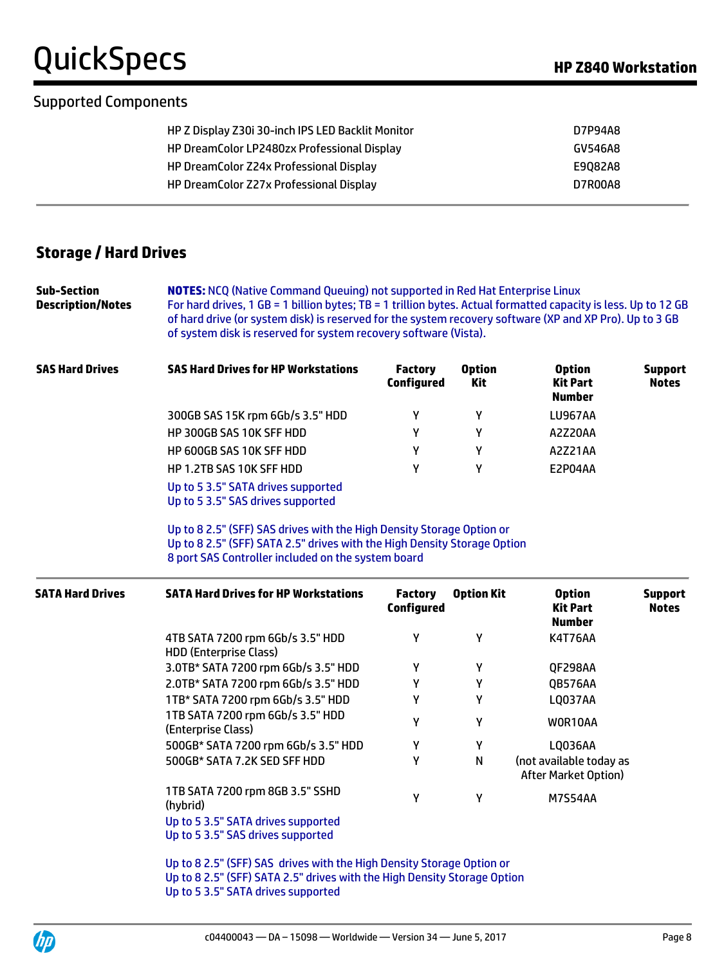### Supported Components

| HP Z Display Z30i 30-inch IPS LED Backlit Monitor | D7P94A8 |
|---------------------------------------------------|---------|
| HP DreamColor LP2480zx Professional Display       | GV546A8 |
| HP DreamColor Z24x Professional Display           | E9082A8 |
| HP DreamColor Z27x Professional Display           | D7R00A8 |
|                                                   |         |

### **Storage / Hard Drives**

**Sub-Section Description/Notes NOTES:** NCQ (Native Command Queuing) not supported in Red Hat Enterprise Linux For hard drives, 1 GB = 1 billion bytes; TB = 1 trillion bytes. Actual formatted capacity is less. Up to 12 GB of hard drive (or system disk) is reserved for the system recovery software (XP and XP Pro). Up to 3 GB of system disk is reserved for system recovery software (Vista). **SAS Hard Drives SAS Hard Drives for HP Workstations Factory Configured Option Kit Option Kit Part Number Support Notes** 300GB SAS 15K rpm 6Gb/s 3.5" HDD Y Y LU967AA HP 300GB SAS 10K SFF HDD Y Y A2Z20AA HP 600GB SAS 10K SFF HDD Y Y A2Z21AA HP 1.2TB SAS 10K SFF HDD Y Y E2P04AA Up to 5 3.5" SATA drives supported Up to 5 3.5" SAS drives supported Up to 8 2.5" (SFF) SAS drives with the High Density Storage Option or Up to 8 2.5" (SFF) SATA 2.5" drives with the High Density Storage Option 8 port SAS Controller included on the system board **SATA Hard Drives SATA Hard Drives for HP Workstations Factory Option Kit Option Support** 

| <b>SATA Hard Drives</b> | <b>SATA Hard Drives for HP Workstations</b>                               | <b>Factory</b><br><b>Configured</b> | <b>Option Kit</b> | <b>Option</b><br><b>Kit Part</b><br><b>Number</b>      | <b>Support</b><br><b>Notes</b> |
|-------------------------|---------------------------------------------------------------------------|-------------------------------------|-------------------|--------------------------------------------------------|--------------------------------|
|                         | 4TB SATA 7200 rpm 6Gb/s 3.5" HDD<br>HDD (Enterprise Class)                | γ                                   | γ                 | K4T76AA                                                |                                |
|                         | 3.0TB* SATA 7200 rpm 6Gb/s 3.5" HDD                                       | γ                                   | γ                 | QF298AA                                                |                                |
|                         | 2.0TB* SATA 7200 rpm 6Gb/s 3.5" HDD                                       | γ                                   | Υ                 | QB576AA                                                |                                |
|                         | 1TB* SATA 7200 rpm 6Gb/s 3.5" HDD                                         | γ                                   | ٧                 | LQ037AA                                                |                                |
|                         | 1TB SATA 7200 rpm 6Gb/s 3.5" HDD<br>(Enterprise Class)                    | γ                                   | ٧                 | WOR10AA                                                |                                |
|                         | 500GB* SATA 7200 rpm 6Gb/s 3.5" HDD                                       | γ                                   | Υ                 | LQ036AA                                                |                                |
|                         | 500GB* SATA 7.2K SED SFF HDD                                              | γ                                   | N                 | (not available today as<br><b>After Market Option)</b> |                                |
|                         | 1TB SATA 7200 rpm 8GB 3.5" SSHD<br>(hybrid)                               | γ                                   | ٧                 | M7S54AA                                                |                                |
|                         | Up to 5 3.5" SATA drives supported<br>Up to 5 3.5" SAS drives supported   |                                     |                   |                                                        |                                |
|                         | The Asia Digital Care and the control of the Department Changes Option on |                                     |                   |                                                        |                                |

Up to 8 2.5" (SFF) SAS drives with the High Density Storage Option or Up to 8 2.5" (SFF) SATA 2.5" drives with the High Density Storage Option Up to 5 3.5" SATA drives supported

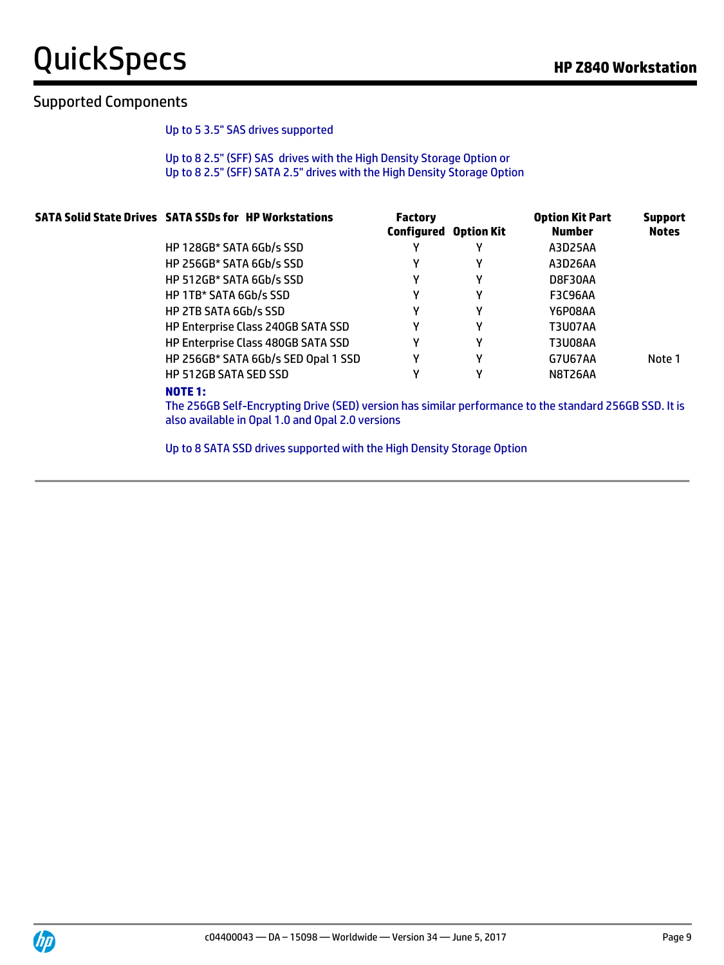### Supported Components

Up to 5 3.5" SAS drives supported

#### Up to 8 2.5" (SFF) SAS drives with the High Density Storage Option or Up to 8 2.5" (SFF) SATA 2.5" drives with the High Density Storage Option

| <b>SATA Solid State Drives SATA SSDs for HP Workstations</b>                                                                                                                 | <b>Factory</b><br><b>Configured Option Kit</b> | <b>Option Kit Part</b><br><b>Number</b> | <b>Support</b><br><b>Notes</b> |
|------------------------------------------------------------------------------------------------------------------------------------------------------------------------------|------------------------------------------------|-----------------------------------------|--------------------------------|
| HP 128GB* SATA 6Gb/s SSD                                                                                                                                                     |                                                | A3D25AA                                 |                                |
| HP 256GB* SATA 6Gb/s SSD                                                                                                                                                     | ν                                              | A3D26AA                                 |                                |
| HP 512GB* SATA 6Gb/s SSD                                                                                                                                                     | γ                                              | D8F30AA                                 |                                |
| HP 1TB* SATA 6Gb/s SSD                                                                                                                                                       | γ                                              | <b>F3C96AA</b>                          |                                |
| HP 2TB SATA 6Gb/s SSD                                                                                                                                                        | γ                                              | Y6P08AA                                 |                                |
| <b>HP Enterprise Class 240GB SATA SSD</b>                                                                                                                                    | γ                                              | T3U07AA                                 |                                |
| <b>HP Enterprise Class 480GB SATA SSD</b>                                                                                                                                    | γ                                              | T3U08AA                                 |                                |
| HP 256GB* SATA 6Gb/s SED Opal 1 SSD                                                                                                                                          | γ                                              | G7U67AA                                 | Note 1                         |
| <b>HP 512GB SATA SED SSD</b>                                                                                                                                                 | ٧                                              | <b>N8T26AA</b>                          |                                |
| <b>NOTE 1:</b><br>The 256GB Self-Encrypting Drive (SED) version has similar performance to the standard 256GB SSD. It is<br>also available in Opal 1.0 and Opal 2.0 versions |                                                |                                         |                                |

Up to 8 SATA SSD drives supported with the High Density Storage Option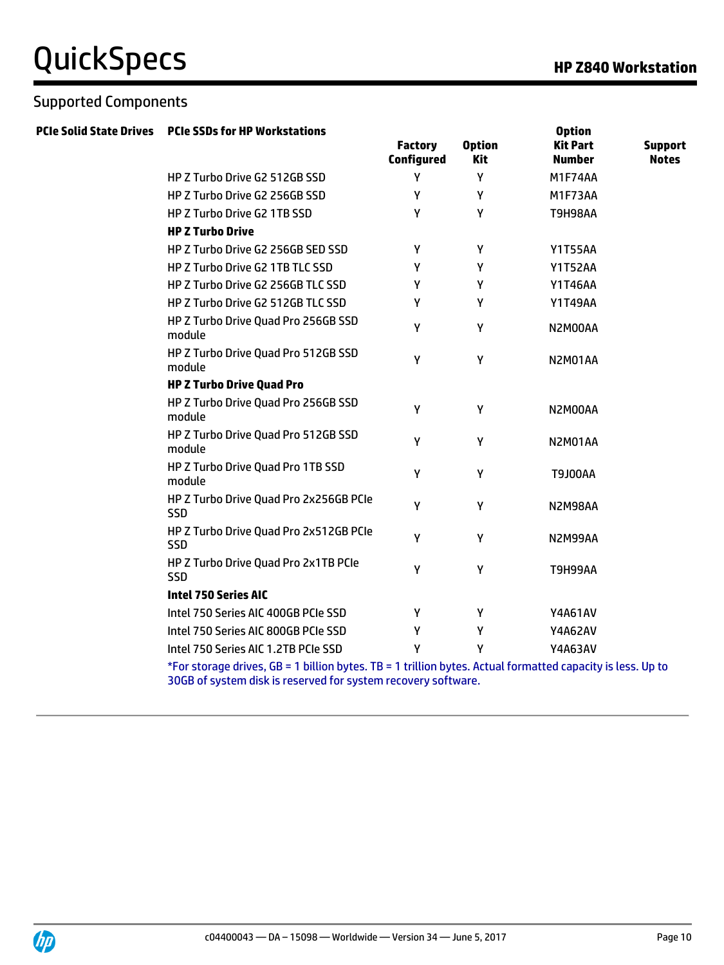**Option**

### Supported Components

#### **PCIe Solid State Drives PCIe SSDs for HP Workstations**

|                                                      | <b>Factory</b><br><b>Configured</b> | <b>Option</b><br>Kit | <b>Kit Part</b><br><b>Number</b> | <b>Support</b><br><b>Notes</b> |
|------------------------------------------------------|-------------------------------------|----------------------|----------------------------------|--------------------------------|
| HP Z Turbo Drive G2 512GB SSD                        | Y                                   | Υ                    | M1F74AA                          |                                |
| HP Z Turbo Drive G2 256GB SSD                        | Y                                   | Υ                    | M1F73AA                          |                                |
| <b>HP Z Turbo Drive G2 1TB SSD</b>                   | Υ                                   | γ                    | AA8eHeT                          |                                |
| <b>HP Z Turbo Drive</b>                              |                                     |                      |                                  |                                |
| HP Z Turbo Drive G2 256GB SED SSD                    | Υ                                   | Υ                    | <b>Y1T55AA</b>                   |                                |
| HP Z Turbo Drive G2 1TB TLC SSD                      | Y                                   | γ                    | <b>Y1T52AA</b>                   |                                |
| HP Z Turbo Drive G2 256GB TLC SSD                    | Y                                   | Υ                    | <b>Y1T46AA</b>                   |                                |
| HP Z Turbo Drive G2 512GB TLC SSD                    | Y                                   | Υ                    | Y1T49AA                          |                                |
| HP Z Turbo Drive Quad Pro 256GB SSD<br>module        | Y                                   | Υ                    | N2M00AA                          |                                |
| HP Z Turbo Drive Quad Pro 512GB SSD<br>module        | Υ                                   | Υ                    | N2M01AA                          |                                |
| <b>HP Z Turbo Drive Quad Pro</b>                     |                                     |                      |                                  |                                |
| HP Z Turbo Drive Quad Pro 256GB SSD<br>module        | Υ                                   | Υ                    | N2M00AA                          |                                |
| HP Z Turbo Drive Quad Pro 512GB SSD<br>module        | Υ                                   | Υ                    | N2M01AA                          |                                |
| HP Z Turbo Drive Quad Pro 1TB SSD<br>module          | Y                                   | Υ                    | <b>T9J00AA</b>                   |                                |
| HP Z Turbo Drive Quad Pro 2x256GB PCIe<br><b>SSD</b> | Υ                                   | Υ                    | N2M98AA                          |                                |
| HP Z Turbo Drive Quad Pro 2x512GB PCIe<br><b>SSD</b> | Υ                                   | Υ                    | N2M99AA                          |                                |
| HP Z Turbo Drive Quad Pro 2x1TB PCIe<br><b>SSD</b>   | Y                                   | Υ                    | <b>T9H99AA</b>                   |                                |
| <b>Intel 750 Series AIC</b>                          |                                     |                      |                                  |                                |
| Intel 750 Series AIC 400GB PCIe SSD                  | Y                                   | Y                    | <b>Y4A61AV</b>                   |                                |
| Intel 750 Series AIC 800GB PCIe SSD                  | Υ                                   | Υ                    | <b>Y4A62AV</b>                   |                                |
| Intel 750 Series AIC 1.2TB PCIe SSD                  | Υ                                   | γ                    | <b>Y4A63AV</b>                   |                                |
|                                                      |                                     |                      |                                  |                                |

\*For storage drives, GB = 1 billion bytes. TB = 1 trillion bytes. Actual formatted capacity is less. Up to 30GB of system disk is reserved for system recovery software.

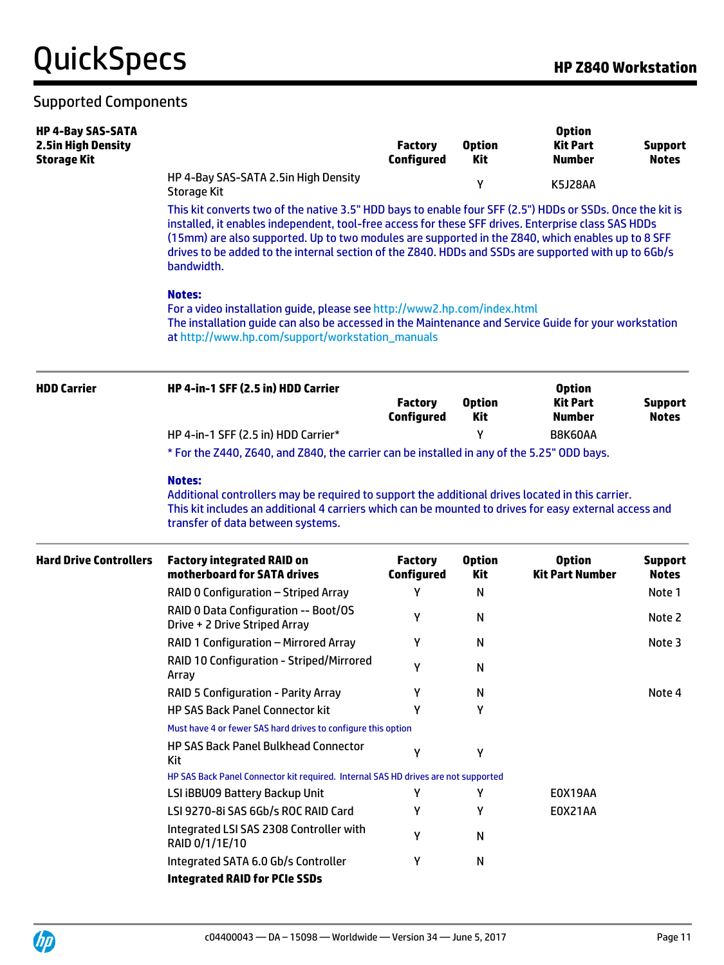### Supported Components

| <b>HP 4-Bay SAS-SATA</b><br>2.5in High Density<br>Storage Kit |                                                                                                                                                                                                                                                                                                                                                                                                                                             | <b>Factory</b><br><b>Configured</b> | <b>Option</b><br><b>Kit</b> | <b>Option</b><br><b>Kit Part</b><br><b>Number</b> | <b>Support</b><br><b>Notes</b> |
|---------------------------------------------------------------|---------------------------------------------------------------------------------------------------------------------------------------------------------------------------------------------------------------------------------------------------------------------------------------------------------------------------------------------------------------------------------------------------------------------------------------------|-------------------------------------|-----------------------------|---------------------------------------------------|--------------------------------|
|                                                               | HP 4-Bay SAS-SATA 2.5in High Density<br><b>Storage Kit</b>                                                                                                                                                                                                                                                                                                                                                                                  |                                     | Υ                           | K5J28AA                                           |                                |
|                                                               | This kit converts two of the native 3.5" HDD bays to enable four SFF (2.5") HDDs or SSDs. Once the kit is<br>installed, it enables independent, tool-free access for these SFF drives. Enterprise class SAS HDDs<br>(15mm) are also supported. Up to two modules are supported in the Z840, which enables up to 8 SFF<br>drives to be added to the internal section of the Z840. HDDs and SSDs are supported with up to 6Gb/s<br>bandwidth. |                                     |                             |                                                   |                                |
|                                                               | <b>Notes:</b><br>For a video installation guide, please see http://www2.hp.com/index.html<br>The installation guide can also be accessed in the Maintenance and Service Guide for your workstation<br>at http://www.hp.com/support/workstation_manuals                                                                                                                                                                                      |                                     |                             |                                                   |                                |
| HDD Carrier                                                   | HP 4-in-1 SFF (2.5 in) HDD Carrier                                                                                                                                                                                                                                                                                                                                                                                                          | <b>Factory</b><br><b>Configured</b> | <b>Option</b><br><b>Kit</b> | <b>Option</b><br><b>Kit Part</b><br><b>Number</b> | <b>Support</b><br><b>Notes</b> |
|                                                               | HP 4-in-1 SFF (2.5 in) HDD Carrier*                                                                                                                                                                                                                                                                                                                                                                                                         |                                     | Υ                           | B8K60AA                                           |                                |
|                                                               | * For the Z440, Z640, and Z840, the carrier can be installed in any of the 5.25" ODD bays.                                                                                                                                                                                                                                                                                                                                                  |                                     |                             |                                                   |                                |
| <b>Hard Drive Controllers</b>                                 | This kit includes an additional 4 carriers which can be mounted to drives for easy external access and<br>transfer of data between systems.<br><b>Factory integrated RAID on</b>                                                                                                                                                                                                                                                            | <b>Factory</b>                      | <b>Option</b>               | <b>Option</b>                                     | <b>Support</b>                 |
|                                                               | motherboard for SATA drives                                                                                                                                                                                                                                                                                                                                                                                                                 | <b>Configured</b><br>Υ              | <b>Kit</b><br>N             | <b>Kit Part Number</b>                            | <b>Notes</b><br>Note 1         |
|                                                               | RAID 0 Configuration - Striped Array<br>RAID 0 Data Configuration -- Boot/OS<br>Drive + 2 Drive Striped Array                                                                                                                                                                                                                                                                                                                               | Y                                   | N                           |                                                   | Note 2                         |
|                                                               | RAID 1 Configuration - Mirrored Array                                                                                                                                                                                                                                                                                                                                                                                                       | Y                                   | N                           |                                                   | Note 3                         |
|                                                               | RAID 10 Configuration - Striped/Mirrored<br>Array                                                                                                                                                                                                                                                                                                                                                                                           | Υ                                   | N                           |                                                   |                                |
|                                                               | RAID 5 Configuration - Parity Array                                                                                                                                                                                                                                                                                                                                                                                                         | Y                                   | N                           |                                                   | Note 4                         |
|                                                               | HP SAS Back Panel Connector kit                                                                                                                                                                                                                                                                                                                                                                                                             | Υ                                   | Y                           |                                                   |                                |
|                                                               | Must have 4 or fewer SAS hard drives to configure this option                                                                                                                                                                                                                                                                                                                                                                               |                                     |                             |                                                   |                                |
|                                                               | <b>HP SAS Back Panel Bulkhead Connector</b><br>Kit                                                                                                                                                                                                                                                                                                                                                                                          | Y                                   | Υ                           |                                                   |                                |
|                                                               | HP SAS Back Panel Connector kit required. Internal SAS HD drives are not supported                                                                                                                                                                                                                                                                                                                                                          |                                     |                             |                                                   |                                |
|                                                               | LSI iBBU09 Battery Backup Unit                                                                                                                                                                                                                                                                                                                                                                                                              | Υ                                   | Y                           | E0X19AA                                           |                                |
|                                                               | LSI 9270-8i SAS 6Gb/s ROC RAID Card                                                                                                                                                                                                                                                                                                                                                                                                         | Y                                   | Υ                           | <b>E0X21AA</b>                                    |                                |
|                                                               | Integrated LSI SAS 2308 Controller with<br>RAID 0/1/1E/10                                                                                                                                                                                                                                                                                                                                                                                   | Y                                   | N                           |                                                   |                                |
|                                                               | Integrated SATA 6.0 Gb/s Controller                                                                                                                                                                                                                                                                                                                                                                                                         | Y                                   | N                           |                                                   |                                |
|                                                               | <b>Integrated RAID for PCIe SSDs</b>                                                                                                                                                                                                                                                                                                                                                                                                        |                                     |                             |                                                   |                                |

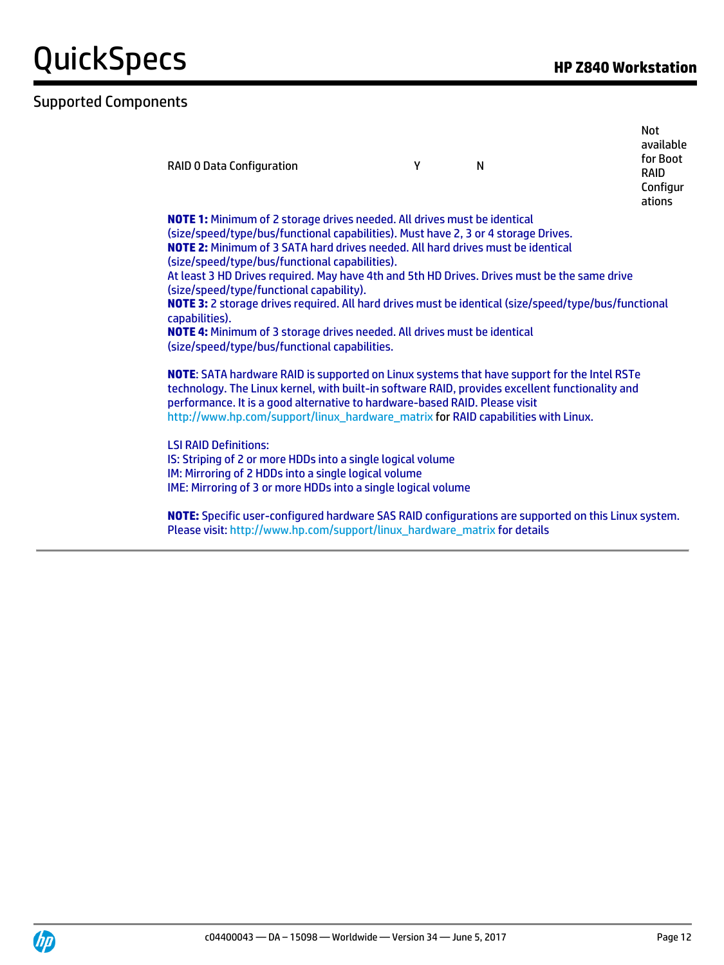### Supported Components

| <b>RAID 0 Data Configuration</b>                                                                                                                                                                                                                                                                                                                                                                                                                                                                                                                                                                                                                                                                                            | Υ | N | <b>Not</b><br>available<br>for Boot<br><b>RAID</b><br>Configur<br>ations |
|-----------------------------------------------------------------------------------------------------------------------------------------------------------------------------------------------------------------------------------------------------------------------------------------------------------------------------------------------------------------------------------------------------------------------------------------------------------------------------------------------------------------------------------------------------------------------------------------------------------------------------------------------------------------------------------------------------------------------------|---|---|--------------------------------------------------------------------------|
| <b>NOTE 1:</b> Minimum of 2 storage drives needed. All drives must be identical<br>(size/speed/type/bus/functional capabilities). Must have 2, 3 or 4 storage Drives.<br><b>NOTE 2:</b> Minimum of 3 SATA hard drives needed. All hard drives must be identical<br>(size/speed/type/bus/functional capabilities).<br>At least 3 HD Drives required. May have 4th and 5th HD Drives. Drives must be the same drive<br>(size/speed/type/functional capability).<br>NOTE 3: 2 storage drives required. All hard drives must be identical (size/speed/type/bus/functional<br>capabilities).<br><b>NOTE 4:</b> Minimum of 3 storage drives needed. All drives must be identical<br>(size/speed/type/bus/functional capabilities. |   |   |                                                                          |
| NOTE: SATA hardware RAID is supported on Linux systems that have support for the Intel RSTe<br>technology. The Linux kernel, with built-in software RAID, provides excellent functionality and<br>performance. It is a good alternative to hardware-based RAID. Please visit<br>http://www.hp.com/support/linux_hardware_matrix for RAID capabilities with Linux.                                                                                                                                                                                                                                                                                                                                                           |   |   |                                                                          |
| <b>LSI RAID Definitions:</b><br>IS: Striping of 2 or more HDDs into a single logical volume<br>IM: Mirroring of 2 HDDs into a single logical volume<br>IME: Mirroring of 3 or more HDDs into a single logical volume                                                                                                                                                                                                                                                                                                                                                                                                                                                                                                        |   |   |                                                                          |
| NOTE: Specific user-configured hardware SAS RAID configurations are supported on this Linux system.<br>Please visit: http://www.hp.com/support/linux_hardware_matrix for details                                                                                                                                                                                                                                                                                                                                                                                                                                                                                                                                            |   |   |                                                                          |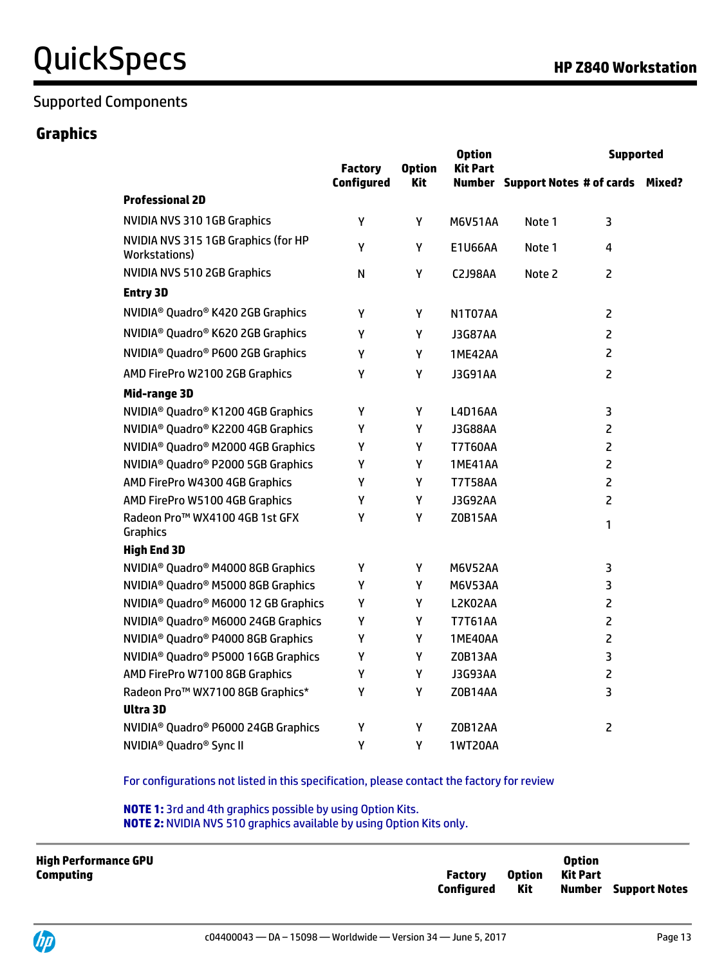### Supported Components

### **Graphics**

|                                                              | <b>Factory</b><br><b>Configured</b> | <b>Option</b><br><b>Kit</b> | <b>Option</b><br><b>Kit Part</b> | <b>Number</b> Support Notes # of cards Mixed? | <b>Supported</b> |  |
|--------------------------------------------------------------|-------------------------------------|-----------------------------|----------------------------------|-----------------------------------------------|------------------|--|
| <b>Professional 2D</b>                                       |                                     |                             |                                  |                                               |                  |  |
| NVIDIA NVS 310 1GB Graphics                                  | Υ                                   | Υ                           | <b>M6V51AA</b>                   | Note 1                                        | 3                |  |
| NVIDIA NVS 315 1GB Graphics (for HP<br><b>Workstations)</b>  | Y                                   | Υ                           | <b>E1U66AA</b>                   | Note 1                                        | $\overline{4}$   |  |
| NVIDIA NVS 510 2GB Graphics                                  | N                                   | Υ                           | <b>C2J98AA</b>                   | Note 2                                        | $\overline{2}$   |  |
| <b>Entry 3D</b>                                              |                                     |                             |                                  |                                               |                  |  |
| NVIDIA <sup>®</sup> Quadro® K420 2GB Graphics                | Υ                                   | Υ                           | N1T07AA                          |                                               | $\overline{c}$   |  |
| NVIDIA <sup>®</sup> Quadro® K620 2GB Graphics                | Υ                                   | Υ                           | <b>J3G87AA</b>                   |                                               | $\overline{c}$   |  |
| NVIDIA <sup>®</sup> Quadro® P600 2GB Graphics                | Υ                                   | Υ                           | 1ME42AA                          |                                               | $\overline{c}$   |  |
| AMD FirePro W2100 2GB Graphics                               | Υ                                   | Υ                           | J3G91AA                          |                                               | $\overline{c}$   |  |
| Mid-range 3D                                                 |                                     |                             |                                  |                                               |                  |  |
| NVIDIA <sup>®</sup> Quadro <sup>®</sup> K1200 4GB Graphics   | Υ                                   | Υ                           | L4D16AA                          |                                               | 3                |  |
| NVIDIA <sup>®</sup> Quadro® K2200 4GB Graphics               | Υ                                   | Υ                           | J3G88AA                          |                                               | $\overline{c}$   |  |
| NVIDIA <sup>®</sup> Quadro® M2000 4GB Graphics               | Υ                                   | Υ                           | <b>T7T60AA</b>                   |                                               | $\overline{c}$   |  |
| NVIDIA <sup>®</sup> Quadro® P2000 5GB Graphics               | Y                                   | Y                           | 1ME41AA                          |                                               | $\overline{c}$   |  |
| AMD FirePro W4300 4GB Graphics                               | Y                                   | Υ                           | <b>T7T58AA</b>                   |                                               | $\overline{c}$   |  |
| AMD FirePro W5100 4GB Graphics                               | Υ                                   | Υ                           | <b>J3G92AA</b>                   |                                               | $\overline{2}$   |  |
| Radeon Pro™ WX4100 4GB 1st GFX<br>Graphics                   | Υ                                   | Υ                           | Z0B15AA                          |                                               | $\mathbf{1}$     |  |
| <b>High End 3D</b>                                           |                                     |                             |                                  |                                               |                  |  |
| NVIDIA <sup>®</sup> Quadro <sup>®</sup> M4000 8GB Graphics   | Υ                                   | Υ                           | <b>M6V52AA</b>                   |                                               | 3                |  |
| NVIDIA <sup>®</sup> Quadro <sup>®</sup> M5000 8GB Graphics   | Υ                                   | Υ                           | <b>M6V53AA</b>                   |                                               | 3                |  |
| NVIDIA <sup>®</sup> Quadro <sup>®</sup> M6000 12 GB Graphics | Υ                                   | Υ                           | L2K02AA                          |                                               | $\mathsf{Z}$     |  |
| NVIDIA <sup>®</sup> Quadro® M6000 24GB Graphics              | Υ                                   | Υ                           | <b>T7T61AA</b>                   |                                               | $\overline{c}$   |  |
| NVIDIA <sup>®</sup> Quadro® P4000 8GB Graphics               | Υ                                   | Υ                           | 1ME40AA                          |                                               | $\overline{c}$   |  |
| NVIDIA <sup>®</sup> Quadro® P5000 16GB Graphics              | Υ                                   | Υ                           | Z0B13AA                          |                                               | 3                |  |
| AMD FirePro W7100 8GB Graphics                               | Υ                                   | Υ                           | <b>J3G93AA</b>                   |                                               | $\overline{c}$   |  |
| Radeon Pro™ WX7100 8GB Graphics*                             | Υ                                   | Υ                           | <b>Z0B14AA</b>                   |                                               | 3                |  |
| <b>Ultra 3D</b>                                              |                                     |                             |                                  |                                               |                  |  |
| NVIDIA <sup>®</sup> Quadro® P6000 24GB Graphics              | Υ                                   | Υ                           | Z0B12AA                          |                                               | $\overline{c}$   |  |
| NVIDIA <sup>®</sup> Quadro <sup>®</sup> Sync II              | Y                                   | Υ                           | 1WT20AA                          |                                               |                  |  |

For configurations not listed in this specification, please contact the factory for review

**NOTE 1:** 3rd and 4th graphics possible by using Option Kits. **NOTE 2:** NVIDIA NVS 510 graphics available by using Option Kits only.

**High Performance GPU Computing Factory** 

**Configured Option Kit Option Kit Part Number Support Notes**

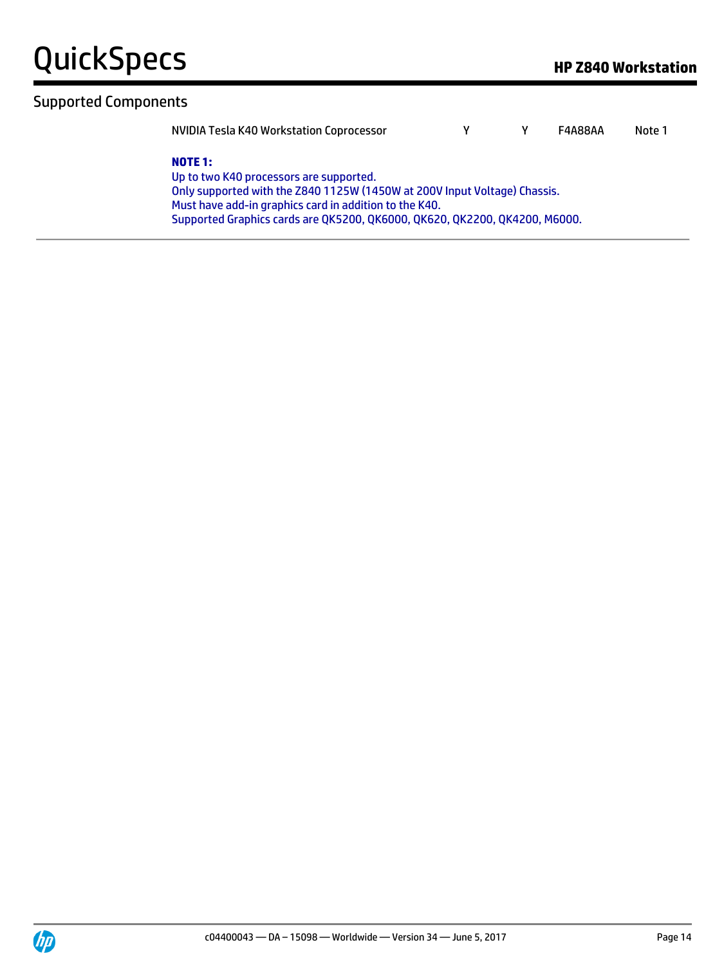### Supported Components

NVIDIA Tesla K40 Workstation Coprocessor Manual Y X PAA88AA Note 1

#### **NOTE 1:**

Up to two K40 processors are supported. Only supported with the Z840 1125W (1450W at 200V Input Voltage) Chassis. Must have add-in graphics card in addition to the K40. Supported Graphics cards are QK5200, QK6000, QK620, QK2200, QK4200, M6000.

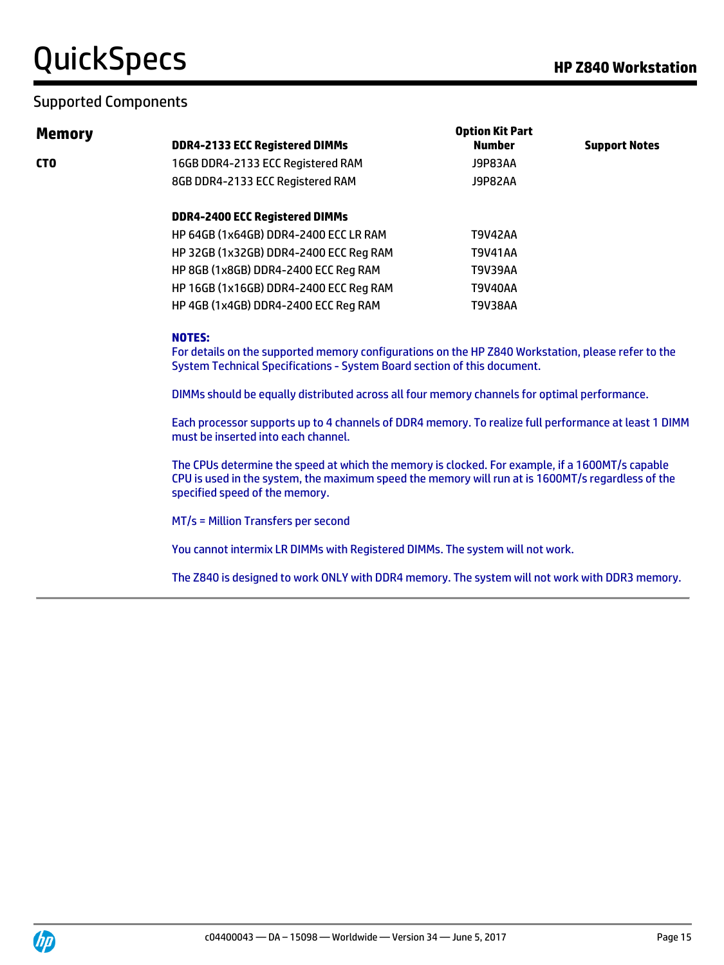### Supported Components

| <b>Memory</b> |                                        | <b>Option Kit Part</b> |                      |
|---------------|----------------------------------------|------------------------|----------------------|
|               | <b>DDR4-2133 ECC Registered DIMMs</b>  | <b>Number</b>          | <b>Support Notes</b> |
| <b>CTO</b>    | 16GB DDR4-2133 ECC Registered RAM      | <b>J9P83AA</b>         |                      |
|               | 8GB DDR4-2133 ECC Registered RAM       | J9P82AA                |                      |
|               | <b>DDR4-2400 ECC Registered DIMMs</b>  |                        |                      |
|               | HP 64GB (1x64GB) DDR4-2400 ECC LR RAM  | <b>T9V42AA</b>         |                      |
|               | HP 32GB (1x32GB) DDR4-2400 ECC Req RAM | <b>T9V41AA</b>         |                      |
|               | HP 8GB (1x8GB) DDR4-2400 ECC Reg RAM   | <b>T9V39AA</b>         |                      |
|               | HP 16GB (1x16GB) DDR4-2400 ECC Reg RAM | T9V40AA                |                      |
|               | HP 4GB (1x4GB) DDR4-2400 ECC Reg RAM   | T9V38AA                |                      |

#### **NOTES:**

For details on the supported memory configurations on the HP Z840 Workstation, please refer to the System Technical Specifications - System Board section of this document.

DIMMs should be equally distributed across all four memory channels for optimal performance.

Each processor supports up to 4 channels of DDR4 memory. To realize full performance at least 1 DIMM must be inserted into each channel.

The CPUs determine the speed at which the memory is clocked. For example, if a 1600MT/s capable CPU is used in the system, the maximum speed the memory will run at is 1600MT/s regardless of the specified speed of the memory.

MT/s = Million Transfers per second

You cannot intermix LR DIMMs with Registered DIMMs. The system will not work.

The Z840 is designed to work ONLY with DDR4 memory. The system will not work with DDR3 memory.

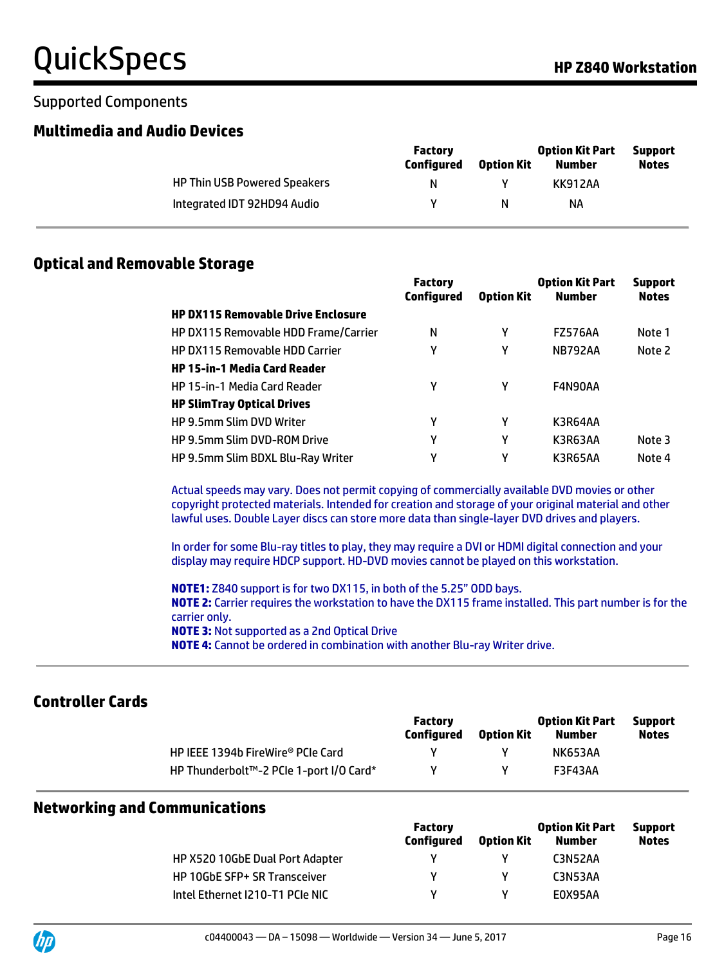### Supported Components

### **Multimedia and Audio Devices**

|                                     | Factory           |            | <b>Option Kit Part</b> | <b>Support</b> |
|-------------------------------------|-------------------|------------|------------------------|----------------|
|                                     | <b>Configured</b> | Option Kit | <b>Number</b>          | <b>Notes</b>   |
| <b>HP Thin USB Powered Speakers</b> | N                 |            | KK912AA                |                |
| Integrated IDT 92HD94 Audio         |                   | N          | ΝA                     |                |

### **Optical and Removable Storage**

|                                             | <b>Factory</b><br>Configured | <b>Option Kit</b> | <b>Option Kit Part</b><br><b>Number</b> | <b>Support</b><br><b>Notes</b> |
|---------------------------------------------|------------------------------|-------------------|-----------------------------------------|--------------------------------|
| <b>HP DX115 Removable Drive Enclosure</b>   |                              |                   |                                         |                                |
| <b>HP DX115 Removable HDD Frame/Carrier</b> | N                            | γ                 | <b>FZ576AA</b>                          | Note 1                         |
| <b>HP DX115 Removable HDD Carrier</b>       | γ                            | γ                 | <b>NB792AA</b>                          | Note 2                         |
| <b>HP 15-in-1 Media Card Reader</b>         |                              |                   |                                         |                                |
| HP 15-in-1 Media Card Reader                | γ                            | γ                 | F4N90AA                                 |                                |
| <b>HP SlimTray Optical Drives</b>           |                              |                   |                                         |                                |
| <b>HP 9.5mm Slim DVD Writer</b>             | γ                            | γ                 | K3R64AA                                 |                                |
| <b>HP 9.5mm Slim DVD-ROM Drive</b>          | γ                            | γ                 | K3R63AA                                 | Note 3                         |
| HP 9.5mm Slim BDXL Blu-Ray Writer           | γ                            | γ                 | K3R65AA                                 | Note 4                         |

Actual speeds may vary. Does not permit copying of commercially available DVD movies or other copyright protected materials. Intended for creation and storage of your original material and other lawful uses. Double Layer discs can store more data than single-layer DVD drives and players.

In order for some Blu-ray titles to play, they may require a DVI or HDMI digital connection and your display may require HDCP support. HD-DVD movies cannot be played on this workstation.

**NOTE1:** Z840 support is for two DX115, in both of the 5.25" ODD bays. **NOTE 2:** Carrier requires the workstation to have the DX115 frame installed. This part number is for the carrier only. **NOTE 3:** Not supported as a 2nd Optical Drive **NOTE 4:** Cannot be ordered in combination with another Blu-ray Writer drive.

### **Controller Cards**

|                                         | <b>Factory</b><br>Configured | <b>Option Kit</b> | Option Kit Part<br>Number | <b>Support</b><br><b>Notes</b> |
|-----------------------------------------|------------------------------|-------------------|---------------------------|--------------------------------|
| HP IEEE 1394b FireWire® PCIe Card       |                              |                   | NK653AA                   |                                |
| HP Thunderbolt™-2 PCIe 1-port I/O Card* |                              |                   | <b>F3F43AA</b>            |                                |

### **Networking and Communications**

|                                 | <b>Factory</b> |            | Option Kit Part | <b>Support</b> |  |
|---------------------------------|----------------|------------|-----------------|----------------|--|
|                                 | Configured     | Option Kit | <b>Number</b>   | <b>Notes</b>   |  |
| HP X520 10GbE Dual Port Adapter |                |            | C3N52AA         |                |  |
| HP 10GbE SFP+ SR Transceiver    |                |            | C3N53AA         |                |  |
| Intel Ethernet I210-T1 PCIe NIC |                |            | E0X95AA         |                |  |

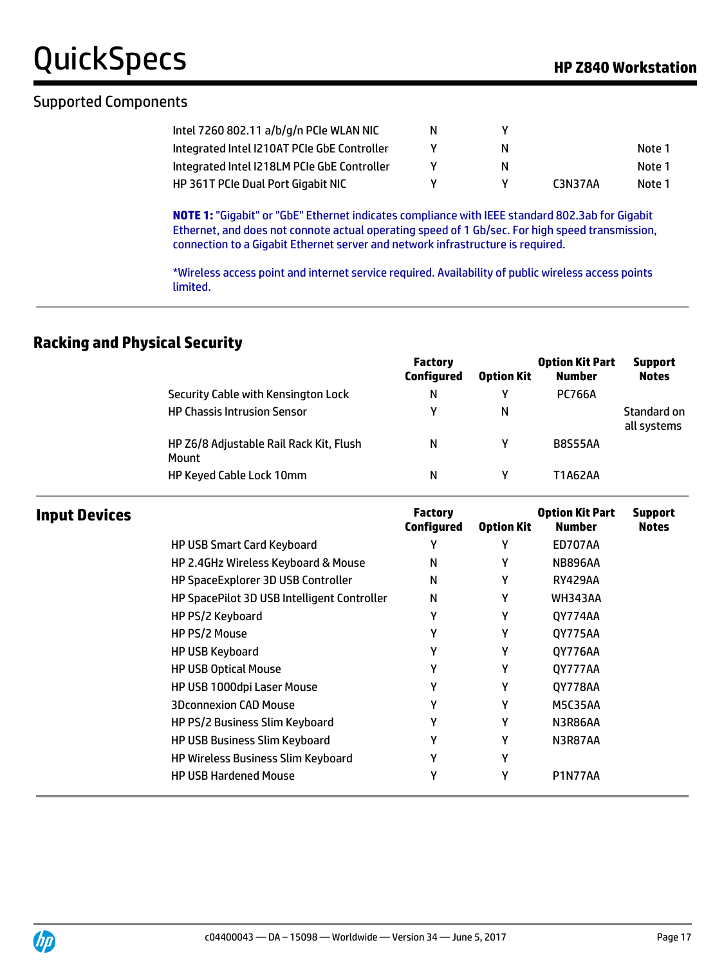### Supported Components

| Intel 7260 802.11 $a/b/q/n$ PCIe WLAN NIC   | N |   |         |        |
|---------------------------------------------|---|---|---------|--------|
| Integrated Intel I210AT PCIe GbE Controller |   | N |         | Note 1 |
| Integrated Intel I218LM PCIe GbE Controller |   | N |         | Note 1 |
| <b>HP 361T PCIe Dual Port Gigabit NIC</b>   |   |   | C3N37AA | Note 1 |

**NOTE 1:** "Gigabit" or "GbE" Ethernet indicates compliance with IEEE standard 802.3ab for Gigabit Ethernet, and does not connote actual operating speed of 1 Gb/sec. For high speed transmission, connection to a Gigabit Ethernet server and network infrastructure is required.

\*Wireless access point and internet service required. Availability of public wireless access points limited.

### **Racking and Physical Security**

|                                                  | <b>Factory</b><br><b>Configured</b> | <b>Option Kit</b> | <b>Option Kit Part</b><br><b>Number</b> | <b>Support</b><br><b>Notes</b> |
|--------------------------------------------------|-------------------------------------|-------------------|-----------------------------------------|--------------------------------|
| Security Cable with Kensington Lock              | N                                   | v                 | <b>PC766A</b>                           |                                |
| <b>HP Chassis Intrusion Sensor</b>               | γ                                   | N                 |                                         | Standard on<br>all systems     |
| HP Z6/8 Adjustable Rail Rack Kit, Flush<br>Mount | N                                   | γ                 | <b>B8S55AA</b>                          |                                |
| <b>HP Keyed Cable Lock 10mm</b>                  | N                                   | v                 | T1A62AA                                 |                                |

| <b>Input Devices</b> |                                             | <b>Factory</b><br><b>Configured</b> | <b>Option Kit</b> | <b>Option Kit Part</b><br><b>Number</b> | <b>Support</b><br><b>Notes</b> |
|----------------------|---------------------------------------------|-------------------------------------|-------------------|-----------------------------------------|--------------------------------|
|                      | HP USB Smart Card Keyboard                  | γ                                   |                   | ED707AA                                 |                                |
|                      | HP 2.4GHz Wireless Keyboard & Mouse         | N                                   | γ                 | <b>NB896AA</b>                          |                                |
|                      | HP SpaceExplorer 3D USB Controller          | N                                   | γ                 | <b>RY429AA</b>                          |                                |
|                      | HP SpacePilot 3D USB Intelligent Controller | N                                   | γ                 | <b>WH343AA</b>                          |                                |
|                      | HP PS/2 Keyboard                            | Υ                                   | Y                 | QY774AA                                 |                                |
|                      | HP PS/2 Mouse                               | γ                                   | γ                 | QY775AA                                 |                                |
|                      | HP USB Keyboard                             | Υ                                   | γ                 | QY776AA                                 |                                |
|                      | <b>HP USB Optical Mouse</b>                 | Υ                                   | γ                 | QY777AA                                 |                                |
|                      | HP USB 1000dpi Laser Mouse                  | Υ                                   | γ                 | QY778AA                                 |                                |
|                      | <b>3Dconnexion CAD Mouse</b>                | γ                                   | γ                 | M5C35AA                                 |                                |
|                      | HP PS/2 Business Slim Keyboard              | γ                                   | γ                 | N3R86AA                                 |                                |
|                      | HP USB Business Slim Keyboard               | Υ                                   | γ                 | N3R87AA                                 |                                |
|                      | HP Wireless Business Slim Keyboard          | γ                                   | γ                 |                                         |                                |
|                      | <b>HP USB Hardened Mouse</b>                | γ                                   | γ                 | <b>P1N77AA</b>                          |                                |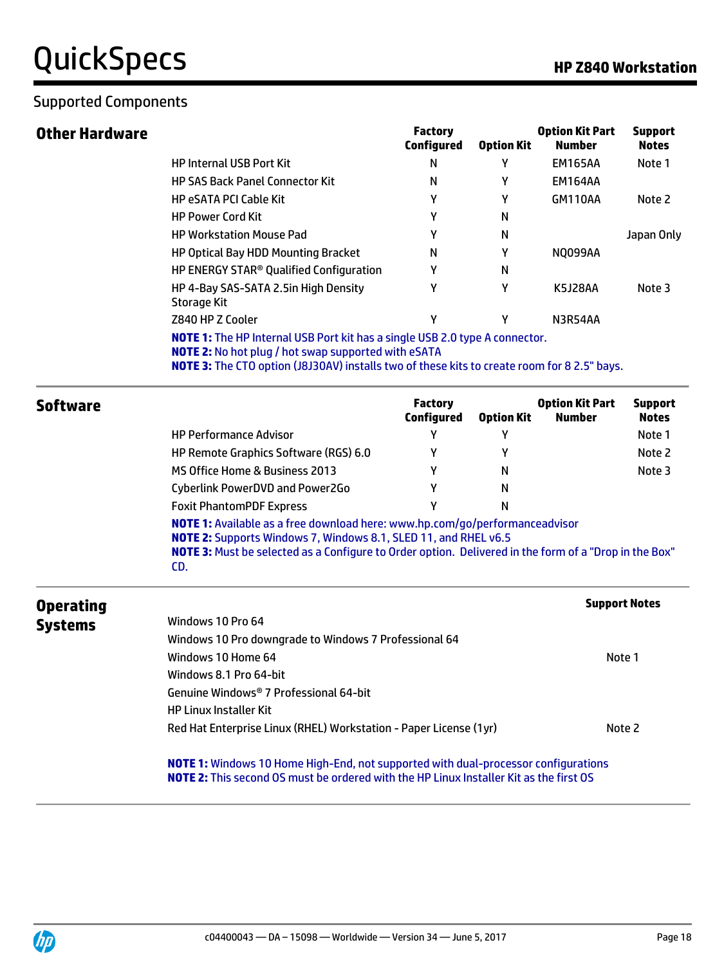### Supported Components

| <b>Other Hardware</b> |                                                                                                                                                                                                                                                                       | <b>Factory</b><br><b>Configured</b> | <b>Option Kit</b> | <b>Option Kit Part</b><br><b>Number</b> | <b>Support</b><br><b>Notes</b> |
|-----------------------|-----------------------------------------------------------------------------------------------------------------------------------------------------------------------------------------------------------------------------------------------------------------------|-------------------------------------|-------------------|-----------------------------------------|--------------------------------|
|                       | <b>HP Internal USB Port Kit</b>                                                                                                                                                                                                                                       | N                                   | Υ                 | <b>EM165AA</b>                          | Note 1                         |
|                       | <b>HP SAS Back Panel Connector Kit</b>                                                                                                                                                                                                                                | N                                   | Y                 | <b>EM164AA</b>                          |                                |
|                       | <b>HP eSATA PCI Cable Kit</b>                                                                                                                                                                                                                                         | Υ                                   | Y                 | <b>GM110AA</b>                          | Note 2                         |
|                       | <b>HP Power Cord Kit</b>                                                                                                                                                                                                                                              | γ                                   | N                 |                                         |                                |
|                       | <b>HP Workstation Mouse Pad</b>                                                                                                                                                                                                                                       | γ                                   | N                 |                                         | Japan Only                     |
|                       | HP Optical Bay HDD Mounting Bracket                                                                                                                                                                                                                                   | N                                   | Y                 | NQ099AA                                 |                                |
|                       | HP ENERGY STAR <sup>®</sup> Qualified Configuration                                                                                                                                                                                                                   | Υ                                   | N                 |                                         |                                |
|                       | HP 4-Bay SAS-SATA 2.5in High Density<br><b>Storage Kit</b>                                                                                                                                                                                                            | γ                                   | Y                 | K5J28AA                                 | Note 3                         |
|                       | Z840 HP Z Cooler                                                                                                                                                                                                                                                      | γ                                   | Y                 | N3R54AA                                 |                                |
|                       | NOTE 1: The HP Internal USB Port kit has a single USB 2.0 type A connector.<br><b>NOTE 2:</b> No hot plug / hot swap supported with eSATA<br><b>NOTE 3:</b> The CTO option (J8J30AV) installs two of these kits to create room for 8 2.5" bays.                       |                                     |                   |                                         |                                |
| <b>Software</b>       |                                                                                                                                                                                                                                                                       | <b>Factory</b><br><b>Configured</b> | <b>Option Kit</b> | <b>Option Kit Part</b><br><b>Number</b> | <b>Support</b><br><b>Notes</b> |
|                       | <b>HP Performance Advisor</b>                                                                                                                                                                                                                                         | γ                                   | Y                 |                                         | Note 1                         |
|                       | HP Remote Graphics Software (RGS) 6.0                                                                                                                                                                                                                                 | Υ                                   | Υ                 |                                         | Note 2                         |
|                       | MS Office Home & Business 2013                                                                                                                                                                                                                                        | Υ                                   | N                 |                                         | Note 3                         |
|                       | Cyberlink PowerDVD and Power2Go                                                                                                                                                                                                                                       | Υ                                   | N                 |                                         |                                |
|                       | <b>Foxit PhantomPDF Express</b>                                                                                                                                                                                                                                       | γ                                   | N                 |                                         |                                |
|                       | <b>NOTE 1:</b> Available as a free download here: www.hp.com/go/performanceadvisor<br>NOTE 2: Supports Windows 7, Windows 8.1, SLED 11, and RHEL v6.5<br>NOTE 3: Must be selected as a Configure to Order option. Delivered in the form of a "Drop in the Box"<br>CD. |                                     |                   |                                         |                                |
| <b>Operating</b>      |                                                                                                                                                                                                                                                                       |                                     |                   |                                         | <b>Support Notes</b>           |
| <b>Systems</b>        | Windows 10 Pro 64                                                                                                                                                                                                                                                     |                                     |                   |                                         |                                |
|                       | Windows 10 Pro downgrade to Windows 7 Professional 64                                                                                                                                                                                                                 |                                     |                   |                                         |                                |
|                       | Windows 10 Home 64                                                                                                                                                                                                                                                    |                                     |                   |                                         | Note 1                         |
|                       | Windows 8.1 Pro 64-bit                                                                                                                                                                                                                                                |                                     |                   |                                         |                                |
|                       | Genuine Windows® 7 Professional 64-bit                                                                                                                                                                                                                                |                                     |                   |                                         |                                |
|                       | <b>HP Linux Installer Kit</b>                                                                                                                                                                                                                                         |                                     |                   |                                         |                                |
|                       | Red Hat Enterprise Linux (RHEL) Workstation - Paper License (1yr)                                                                                                                                                                                                     |                                     |                   |                                         | Note 2                         |
|                       | NOTE 1: Windows 10 Home High-End, not supported with dual-processor configurations<br>NOTE 2: This second OS must be ordered with the HP Linux Installer Kit as the first OS                                                                                          |                                     |                   |                                         |                                |

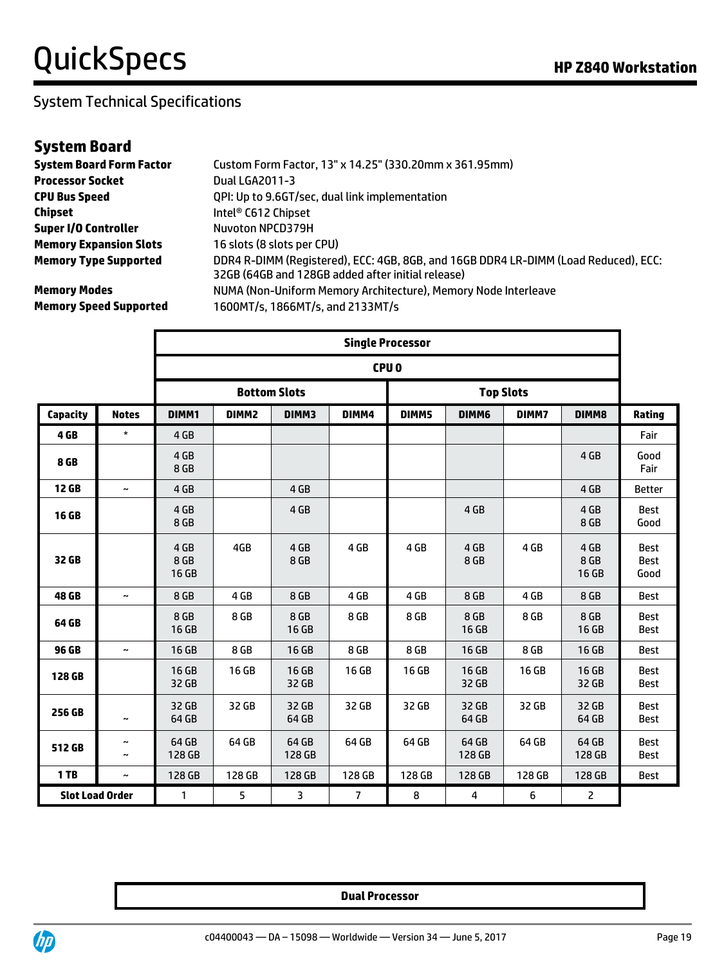### System Technical Specifications

### **System Board**

| <b>System Board Form Factor</b> | Custom Form Factor, 13" x 14.25" (330.20mm x 361.95mm)                                                                                   |
|---------------------------------|------------------------------------------------------------------------------------------------------------------------------------------|
| <b>Processor Socket</b>         | Dual LGA2011-3                                                                                                                           |
| <b>CPU Bus Speed</b>            | QPI: Up to 9.6GT/sec, dual link implementation                                                                                           |
| <b>Chipset</b>                  | Intel <sup>®</sup> C612 Chipset                                                                                                          |
| <b>Super I/O Controller</b>     | Nuvoton NPCD379H                                                                                                                         |
| <b>Memory Expansion Slots</b>   | 16 slots (8 slots per CPU)                                                                                                               |
| <b>Memory Type Supported</b>    | DDR4 R-DIMM (Registered), ECC: 4GB, 8GB, and 16GB DDR4 LR-DIMM (Load Reduced), ECC:<br>32GB (64GB and 128GB added after initial release) |
| <b>Memory Modes</b>             | NUMA (Non-Uniform Memory Architecture), Memory Node Interleave                                                                           |
| <b>Memory Speed Supported</b>   | 1600MT/s, 1866MT/s, and 2133MT/s                                                                                                         |

|                 |                                     | <b>Single Processor</b> |                   |                     |                |        |                 |                  |                       |                                    |
|-----------------|-------------------------------------|-------------------------|-------------------|---------------------|----------------|--------|-----------------|------------------|-----------------------|------------------------------------|
|                 |                                     | CPU <sub>0</sub>        |                   |                     |                |        |                 |                  |                       |                                    |
|                 |                                     |                         |                   | <b>Bottom Slots</b> |                |        |                 | <b>Top Slots</b> |                       |                                    |
| <b>Capacity</b> | <b>Notes</b>                        | DIMM1                   | DIMM <sub>2</sub> | DIMM3               | DIMM4          | DIMM5  | DIMM6           | DIMM7            | DIMM8                 | Rating                             |
| 4 GB            | $\star$                             | 4 GB                    |                   |                     |                |        |                 |                  |                       | Fair                               |
| 8 GB            |                                     | 4 GB<br>8 GB            |                   |                     |                |        |                 |                  | 4 GB                  | Good<br>Fair                       |
| 12 GB           | $\tilde{\phantom{a}}$               | 4 GB                    |                   | 4 GB                |                |        |                 |                  | 4 GB                  | <b>Better</b>                      |
| <b>16 GB</b>    |                                     | 4 GB<br>8 GB            |                   | 4 GB                |                |        | 4 GB            |                  | 4 GB<br>8 GB          | <b>Best</b><br>Good                |
| 32 GB           |                                     | 4 GB<br>8 GB<br>16 GB   | 4GB               | 4 GB<br>8 GB        | 4 GB           | 4 GB   | 4 GB<br>8 GB    | 4 GB             | 4 GB<br>8 GB<br>16 GB | <b>Best</b><br><b>Best</b><br>Good |
| 48 GB           | $\tilde{\phantom{a}}$               | 8 GB                    | 4 GB              | 8 GB                | 4 GB           | 4 GB   | 8 GB            | 4 GB             | 8 GB                  | Best                               |
| 64 GB           |                                     | 8 GB<br>16 GB           | 8 GB              | 8 GB<br>16 GB       | 8 GB           | 8 GB   | 8 GB<br>16 GB   | 8 GB             | 8 GB<br>16 GB         | <b>Best</b><br>Best                |
| 96 GB           | $\tilde{\phantom{a}}$               | 16 GB                   | 8 GB              | 16 GB               | 8 GB           | 8 GB   | 16 GB           | 8 GB             | 16 GB                 | Best                               |
| 128 GB          |                                     | 16 GB<br>32 GB          | 16 GB             | 16 GB<br>32 GB      | 16 GB          | 16 GB  | 16 GB<br>32 GB  | 16 GB            | 16 GB<br>32 GB        | <b>Best</b><br>Best                |
| 256 GB          | $\tilde{\phantom{a}}$               | 32 GB<br>64 GB          | 32 GB             | 32 GB<br>64 GB      | 32 GB          | 32 GB  | 32 GB<br>64 GB  | 32 GB            | 32 GB<br>64 GB        | <b>Best</b><br>Best                |
| 512 GB          | $\tilde{}$<br>$\tilde{\phantom{a}}$ | 64 GB<br>128 GB         | 64 GB             | 64 GB<br>128 GB     | 64 GB          | 64 GB  | 64 GB<br>128 GB | 64 GB            | 64 GB<br>128 GB       | <b>Best</b><br>Best                |
| 1 TB            | $\tilde{\phantom{a}}$               | 128 GB                  | 128 GB            | 128 GB              | 128 GB         | 128 GB | 128 GB          | 128 GB           | 128 GB                | Best                               |
|                 | <b>Slot Load Order</b>              | 1                       | 5                 | 3                   | $\overline{7}$ | 8      | 4               | 6                | $\mathsf{Z}$          |                                    |

**Dual Processor**

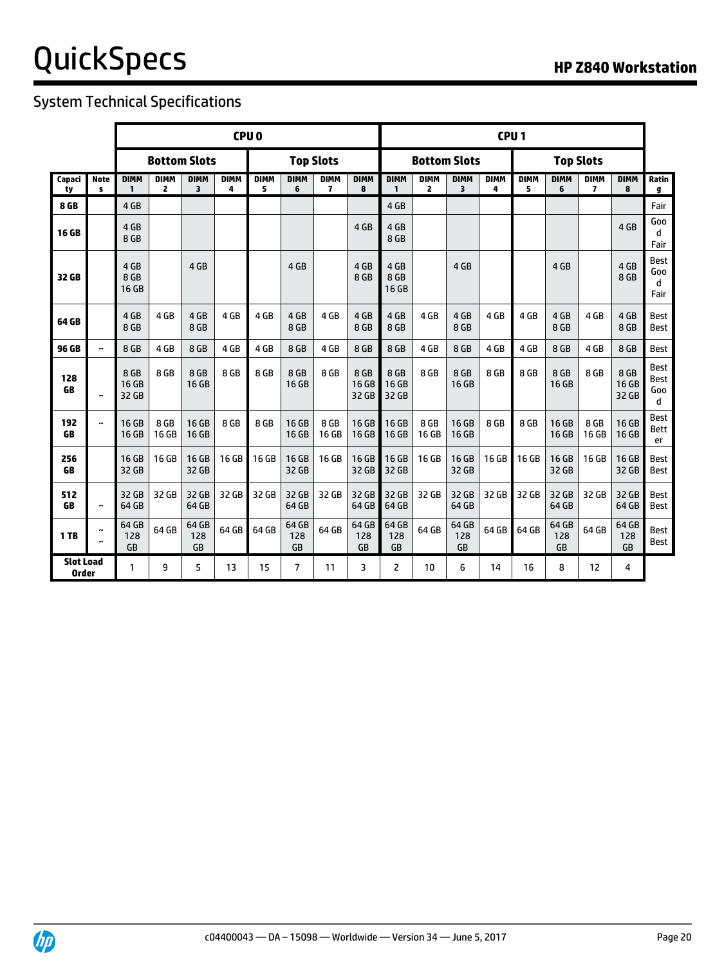### System Technical Specifications

|                                  |                                                |                             |                             |                                        |                  | CPU <sub>0</sub> |                    |                                        |                        | CPU <sub>1</sub>            |                             |                                        |                  |                  |                    |                                        |                        |                           |
|----------------------------------|------------------------------------------------|-----------------------------|-----------------------------|----------------------------------------|------------------|------------------|--------------------|----------------------------------------|------------------------|-----------------------------|-----------------------------|----------------------------------------|------------------|------------------|--------------------|----------------------------------------|------------------------|---------------------------|
|                                  |                                                |                             |                             | <b>Bottom Slots</b>                    |                  |                  | <b>Top Slots</b>   |                                        |                        |                             |                             | <b>Bottom Slots</b>                    |                  |                  | <b>Top Slots</b>   |                                        |                        |                           |
| Capaci<br>ty                     | <b>Note</b><br>s                               | <b>DIMM</b><br>$\mathbf{1}$ | <b>DIMM</b><br>$\mathbf{z}$ | <b>DIMM</b><br>$\overline{\mathbf{3}}$ | <b>DIMM</b><br>4 | <b>DIMM</b><br>5 | <b>DIMM</b><br>6   | <b>DIMM</b><br>$\overline{\mathbf{z}}$ | <b>DIMM</b><br>8       | <b>DIMM</b><br>$\mathbf{1}$ | <b>DIMM</b><br>$\mathbf{z}$ | <b>DIMM</b><br>$\overline{\mathbf{3}}$ | <b>DIMM</b><br>4 | <b>DIMM</b><br>5 | <b>DIMM</b><br>6   | <b>DIMM</b><br>$\overline{\mathbf{z}}$ | <b>DIMM</b><br>8       | Ratin<br>g                |
| 8 GB                             |                                                | 4 GB                        |                             |                                        |                  |                  |                    |                                        |                        | 4 GB                        |                             |                                        |                  |                  |                    |                                        |                        | Fair                      |
| <b>16 GB</b>                     |                                                | 4 GB<br>8 GB                |                             |                                        |                  |                  |                    |                                        | 4 GB                   | 4 GB<br>8 GB                |                             |                                        |                  |                  |                    |                                        | 4 GB                   | Goo<br>d<br>Fair          |
| 32 GB                            |                                                | 4 GB<br>8 GB<br>16 GB       |                             | 4 GB                                   |                  |                  | 4 GB               |                                        | 4 GB<br>8 GB           | 4 GB<br>8 GB<br>16 GB       |                             | 4 GB                                   |                  |                  | 4 GB               |                                        | 4 GB<br>8 GB           | Best<br>Goo<br>d.<br>Fair |
| 64 GB                            |                                                | 4 GB<br>8 GB                | 4 GB                        | 4 GB<br>8 GB                           | 4 GB             | 4 GB             | 4 GB<br>8 GB       | 4 GB                                   | 4 GB<br>8 GB           | 4 GB<br>8 GB                | 4 GB                        | 4 GB<br>8 GB                           | 4 GB             | 4 GB             | 4 GB<br>8 GB       | 4 GB                                   | 4 GB<br>8 GB           | Best<br>Best              |
| 96 GB                            | $\tilde{}$                                     | 8 GB                        | 4 GB                        | 8 GB                                   | 4 GB             | 4 GB             | 8 GB               | 4 GB                                   | 8 GB                   | 8 GB                        | 4 GB                        | 8 GB                                   | 4 GB             | 4 GB             | 8 GB               | 4 GB                                   | 8 GB                   | Best                      |
| 128<br><b>GB</b>                 | $\tilde{}$                                     | 8 GB<br>16 GB<br>32 GB      | 8 GB                        | 8 GB<br>16 GB                          | 8 GB             | 8 GB             | 8 GB<br>16 GB      | 8 GB                                   | 8 GB<br>16 GB<br>32 GB | 8 GB<br>16 GB<br>32 GB      | 8 GB                        | 8 GB<br>16 GB                          | 8 GB             | 8 GB             | 8 GB<br>16 GB      | 8 GB                                   | 8 GB<br>16 GB<br>32 GB | Best<br>Best<br>Goo<br>d  |
| 192<br><b>GB</b>                 | $\tilde{}$                                     | 16 GB<br>16 GB              | 8 GB<br>16 GB               | 16 GB<br>16 GB                         | 8 GB             | 8 GB             | 16 GB<br>16 GB     | 8 GB<br>16 GB                          | 16 GB<br>16 GB         | 16 GB<br>16 GB              | 8 GB<br>16 GB               | 16 GB<br>16 GB                         | 8 GB             | 8 GB             | 16 GB<br>16 GB     | 8 GB<br>16 GB                          | 16 GB<br>16 GB         | Best<br><b>Bett</b><br>er |
| 256<br><b>GB</b>                 |                                                | 16 GB<br>32 GB              | 16 GB                       | 16 GB<br>32 GB                         | 16 GB            | 16 GB            | 16 GB<br>32 GB     | 16 GB                                  | 16 GB<br>32 GB         | 16 GB<br>32 GB              | 16 GB                       | 16 GB<br>32 GB                         | 16 GB            | 16 GB            | 16 GB<br>32 GB     | 16 GB                                  | 16 GB<br>32 GB         | Best<br>Best              |
| 512<br><b>GB</b>                 | $\tilde{}$                                     | 32 GB<br>64 GB              | 32 GB                       | 32 GB<br>64 GB                         | 32 GB            | 32 GB            | 32 GB<br>64 GB     | 32 GB                                  | 32 GB<br>64 GB         | 32 GB<br>64 GB              | 32 GB                       | 32 GB<br>64 GB                         | 32 GB            | 32 GB            | 32 GB<br>64 GB     | 32 GB                                  | 32 GB<br>64 GB         | Best<br>Best              |
| 1 TB                             | $\tilde{\phantom{a}}$<br>$\tilde{\phantom{a}}$ | 64 GB<br>128<br>GB          | 64 GB                       | 64 GB<br>128<br><b>GB</b>              | 64 GB            | 64 GB            | 64 GB<br>128<br>GB | 64 GB                                  | 64 GB<br>128<br>GB     | 64 GB<br>128<br>GB          | 64 GB                       | 64 GB<br>128<br>GB                     | 64 GB            | 64 GB            | 64 GB<br>128<br>GB | 64 GB                                  | 64 GB<br>128<br>GB     | Best<br>Best              |
| <b>Slot Load</b><br><b>Order</b> |                                                | $\mathbf{1}$                | 9                           | 5                                      | 13               | 15               | $\overline{7}$     | 11                                     | 3                      | $\overline{2}$              | 10                          | 6                                      | 14               | 16               | 8                  | 12                                     | 4                      |                           |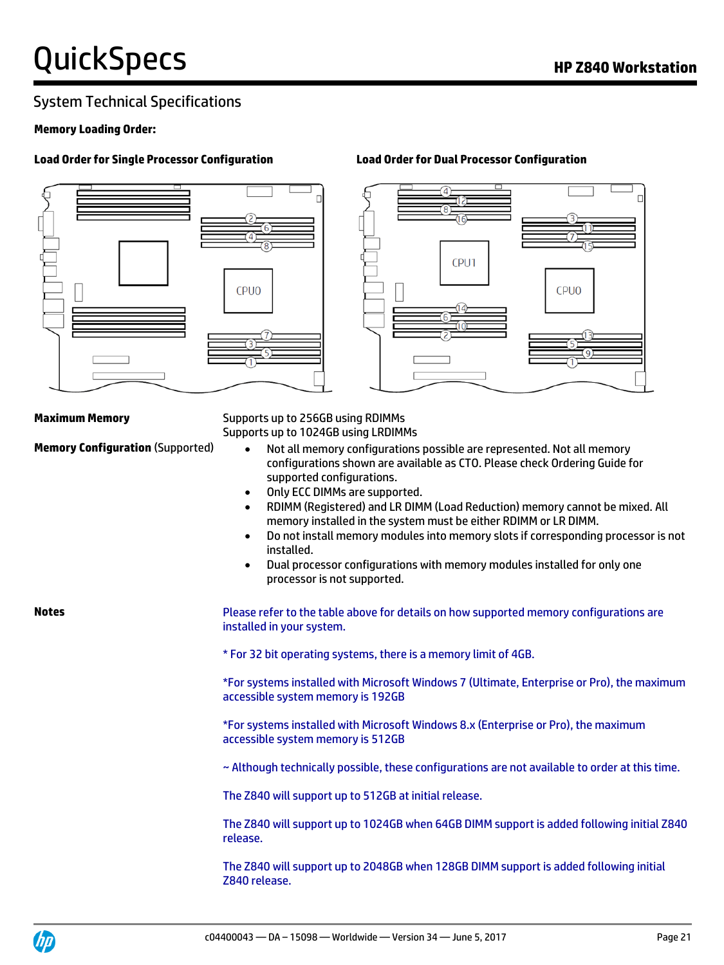### System Technical Specifications

#### **Memory Loading Order:**

#### **Load Order for Single Processor Configuration Load Order for Dual Processor Configuration**





| <b>Maximum Memory</b><br><b>Memory Configuration (Supported)</b> | Supports up to 256GB using RDIMMs<br>Supports up to 1024GB using LRDIMMs                                                                                                                                                                                                                                                                                                                                                                                                                                                                                                           |
|------------------------------------------------------------------|------------------------------------------------------------------------------------------------------------------------------------------------------------------------------------------------------------------------------------------------------------------------------------------------------------------------------------------------------------------------------------------------------------------------------------------------------------------------------------------------------------------------------------------------------------------------------------|
|                                                                  | Not all memory configurations possible are represented. Not all memory<br>configurations shown are available as CTO. Please check Ordering Guide for<br>supported configurations.<br>Only ECC DIMMs are supported.<br>RDIMM (Registered) and LR DIMM (Load Reduction) memory cannot be mixed. All<br>memory installed in the system must be either RDIMM or LR DIMM.<br>Do not install memory modules into memory slots if corresponding processor is not<br>installed.<br>Dual processor configurations with memory modules installed for only one<br>processor is not supported. |
| <b>Notes</b>                                                     | Please refer to the table above for details on how supported memory configurations are<br>installed in your system.                                                                                                                                                                                                                                                                                                                                                                                                                                                                |
|                                                                  | * For 32 bit operating systems, there is a memory limit of 4GB.                                                                                                                                                                                                                                                                                                                                                                                                                                                                                                                    |
|                                                                  | *For systems installed with Microsoft Windows 7 (Ultimate, Enterprise or Pro), the maximum<br>accessible system memory is 192GB                                                                                                                                                                                                                                                                                                                                                                                                                                                    |
|                                                                  | *For systems installed with Microsoft Windows 8.x (Enterprise or Pro), the maximum<br>accessible system memory is 512GB                                                                                                                                                                                                                                                                                                                                                                                                                                                            |
|                                                                  | ~ Although technically possible, these configurations are not available to order at this time.                                                                                                                                                                                                                                                                                                                                                                                                                                                                                     |
|                                                                  | The Z840 will support up to 512GB at initial release.                                                                                                                                                                                                                                                                                                                                                                                                                                                                                                                              |
|                                                                  | The Z840 will support up to 1024GB when 64GB DIMM support is added following initial Z840<br>release.                                                                                                                                                                                                                                                                                                                                                                                                                                                                              |
|                                                                  | The Z840 will support up to 2048GB when 128GB DIMM support is added following initial<br>Z840 release.                                                                                                                                                                                                                                                                                                                                                                                                                                                                             |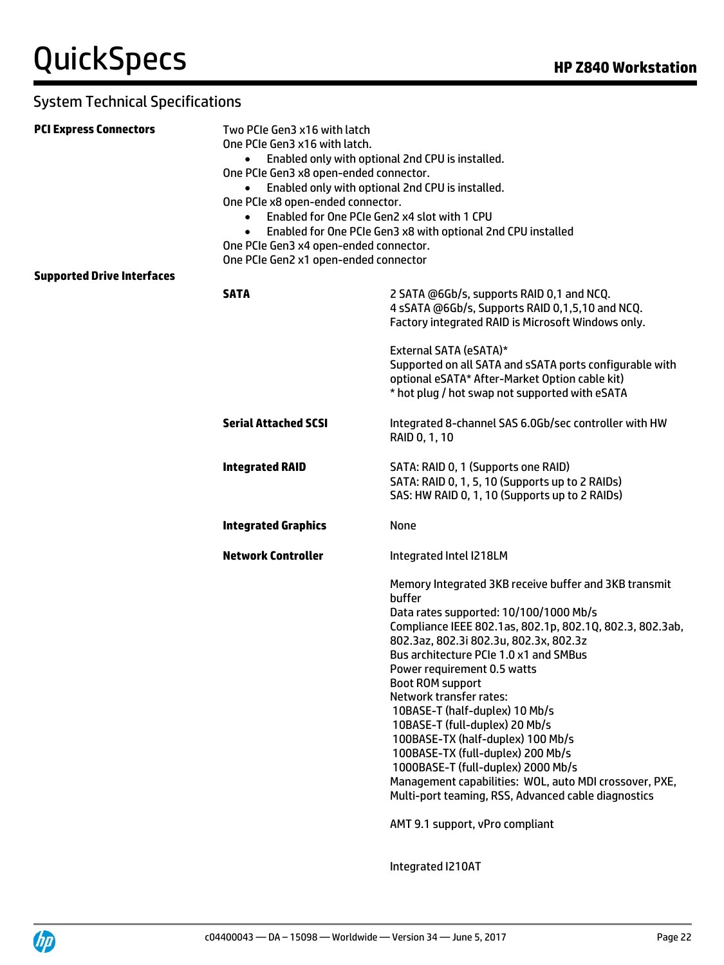### System Technical Specifications

| <b>PCI Express Connectors</b><br><b>Supported Drive Interfaces</b> | Two PCIe Gen3 x16 with latch<br>One PCIe Gen3 x16 with latch.<br>Enabled only with optional 2nd CPU is installed.<br>One PCIe Gen3 x8 open-ended connector.<br>Enabled only with optional 2nd CPU is installed.<br>One PCIe x8 open-ended connector.<br>Enabled for One PCIe Gen2 x4 slot with 1 CPU<br>$\bullet$<br>$\bullet$<br>One PCIe Gen3 x4 open-ended connector.<br>One PCIe Gen2 x1 open-ended connector | Enabled for One PCIe Gen3 x8 with optional 2nd CPU installed                                                                                                                                                                                                                                                                                                                                                                                                                                                                                                                                                                                                                                                      |
|--------------------------------------------------------------------|-------------------------------------------------------------------------------------------------------------------------------------------------------------------------------------------------------------------------------------------------------------------------------------------------------------------------------------------------------------------------------------------------------------------|-------------------------------------------------------------------------------------------------------------------------------------------------------------------------------------------------------------------------------------------------------------------------------------------------------------------------------------------------------------------------------------------------------------------------------------------------------------------------------------------------------------------------------------------------------------------------------------------------------------------------------------------------------------------------------------------------------------------|
|                                                                    | <b>SATA</b>                                                                                                                                                                                                                                                                                                                                                                                                       | 2 SATA @6Gb/s, supports RAID 0,1 and NCQ.<br>4 sSATA @6Gb/s, Supports RAID 0,1,5,10 and NCQ.<br>Factory integrated RAID is Microsoft Windows only.<br>External SATA (eSATA)*<br>Supported on all SATA and sSATA ports configurable with<br>optional eSATA* After-Market Option cable kit)<br>* hot plug / hot swap not supported with eSATA                                                                                                                                                                                                                                                                                                                                                                       |
|                                                                    | <b>Serial Attached SCSI</b><br><b>Integrated RAID</b>                                                                                                                                                                                                                                                                                                                                                             | Integrated 8-channel SAS 6.0Gb/sec controller with HW<br>RAID 0, 1, 10<br>SATA: RAID 0, 1 (Supports one RAID)<br>SATA: RAID 0, 1, 5, 10 (Supports up to 2 RAIDs)                                                                                                                                                                                                                                                                                                                                                                                                                                                                                                                                                  |
|                                                                    | <b>Integrated Graphics</b>                                                                                                                                                                                                                                                                                                                                                                                        | SAS: HW RAID 0, 1, 10 (Supports up to 2 RAIDs)<br>None                                                                                                                                                                                                                                                                                                                                                                                                                                                                                                                                                                                                                                                            |
|                                                                    | <b>Network Controller</b>                                                                                                                                                                                                                                                                                                                                                                                         | Integrated Intel I218LM<br>Memory Integrated 3KB receive buffer and 3KB transmit<br>buffer<br>Data rates supported: 10/100/1000 Mb/s<br>Compliance IEEE 802.1as, 802.1p, 802.1Q, 802.3, 802.3ab,<br>802.3az, 802.3i 802.3u, 802.3x, 802.3z<br>Bus architecture PCIe 1.0 x1 and SMBus<br>Power requirement 0.5 watts<br><b>Boot ROM support</b><br>Network transfer rates:<br>10BASE-T (half-duplex) 10 Mb/s<br>10BASE-T (full-duplex) 20 Mb/s<br>100BASE-TX (half-duplex) 100 Mb/s<br>100BASE-TX (full-duplex) 200 Mb/s<br>1000BASE-T (full-duplex) 2000 Mb/s<br>Management capabilities: WOL, auto MDI crossover, PXE,<br>Multi-port teaming, RSS, Advanced cable diagnostics<br>AMT 9.1 support, vPro compliant |

Integrated I210AT

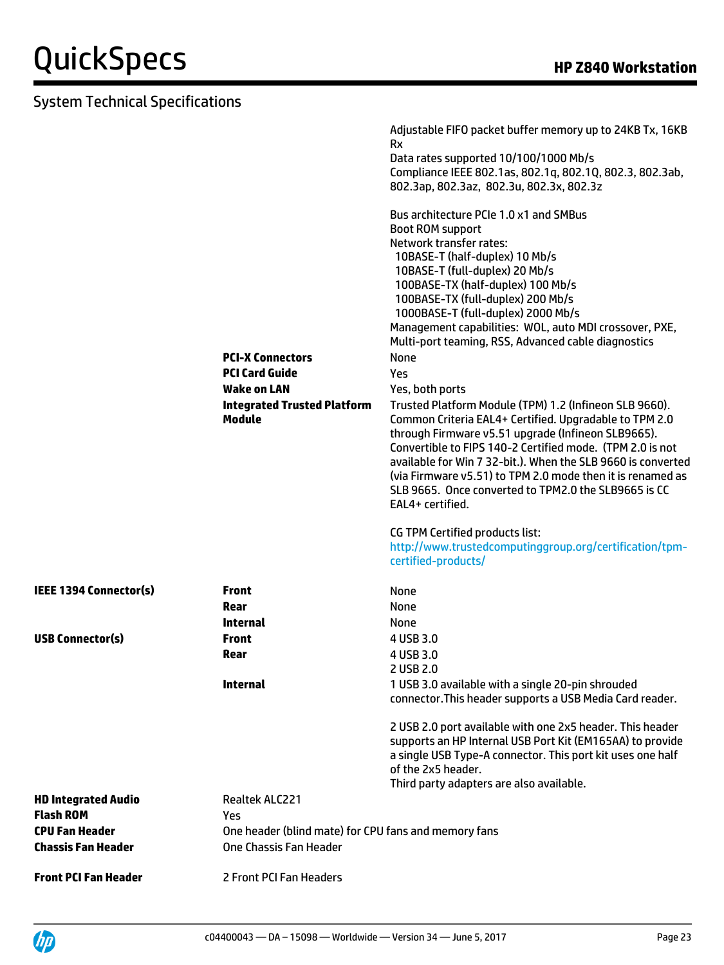|                            | <b>PCI-X Connectors</b><br><b>PCI Card Guide</b><br><b>Wake on LAN</b><br><b>Integrated Trusted Platform</b><br><b>Module</b> | Adjustable FIFO packet buffer memory up to 24KB Tx, 16KB<br><b>Rx</b><br>Data rates supported 10/100/1000 Mb/s<br>Compliance IEEE 802.1as, 802.1q, 802.1Q, 802.3, 802.3ab,<br>802.3ap, 802.3az, 802.3u, 802.3x, 802.3z<br>Bus architecture PCIe 1.0 x1 and SMBus<br><b>Boot ROM support</b><br>Network transfer rates:<br>10BASE-T (half-duplex) 10 Mb/s<br>10BASE-T (full-duplex) 20 Mb/s<br>100BASE-TX (half-duplex) 100 Mb/s<br>100BASE-TX (full-duplex) 200 Mb/s<br>1000BASE-T (full-duplex) 2000 Mb/s<br>Management capabilities: WOL, auto MDI crossover, PXE,<br>Multi-port teaming, RSS, Advanced cable diagnostics<br>None<br>Yes<br>Yes, both ports<br>Trusted Platform Module (TPM) 1.2 (Infineon SLB 9660).<br>Common Criteria EAL4+ Certified. Upgradable to TPM 2.0<br>through Firmware v5.51 upgrade (Infineon SLB9665).<br>Convertible to FIPS 140-2 Certified mode. (TPM 2.0 is not<br>available for Win 7 32-bit.). When the SLB 9660 is converted |
|----------------------------|-------------------------------------------------------------------------------------------------------------------------------|----------------------------------------------------------------------------------------------------------------------------------------------------------------------------------------------------------------------------------------------------------------------------------------------------------------------------------------------------------------------------------------------------------------------------------------------------------------------------------------------------------------------------------------------------------------------------------------------------------------------------------------------------------------------------------------------------------------------------------------------------------------------------------------------------------------------------------------------------------------------------------------------------------------------------------------------------------------------|
|                            |                                                                                                                               | (via Firmware v5.51) to TPM 2.0 mode then it is renamed as<br>SLB 9665. Once converted to TPM2.0 the SLB9665 is CC<br>EAL4+ certified.                                                                                                                                                                                                                                                                                                                                                                                                                                                                                                                                                                                                                                                                                                                                                                                                                               |
|                            |                                                                                                                               | <b>CG TPM Certified products list:</b><br>http://www.trustedcomputinggroup.org/certification/tpm-<br>certified-products/                                                                                                                                                                                                                                                                                                                                                                                                                                                                                                                                                                                                                                                                                                                                                                                                                                             |
| IEEE 1394 Connector(s)     | <b>Front</b>                                                                                                                  | None                                                                                                                                                                                                                                                                                                                                                                                                                                                                                                                                                                                                                                                                                                                                                                                                                                                                                                                                                                 |
|                            | Rear                                                                                                                          | None                                                                                                                                                                                                                                                                                                                                                                                                                                                                                                                                                                                                                                                                                                                                                                                                                                                                                                                                                                 |
|                            | <b>Internal</b>                                                                                                               | <b>None</b>                                                                                                                                                                                                                                                                                                                                                                                                                                                                                                                                                                                                                                                                                                                                                                                                                                                                                                                                                          |
| <b>USB Connector(s)</b>    | <b>Front</b>                                                                                                                  | 4 USB 3.0                                                                                                                                                                                                                                                                                                                                                                                                                                                                                                                                                                                                                                                                                                                                                                                                                                                                                                                                                            |
|                            | Rear                                                                                                                          | 4 USB 3.0                                                                                                                                                                                                                                                                                                                                                                                                                                                                                                                                                                                                                                                                                                                                                                                                                                                                                                                                                            |
|                            |                                                                                                                               | 2 USB 2.0                                                                                                                                                                                                                                                                                                                                                                                                                                                                                                                                                                                                                                                                                                                                                                                                                                                                                                                                                            |
|                            | <b>Internal</b>                                                                                                               | 1 USB 3.0 available with a single 20-pin shrouded<br>connector. This header supports a USB Media Card reader.                                                                                                                                                                                                                                                                                                                                                                                                                                                                                                                                                                                                                                                                                                                                                                                                                                                        |
|                            |                                                                                                                               | 2 USB 2.0 port available with one 2x5 header. This header<br>supports an HP Internal USB Port Kit (EM165AA) to provide<br>a single USB Type-A connector. This port kit uses one half<br>of the 2x5 header.<br>Third party adapters are also available.                                                                                                                                                                                                                                                                                                                                                                                                                                                                                                                                                                                                                                                                                                               |
| <b>HD Integrated Audio</b> | Realtek ALC221                                                                                                                |                                                                                                                                                                                                                                                                                                                                                                                                                                                                                                                                                                                                                                                                                                                                                                                                                                                                                                                                                                      |
| Flash ROM                  | <b>Yes</b>                                                                                                                    |                                                                                                                                                                                                                                                                                                                                                                                                                                                                                                                                                                                                                                                                                                                                                                                                                                                                                                                                                                      |
| CPU Fan Header             | One header (blind mate) for CPU fans and memory fans                                                                          |                                                                                                                                                                                                                                                                                                                                                                                                                                                                                                                                                                                                                                                                                                                                                                                                                                                                                                                                                                      |
| Chassis Fan Header         | <b>One Chassis Fan Header</b>                                                                                                 |                                                                                                                                                                                                                                                                                                                                                                                                                                                                                                                                                                                                                                                                                                                                                                                                                                                                                                                                                                      |
| Front PCI Fan Header       | 2 Front PCI Fan Headers                                                                                                       |                                                                                                                                                                                                                                                                                                                                                                                                                                                                                                                                                                                                                                                                                                                                                                                                                                                                                                                                                                      |

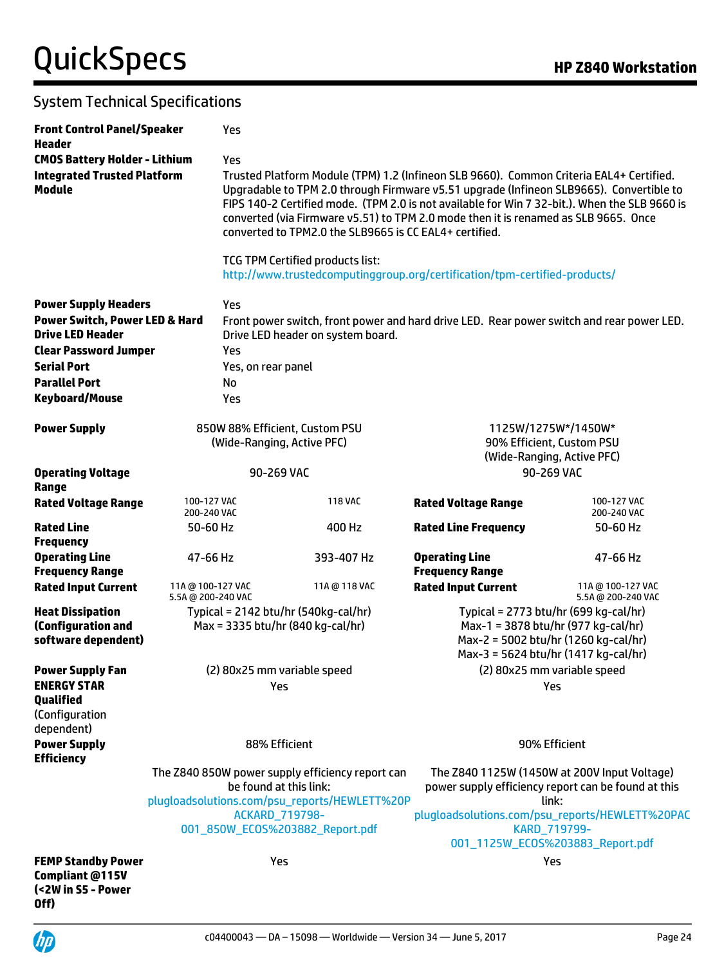| <b>Front Control Panel/Speaker</b><br><b>Header</b>                                                 |                                         | Yes                                                          |                                                                                                                                      |                                                                            |                                                                                                                                                                                                                                                                                                                                                                            |
|-----------------------------------------------------------------------------------------------------|-----------------------------------------|--------------------------------------------------------------|--------------------------------------------------------------------------------------------------------------------------------------|----------------------------------------------------------------------------|----------------------------------------------------------------------------------------------------------------------------------------------------------------------------------------------------------------------------------------------------------------------------------------------------------------------------------------------------------------------------|
| <b>CMOS Battery Holder - Lithium</b><br><b>Integrated Trusted Platform</b><br><b>Module</b>         |                                         | Yes                                                          | converted to TPM2.0 the SLB9665 is CC EAL4+ certified.<br>TCG TPM Certified products list:                                           |                                                                            | Trusted Platform Module (TPM) 1.2 (Infineon SLB 9660). Common Criteria EAL4+ Certified.<br>Upgradable to TPM 2.0 through Firmware v5.51 upgrade (Infineon SLB9665). Convertible to<br>FIPS 140-2 Certified mode. (TPM 2.0 is not available for Win 7 32-bit.). When the SLB 9660 is<br>converted (via Firmware v5.51) to TPM 2.0 mode then it is renamed as SLB 9665. Once |
|                                                                                                     |                                         |                                                              |                                                                                                                                      | http://www.trustedcomputinggroup.org/certification/tpm-certified-products/ |                                                                                                                                                                                                                                                                                                                                                                            |
| <b>Power Supply Headers</b><br><b>Power Switch, Power LED &amp; Hard</b><br><b>Drive LED Header</b> |                                         | Yes                                                          | Drive LED header on system board.                                                                                                    |                                                                            | Front power switch, front power and hard drive LED. Rear power switch and rear power LED.                                                                                                                                                                                                                                                                                  |
| <b>Clear Password Jumper</b>                                                                        |                                         | Yes                                                          |                                                                                                                                      |                                                                            |                                                                                                                                                                                                                                                                                                                                                                            |
| <b>Serial Port</b><br><b>Parallel Port</b>                                                          |                                         | Yes, on rear panel<br>No                                     |                                                                                                                                      |                                                                            |                                                                                                                                                                                                                                                                                                                                                                            |
| <b>Keyboard/Mouse</b>                                                                               |                                         | Yes                                                          |                                                                                                                                      |                                                                            |                                                                                                                                                                                                                                                                                                                                                                            |
|                                                                                                     |                                         |                                                              |                                                                                                                                      |                                                                            |                                                                                                                                                                                                                                                                                                                                                                            |
| <b>Power Supply</b>                                                                                 |                                         | 850W 88% Efficient, Custom PSU<br>(Wide-Ranging, Active PFC) |                                                                                                                                      |                                                                            | 1125W/1275W*/1450W*<br>90% Efficient, Custom PSU<br>(Wide-Ranging, Active PFC)                                                                                                                                                                                                                                                                                             |
| <b>Operating Voltage</b><br>Range                                                                   |                                         | 90-269 VAC                                                   |                                                                                                                                      |                                                                            | 90-269 VAC                                                                                                                                                                                                                                                                                                                                                                 |
| <b>Rated Voltage Range</b>                                                                          | 100-127 VAC<br>200-240 VAC              |                                                              | <b>118 VAC</b>                                                                                                                       | <b>Rated Voltage Range</b>                                                 | 100-127 VAC<br>200-240 VAC                                                                                                                                                                                                                                                                                                                                                 |
| <b>Rated Line</b><br><b>Frequency</b>                                                               | 50-60 Hz                                |                                                              | 400 Hz                                                                                                                               | <b>Rated Line Frequency</b>                                                | 50-60 Hz                                                                                                                                                                                                                                                                                                                                                                   |
| <b>Operating Line</b><br><b>Frequency Range</b>                                                     | 47-66 Hz                                |                                                              | 393-407 Hz                                                                                                                           | <b>Operating Line</b><br><b>Frequency Range</b>                            | 47-66 Hz                                                                                                                                                                                                                                                                                                                                                                   |
| <b>Rated Input Current</b>                                                                          | 11A @ 100-127 VAC<br>5.5A @ 200-240 VAC |                                                              | 11A @ 118 VAC                                                                                                                        | <b>Rated Input Current</b>                                                 | 11A @ 100-127 VAC<br>5.5A @ 200-240 VAC                                                                                                                                                                                                                                                                                                                                    |
| <b>Heat Dissipation</b><br>(Configuration and<br>software dependent)                                |                                         |                                                              | Typical = $2142$ btu/hr (540kg-cal/hr)<br>Max = 3335 btu/hr (840 kg-cal/hr)                                                          |                                                                            | Typical = 2773 btu/hr (699 kg-cal/hr)<br>Max-1 = 3878 btu/hr (977 kg-cal/hr)<br>Max-2 = 5002 btu/hr (1260 kg-cal/hr)<br>Max-3 = 5624 btu/hr (1417 kg-cal/hr)                                                                                                                                                                                                               |
| <b>Power Supply Fan</b><br><b>ENERGY STAR</b><br><b>Qualified</b><br>(Configuration<br>dependent)   |                                         | (2) 80x25 mm variable speed<br>Yes                           |                                                                                                                                      |                                                                            | (2) 80x25 mm variable speed<br>Yes                                                                                                                                                                                                                                                                                                                                         |
| <b>Power Supply</b><br><b>Efficiency</b>                                                            |                                         | 88% Efficient                                                |                                                                                                                                      |                                                                            | 90% Efficient                                                                                                                                                                                                                                                                                                                                                              |
|                                                                                                     |                                         | be found at this link:<br>ACKARD_719798-                     | The Z840 850W power supply efficiency report can<br>plugloadsolutions.com/psu_reports/HEWLETT%20P<br>001_850W_EC0S%203882_Report.pdf |                                                                            | The Z840 1125W (1450W at 200V Input Voltage)<br>power supply efficiency report can be found at this<br>link:<br>plugloadsolutions.com/psu_reports/HEWLETT%20PAC<br>KARD_719799-<br>001_1125W_EC0S%203883_Report.pdf                                                                                                                                                        |
| <b>FEMP Standby Power</b><br><b>Compliant @115V</b><br>(<2W in S5 - Power                           |                                         | Yes                                                          |                                                                                                                                      |                                                                            | Yes                                                                                                                                                                                                                                                                                                                                                                        |

UP

**Off)**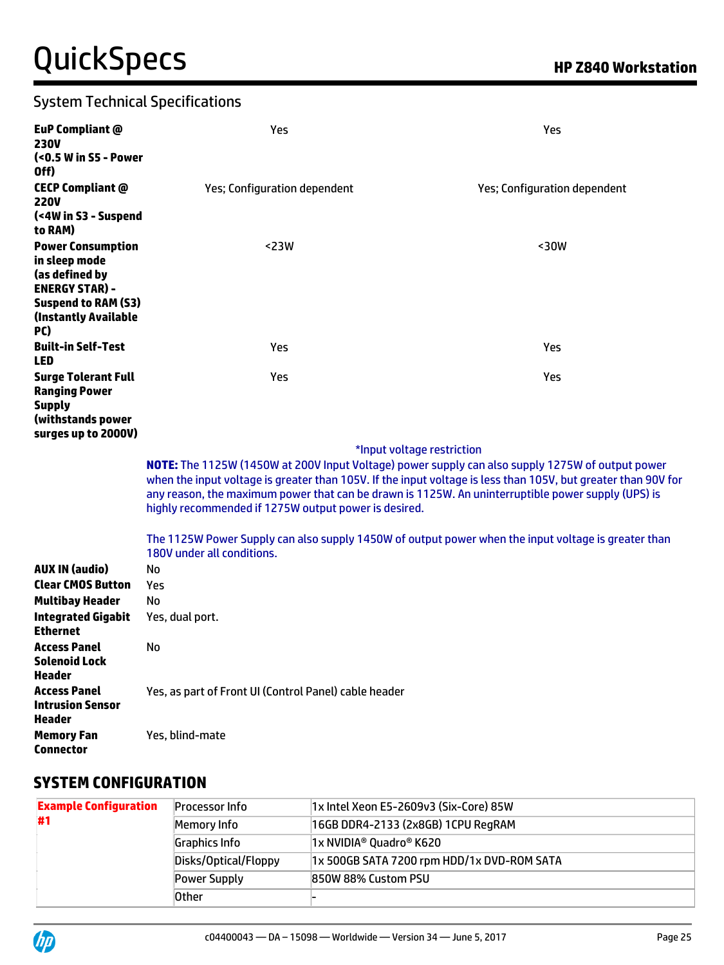### System Technical Specifications

| <b>EuP Compliant @</b><br><b>230V</b><br>(<0.5 W in S5 - Power                                                                             | Yes                                                                                                                                                                                                                                                            | Yes                                                                                                                                         |
|--------------------------------------------------------------------------------------------------------------------------------------------|----------------------------------------------------------------------------------------------------------------------------------------------------------------------------------------------------------------------------------------------------------------|---------------------------------------------------------------------------------------------------------------------------------------------|
| Off)<br><b>CECP Compliant @</b><br><b>220V</b>                                                                                             | Yes; Configuration dependent                                                                                                                                                                                                                                   | Yes; Configuration dependent                                                                                                                |
| (<4W in S3 - Suspend<br>to RAM)                                                                                                            |                                                                                                                                                                                                                                                                |                                                                                                                                             |
| <b>Power Consumption</b><br>in sleep mode<br>(as defined by<br><b>ENERGY STAR) -</b><br><b>Suspend to RAM (S3)</b><br>(Instantly Available | $23W$                                                                                                                                                                                                                                                          | <30W                                                                                                                                        |
| PC)                                                                                                                                        |                                                                                                                                                                                                                                                                |                                                                                                                                             |
| <b>Built-in Self-Test</b><br>LED                                                                                                           | Yes                                                                                                                                                                                                                                                            | Yes                                                                                                                                         |
| <b>Surge Tolerant Full</b><br><b>Ranging Power</b><br><b>Supply</b><br>(withstands power                                                   | Yes                                                                                                                                                                                                                                                            | Yes                                                                                                                                         |
| surges up to 2000V)                                                                                                                        |                                                                                                                                                                                                                                                                |                                                                                                                                             |
|                                                                                                                                            | NOTE: The 1125W (1450W at 200V Input Voltage) power supply can also supply 1275W of output power<br>any reason, the maximum power that can be drawn is 1125W. An uninterruptible power supply (UPS) is<br>highly recommended if 1275W output power is desired. | *Input voltage restriction<br>when the input voltage is greater than 105V. If the input voltage is less than 105V, but greater than 90V for |
|                                                                                                                                            | The 1125W Power Supply can also supply 1450W of output power when the input voltage is greater than<br>180V under all conditions.                                                                                                                              |                                                                                                                                             |
| <b>AUX IN (audio)</b>                                                                                                                      | No                                                                                                                                                                                                                                                             |                                                                                                                                             |
| <b>Clear CMOS Button</b><br><b>Multibay Header</b>                                                                                         | Yes<br>No                                                                                                                                                                                                                                                      |                                                                                                                                             |
| <b>Integrated Gigabit</b><br><b>Ethernet</b>                                                                                               | Yes, dual port.                                                                                                                                                                                                                                                |                                                                                                                                             |
| <b>Access Panel</b><br><b>Solenoid Lock</b><br><b>Header</b>                                                                               | No                                                                                                                                                                                                                                                             |                                                                                                                                             |
| <b>Access Panel</b><br><b>Intrusion Sensor</b><br><b>Header</b>                                                                            | Yes, as part of Front UI (Control Panel) cable header                                                                                                                                                                                                          |                                                                                                                                             |
| <b>Memory Fan</b><br><b>Connector</b>                                                                                                      | Yes, blind-mate                                                                                                                                                                                                                                                |                                                                                                                                             |

### **SYSTEM CONFIGURATION**

| <b>Example Configuration</b> | <b>Processor Info</b> | 1x Intel Xeon E5-2609v3 (Six-Core) 85W     |
|------------------------------|-----------------------|--------------------------------------------|
| <b>#1</b>                    | Memory Info           | 16GB DDR4-2133 (2x8GB) 1CPU RegRAM         |
|                              | Graphics Info         | 1x NVIDIA® Quadro® K620                    |
|                              | Disks/Optical/Floppy  | 1x 500GB SATA 7200 rpm HDD/1x DVD-ROM SATA |
|                              | Power Supply          | 850W 88% Custom PSU                        |
|                              | 0ther                 |                                            |

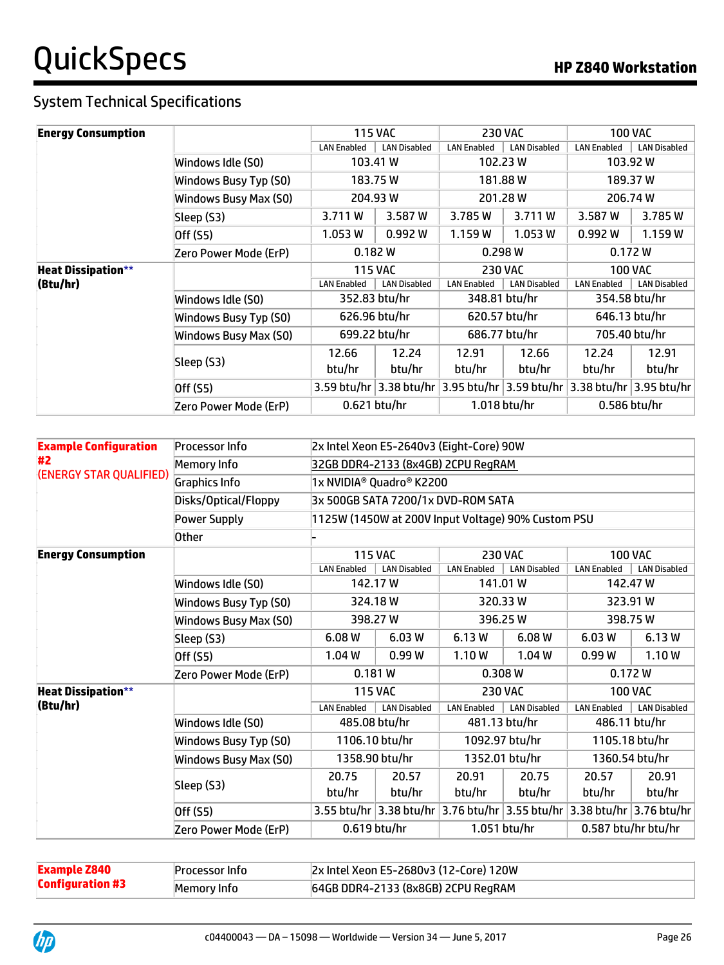### System Technical Specifications

| <b>Energy Consumption</b> |                       |                    | <b>115 VAC</b>      |                    | <b>230 VAC</b>      | <b>100 VAC</b>     |                     |  |
|---------------------------|-----------------------|--------------------|---------------------|--------------------|---------------------|--------------------|---------------------|--|
|                           |                       | <b>LAN Enabled</b> | <b>LAN Disabled</b> | <b>LAN Enabled</b> | <b>LAN Disabled</b> | <b>LAN Enabled</b> | <b>LAN Disabled</b> |  |
|                           | Windows Idle (S0)     |                    | 103.41 W            | 102.23 W           |                     | 103.92 W           |                     |  |
|                           | Windows Busy Typ (S0) |                    | 183.75 W            | 181.88 W           |                     | 189.37 W           |                     |  |
|                           | Windows Busy Max (S0) |                    | 204.93 W            |                    | 201.28 W            |                    | 206.74 W            |  |
|                           | Sleep (S3)            | 3.711W             | 3.587W              | 3.785W             | 3.711W              | 3.587W             | 3.785W              |  |
|                           | Off (S5)              | 1.053W             | 0.992W              | 1.159W             | 1.053W              | 0.992W             | 1.159W              |  |
|                           | Zero Power Mode (ErP) | 0.182W             |                     | 0.298W             |                     | 0.172W             |                     |  |
| <b>Heat Dissipation**</b> |                       | <b>115 VAC</b>     |                     | <b>230 VAC</b>     |                     | <b>100 VAC</b>     |                     |  |
| (Btu/hr)                  |                       | <b>LAN Enabled</b> | <b>LAN Disabled</b> | <b>LAN Enabled</b> | <b>LAN Disabled</b> | <b>LAN Enabled</b> | <b>LAN Disabled</b> |  |
|                           | Windows Idle (S0)     | 352.83 btu/hr      |                     | 348.81 btu/hr      |                     | 354.58 btu/hr      |                     |  |
|                           | Windows Busy Typ (S0) | 626.96 btu/hr      |                     | 620.57 btu/hr      |                     | 646.13 btu/hr      |                     |  |
|                           | Windows Busy Max (S0) |                    | 699.22 btu/hr       |                    | 686.77 btu/hr       |                    | 705.40 btu/hr       |  |
|                           |                       | 12.66              | 12.24               | 12.91              | 12.66               | 12.24              | 12.91               |  |
|                           | Sleep (S3)            | btu/hr             | btu/hr              | btu/hr             | btu/hr              | btu/hr             | btu/hr              |  |
|                           | Off (S5)              | 3.59 btu/hr $ $    | 3.38 btu/hr         | $ 3.95$ btu/hr $ $ | 3.59 btu/hr         | 3.38 btu/hr        | 3.95 btu/hr         |  |
|                           | Zero Power Mode (ErP) |                    | $0.621$ btu/hr      |                    | $1.018$ btu/hr      |                    | 0.586 btu/hr        |  |

| <b>Example Configuration</b> | Processor Info        | 2x Intel Xeon E5-2640v3 (Eight-Core) 90W |                                    |                    |                                                                         |                    |                     |  |  |
|------------------------------|-----------------------|------------------------------------------|------------------------------------|--------------------|-------------------------------------------------------------------------|--------------------|---------------------|--|--|
| #2                           | Memory Info           |                                          | 32GB DDR4-2133 (8x4GB) 2CPU RegRAM |                    |                                                                         |                    |                     |  |  |
| (ENERGY STAR QUALIFIED)      | Graphics Info         | 1x NVIDIA <sup>®</sup> Quadro® K2200     |                                    |                    |                                                                         |                    |                     |  |  |
|                              | Disks/Optical/Floppy  | 3x 500GB SATA 7200/1x DVD-ROM SATA       |                                    |                    |                                                                         |                    |                     |  |  |
|                              | <b>Power Supply</b>   |                                          |                                    |                    | 1125W (1450W at 200V Input Voltage) 90% Custom PSU                      |                    |                     |  |  |
|                              | <b>Other</b>          |                                          |                                    |                    |                                                                         |                    |                     |  |  |
| <b>Energy Consumption</b>    |                       |                                          | <b>115 VAC</b>                     |                    | <b>230 VAC</b>                                                          |                    | <b>100 VAC</b>      |  |  |
|                              |                       | <b>LAN Enabled</b>                       | <b>LAN Disabled</b>                | <b>LAN Enabled</b> | <b>LAN Disabled</b>                                                     | <b>LAN Enabled</b> | <b>LAN Disabled</b> |  |  |
|                              | Windows Idle (SO)     |                                          | 142.17 W                           |                    | 141.01 W                                                                |                    | 142.47 W            |  |  |
|                              | Windows Busy Typ (S0) |                                          | 324.18 W                           | 320.33W            |                                                                         | 323.91 W           |                     |  |  |
|                              | Windows Busy Max (S0) | 398.27 W                                 |                                    | 396.25 W           |                                                                         | 398.75 W           |                     |  |  |
|                              | Sleep (S3)            | 6.08 W                                   | 6.03W                              | 6.13W              | 6.08 W                                                                  | 6.03W              | 6.13W               |  |  |
|                              | Off (S5)              | 1.04 W                                   | 0.99W                              | 1.10W              | 1.04 W                                                                  | 0.99W              | 1.10W               |  |  |
|                              | Zero Power Mode (ErP) | 0.181 W                                  |                                    | 0.308 W            |                                                                         | 0.172W             |                     |  |  |
| <b>Heat Dissipation**</b>    |                       |                                          | <b>115 VAC</b>                     | <b>230 VAC</b>     |                                                                         | <b>100 VAC</b>     |                     |  |  |
| (Btu/hr)                     |                       | <b>LAN Enabled</b>                       | <b>LAN Disabled</b>                | <b>LAN Enabled</b> | <b>LAN Disabled</b>                                                     | <b>LAN Enabled</b> | <b>LAN Disabled</b> |  |  |
|                              | Windows Idle (S0)     |                                          | 485.08 btu/hr                      |                    | 481.13 btu/hr                                                           | 486.11 btu/hr      |                     |  |  |
|                              | Windows Busy Typ (S0) |                                          | 1106.10 btu/hr                     | 1092.97 btu/hr     |                                                                         | 1105.18 btu/hr     |                     |  |  |
|                              | Windows Busy Max (S0) |                                          | 1358.90 btu/hr                     |                    | 1352.01 btu/hr                                                          | 1360.54 btu/hr     |                     |  |  |
|                              |                       | 20.75                                    | 20.57                              | 20.91              | 20.75                                                                   | 20.57              | 20.91               |  |  |
|                              | Sleep (S3)            | btu/hr                                   | btu/hr                             | btu/hr             | btu/hr                                                                  | btu/hr             | btu/hr              |  |  |
|                              | Off (S5)              |                                          |                                    |                    | 3.55 btu/hr 3.38 btu/hr 3.76 btu/hr 3.55 btu/hr 3.38 btu/hr 3.76 btu/hr |                    |                     |  |  |
|                              | Zero Power Mode (ErP) |                                          | $0.619$ btu/hr                     |                    | 1.051 btu/hr                                                            |                    | 0.587 btu/hr btu/hr |  |  |

| <b>Example Z840</b>     | 'Processor Into | 2x Intel Xeon E5-2680v3 (12-Core) 120W |  |  |  |  |
|-------------------------|-----------------|----------------------------------------|--|--|--|--|
| <b>Configuration #3</b> | Memory Info     | 64GB DDR4-2133 (8x8GB) 2CPU RegRAM     |  |  |  |  |

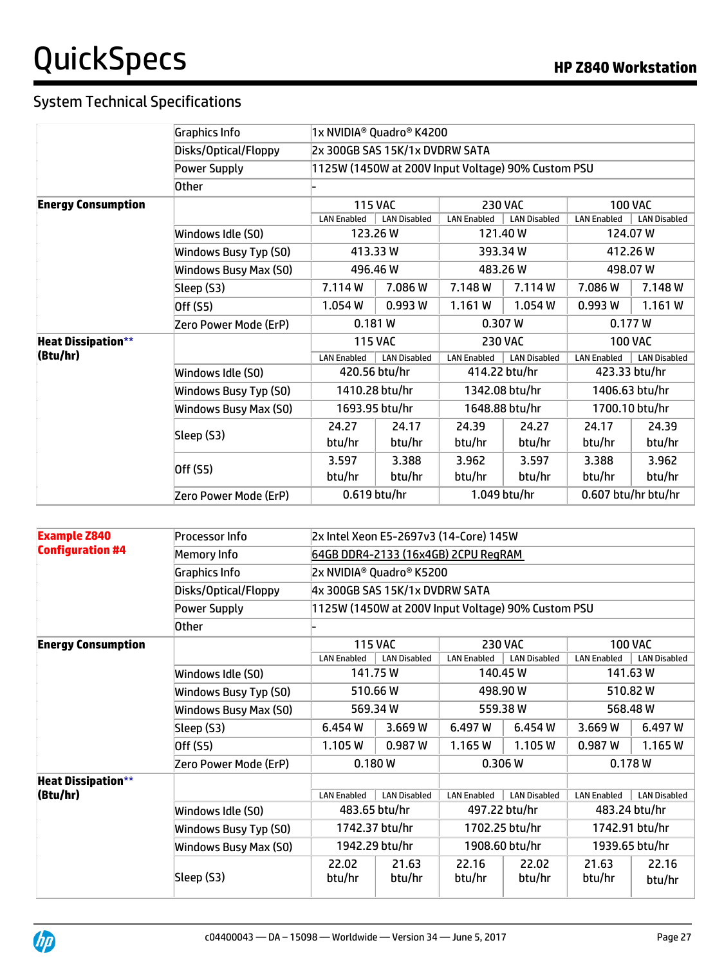|                           | Graphics Info         | 1x NVIDIA <sup>®</sup> Quadro® K4200 |                                                    |                    |                     |                     |                     |  |  |  |  |
|---------------------------|-----------------------|--------------------------------------|----------------------------------------------------|--------------------|---------------------|---------------------|---------------------|--|--|--|--|
|                           | Disks/Optical/Floppy  | 2x 300GB SAS 15K/1x DVDRW SATA       |                                                    |                    |                     |                     |                     |  |  |  |  |
|                           | Power Supply          |                                      | 1125W (1450W at 200V Input Voltage) 90% Custom PSU |                    |                     |                     |                     |  |  |  |  |
|                           | Other                 |                                      |                                                    |                    |                     |                     |                     |  |  |  |  |
| <b>Energy Consumption</b> |                       |                                      | <b>115 VAC</b>                                     |                    | <b>230 VAC</b>      | <b>100 VAC</b>      |                     |  |  |  |  |
|                           |                       | <b>LAN Enabled</b>                   | <b>LAN Disabled</b>                                | <b>LAN Enabled</b> | <b>LAN Disabled</b> | <b>LAN Enabled</b>  | <b>LAN Disabled</b> |  |  |  |  |
|                           | Windows Idle (S0)     |                                      | 123.26 W                                           |                    | 121.40 W            |                     | 124.07 W            |  |  |  |  |
|                           | Windows Busy Typ (S0) |                                      | 413.33 W                                           |                    | 393.34 W            |                     | 412.26 W            |  |  |  |  |
|                           | Windows Busy Max (S0) |                                      | 496.46 W                                           |                    | 483.26 W            | 498.07 W            |                     |  |  |  |  |
|                           | Sleep (S3)            | 7.114W                               | 7.086 W                                            | 7.148W             | 7.114W              | 7.086W              | 7.148W              |  |  |  |  |
|                           | Off (S5)              | 1.054 W                              | 0.993W                                             | 1.161W             | 1.054W              | 0.993W              | 1.161 W             |  |  |  |  |
|                           | Zero Power Mode (ErP) | 0.181 W                              |                                                    | 0.307 W            |                     | 0.177 W             |                     |  |  |  |  |
| <b>Heat Dissipation**</b> |                       |                                      | <b>115 VAC</b>                                     |                    | <b>230 VAC</b>      |                     | <b>100 VAC</b>      |  |  |  |  |
| (Btu/hr)                  |                       | <b>LAN Enabled</b>                   | <b>LAN Disabled</b>                                | <b>LAN Enabled</b> | LAN Disabled        | <b>LAN Enabled</b>  | <b>LAN Disabled</b> |  |  |  |  |
|                           | Windows Idle (S0)     | 420.56 btu/hr                        |                                                    | 414.22 btu/hr      |                     | 423.33 btu/hr       |                     |  |  |  |  |
|                           | Windows Busy Typ (S0) |                                      | 1410.28 btu/hr                                     | 1342.08 btu/hr     |                     |                     | 1406.63 btu/hr      |  |  |  |  |
|                           | Windows Busy Max (S0) |                                      | 1693.95 btu/hr                                     |                    | 1648.88 btu/hr      | 1700.10 btu/hr      |                     |  |  |  |  |
|                           |                       | 24.27                                | 24.17                                              | 24.39              | 24.27               | 24.17               | 24.39               |  |  |  |  |
|                           | Sleep (S3)            | btu/hr                               | btu/hr                                             | btu/hr             | btu/hr              | btu/hr              | btu/hr              |  |  |  |  |
|                           | Off (S5)              | 3.597                                | 3.388                                              | 3.962              | 3.597               | 3.388               | 3.962               |  |  |  |  |
|                           |                       | btu/hr                               | btu/hr                                             | btu/hr             | btu/hr              | btu/hr              | btu/hr              |  |  |  |  |
|                           | Zero Power Mode (ErP) |                                      | 0.619 btu/hr                                       |                    | 1.049 btu/hr        | 0.607 btu/hr btu/hr |                     |  |  |  |  |

| <b>Example Z840</b>       | Processor Info        | 2x Intel Xeon E5-2697v3 (14-Core) 145W |                                     |                    |                                                    |                    |                     |
|---------------------------|-----------------------|----------------------------------------|-------------------------------------|--------------------|----------------------------------------------------|--------------------|---------------------|
| <b>Configuration #4</b>   | Memory Info           |                                        | 64GB DDR4-2133 (16x4GB) 2CPU RegRAM |                    |                                                    |                    |                     |
|                           | Graphics Info         | 2x NVIDIA® Quadro® K5200               |                                     |                    |                                                    |                    |                     |
|                           | Disks/Optical/Floppy  |                                        | 4x 300GB SAS 15K/1x DVDRW SATA      |                    |                                                    |                    |                     |
|                           | Power Supply          |                                        |                                     |                    | 1125W (1450W at 200V Input Voltage) 90% Custom PSU |                    |                     |
|                           | <b>Other</b>          |                                        |                                     |                    |                                                    |                    |                     |
| <b>Energy Consumption</b> |                       |                                        | <b>115 VAC</b>                      |                    | <b>230 VAC</b>                                     |                    | <b>100 VAC</b>      |
|                           |                       | <b>LAN Enabled</b>                     | <b>LAN Disabled</b>                 | <b>LAN Enabled</b> | <b>LAN Disabled</b>                                | <b>LAN Enabled</b> | <b>LAN Disabled</b> |
|                           | Windows Idle (S0)     |                                        | 141.75 W                            |                    | 140.45 W                                           | 141.63 W           |                     |
|                           | Windows Busy Typ (S0) | 510.66 W<br>498.90 W                   |                                     | 510.82 W           |                                                    |                    |                     |
|                           | Windows Busy Max (S0) | 569.34 W                               |                                     | 559.38 W           |                                                    | 568.48 W           |                     |
|                           | Sleep (S3)            | 6.454 W                                | 3.669W                              | 6.497 W            | 6.454 W                                            | 3.669W             | 6.497 W             |
|                           | Off (S5)              | 1.105W                                 | 0.987 W                             | 1.165W             | 1.105W                                             | 0.987 W            | 1.165W              |
|                           | Zero Power Mode (ErP) | 0.180W                                 |                                     | 0.306 W            |                                                    | 0.178W             |                     |
| <b>Heat Dissipation**</b> |                       |                                        |                                     |                    |                                                    |                    |                     |
| (Btu/hr)                  |                       | <b>LAN Enabled</b>                     | <b>LAN Disabled</b>                 | <b>LAN Enabled</b> | <b>LAN Disabled</b>                                | <b>LAN Enabled</b> | <b>LAN Disabled</b> |
|                           | Windows Idle (S0)     |                                        | 483.65 btu/hr                       | 497.22 btu/hr      |                                                    | 483.24 btu/hr      |                     |
|                           | Windows Busy Typ (S0) |                                        | 1742.37 btu/hr                      | 1702.25 btu/hr     |                                                    | 1742.91 btu/hr     |                     |
|                           | Windows Busy Max (S0) |                                        | 1942.29 btu/hr                      |                    | 1908.60 btu/hr                                     |                    | 1939.65 btu/hr      |
|                           |                       | 22.02                                  | 21.63                               | 22.16              | 22.02                                              | 21.63              | 22.16               |
|                           | Sleep (S3)            | btu/hr                                 | btu/hr                              | btu/hr             | btu/hr                                             | btu/hr             | btu/hr              |

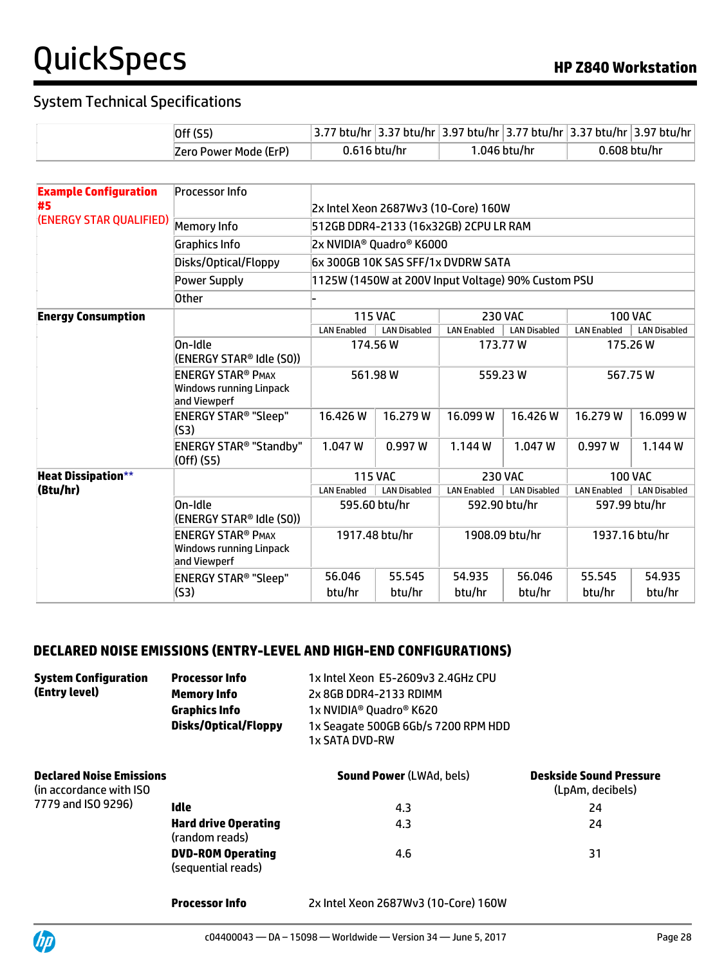### System Technical Specifications

| Off (S5)              |              |              | 3.77 btu/hr 3.37 btu/hr 3.97 btu/hr 3.77 btu/hr 3.37 btu/hr 3.97 btu/hr |
|-----------------------|--------------|--------------|-------------------------------------------------------------------------|
| Zero Power Mode (ErP) | 0.616 btu/hr | 1.046 btu/hr | 0.608 btu/hr                                                            |

| <b>Example Configuration</b> | Processor Info                                                                        |                                       |                                                    |                    |                     |                    |                     |  |
|------------------------------|---------------------------------------------------------------------------------------|---------------------------------------|----------------------------------------------------|--------------------|---------------------|--------------------|---------------------|--|
| #5                           |                                                                                       |                                       | 2x Intel Xeon 2687Wv3 (10-Core) 160W               |                    |                     |                    |                     |  |
| (ENERGY STAR QUALIFIED)      | Memory Info                                                                           | 512GB DDR4-2133 (16x32GB) 2CPU LR RAM |                                                    |                    |                     |                    |                     |  |
|                              | Graphics Info                                                                         | 2x NVIDIA® Quadro® K6000              |                                                    |                    |                     |                    |                     |  |
|                              | Disks/Optical/Floppy                                                                  | 6x 300GB 10K SAS SFF/1x DVDRW SATA    |                                                    |                    |                     |                    |                     |  |
|                              | Power Supply                                                                          |                                       | 1125W (1450W at 200V Input Voltage) 90% Custom PSU |                    |                     |                    |                     |  |
|                              | Other                                                                                 |                                       |                                                    |                    |                     |                    |                     |  |
| <b>Energy Consumption</b>    |                                                                                       |                                       | <b>115 VAC</b>                                     |                    | <b>230 VAC</b>      |                    | <b>100 VAC</b>      |  |
|                              |                                                                                       | <b>LAN Enabled</b>                    | <b>LAN Disabled</b>                                | <b>LAN Enabled</b> | <b>LAN Disabled</b> | <b>LAN Enabled</b> | <b>LAN Disabled</b> |  |
|                              | On-Idle<br>(ENERGY STAR® Idle (SO))                                                   | 174.56 W<br>173.77W                   |                                                    |                    | 175.26 W            |                    |                     |  |
|                              | <b>ENERGY STAR<sup>®</sup> PMAX</b><br><b>Windows running Linpack</b><br>and Viewperf | 561.98 W<br>559.23 W                  |                                                    | 567.75 W           |                     |                    |                     |  |
|                              | <b>ENERGY STAR<sup>®</sup> "Sleep"</b><br>(S3)                                        | 16.426 W                              | 16.279W                                            | 16.099 W           | 16.426W             | 16.279W            | 16.099W             |  |
|                              | <b>ENERGY STAR<sup>®</sup> "Standby"</b><br>$(Off)$ (S5)                              | 1.047 W                               | 0.997 W                                            | 1.144 W            | 1.047 W             | 0.997 W            | 1.144 W             |  |
| <b>Heat Dissipation**</b>    |                                                                                       |                                       | <b>115 VAC</b>                                     |                    | <b>230 VAC</b>      |                    | <b>100 VAC</b>      |  |
| (Btu/hr)                     |                                                                                       | <b>LAN Enabled</b>                    | <b>LAN Disabled</b>                                | <b>LAN Enabled</b> | <b>LAN Disabled</b> | <b>LAN Enabled</b> | <b>LAN Disabled</b> |  |
|                              | On-Idle<br>(ENERGY STAR® Idle (S0))                                                   |                                       | 595.60 btu/hr                                      | 592.90 btu/hr      |                     | 597.99 btu/hr      |                     |  |
|                              | <b>ENERGY STAR<sup>®</sup> PMAX</b><br>Windows running Linpack<br>and Viewperf        |                                       | 1917.48 btu/hr                                     |                    | 1908.09 btu/hr      |                    | 1937.16 btu/hr      |  |
|                              | <b>ENERGY STAR® "Sleep"</b><br>(S3)                                                   | 56.046<br>btu/hr                      | 55.545<br>btu/hr                                   | 54.935<br>btu/hr   | 56.046<br>btu/hr    | 55.545<br>btu/hr   | 54.935<br>btu/hr    |  |

#### **DECLARED NOISE EMISSIONS (ENTRY-LEVEL AND HIGH-END CONFIGURATIONS)**

| <b>System Configuration</b> | <b>Processor Info</b>       | 1x Intel Xeon E5-2609v3 2.4GHz CPU                    |
|-----------------------------|-----------------------------|-------------------------------------------------------|
| (Entry level)               | Memory Info                 | 2x 8GB DDR4-2133 RDIMM                                |
|                             | <b>Graphics Info</b>        | 1x NVIDIA® Ouadro® K620                               |
|                             | <b>Disks/Optical/Floppy</b> | 1x Seagate 500GB 6Gb/s 7200 RPM HDD<br>1x SATA DVD-RW |

| <b>Declared Noise Emissions</b><br>(in accordance with ISO) |                                                | <b>Sound Power (LWAd, bels)</b> | Deskside Sound Pressure<br>(LpAm, decibels) |
|-------------------------------------------------------------|------------------------------------------------|---------------------------------|---------------------------------------------|
| 7779 and ISO 9296)                                          | Idle                                           | 4.3                             | 24                                          |
|                                                             | <b>Hard drive Operating</b><br>(random reads)  | 4.3                             | 24                                          |
|                                                             | <b>DVD-ROM Operating</b><br>(sequential reads) | 4.6                             | 31                                          |

**Processor Info** 2x Intel Xeon 2687Wv3 (10-Core) 160W

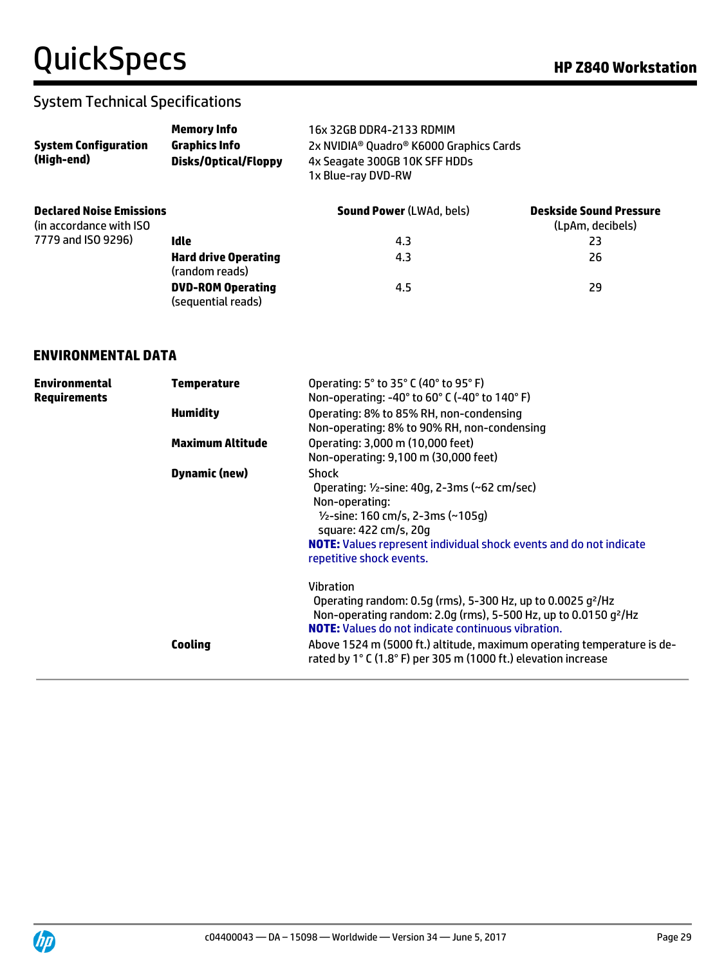### System Technical Specifications

| Besleved Nates Furtantene   |                             | $P_{\text{actual}}$ $P_{\text{actual}}$ (FMAJ Lata) | Baalaatala Cannadi |
|-----------------------------|-----------------------------|-----------------------------------------------------|--------------------|
| (High-end)                  | <b>Disks/Optical/Floppy</b> | 4x Seagate 300GB 10K SFF HDDs<br>1x Blue-ray DVD-RW |                    |
| <b>System Configuration</b> | <b>Graphics Info</b>        | 2x NVIDIA <sup>®</sup> Quadro® K6000 Graphics Cards |                    |
|                             | Memory Info                 | 16x 32GB DDR4-2133 RDMIM                            |                    |

| <b>Declared Noise Emissions</b><br>(in accordance with ISO |                                                | <b>Sound Power (LWAd, bels)</b> | <b>Deskside Sound Pressure</b><br>(LpAm, decibels) |
|------------------------------------------------------------|------------------------------------------------|---------------------------------|----------------------------------------------------|
| 7779 and ISO 9296)                                         | Idle                                           | 4.3                             | 23                                                 |
|                                                            | <b>Hard drive Operating</b><br>(random reads)  | 4.3                             | 26                                                 |
|                                                            | <b>DVD-ROM Operating</b><br>(sequential reads) | 4.5                             | -29                                                |

#### **ENVIRONMENTAL DATA**

| <b>Environmental</b><br><b>Requirements</b> | <b>Temperature</b>      | Operating: 5° to 35° C (40° to 95° F)<br>Non-operating: -40° to 60° C (-40° to 140° F)                                                                                                                                                            |
|---------------------------------------------|-------------------------|---------------------------------------------------------------------------------------------------------------------------------------------------------------------------------------------------------------------------------------------------|
|                                             | <b>Humidity</b>         | Operating: 8% to 85% RH, non-condensing<br>Non-operating: 8% to 90% RH, non-condensing                                                                                                                                                            |
|                                             | <b>Maximum Altitude</b> | Operating: 3,000 m (10,000 feet)<br>Non-operating: 9,100 m (30,000 feet)                                                                                                                                                                          |
|                                             | Dynamic (new)           | Shock<br>Operating: 1/2-sine: 40g, 2-3ms (~62 cm/sec)<br>Non-operating:<br>$1/2$ -sine: 160 cm/s, 2-3ms (~105g)<br>square: 422 cm/s, 20q<br><b>NOTE:</b> Values represent individual shock events and do not indicate<br>repetitive shock events. |
|                                             |                         | <b>Vibration</b><br>Operating random: 0.5g (rms), 5-300 Hz, up to 0.0025 $g^2$ /Hz<br>Non-operating random: 2.0g (rms), 5-500 Hz, up to 0.0150 g <sup>2</sup> /Hz<br><b>NOTE:</b> Values do not indicate continuous vibration.                    |
|                                             | Cooling                 | Above 1524 m (5000 ft.) altitude, maximum operating temperature is de-<br>rated by 1° C (1.8° F) per 305 m (1000 ft.) elevation increase                                                                                                          |

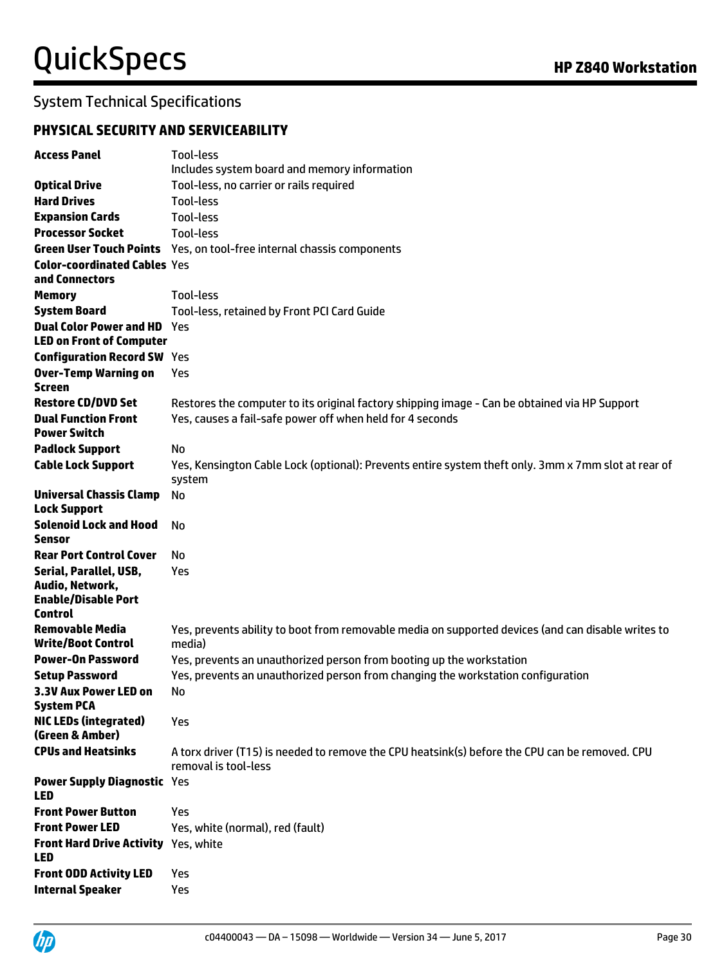### **PHYSICAL SECURITY AND SERVICEABILITY**

| <b>Access Panel</b>                                   | Tool-less                                                                                                              |
|-------------------------------------------------------|------------------------------------------------------------------------------------------------------------------------|
|                                                       | Includes system board and memory information                                                                           |
| <b>Optical Drive</b>                                  | Tool-less, no carrier or rails required                                                                                |
| <b>Hard Drives</b>                                    | Tool-less                                                                                                              |
| <b>Expansion Cards</b><br><b>Processor Socket</b>     | <b>Tool-less</b>                                                                                                       |
|                                                       | Tool-less                                                                                                              |
|                                                       | Green User Touch Points Yes, on tool-free internal chassis components                                                  |
| <b>Color-coordinated Cables Yes</b><br>and Connectors |                                                                                                                        |
| <b>Memory</b>                                         | Tool-less                                                                                                              |
| <b>System Board</b>                                   | Tool-less, retained by Front PCI Card Guide                                                                            |
| <b>Dual Color Power and HD</b> Yes                    |                                                                                                                        |
| <b>LED on Front of Computer</b>                       |                                                                                                                        |
| <b>Configuration Record SW Yes</b>                    |                                                                                                                        |
| <b>Over-Temp Warning on</b>                           | <b>Yes</b>                                                                                                             |
| <b>Screen</b>                                         |                                                                                                                        |
| <b>Restore CD/DVD Set</b>                             | Restores the computer to its original factory shipping image - Can be obtained via HP Support                          |
| <b>Dual Function Front</b>                            | Yes, causes a fail-safe power off when held for 4 seconds                                                              |
| <b>Power Switch</b>                                   |                                                                                                                        |
| <b>Padlock Support</b>                                | No                                                                                                                     |
| <b>Cable Lock Support</b>                             | Yes, Kensington Cable Lock (optional): Prevents entire system theft only. 3mm x 7mm slot at rear of                    |
|                                                       | system                                                                                                                 |
| <b>Universal Chassis Clamp</b><br><b>Lock Support</b> | <b>No</b>                                                                                                              |
| <b>Solenoid Lock and Hood</b>                         | No                                                                                                                     |
| <b>Sensor</b>                                         |                                                                                                                        |
| <b>Rear Port Control Cover</b>                        | No                                                                                                                     |
| Serial, Parallel, USB,                                | Yes                                                                                                                    |
| Audio, Network,                                       |                                                                                                                        |
| <b>Enable/Disable Port</b>                            |                                                                                                                        |
| <b>Control</b>                                        |                                                                                                                        |
| <b>Removable Media</b><br><b>Write/Boot Control</b>   | Yes, prevents ability to boot from removable media on supported devices (and can disable writes to<br>media)           |
| <b>Power-On Password</b>                              | Yes, prevents an unauthorized person from booting up the workstation                                                   |
| <b>Setup Password</b>                                 | Yes, prevents an unauthorized person from changing the workstation configuration                                       |
| 3.3V Aux Power LED on                                 | No                                                                                                                     |
| <b>System PCA</b>                                     |                                                                                                                        |
| <b>NIC LEDs (integrated)</b>                          | Yes                                                                                                                    |
| (Green & Amber)                                       |                                                                                                                        |
| <b>CPUs and Heatsinks</b>                             | A torx driver (T15) is needed to remove the CPU heatsink(s) before the CPU can be removed. CPU<br>removal is tool-less |
| <b>Power Supply Diagnostic Yes</b>                    |                                                                                                                        |
| <b>LED</b>                                            |                                                                                                                        |
| <b>Front Power Button</b><br><b>Front Power LED</b>   | <b>Yes</b>                                                                                                             |
|                                                       | Yes, white (normal), red (fault)                                                                                       |
| Front Hard Drive Activity Yes, white<br><b>LED</b>    |                                                                                                                        |
| <b>Front ODD Activity LED</b>                         | Yes                                                                                                                    |
| <b>Internal Speaker</b>                               | Yes                                                                                                                    |
|                                                       |                                                                                                                        |

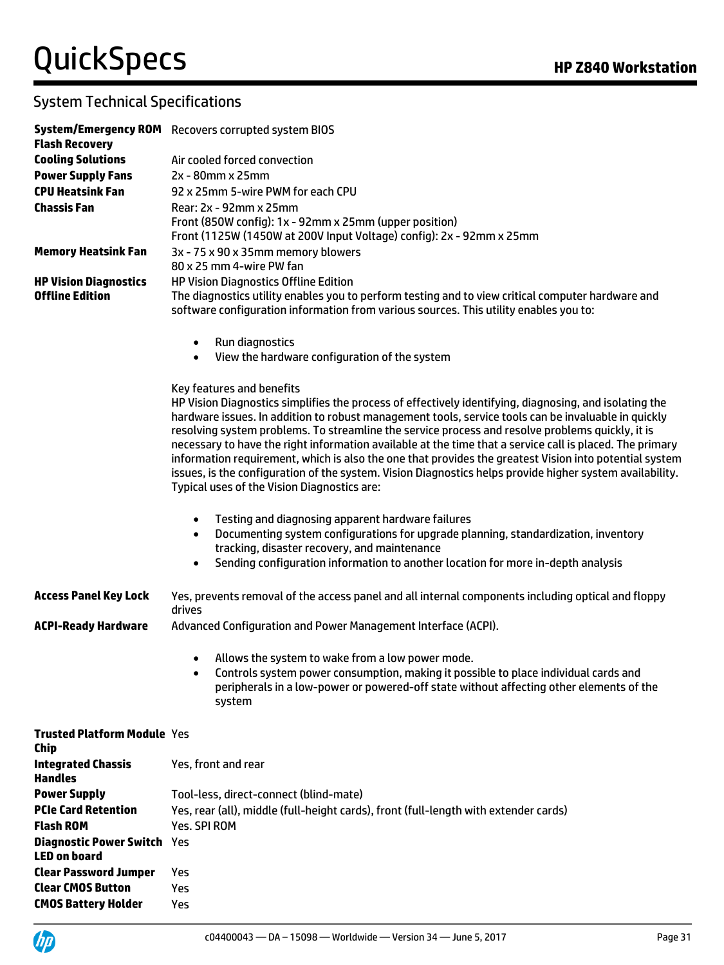| <b>Flash Recovery</b>                                     | <b>System/Emergency ROM</b> Recovers corrupted system BIOS                                                                                                                                                                                                                                                                                                                                                                                                                                                                                                                                                                                                                                                                      |  |  |  |
|-----------------------------------------------------------|---------------------------------------------------------------------------------------------------------------------------------------------------------------------------------------------------------------------------------------------------------------------------------------------------------------------------------------------------------------------------------------------------------------------------------------------------------------------------------------------------------------------------------------------------------------------------------------------------------------------------------------------------------------------------------------------------------------------------------|--|--|--|
| <b>Cooling Solutions</b>                                  | Air cooled forced convection                                                                                                                                                                                                                                                                                                                                                                                                                                                                                                                                                                                                                                                                                                    |  |  |  |
| <b>Power Supply Fans</b>                                  | 2x - 80mm x 25mm                                                                                                                                                                                                                                                                                                                                                                                                                                                                                                                                                                                                                                                                                                                |  |  |  |
| <b>CPU Heatsink Fan</b>                                   | 92 x 25mm 5-wire PWM for each CPU                                                                                                                                                                                                                                                                                                                                                                                                                                                                                                                                                                                                                                                                                               |  |  |  |
| <b>Chassis Fan</b>                                        | Rear: 2x - 92mm x 25mm                                                                                                                                                                                                                                                                                                                                                                                                                                                                                                                                                                                                                                                                                                          |  |  |  |
|                                                           | Front (850W config): 1x - 92mm x 25mm (upper position)<br>Front (1125W (1450W at 200V Input Voltage) config): 2x - 92mm x 25mm                                                                                                                                                                                                                                                                                                                                                                                                                                                                                                                                                                                                  |  |  |  |
| <b>Memory Heatsink Fan</b>                                | 3x - 75 x 90 x 35mm memory blowers<br>80 x 25 mm 4-wire PW fan                                                                                                                                                                                                                                                                                                                                                                                                                                                                                                                                                                                                                                                                  |  |  |  |
| <b>HP Vision Diagnostics</b>                              | HP Vision Diagnostics Offline Edition                                                                                                                                                                                                                                                                                                                                                                                                                                                                                                                                                                                                                                                                                           |  |  |  |
| <b>Offline Edition</b>                                    | The diagnostics utility enables you to perform testing and to view critical computer hardware and<br>software configuration information from various sources. This utility enables you to:                                                                                                                                                                                                                                                                                                                                                                                                                                                                                                                                      |  |  |  |
|                                                           | <b>Run diagnostics</b><br>$\bullet$<br>View the hardware configuration of the system<br>$\bullet$                                                                                                                                                                                                                                                                                                                                                                                                                                                                                                                                                                                                                               |  |  |  |
|                                                           |                                                                                                                                                                                                                                                                                                                                                                                                                                                                                                                                                                                                                                                                                                                                 |  |  |  |
|                                                           | Key features and benefits<br>HP Vision Diagnostics simplifies the process of effectively identifying, diagnosing, and isolating the<br>hardware issues. In addition to robust management tools, service tools can be invaluable in quickly<br>resolving system problems. To streamline the service process and resolve problems quickly, it is<br>necessary to have the right information available at the time that a service call is placed. The primary<br>information requirement, which is also the one that provides the greatest Vision into potential system<br>issues, is the configuration of the system. Vision Diagnostics helps provide higher system availability.<br>Typical uses of the Vision Diagnostics are: |  |  |  |
|                                                           | Testing and diagnosing apparent hardware failures<br>$\bullet$<br>Documenting system configurations for upgrade planning, standardization, inventory<br>$\bullet$<br>tracking, disaster recovery, and maintenance<br>Sending configuration information to another location for more in-depth analysis<br>$\bullet$                                                                                                                                                                                                                                                                                                                                                                                                              |  |  |  |
| <b>Access Panel Key Lock</b>                              | Yes, prevents removal of the access panel and all internal components including optical and floppy<br>drives                                                                                                                                                                                                                                                                                                                                                                                                                                                                                                                                                                                                                    |  |  |  |
| <b>ACPI-Ready Hardware</b>                                | Advanced Configuration and Power Management Interface (ACPI).                                                                                                                                                                                                                                                                                                                                                                                                                                                                                                                                                                                                                                                                   |  |  |  |
|                                                           | Allows the system to wake from a low power mode.<br>$\bullet$<br>Controls system power consumption, making it possible to place individual cards and<br>٠<br>peripherals in a low-power or powered-off state without affecting other elements of the<br>system                                                                                                                                                                                                                                                                                                                                                                                                                                                                  |  |  |  |
| <b>Trusted Platform Module Yes</b><br><b>Chip</b>         |                                                                                                                                                                                                                                                                                                                                                                                                                                                                                                                                                                                                                                                                                                                                 |  |  |  |
| <b>Integrated Chassis</b><br><b>Handles</b>               | Yes, front and rear                                                                                                                                                                                                                                                                                                                                                                                                                                                                                                                                                                                                                                                                                                             |  |  |  |
| <b>Power Supply</b>                                       | Tool-less, direct-connect (blind-mate)                                                                                                                                                                                                                                                                                                                                                                                                                                                                                                                                                                                                                                                                                          |  |  |  |
| <b>PCIe Card Retention</b>                                | Yes, rear (all), middle (full-height cards), front (full-length with extender cards)                                                                                                                                                                                                                                                                                                                                                                                                                                                                                                                                                                                                                                            |  |  |  |
| <b>Flash ROM</b>                                          | Yes. SPI ROM                                                                                                                                                                                                                                                                                                                                                                                                                                                                                                                                                                                                                                                                                                                    |  |  |  |
| <b>Diagnostic Power Switch Yes</b><br><b>LED on board</b> |                                                                                                                                                                                                                                                                                                                                                                                                                                                                                                                                                                                                                                                                                                                                 |  |  |  |
| <b>Clear Password Jumper</b>                              | Yes                                                                                                                                                                                                                                                                                                                                                                                                                                                                                                                                                                                                                                                                                                                             |  |  |  |
| <b>Clear CMOS Button</b>                                  | Yes                                                                                                                                                                                                                                                                                                                                                                                                                                                                                                                                                                                                                                                                                                                             |  |  |  |
| <b>CMOS Battery Holder</b>                                | Yes                                                                                                                                                                                                                                                                                                                                                                                                                                                                                                                                                                                                                                                                                                                             |  |  |  |

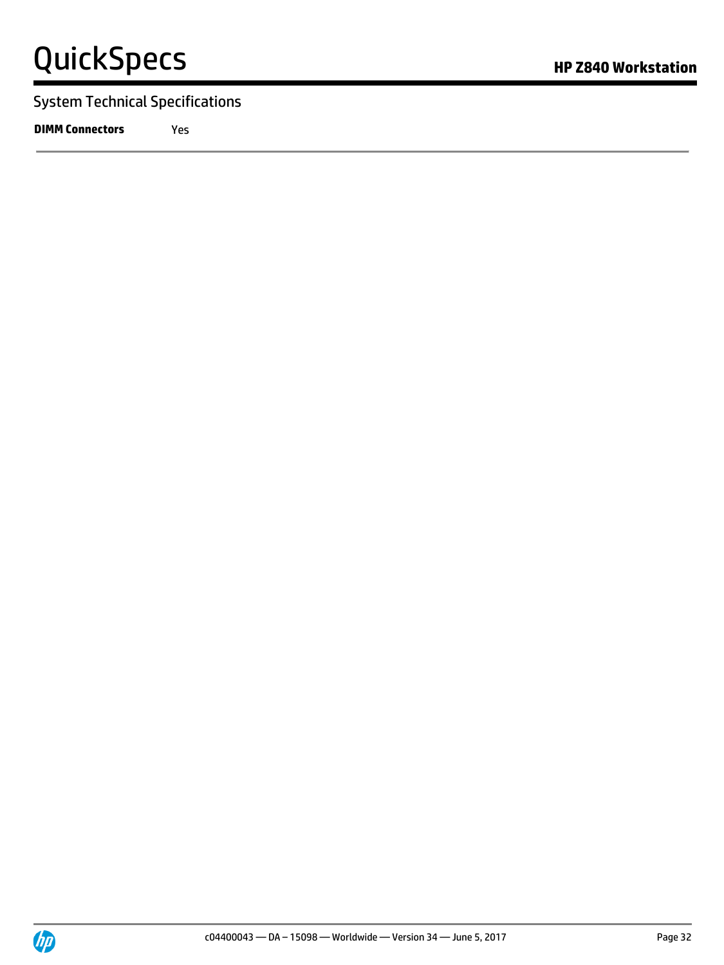**DIMM Connectors** Yes

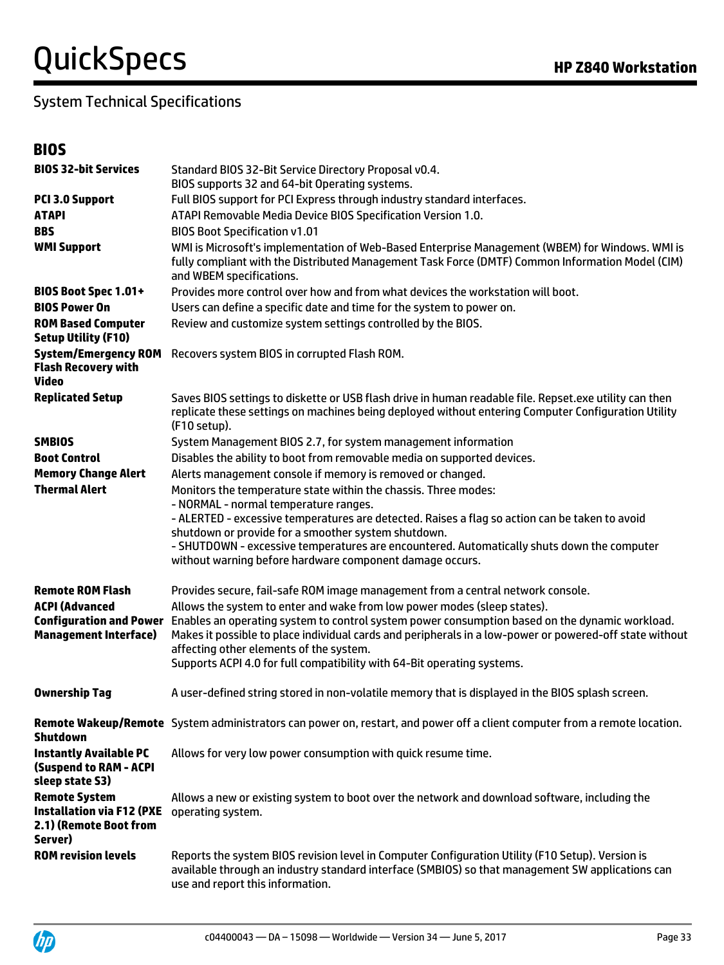### System Technical Specifications

| <b>BIUS</b>                                                                        |                                                                                                                                                                                                                                          |
|------------------------------------------------------------------------------------|------------------------------------------------------------------------------------------------------------------------------------------------------------------------------------------------------------------------------------------|
| <b>BIOS 32-bit Services</b>                                                        | Standard BIOS 32-Bit Service Directory Proposal v0.4.<br>BIOS supports 32 and 64-bit Operating systems.                                                                                                                                  |
| <b>PCI 3.0 Support</b>                                                             | Full BIOS support for PCI Express through industry standard interfaces.                                                                                                                                                                  |
| <b>ATAPI</b>                                                                       | ATAPI Removable Media Device BIOS Specification Version 1.0.                                                                                                                                                                             |
| <b>BBS</b>                                                                         | <b>BIOS Boot Specification v1.01</b>                                                                                                                                                                                                     |
| <b>WMI Support</b>                                                                 | WMI is Microsoft's implementation of Web-Based Enterprise Management (WBEM) for Windows. WMI is<br>fully compliant with the Distributed Management Task Force (DMTF) Common Information Model (CIM)<br>and WBEM specifications.          |
| BIOS Boot Spec 1.01+                                                               | Provides more control over how and from what devices the workstation will boot.                                                                                                                                                          |
| <b>BIOS Power On</b>                                                               | Users can define a specific date and time for the system to power on.                                                                                                                                                                    |
| <b>ROM Based Computer</b><br><b>Setup Utility (F10)</b>                            | Review and customize system settings controlled by the BIOS.                                                                                                                                                                             |
| <b>System/Emergency ROM</b><br><b>Flash Recovery with</b><br>Video                 | Recovers system BIOS in corrupted Flash ROM.                                                                                                                                                                                             |
| <b>Replicated Setup</b>                                                            | Saves BIOS settings to diskette or USB flash drive in human readable file. Repset.exe utility can then<br>replicate these settings on machines being deployed without entering Computer Configuration Utility<br>(F10 setup).            |
| <b>SMBIOS</b>                                                                      | System Management BIOS 2.7, for system management information                                                                                                                                                                            |
| <b>Boot Control</b>                                                                | Disables the ability to boot from removable media on supported devices.                                                                                                                                                                  |
| <b>Memory Change Alert</b>                                                         | Alerts management console if memory is removed or changed.                                                                                                                                                                               |
| <b>Thermal Alert</b>                                                               | Monitors the temperature state within the chassis. Three modes:                                                                                                                                                                          |
|                                                                                    | - NORMAL - normal temperature ranges.                                                                                                                                                                                                    |
|                                                                                    | - ALERTED - excessive temperatures are detected. Raises a flag so action can be taken to avoid<br>shutdown or provide for a smoother system shutdown.                                                                                    |
|                                                                                    | - SHUTDOWN - excessive temperatures are encountered. Automatically shuts down the computer                                                                                                                                               |
|                                                                                    | without warning before hardware component damage occurs.                                                                                                                                                                                 |
| <b>Remote ROM Flash</b>                                                            | Provides secure, fail-safe ROM image management from a central network console.                                                                                                                                                          |
| <b>ACPI (Advanced</b>                                                              | Allows the system to enter and wake from low power modes (sleep states).                                                                                                                                                                 |
| <b>Configuration and Power</b>                                                     | Enables an operating system to control system power consumption based on the dynamic workload.                                                                                                                                           |
| <b>Management Interface)</b>                                                       | Makes it possible to place individual cards and peripherals in a low-power or powered-off state without                                                                                                                                  |
|                                                                                    | affecting other elements of the system.                                                                                                                                                                                                  |
|                                                                                    | Supports ACPI 4.0 for full compatibility with 64-Bit operating systems.                                                                                                                                                                  |
| <b>Ownership Tag</b>                                                               | A user-defined string stored in non-volatile memory that is displayed in the BIOS splash screen.                                                                                                                                         |
| <b>Shutdown</b>                                                                    | Remote Wakeup/Remote System administrators can power on, restart, and power off a client computer from a remote location.                                                                                                                |
| <b>Instantly Available PC</b><br>(Suspend to RAM - ACPI                            | Allows for very low power consumption with quick resume time.                                                                                                                                                                            |
| sleep state S3)                                                                    |                                                                                                                                                                                                                                          |
| <b>Remote System</b><br><b>Installation via F12 (PXE</b><br>2.1) (Remote Boot from | Allows a new or existing system to boot over the network and download software, including the<br>operating system.                                                                                                                       |
| Server)                                                                            |                                                                                                                                                                                                                                          |
| <b>ROM revision levels</b>                                                         | Reports the system BIOS revision level in Computer Configuration Utility (F10 Setup). Version is<br>available through an industry standard interface (SMBIOS) so that management SW applications can<br>use and report this information. |
|                                                                                    |                                                                                                                                                                                                                                          |

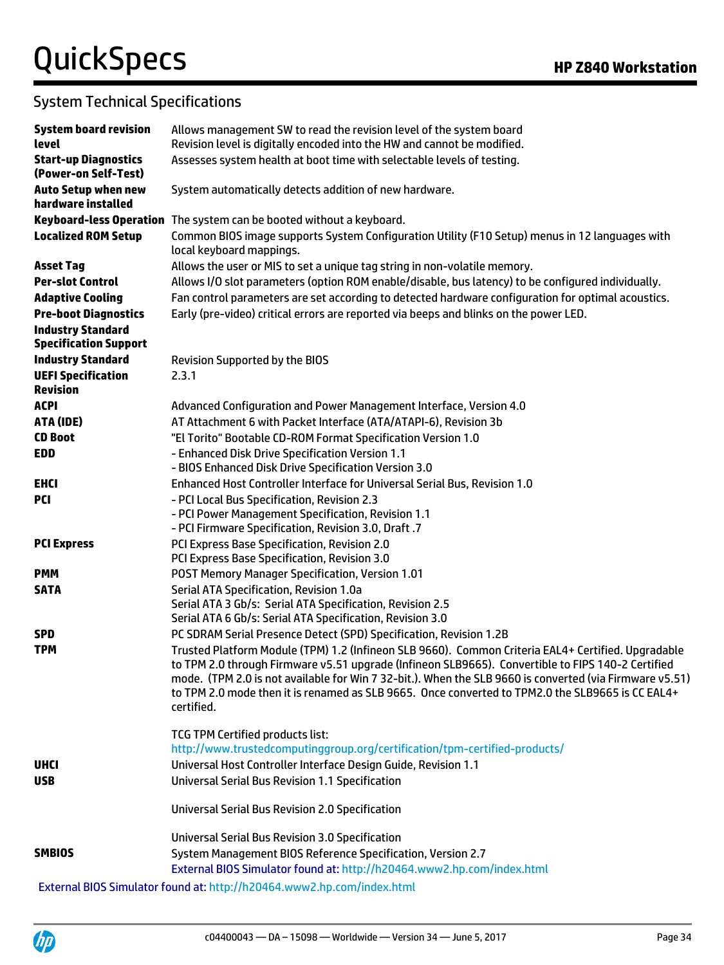### System Technical Specifications

| <b>System board revision</b><br>level               | Allows management SW to read the revision level of the system board<br>Revision level is digitally encoded into the HW and cannot be modified.                                                               |
|-----------------------------------------------------|--------------------------------------------------------------------------------------------------------------------------------------------------------------------------------------------------------------|
| <b>Start-up Diagnostics</b><br>(Power-on Self-Test) | Assesses system health at boot time with selectable levels of testing.                                                                                                                                       |
| <b>Auto Setup when new</b><br>hardware installed    | System automatically detects addition of new hardware.                                                                                                                                                       |
|                                                     | Keyboard-less Operation The system can be booted without a keyboard.                                                                                                                                         |
| <b>Localized ROM Setup</b>                          | Common BIOS image supports System Configuration Utility (F10 Setup) menus in 12 languages with                                                                                                               |
|                                                     | local keyboard mappings.                                                                                                                                                                                     |
| <b>Asset Tag</b>                                    | Allows the user or MIS to set a unique tag string in non-volatile memory.                                                                                                                                    |
| <b>Per-slot Control</b>                             | Allows I/O slot parameters (option ROM enable/disable, bus latency) to be configured individually.                                                                                                           |
| <b>Adaptive Cooling</b>                             | Fan control parameters are set according to detected hardware configuration for optimal acoustics.                                                                                                           |
| <b>Pre-boot Diagnostics</b>                         | Early (pre-video) critical errors are reported via beeps and blinks on the power LED.                                                                                                                        |
| <b>Industry Standard</b>                            |                                                                                                                                                                                                              |
| <b>Specification Support</b>                        |                                                                                                                                                                                                              |
| <b>Industry Standard</b>                            | <b>Revision Supported by the BIOS</b>                                                                                                                                                                        |
| <b>UEFI Specification</b>                           | 2.3.1                                                                                                                                                                                                        |
| <b>Revision</b>                                     |                                                                                                                                                                                                              |
| <b>ACPI</b>                                         | Advanced Configuration and Power Management Interface, Version 4.0                                                                                                                                           |
| ATA (IDE)                                           | AT Attachment 6 with Packet Interface (ATA/ATAPI-6), Revision 3b                                                                                                                                             |
| <b>CD Boot</b>                                      | "El Torito" Bootable CD-ROM Format Specification Version 1.0                                                                                                                                                 |
| <b>EDD</b>                                          | - Enhanced Disk Drive Specification Version 1.1                                                                                                                                                              |
|                                                     | - BIOS Enhanced Disk Drive Specification Version 3.0                                                                                                                                                         |
| <b>EHCI</b>                                         | Enhanced Host Controller Interface for Universal Serial Bus, Revision 1.0                                                                                                                                    |
| <b>PCI</b>                                          | - PCI Local Bus Specification, Revision 2.3                                                                                                                                                                  |
|                                                     | - PCI Power Management Specification, Revision 1.1                                                                                                                                                           |
|                                                     | - PCI Firmware Specification, Revision 3.0, Draft .7                                                                                                                                                         |
| <b>PCI Express</b>                                  | PCI Express Base Specification, Revision 2.0                                                                                                                                                                 |
|                                                     | PCI Express Base Specification, Revision 3.0                                                                                                                                                                 |
| <b>PMM</b>                                          | POST Memory Manager Specification, Version 1.01                                                                                                                                                              |
| <b>SATA</b>                                         | Serial ATA Specification, Revision 1.0a                                                                                                                                                                      |
|                                                     | Serial ATA 3 Gb/s: Serial ATA Specification, Revision 2.5                                                                                                                                                    |
|                                                     | Serial ATA 6 Gb/s: Serial ATA Specification, Revision 3.0                                                                                                                                                    |
| <b>SPD</b>                                          | PC SDRAM Serial Presence Detect (SPD) Specification, Revision 1.2B                                                                                                                                           |
| <b>TPM</b>                                          | Trusted Platform Module (TPM) 1.2 (Infineon SLB 9660). Common Criteria EAL4+ Certified. Upgradable                                                                                                           |
|                                                     | to TPM 2.0 through Firmware v5.51 upgrade (Infineon SLB9665). Convertible to FIPS 140-2 Certified<br>mode. (TPM 2.0 is not available for Win 7 32-bit.). When the SLB 9660 is converted (via Firmware v5.51) |
|                                                     | to TPM 2.0 mode then it is renamed as SLB 9665. Once converted to TPM2.0 the SLB9665 is CC EAL4+                                                                                                             |
|                                                     | certified.                                                                                                                                                                                                   |
|                                                     |                                                                                                                                                                                                              |
|                                                     | TCG TPM Certified products list:                                                                                                                                                                             |
|                                                     | http://www.trustedcomputinggroup.org/certification/tpm-certified-products/                                                                                                                                   |
| <b>UHCI</b>                                         | Universal Host Controller Interface Design Guide, Revision 1.1                                                                                                                                               |
| <b>USB</b>                                          | <b>Universal Serial Bus Revision 1.1 Specification</b>                                                                                                                                                       |
|                                                     | Universal Serial Bus Revision 2.0 Specification                                                                                                                                                              |
|                                                     | <b>Universal Serial Bus Revision 3.0 Specification</b>                                                                                                                                                       |
| <b>SMBIOS</b>                                       | System Management BIOS Reference Specification, Version 2.7                                                                                                                                                  |
|                                                     | External BIOS Simulator found at: http://h20464.www2.hp.com/index.html                                                                                                                                       |
|                                                     | External BIOS Simulator found at: http://h20464.www2.hp.com/index.html                                                                                                                                       |

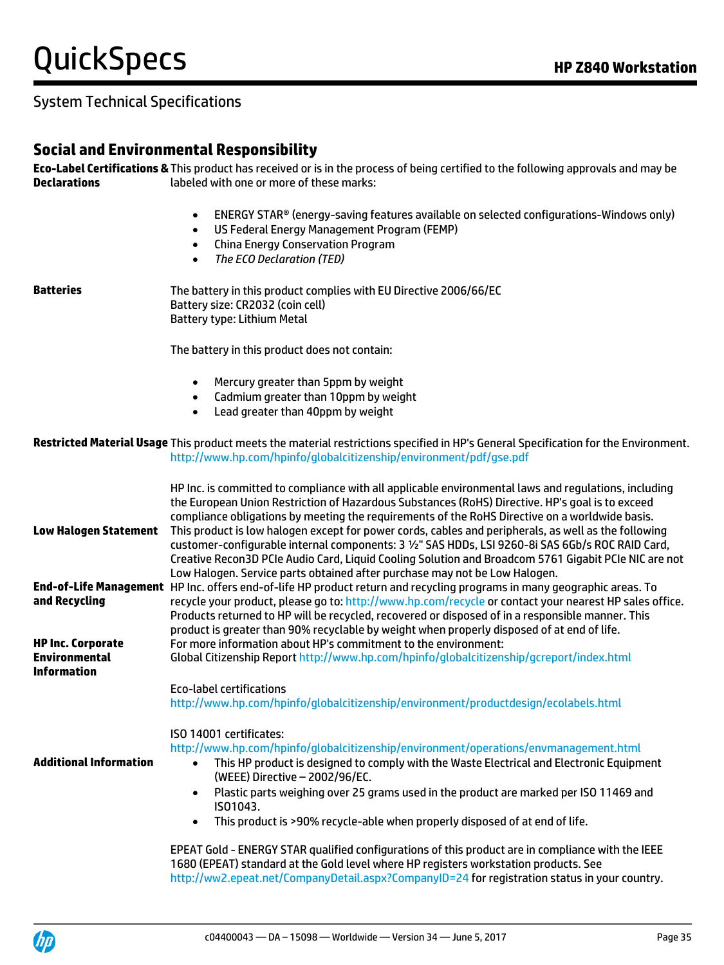#### **Social and Environmental Responsibility**

**Eco-Label Certifications &**  This product has received or is in the process of being certified to the following approvals and may be **Declarations** labeled with one or more of these marks:

| ENERGY STAR® (energy-saving features available on selected configurations-Windows only) |  |  |
|-----------------------------------------------------------------------------------------|--|--|
|                                                                                         |  |  |

- US Federal Energy Management Program (FEMP)
- China Energy Conservation Program
- *The ECO Declaration (TED)*

**Batteries** The battery in this product complies with EU Directive 2006/66/EC Battery size: CR2032 (coin cell) Battery type: Lithium Metal

The battery in this product does not contain:

- Mercury greater than 5ppm by weight
- Cadmium greater than 10ppm by weight
- Lead greater than 40ppm by weight

**Restricted Material Usage** This product meets the material restrictions specified in HP's General Specification for the Environment. <http://www.hp.com/hpinfo/globalcitizenship/environment/pdf/gse.pdf>

| <b>Low Halogen Statement</b>               | HP Inc. is committed to compliance with all applicable environmental laws and regulations, including<br>the European Union Restriction of Hazardous Substances (RoHS) Directive. HP's goal is to exceed<br>compliance obligations by meeting the requirements of the RoHS Directive on a worldwide basis.<br>This product is low halogen except for power cords, cables and peripherals, as well as the following<br>customer-configurable internal components: 3 1/2" SAS HDDs, LSI 9260-8i SAS 6Gb/s ROC RAID Card,<br>Creative Recon3D PCIe Audio Card, Liquid Cooling Solution and Broadcom 5761 Gigabit PCIe NIC are not<br>Low Halogen. Service parts obtained after purchase may not be Low Halogen. |
|--------------------------------------------|-------------------------------------------------------------------------------------------------------------------------------------------------------------------------------------------------------------------------------------------------------------------------------------------------------------------------------------------------------------------------------------------------------------------------------------------------------------------------------------------------------------------------------------------------------------------------------------------------------------------------------------------------------------------------------------------------------------|
| and Recycling                              | End-of-Life Management HP Inc. offers end-of-life HP product return and recycling programs in many geographic areas. To<br>recycle your product, please go to: http://www.hp.com/recycle or contact your nearest HP sales office.<br>Products returned to HP will be recycled, recovered or disposed of in a responsible manner. This<br>product is greater than 90% recyclable by weight when properly disposed of at end of life.                                                                                                                                                                                                                                                                         |
| <b>HP Inc. Corporate</b>                   | For more information about HP's commitment to the environment:                                                                                                                                                                                                                                                                                                                                                                                                                                                                                                                                                                                                                                              |
| <b>Environmental</b><br><b>Information</b> | Global Citizenship Report http://www.hp.com/hpinfo/globalcitizenship/gcreport/index.html                                                                                                                                                                                                                                                                                                                                                                                                                                                                                                                                                                                                                    |
|                                            | <b>Eco-label certifications</b><br>http://www.hp.com/hpinfo/globalcitizenship/environment/productdesign/ecolabels.html                                                                                                                                                                                                                                                                                                                                                                                                                                                                                                                                                                                      |
| <b>Additional Information</b>              | ISO 14001 certificates:<br>http://www.hp.com/hpinfo/globalcitizenship/environment/operations/envmanagement.html<br>This HP product is designed to comply with the Waste Electrical and Electronic Equipment<br>$\bullet$<br>(WEEE) Directive - 2002/96/EC.<br>Plastic parts weighing over 25 grams used in the product are marked per ISO 11469 and<br>$\bullet$<br>IS01043.<br>This product is >90% recycle-able when properly disposed of at end of life.<br>$\bullet$                                                                                                                                                                                                                                    |
|                                            | EPEAT Gold - ENERGY STAR qualified configurations of this product are in compliance with the IEEE<br>1680 (EPEAT) standard at the Gold level where HP registers workstation products. See<br>http://ww2.epeat.net/CompanyDetail.aspx?CompanyID=24 for registration status in your country.                                                                                                                                                                                                                                                                                                                                                                                                                  |

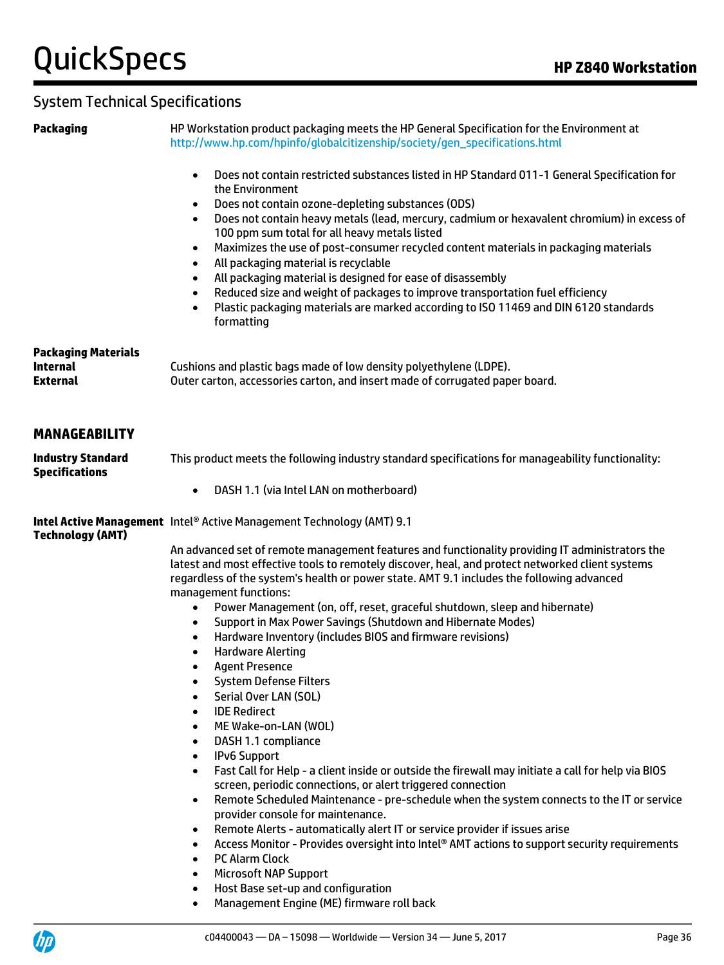**Packaging** HP Workstation product packaging meets the HP General Specification for the Environment at [http://www.hp.com/hpinfo/globalcitizenship/society/gen\\_specifications.html](http://www.hp.com/hpinfo/globalcitizenship/society/gen_specifications.html)

- Does not contain restricted substances listed in HP Standard 011-1 General Specification for the Environment
- Does not contain ozone-depleting substances (ODS)
- Does not contain heavy metals (lead, mercury, cadmium or hexavalent chromium) in excess of 100 ppm sum total for all heavy metals listed
- Maximizes the use of post-consumer recycled content materials in packaging materials
- All packaging material is recyclable
- All packaging material is designed for ease of disassembly
- Reduced size and weight of packages to improve transportation fuel efficiency
- Plastic packaging materials are marked according to ISO 11469 and DIN 6120 standards formatting

| <b>Packaging Materials</b> |                                                                              |
|----------------------------|------------------------------------------------------------------------------|
| Internal                   | Cushions and plastic bags made of low density polyethylene (LDPE).           |
| External                   | Outer carton, accessories carton, and insert made of corrugated paper board. |

#### **MANAGEABILITY**

**Industry Standard Specifications** This product meets the following industry standard specifications for manageability functionality:

DASH 1.1 (via Intel LAN on motherboard)

**Intel Active Management** Intel<sup>®</sup> Active Management Technology (AMT) 9.1 **Technology (AMT)**

> An advanced set of remote management features and functionality providing IT administrators the latest and most effective tools to remotely discover, heal, and protect networked client systems regardless of the system's health or power state. AMT 9.1 includes the following advanced management functions:

- Power Management (on, off, reset, graceful shutdown, sleep and hibernate)
- Support in Max Power Savings (Shutdown and Hibernate Modes)
- Hardware Inventory (includes BIOS and firmware revisions)
- **•** Hardware Alerting
- Agent Presence
- System Defense Filters
- Serial Over LAN (SOL)
- IDE Redirect
- ME Wake-on-LAN (WOL)
- DASH 1.1 compliance
- IPv6 Support
- Fast Call for Help a client inside or outside the firewall may initiate a call for help via BIOS screen, periodic connections, or alert triggered connection
- Remote Scheduled Maintenance pre-schedule when the system connects to the IT or service provider console for maintenance.
- Remote Alerts automatically alert IT or service provider if issues arise
- Access Monitor Provides oversight into Intel® AMT actions to support security requirements
- PC Alarm Clock
- Microsoft NAP Support
- Host Base set-up and configuration
- Management Engine (ME) firmware roll back

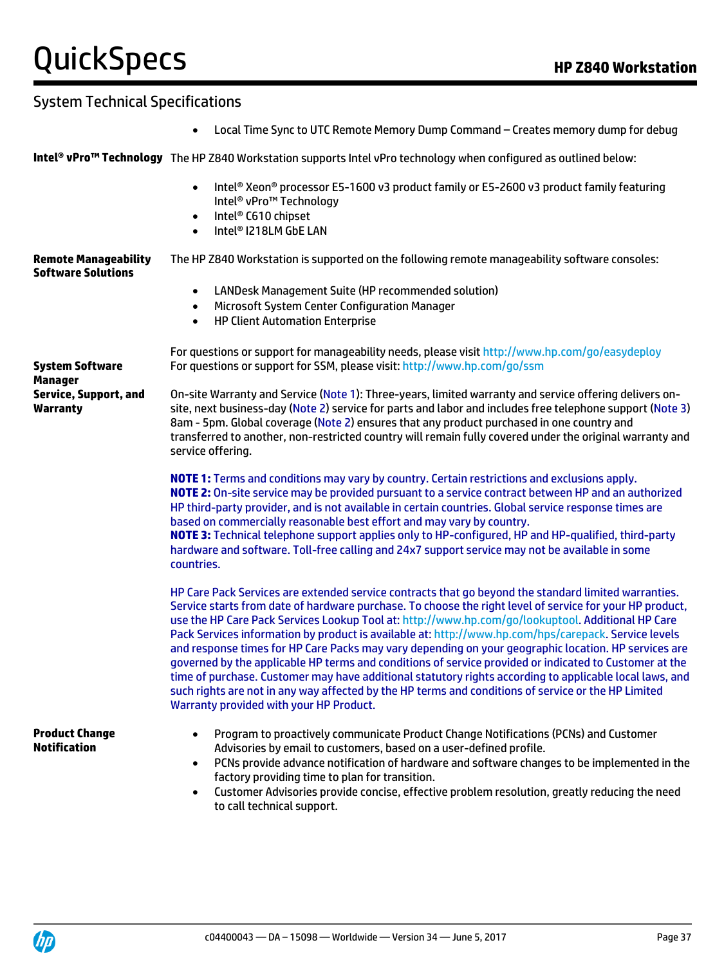## System Technical Specifications

|                                                          | Local Time Sync to UTC Remote Memory Dump Command - Creates memory dump for debug<br>$\bullet$                                                                                                                                                                                                                                                                                                                                                                                                                                                                                                                                                                                                                                                                                                                                                                                                               |
|----------------------------------------------------------|--------------------------------------------------------------------------------------------------------------------------------------------------------------------------------------------------------------------------------------------------------------------------------------------------------------------------------------------------------------------------------------------------------------------------------------------------------------------------------------------------------------------------------------------------------------------------------------------------------------------------------------------------------------------------------------------------------------------------------------------------------------------------------------------------------------------------------------------------------------------------------------------------------------|
|                                                          | Intel® vPro <sup>™</sup> Technology The HP Z840 Workstation supports Intel vPro technology when configured as outlined below:                                                                                                                                                                                                                                                                                                                                                                                                                                                                                                                                                                                                                                                                                                                                                                                |
|                                                          | Intel® Xeon® processor E5-1600 v3 product family or E5-2600 v3 product family featuring<br>$\bullet$<br>Intel <sup>®</sup> vPro <sup>™</sup> Technology<br>Intel <sup>®</sup> C610 chipset<br>$\bullet$<br>Intel® I218LM GbE LAN<br>$\bullet$                                                                                                                                                                                                                                                                                                                                                                                                                                                                                                                                                                                                                                                                |
| <b>Remote Manageability</b><br><b>Software Solutions</b> | The HP Z840 Workstation is supported on the following remote manageability software consoles:                                                                                                                                                                                                                                                                                                                                                                                                                                                                                                                                                                                                                                                                                                                                                                                                                |
|                                                          | LANDesk Management Suite (HP recommended solution)<br>$\bullet$<br>Microsoft System Center Configuration Manager<br>$\bullet$<br><b>HP Client Automation Enterprise</b><br>$\bullet$                                                                                                                                                                                                                                                                                                                                                                                                                                                                                                                                                                                                                                                                                                                         |
| <b>System Software</b><br><b>Manager</b>                 | For questions or support for manageability needs, please visit http://www.hp.com/go/easydeploy<br>For questions or support for SSM, please visit: http://www.hp.com/go/ssm                                                                                                                                                                                                                                                                                                                                                                                                                                                                                                                                                                                                                                                                                                                                   |
| <b>Service, Support, and</b><br><b>Warranty</b>          | On-site Warranty and Service (Note 1): Three-years, limited warranty and service offering delivers on-<br>site, next business-day (Note 2) service for parts and labor and includes free telephone support (Note 3)<br>8am - 5pm. Global coverage (Note 2) ensures that any product purchased in one country and<br>transferred to another, non-restricted country will remain fully covered under the original warranty and<br>service offering.                                                                                                                                                                                                                                                                                                                                                                                                                                                            |
|                                                          | <b>NOTE 1:</b> Terms and conditions may vary by country. Certain restrictions and exclusions apply.<br>NOTE 2: On-site service may be provided pursuant to a service contract between HP and an authorized<br>HP third-party provider, and is not available in certain countries. Global service response times are<br>based on commercially reasonable best effort and may vary by country.<br>NOTE 3: Technical telephone support applies only to HP-configured, HP and HP-qualified, third-party<br>hardware and software. Toll-free calling and 24x7 support service may not be available in some<br>countries.                                                                                                                                                                                                                                                                                          |
|                                                          | HP Care Pack Services are extended service contracts that go beyond the standard limited warranties.<br>Service starts from date of hardware purchase. To choose the right level of service for your HP product,<br>use the HP Care Pack Services Lookup Tool at: http://www.hp.com/go/lookuptool. Additional HP Care<br>Pack Services information by product is available at: http://www.hp.com/hps/carepack. Service levels<br>and response times for HP Care Packs may vary depending on your geographic location. HP services are<br>governed by the applicable HP terms and conditions of service provided or indicated to Customer at the<br>time of purchase. Customer may have additional statutory rights according to applicable local laws, and<br>such rights are not in any way affected by the HP terms and conditions of service or the HP Limited<br>Warranty provided with your HP Product. |
| <b>Product Change</b><br><b>Notification</b>             | Program to proactively communicate Product Change Notifications (PCNs) and Customer<br>$\bullet$<br>Advisories by email to customers, based on a user-defined profile.<br>PCNs provide advance notification of hardware and software changes to be implemented in the<br>$\bullet$<br>factory providing time to plan for transition.<br>Customer Advisories provide concise, effective problem resolution, greatly reducing the need<br>$\bullet$                                                                                                                                                                                                                                                                                                                                                                                                                                                            |

 Customer Advisories provide concise, effective problem resolution, greatly reducing the need to call technical support.

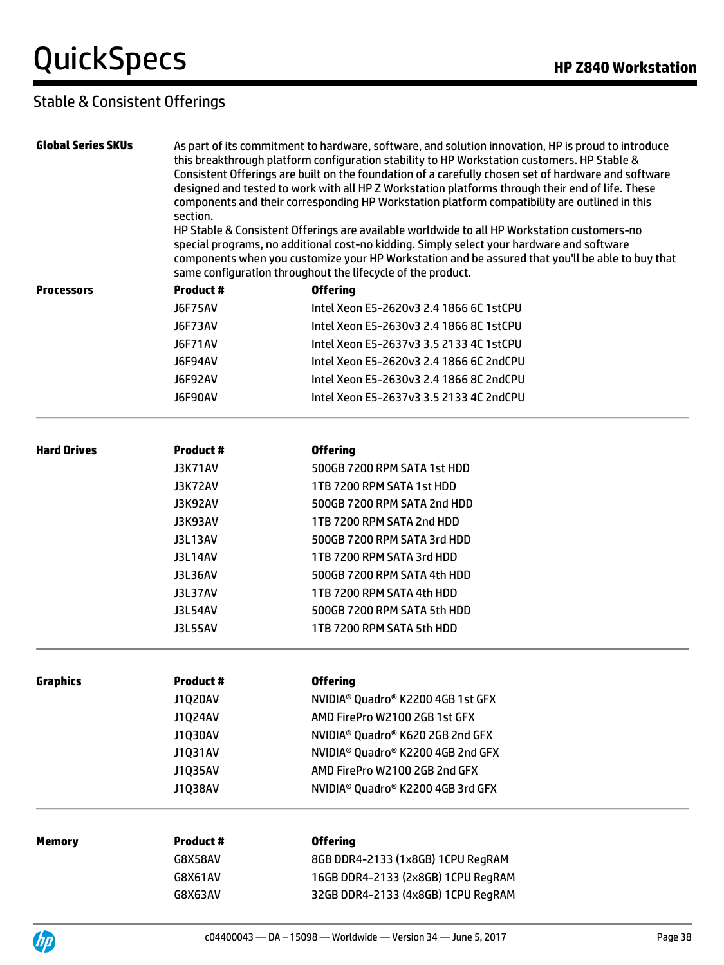## Stable & Consistent Offerings

| <b>Global Series SKUs</b> | As part of its commitment to hardware, software, and solution innovation, HP is proud to introduce<br>this breakthrough platform configuration stability to HP Workstation customers. HP Stable &<br>Consistent Offerings are built on the foundation of a carefully chosen set of hardware and software<br>designed and tested to work with all HP Z Workstation platforms through their end of life. These<br>components and their corresponding HP Workstation platform compatibility are outlined in this<br>section.<br>HP Stable & Consistent Offerings are available worldwide to all HP Workstation customers-no<br>special programs, no additional cost-no kidding. Simply select your hardware and software<br>components when you customize your HP Workstation and be assured that you'll be able to buy that<br>same configuration throughout the lifecycle of the product. |                                               |  |
|---------------------------|------------------------------------------------------------------------------------------------------------------------------------------------------------------------------------------------------------------------------------------------------------------------------------------------------------------------------------------------------------------------------------------------------------------------------------------------------------------------------------------------------------------------------------------------------------------------------------------------------------------------------------------------------------------------------------------------------------------------------------------------------------------------------------------------------------------------------------------------------------------------------------------|-----------------------------------------------|--|
| <b>Processors</b>         | Product#                                                                                                                                                                                                                                                                                                                                                                                                                                                                                                                                                                                                                                                                                                                                                                                                                                                                                 | <b>Offering</b>                               |  |
|                           | <b>J6F75AV</b>                                                                                                                                                                                                                                                                                                                                                                                                                                                                                                                                                                                                                                                                                                                                                                                                                                                                           | Intel Xeon E5-2620v3 2.4 1866 6C 1stCPU       |  |
|                           | <b>J6F73AV</b>                                                                                                                                                                                                                                                                                                                                                                                                                                                                                                                                                                                                                                                                                                                                                                                                                                                                           | Intel Xeon E5-2630v3 2.4 1866 8C 1stCPU       |  |
|                           | <b>J6F71AV</b>                                                                                                                                                                                                                                                                                                                                                                                                                                                                                                                                                                                                                                                                                                                                                                                                                                                                           | Intel Xeon E5-2637v3 3.5 2133 4C 1stCPU       |  |
|                           | J6F94AV                                                                                                                                                                                                                                                                                                                                                                                                                                                                                                                                                                                                                                                                                                                                                                                                                                                                                  | Intel Xeon E5-2620v3 2.4 1866 6C 2ndCPU       |  |
|                           | J6F92AV                                                                                                                                                                                                                                                                                                                                                                                                                                                                                                                                                                                                                                                                                                                                                                                                                                                                                  | Intel Xeon E5-2630v3 2.4 1866 8C 2ndCPU       |  |
|                           | J6F90AV                                                                                                                                                                                                                                                                                                                                                                                                                                                                                                                                                                                                                                                                                                                                                                                                                                                                                  | Intel Xeon E5-2637v3 3.5 2133 4C 2ndCPU       |  |
| <b>Hard Drives</b>        | Product#                                                                                                                                                                                                                                                                                                                                                                                                                                                                                                                                                                                                                                                                                                                                                                                                                                                                                 | <b>Offering</b>                               |  |
|                           | <b>J3K71AV</b>                                                                                                                                                                                                                                                                                                                                                                                                                                                                                                                                                                                                                                                                                                                                                                                                                                                                           | 500GB 7200 RPM SATA 1st HDD                   |  |
|                           | J3K72AV                                                                                                                                                                                                                                                                                                                                                                                                                                                                                                                                                                                                                                                                                                                                                                                                                                                                                  | 1TB 7200 RPM SATA 1st HDD                     |  |
|                           | J3K92AV                                                                                                                                                                                                                                                                                                                                                                                                                                                                                                                                                                                                                                                                                                                                                                                                                                                                                  | 500GB 7200 RPM SATA 2nd HDD                   |  |
|                           | J3K93AV                                                                                                                                                                                                                                                                                                                                                                                                                                                                                                                                                                                                                                                                                                                                                                                                                                                                                  | 1TB 7200 RPM SATA 2nd HDD                     |  |
|                           | <b>J3L13AV</b>                                                                                                                                                                                                                                                                                                                                                                                                                                                                                                                                                                                                                                                                                                                                                                                                                                                                           | 500GB 7200 RPM SATA 3rd HDD                   |  |
|                           | <b>J3L14AV</b>                                                                                                                                                                                                                                                                                                                                                                                                                                                                                                                                                                                                                                                                                                                                                                                                                                                                           | 1TB 7200 RPM SATA 3rd HDD                     |  |
|                           | J3L36AV                                                                                                                                                                                                                                                                                                                                                                                                                                                                                                                                                                                                                                                                                                                                                                                                                                                                                  | 500GB 7200 RPM SATA 4th HDD                   |  |
|                           | J3L37AV                                                                                                                                                                                                                                                                                                                                                                                                                                                                                                                                                                                                                                                                                                                                                                                                                                                                                  | 1TB 7200 RPM SATA 4th HDD                     |  |
|                           | J3L54AV                                                                                                                                                                                                                                                                                                                                                                                                                                                                                                                                                                                                                                                                                                                                                                                                                                                                                  | 500GB 7200 RPM SATA 5th HDD                   |  |
|                           | J3L55AV                                                                                                                                                                                                                                                                                                                                                                                                                                                                                                                                                                                                                                                                                                                                                                                                                                                                                  | 1TB 7200 RPM SATA 5th HDD                     |  |
| <b>Graphics</b>           | <b>Product #</b>                                                                                                                                                                                                                                                                                                                                                                                                                                                                                                                                                                                                                                                                                                                                                                                                                                                                         | <b>Offering</b>                               |  |
|                           | <b>J1Q20AV</b>                                                                                                                                                                                                                                                                                                                                                                                                                                                                                                                                                                                                                                                                                                                                                                                                                                                                           | NVIDIA <sup>®</sup> Quadro® K2200 4GB 1st GFX |  |
|                           | J1Q24AV                                                                                                                                                                                                                                                                                                                                                                                                                                                                                                                                                                                                                                                                                                                                                                                                                                                                                  | AMD FirePro W2100 2GB 1st GFX                 |  |
|                           | <b>J1Q30AV</b>                                                                                                                                                                                                                                                                                                                                                                                                                                                                                                                                                                                                                                                                                                                                                                                                                                                                           | NVIDIA <sup>®</sup> Quadro® K620 2GB 2nd GFX  |  |
|                           | J1Q31AV                                                                                                                                                                                                                                                                                                                                                                                                                                                                                                                                                                                                                                                                                                                                                                                                                                                                                  | NVIDIA <sup>®</sup> Quadro® K2200 4GB 2nd GFX |  |
|                           | J1Q35AV                                                                                                                                                                                                                                                                                                                                                                                                                                                                                                                                                                                                                                                                                                                                                                                                                                                                                  | AMD FirePro W2100 2GB 2nd GFX                 |  |
|                           | J1Q38AV                                                                                                                                                                                                                                                                                                                                                                                                                                                                                                                                                                                                                                                                                                                                                                                                                                                                                  | NVIDIA <sup>®</sup> Quadro® K2200 4GB 3rd GFX |  |
| <b>Memory</b>             | Product#                                                                                                                                                                                                                                                                                                                                                                                                                                                                                                                                                                                                                                                                                                                                                                                                                                                                                 | <b>Offering</b>                               |  |
|                           | <b>G8X58AV</b>                                                                                                                                                                                                                                                                                                                                                                                                                                                                                                                                                                                                                                                                                                                                                                                                                                                                           | 8GB DDR4-2133 (1x8GB) 1CPU RegRAM             |  |
|                           | G8X61AV                                                                                                                                                                                                                                                                                                                                                                                                                                                                                                                                                                                                                                                                                                                                                                                                                                                                                  | 16GB DDR4-2133 (2x8GB) 1CPU RegRAM            |  |
|                           | <b>G8X63AV</b>                                                                                                                                                                                                                                                                                                                                                                                                                                                                                                                                                                                                                                                                                                                                                                                                                                                                           | 32GB DDR4-2133 (4x8GB) 1CPU RegRAM            |  |

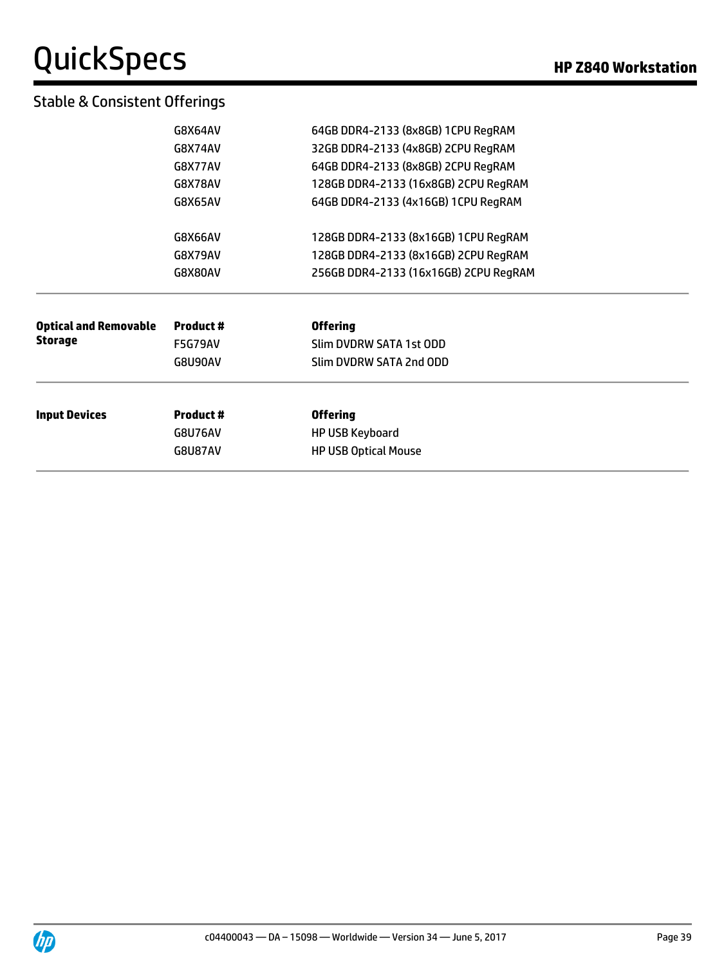### Stable & Consistent Offerings

|                              | G8X64AV          | 64GB DDR4-2133 (8x8GB) 1CPU RegRAM    |
|------------------------------|------------------|---------------------------------------|
|                              | <b>G8X74AV</b>   | 32GB DDR4-2133 (4x8GB) 2CPU RegRAM    |
|                              | G8X77AV          | 64GB DDR4-2133 (8x8GB) 2CPU RegRAM    |
|                              | G8X78AV          | 128GB DDR4-2133 (16x8GB) 2CPU RegRAM  |
|                              | G8X65AV          | 64GB DDR4-2133 (4x16GB) 1CPU RegRAM   |
|                              | G8X66AV          | 128GB DDR4-2133 (8x16GB) 1CPU RegRAM  |
|                              | <b>G8X79AV</b>   | 128GB DDR4-2133 (8x16GB) 2CPU RegRAM  |
|                              | <b>G8X80AV</b>   | 256GB DDR4-2133 (16x16GB) 2CPU RegRAM |
| <b>Optical and Removable</b> | <b>Product #</b> | <b>Offering</b>                       |
| Storage                      | <b>F5G79AV</b>   | Slim DVDRW SATA 1st ODD               |
|                              | G8U90AV          | Slim DVDRW SATA 2nd ODD               |
|                              |                  |                                       |
| <b>Input Devices</b>         | <b>Product #</b> | <b>Offering</b>                       |
|                              | <b>G8U76AV</b>   | HP USB Keyboard                       |
|                              | G8U87AV          | <b>HP USB Optical Mouse</b>           |
|                              |                  |                                       |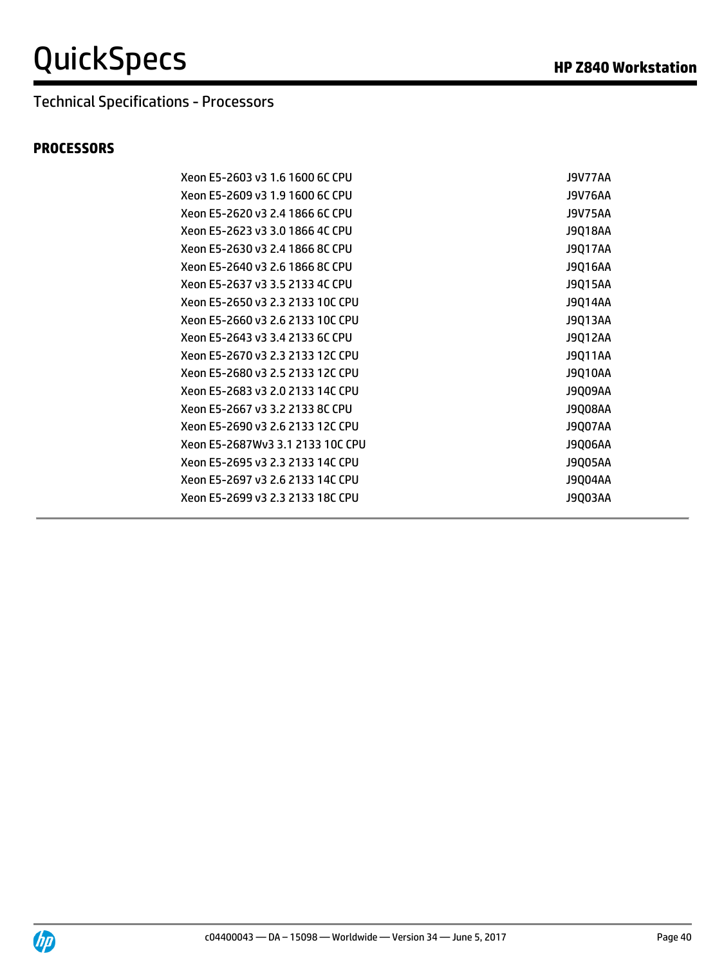#### Technical Specifications - Processors

#### **PROCESSORS**

| Xeon E5-2603 v3 1.6 1600 6C CPU  | <b>J9V77AA</b> |
|----------------------------------|----------------|
| Xeon E5-2609 v3 1.9 1600 6C CPU  | <b>J9V76AA</b> |
| Xeon E5-2620 v3 2.4 1866 6C CPU  | <b>J9V75AA</b> |
| Xeon E5-2623 v3 3.0 1866 4C CPU  | <b>J9Q18AA</b> |
| Xeon E5-2630 v3 2.4 1866 8C CPU  | <b>J9Q17AA</b> |
| Xeon E5-2640 v3 2.6 1866 8C CPU  | J9Q16AA        |
| Xeon E5-2637 v3 3.5 2133 4C CPU  | <b>J9Q15AA</b> |
| Xeon E5-2650 v3 2.3 2133 10C CPU | J9Q14AA        |
| Xeon E5-2660 v3 2.6 2133 10C CPU | <b>J9Q13AA</b> |
| Xeon E5-2643 v3 3.4 2133 6C CPU  | <b>J9Q12AA</b> |
| Xeon E5-2670 v3 2.3 2133 12C CPU | <b>J9Q11AA</b> |
| Xeon E5-2680 v3 2.5 2133 12C CPU | <b>J9Q10AA</b> |
| Xeon E5-2683 v3 2.0 2133 14C CPU | J9Q09AA        |
| Xeon E5-2667 v3 3.2 2133 8C CPU  | AA80Qel        |
| Xeon E5-2690 v3 2.6 2133 12C CPU | <b>J9Q07AA</b> |
| Xeon E5-2687Wv3 3.1 2133 10C CPU | J9Q06AA        |
| Xeon E5-2695 v3 2.3 2133 14C CPU | J9Q05AA        |
| Xeon E5-2697 v3 2.6 2133 14C CPU | <b>J9Q04AA</b> |
| Xeon E5-2699 v3 2.3 2133 18C CPU | J9Q03AA        |
|                                  |                |

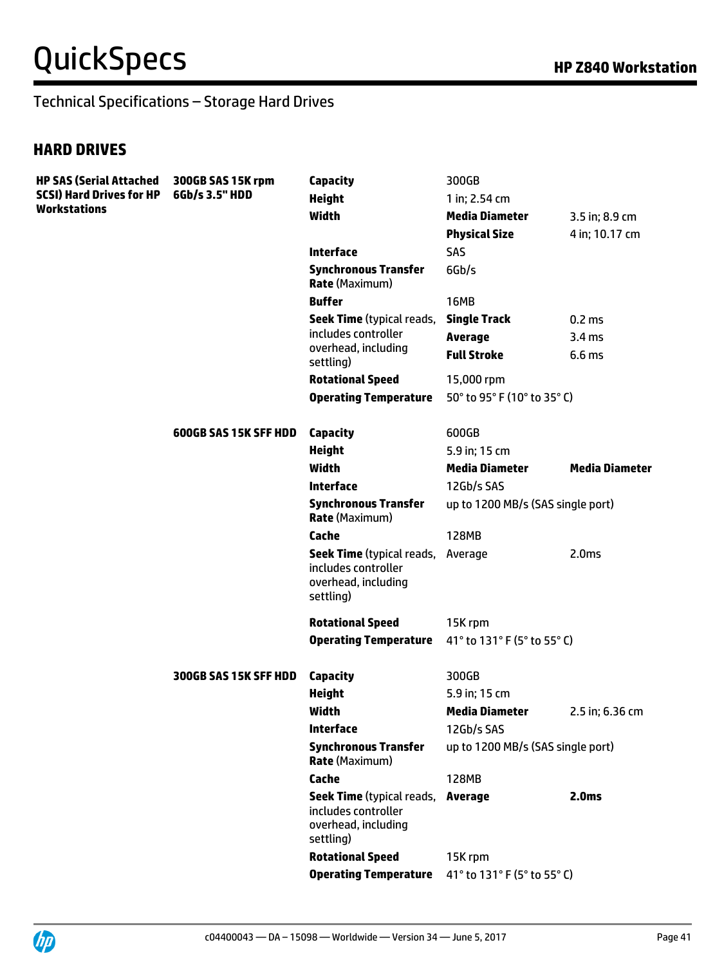### Technical Specifications – Storage Hard Drives

#### **HARD DRIVES**

| <b>HP SAS (Serial Attached</b>  | 300GB SAS 15K rpm            | <b>Capacity</b>                                                                                      | 300GB                             |                       |
|---------------------------------|------------------------------|------------------------------------------------------------------------------------------------------|-----------------------------------|-----------------------|
| <b>SCSI) Hard Drives for HP</b> | 6Gb/s 3.5" HDD               | <b>Height</b>                                                                                        | 1 in; 2.54 cm                     |                       |
| Workstations                    |                              | <b>Width</b>                                                                                         | <b>Media Diameter</b>             | 3.5 in; 8.9 cm        |
|                                 |                              |                                                                                                      | <b>Physical Size</b>              | 4 in; 10.17 cm        |
|                                 |                              | <b>Interface</b>                                                                                     | <b>SAS</b>                        |                       |
|                                 |                              | <b>Synchronous Transfer</b><br><b>Rate (Maximum)</b>                                                 | 6Gb/s                             |                       |
|                                 |                              | <b>Buffer</b>                                                                                        | <b>16MB</b>                       |                       |
|                                 |                              | <b>Seek Time</b> (typical reads,                                                                     | <b>Single Track</b>               | 0.2 <sub>ms</sub>     |
|                                 |                              | includes controller                                                                                  | <b>Average</b>                    | 3.4 <sub>ms</sub>     |
|                                 |                              | overhead, including<br>settling)                                                                     | <b>Full Stroke</b>                | 6.6 <sub>ms</sub>     |
|                                 |                              | <b>Rotational Speed</b>                                                                              | 15,000 rpm                        |                       |
|                                 |                              | <b>Operating Temperature</b>                                                                         | 50° to 95° F (10° to 35° C)       |                       |
|                                 | <b>600GB SAS 15K SFF HDD</b> | Capacity                                                                                             | 600GB                             |                       |
|                                 |                              | <b>Height</b>                                                                                        | 5.9 in; 15 cm                     |                       |
|                                 |                              | <b>Width</b>                                                                                         | <b>Media Diameter</b>             | <b>Media Diameter</b> |
|                                 |                              | Interface                                                                                            | 12Gb/s SAS                        |                       |
|                                 |                              | <b>Synchronous Transfer</b><br><b>Rate (Maximum)</b>                                                 | up to 1200 MB/s (SAS single port) |                       |
|                                 |                              | Cache                                                                                                | 128MB                             |                       |
|                                 |                              | <b>Seek Time (typical reads, Average)</b><br>includes controller<br>overhead, including<br>settling) |                                   | 2.0 <sub>ms</sub>     |
|                                 |                              | <b>Rotational Speed</b>                                                                              | 15K rpm                           |                       |
|                                 |                              | <b>Operating Temperature</b>                                                                         | 41° to 131° F (5° to 55° C)       |                       |
|                                 | 300GB SAS 15K SFF HDD        | <b>Capacity</b>                                                                                      | 300GB                             |                       |
|                                 |                              | <b>Height</b>                                                                                        | 5.9 in; 15 cm                     |                       |
|                                 |                              | <b>Width</b>                                                                                         | <b>Media Diameter</b>             | 2.5 in; 6.36 cm       |
|                                 |                              | <b>Interface</b>                                                                                     | 12Gb/s SAS                        |                       |
|                                 |                              | <b>Synchronous Transfer</b><br><b>Rate (Maximum)</b>                                                 | up to 1200 MB/s (SAS single port) |                       |
|                                 |                              | <b>Cache</b>                                                                                         | 128MB                             |                       |
|                                 |                              | Seek Time (typical reads, Average<br>includes controller<br>overhead, including<br>settling)         |                                   | 2.0 <sub>ms</sub>     |
|                                 |                              | <b>Rotational Speed</b>                                                                              | 15K rpm                           |                       |
|                                 |                              | <b>Operating Temperature</b>                                                                         | 41° to 131° F (5° to 55° C)       |                       |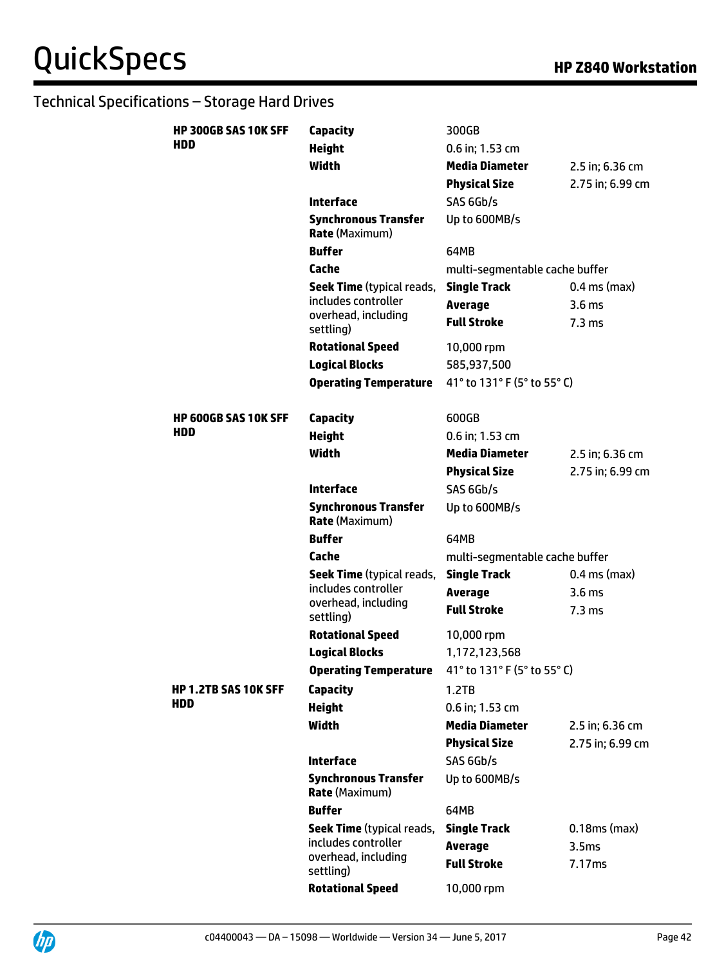| <b>HP 300GB SAS 10K SFF</b>        | Capacity                                             | 300GB                                |                                        |
|------------------------------------|------------------------------------------------------|--------------------------------------|----------------------------------------|
| HDD                                | <b>Height</b>                                        | 0.6 in; 1.53 cm                      |                                        |
|                                    | Width                                                | <b>Media Diameter</b>                | 2.5 in; 6.36 cm                        |
|                                    |                                                      | <b>Physical Size</b>                 | 2.75 in; 6.99 cm                       |
|                                    | <b>Interface</b>                                     | SAS 6Gb/s                            |                                        |
|                                    | <b>Synchronous Transfer</b><br><b>Rate (Maximum)</b> | Up to 600MB/s                        |                                        |
|                                    | <b>Buffer</b>                                        | 64MB                                 |                                        |
|                                    | Cache                                                | multi-segmentable cache buffer       |                                        |
|                                    | <b>Seek Time</b> (typical reads,                     | <b>Single Track</b>                  | $0.4$ ms (max)                         |
|                                    | includes controller<br>overhead, including           | <b>Average</b><br><b>Full Stroke</b> | 3.6 <sub>ms</sub><br>7.3 <sub>ms</sub> |
|                                    | settling)                                            |                                      |                                        |
|                                    | <b>Rotational Speed</b>                              | 10,000 rpm                           |                                        |
|                                    | <b>Logical Blocks</b>                                | 585,937,500                          |                                        |
|                                    | <b>Operating Temperature</b>                         | 41° to 131° F (5° to 55° C)          |                                        |
|                                    |                                                      |                                      |                                        |
| <b>HP 600GB SAS 10K SFF</b><br>HDD | <b>Capacity</b>                                      | 600GB                                |                                        |
|                                    | <b>Height</b>                                        | 0.6 in; 1.53 cm                      |                                        |
|                                    | <b>Width</b>                                         | <b>Media Diameter</b>                | 2.5 in; 6.36 cm                        |
|                                    |                                                      | <b>Physical Size</b>                 | 2.75 in; 6.99 cm                       |
|                                    | Interface                                            | SAS 6Gb/s                            |                                        |
|                                    | <b>Synchronous Transfer</b><br><b>Rate (Maximum)</b> | Up to 600MB/s                        |                                        |
|                                    | <b>Buffer</b>                                        | 64MB                                 |                                        |
|                                    | Cache                                                | multi-segmentable cache buffer       |                                        |
|                                    | <b>Seek Time</b> (typical reads,                     | <b>Single Track</b>                  | $0.4$ ms (max)                         |
|                                    | includes controller                                  | <b>Average</b>                       | 3.6 <sub>ms</sub>                      |
|                                    | overhead, including<br>settling)                     | <b>Full Stroke</b>                   | 7.3 <sub>ms</sub>                      |
|                                    | <b>Rotational Speed</b>                              | 10,000 rpm                           |                                        |
|                                    | <b>Logical Blocks</b>                                | 1,172,123,568                        |                                        |
|                                    | <b>Operating Temperature</b>                         | 41° to 131° F (5° to 55° C)          |                                        |
| <b>HP 1.2TB SAS 10K SFF</b>        | <b>Capacity</b>                                      | 1.2TB                                |                                        |
| <b>HDD</b>                         | <b>Height</b>                                        | 0.6 in; 1.53 cm                      |                                        |
|                                    | <b>Width</b>                                         | <b>Media Diameter</b>                | 2.5 in; 6.36 cm                        |
|                                    |                                                      | <b>Physical Size</b>                 | 2.75 in; 6.99 cm                       |
|                                    | <b>Interface</b>                                     | SAS 6Gb/s                            |                                        |
|                                    | <b>Synchronous Transfer</b><br><b>Rate (Maximum)</b> | Up to 600MB/s                        |                                        |
|                                    | <b>Buffer</b>                                        | 64MB                                 |                                        |
|                                    | <b>Seek Time</b> (typical reads,                     | <b>Single Track</b>                  | $0.18ms$ (max)                         |
|                                    | includes controller                                  | <b>Average</b>                       | 3.5 <sub>ms</sub>                      |
|                                    | overhead, including<br>settling)                     | <b>Full Stroke</b>                   | 7.17ms                                 |
|                                    | <b>Rotational Speed</b>                              | 10,000 rpm                           |                                        |

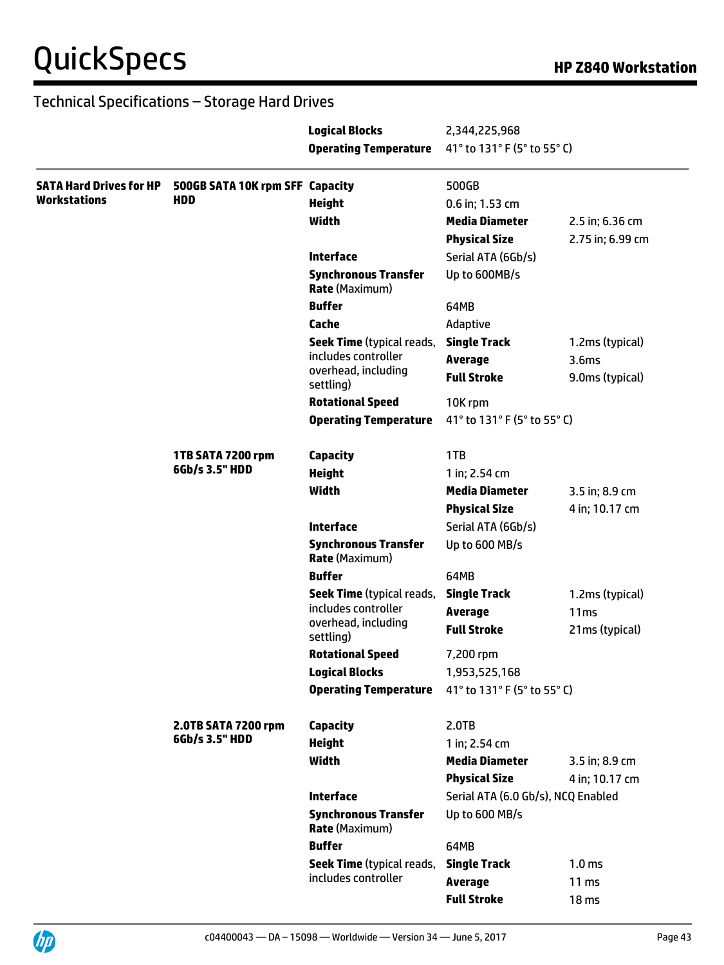|                                |                                 | <b>Logical Blocks</b>                                   | 2,344,225,968                      |                   |
|--------------------------------|---------------------------------|---------------------------------------------------------|------------------------------------|-------------------|
|                                |                                 | <b>Operating Temperature</b>                            | 41° to 131° F (5° to 55° C)        |                   |
| <b>SATA Hard Drives for HP</b> | 500GB SATA 10K rpm SFF Capacity |                                                         | 500GB                              |                   |
| <b>Workstations</b>            | <b>HDD</b>                      | <b>Height</b>                                           | 0.6 in; 1.53 cm                    |                   |
|                                |                                 | <b>Width</b>                                            | <b>Media Diameter</b>              | 2.5 in; 6.36 cm   |
|                                |                                 |                                                         | <b>Physical Size</b>               | 2.75 in; 6.99 cm  |
|                                |                                 | <b>Interface</b>                                        | Serial ATA (6Gb/s)                 |                   |
|                                |                                 | <b>Synchronous Transfer</b><br><b>Rate (Maximum)</b>    | Up to 600MB/s                      |                   |
|                                |                                 | <b>Buffer</b>                                           | 64MB                               |                   |
|                                |                                 | <b>Cache</b>                                            | Adaptive                           |                   |
|                                |                                 | <b>Seek Time</b> (typical reads,                        | <b>Single Track</b>                | 1.2ms (typical)   |
|                                |                                 | includes controller                                     | <b>Average</b>                     | 3.6 <sub>ms</sub> |
|                                |                                 | overhead, including<br>settling)                        | <b>Full Stroke</b>                 | 9.0ms (typical)   |
|                                |                                 | <b>Rotational Speed</b>                                 | 10K rpm                            |                   |
|                                |                                 | <b>Operating Temperature</b>                            | 41° to 131° F (5° to 55° C)        |                   |
|                                |                                 |                                                         |                                    |                   |
|                                | 1TB SATA 7200 rpm               | <b>Capacity</b>                                         | 1TB                                |                   |
|                                | 6Gb/s 3.5" HDD                  | <b>Height</b>                                           | 1 in; 2.54 cm                      |                   |
|                                |                                 | <b>Width</b>                                            | <b>Media Diameter</b>              | 3.5 in; 8.9 cm    |
|                                |                                 |                                                         | <b>Physical Size</b>               | 4 in; 10.17 cm    |
|                                |                                 | <b>Interface</b>                                        | Serial ATA (6Gb/s)                 |                   |
|                                |                                 | <b>Synchronous Transfer</b><br><b>Rate (Maximum)</b>    | Up to 600 MB/s                     |                   |
|                                |                                 | <b>Buffer</b>                                           | 64MB                               |                   |
|                                |                                 | <b>Seek Time</b> (typical reads,<br>includes controller | <b>Single Track</b>                | 1.2ms (typical)   |
|                                |                                 |                                                         | <b>Average</b>                     | 11ms              |
|                                |                                 | overhead, including<br>settling)                        | <b>Full Stroke</b>                 | 21ms (typical)    |
|                                |                                 | <b>Rotational Speed</b>                                 | 7,200 rpm                          |                   |
|                                |                                 | <b>Logical Blocks</b>                                   | 1,953,525,168                      |                   |
|                                |                                 | <b>Operating Temperature</b>                            | 41° to 131° F (5° to 55° C)        |                   |
|                                |                                 |                                                         |                                    |                   |
|                                | 2.0TB SATA 7200 rpm             | <b>Capacity</b>                                         | 2.0TB                              |                   |
|                                | 6Gb/s 3.5" HDD                  | <b>Height</b>                                           | 1 in; 2.54 cm                      |                   |
|                                |                                 | Width                                                   | <b>Media Diameter</b>              | 3.5 in; 8.9 cm    |
|                                |                                 |                                                         | <b>Physical Size</b>               | 4 in; 10.17 cm    |
|                                |                                 | <b>Interface</b>                                        | Serial ATA (6.0 Gb/s), NCQ Enabled |                   |
|                                |                                 | <b>Synchronous Transfer</b><br><b>Rate (Maximum)</b>    | Up to 600 MB/s                     |                   |
|                                |                                 | <b>Buffer</b>                                           | 64MB                               |                   |
|                                |                                 | Seek Time (typical reads,                               | <b>Single Track</b>                | 1.0 <sub>ms</sub> |
|                                |                                 | includes controller                                     | <b>Average</b>                     | 11 <sub>ms</sub>  |
|                                |                                 |                                                         | <b>Full Stroke</b>                 | 18 <sub>ms</sub>  |

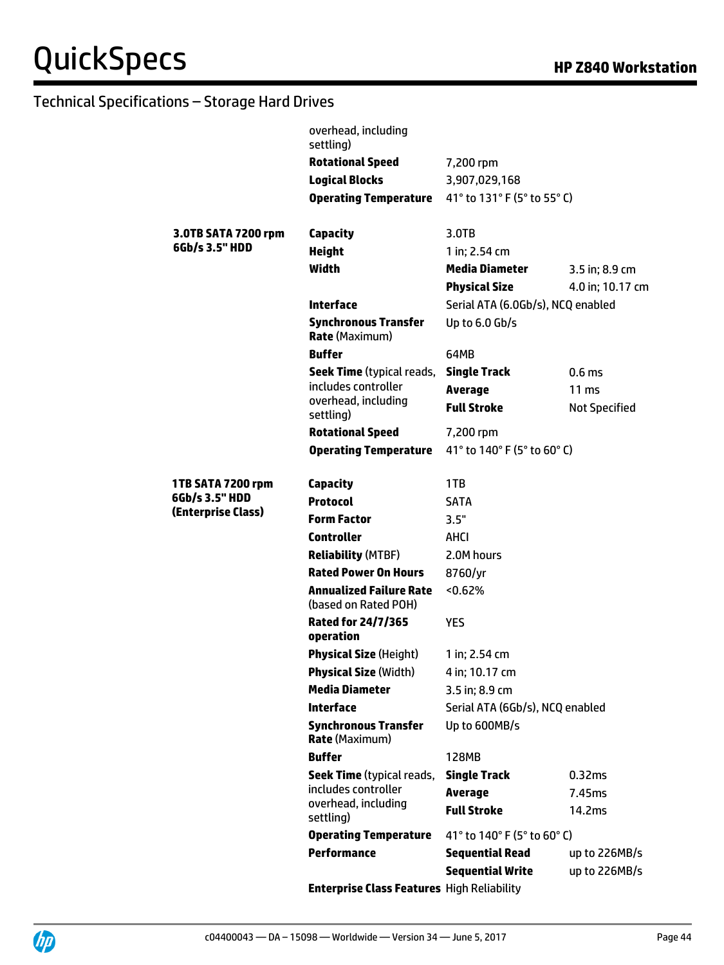|                     | overhead, including<br>settling)                       |                                   |                      |
|---------------------|--------------------------------------------------------|-----------------------------------|----------------------|
|                     | <b>Rotational Speed</b>                                | 7,200 rpm                         |                      |
|                     | <b>Logical Blocks</b>                                  | 3,907,029,168                     |                      |
|                     | <b>Operating Temperature</b>                           | 41° to 131° F (5° to 55° C)       |                      |
|                     |                                                        |                                   |                      |
| 3.0TB SATA 7200 rpm | Capacity                                               | 3.0TB                             |                      |
| 6Gb/s 3.5" HDD      | <b>Height</b>                                          | 1 in; 2.54 cm                     |                      |
|                     | <b>Width</b>                                           | <b>Media Diameter</b>             | 3.5 in; 8.9 cm       |
|                     |                                                        | <b>Physical Size</b>              | 4.0 in; 10.17 cm     |
|                     | <b>Interface</b>                                       | Serial ATA (6.0Gb/s), NCQ enabled |                      |
|                     | <b>Synchronous Transfer</b><br><b>Rate</b> (Maximum)   | Up to 6.0 Gb/s                    |                      |
|                     | <b>Buffer</b>                                          | 64MB                              |                      |
|                     | <b>Seek Time</b> (typical reads,                       | <b>Single Track</b>               | 0.6 <sub>ms</sub>    |
|                     | includes controller                                    | <b>Average</b>                    | 11 <sub>ms</sub>     |
|                     | overhead, including<br>settling)                       | <b>Full Stroke</b>                | <b>Not Specified</b> |
|                     | <b>Rotational Speed</b>                                | 7,200 rpm                         |                      |
|                     | <b>Operating Temperature</b>                           | 41° to 140° F (5° to 60° C)       |                      |
|                     |                                                        |                                   |                      |
| 1TB SATA 7200 rpm   | <b>Capacity</b>                                        | 1TB                               |                      |
| 6Gb/s 3.5" HDD      | <b>Protocol</b>                                        | <b>SATA</b>                       |                      |
| (Enterprise Class)  | <b>Form Factor</b>                                     | 3.5"                              |                      |
|                     | <b>Controller</b>                                      | AHCI                              |                      |
|                     | <b>Reliability (MTBF)</b>                              | 2.0M hours                        |                      |
|                     | <b>Rated Power On Hours</b>                            | 8760/yr                           |                      |
|                     | <b>Annualized Failure Rate</b><br>(based on Rated POH) | < 0.62%                           |                      |
|                     | <b>Rated for 24/7/365</b><br>operation                 | <b>YES</b>                        |                      |
|                     | <b>Physical Size (Height)</b>                          | 1 in; 2.54 cm                     |                      |
|                     | <b>Physical Size (Width)</b>                           | 4 in; 10.17 cm                    |                      |
|                     | <b>Media Diameter</b>                                  | 3.5 in; 8.9 cm                    |                      |
|                     | <b>Interface</b>                                       | Serial ATA (6Gb/s), NCQ enabled   |                      |
|                     | <b>Synchronous Transfer</b><br><b>Rate (Maximum)</b>   | Up to 600MB/s                     |                      |
|                     | <b>Buffer</b>                                          | 128MB                             |                      |
|                     | <b>Seek Time</b> (typical reads,                       | <b>Single Track</b>               | 0.32ms               |
|                     | includes controller                                    | <b>Average</b>                    | 7.45ms               |
|                     | overhead, including<br>settling)                       | <b>Full Stroke</b>                | 14.2ms               |
|                     | <b>Operating Temperature</b>                           | 41° to 140° F (5° to 60° C)       |                      |
|                     | <b>Performance</b>                                     | <b>Sequential Read</b>            | up to 226MB/s        |
|                     |                                                        | <b>Sequential Write</b>           | up to 226MB/s        |
|                     | <b>Enterprise Class Features High Reliability</b>      |                                   |                      |

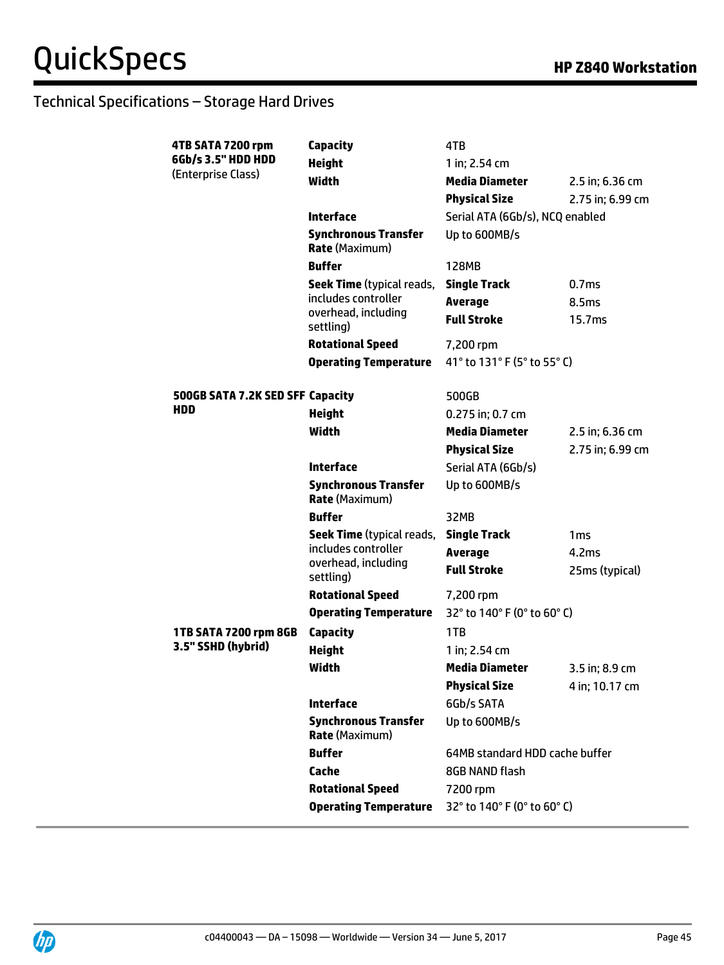| 4TB SATA 7200 rpm                | Capacity                                             | 4TB                             |                  |
|----------------------------------|------------------------------------------------------|---------------------------------|------------------|
| 6Gb/s 3.5" HDD HDD               | <b>Height</b>                                        | 1 in; 2.54 cm                   |                  |
| (Enterprise Class)               | Width                                                | <b>Media Diameter</b>           | 2.5 in; 6.36 cm  |
|                                  |                                                      | <b>Physical Size</b>            | 2.75 in; 6.99 cm |
|                                  | <b>Interface</b>                                     | Serial ATA (6Gb/s), NCQ enabled |                  |
|                                  | <b>Synchronous Transfer</b><br><b>Rate (Maximum)</b> | Up to 600MB/s                   |                  |
|                                  | <b>Buffer</b>                                        | 128MB                           |                  |
|                                  | <b>Seek Time</b> (typical reads,                     | <b>Single Track</b>             | 0.7ms            |
|                                  | includes controller<br>overhead, including           | <b>Average</b>                  | 8.5ms            |
|                                  | settling)                                            | <b>Full Stroke</b>              | 15.7ms           |
|                                  | <b>Rotational Speed</b>                              | 7,200 rpm                       |                  |
|                                  | <b>Operating Temperature</b>                         | 41° to 131° F (5° to 55° C)     |                  |
|                                  |                                                      |                                 |                  |
| 500GB SATA 7.2K SED SFF Capacity |                                                      | 500GB                           |                  |
| HDD                              | <b>Height</b>                                        | 0.275 in; 0.7 cm                |                  |
|                                  | Width                                                | <b>Media Diameter</b>           | 2.5 in; 6.36 cm  |
|                                  |                                                      | <b>Physical Size</b>            | 2.75 in; 6.99 cm |
|                                  | <b>Interface</b>                                     | Serial ATA (6Gb/s)              |                  |
|                                  | <b>Synchronous Transfer</b><br><b>Rate (Maximum)</b> | Up to 600MB/s                   |                  |
|                                  | <b>Buffer</b>                                        | 32MB                            |                  |
|                                  | <b>Seek Time</b> (typical reads,                     | <b>Single Track</b>             | 1ms              |
|                                  | includes controller                                  | <b>Average</b>                  | 4.2ms            |
|                                  | overhead, including<br>settling)                     | <b>Full Stroke</b>              | 25ms (typical)   |
|                                  | <b>Rotational Speed</b>                              | 7,200 rpm                       |                  |
|                                  | <b>Operating Temperature</b>                         | 32° to 140° F (0° to 60° C)     |                  |
| 1TB SATA 7200 rpm 8GB            | <b>Capacity</b>                                      | 1TB                             |                  |
| 3.5" SSHD (hybrid)               | <b>Height</b>                                        | 1 in; 2.54 cm                   |                  |
|                                  | <b>Width</b>                                         | <b>Media Diameter</b>           | 3.5 in; 8.9 cm   |
|                                  |                                                      | <b>Physical Size</b>            | 4 in; 10.17 cm   |
|                                  | <b>Interface</b>                                     | 6Gb/s SATA                      |                  |
|                                  | <b>Synchronous Transfer</b><br><b>Rate (Maximum)</b> | Up to 600MB/s                   |                  |
|                                  | <b>Buffer</b>                                        | 64MB standard HDD cache buffer  |                  |
|                                  | Cache                                                | 8GB NAND flash                  |                  |
|                                  | <b>Rotational Speed</b>                              | 7200 rpm                        |                  |
|                                  | <b>Operating Temperature</b>                         | 32° to 140° F (0° to 60° C)     |                  |
|                                  |                                                      |                                 |                  |

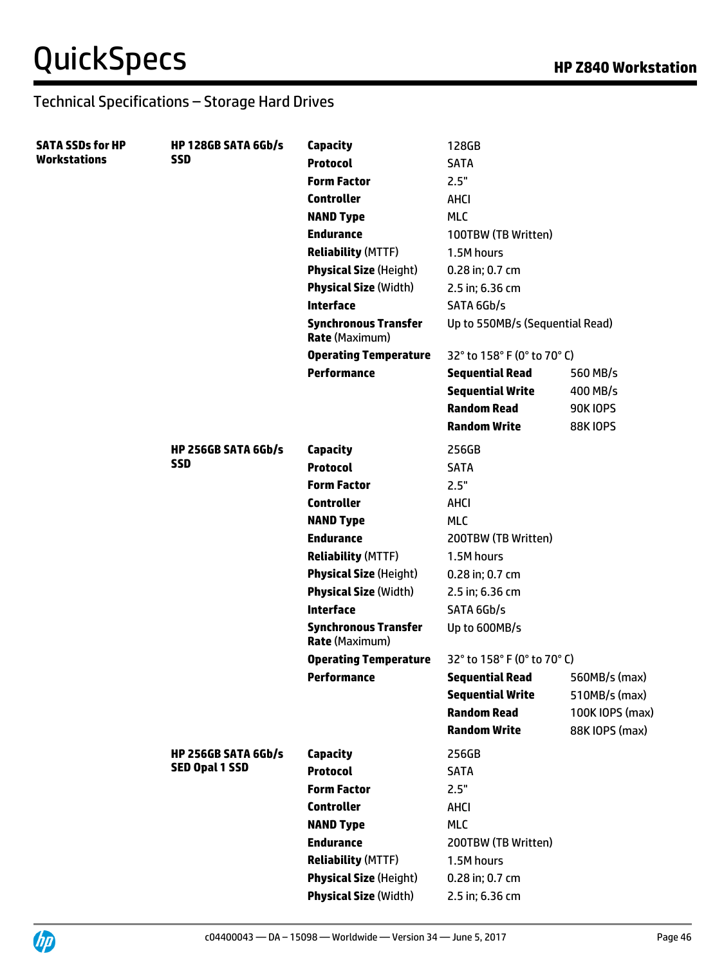| <b>SATA SSDs for HP</b> | <b>HP 128GB SATA 6Gb/s</b> | <b>Capacity</b>                                      | 128GB                           |                 |
|-------------------------|----------------------------|------------------------------------------------------|---------------------------------|-----------------|
| Workstations            | <b>SSD</b>                 | <b>Protocol</b>                                      | <b>SATA</b>                     |                 |
|                         |                            | <b>Form Factor</b>                                   | 2.5"                            |                 |
|                         |                            | <b>Controller</b>                                    | <b>AHCI</b>                     |                 |
|                         |                            | <b>NAND Type</b>                                     | <b>MLC</b>                      |                 |
|                         |                            | <b>Endurance</b>                                     | 100TBW (TB Written)             |                 |
|                         |                            | <b>Reliability (MTTF)</b>                            | 1.5M hours                      |                 |
|                         |                            | <b>Physical Size (Height)</b>                        | 0.28 in; 0.7 cm                 |                 |
|                         |                            | <b>Physical Size (Width)</b>                         | 2.5 in; 6.36 cm                 |                 |
|                         |                            | <b>Interface</b>                                     | SATA 6Gb/s                      |                 |
|                         |                            | <b>Synchronous Transfer</b><br><b>Rate (Maximum)</b> | Up to 550MB/s (Sequential Read) |                 |
|                         |                            | <b>Operating Temperature</b>                         | 32° to 158° F (0° to 70° C)     |                 |
|                         |                            | <b>Performance</b>                                   | <b>Sequential Read</b>          | 560 MB/s        |
|                         |                            |                                                      | <b>Sequential Write</b>         | 400 MB/s        |
|                         |                            |                                                      | <b>Random Read</b>              | <b>90K IOPS</b> |
|                         |                            |                                                      | <b>Random Write</b>             | <b>88K10PS</b>  |
|                         | HP 256GB SATA 6Gb/s        | <b>Capacity</b>                                      | 256GB                           |                 |
|                         | <b>SSD</b>                 | <b>Protocol</b>                                      | <b>SATA</b>                     |                 |
|                         |                            | <b>Form Factor</b>                                   | 2.5"                            |                 |
|                         |                            | <b>Controller</b>                                    | AHCI                            |                 |
|                         |                            | <b>NAND Type</b>                                     | <b>MLC</b>                      |                 |
|                         |                            | <b>Endurance</b>                                     | 200TBW (TB Written)             |                 |
|                         |                            | <b>Reliability (MTTF)</b>                            | 1.5M hours                      |                 |
|                         |                            | <b>Physical Size (Height)</b>                        | 0.28 in; 0.7 cm                 |                 |
|                         |                            | <b>Physical Size (Width)</b>                         | 2.5 in; 6.36 cm                 |                 |
|                         |                            | <b>Interface</b>                                     | SATA 6Gb/s                      |                 |
|                         |                            | <b>Synchronous Transfer</b><br><b>Rate (Maximum)</b> | Up to 600MB/s                   |                 |
|                         |                            | <b>Operating Temperature</b>                         | 32° to 158° F (0° to 70° C)     |                 |
|                         |                            | <b>Performance</b>                                   | <b>Sequential Read</b>          | 560MB/s (max)   |
|                         |                            |                                                      | <b>Sequential Write</b>         | 510MB/s (max)   |
|                         |                            |                                                      | <b>Random Read</b>              | 100K IOPS (max) |
|                         |                            |                                                      | <b>Random Write</b>             | 88K IOPS (max)  |
|                         | HP 256GB SATA 6Gb/s        | <b>Capacity</b>                                      | 256GB                           |                 |
|                         | <b>SED Opal 1 SSD</b>      | <b>Protocol</b>                                      | <b>SATA</b>                     |                 |
|                         |                            | <b>Form Factor</b>                                   | 2.5"                            |                 |
|                         |                            | <b>Controller</b>                                    | <b>AHCI</b>                     |                 |
|                         |                            | <b>NAND Type</b>                                     | <b>MLC</b>                      |                 |
|                         |                            | <b>Endurance</b>                                     | 200TBW (TB Written)             |                 |
|                         |                            | <b>Reliability (MTTF)</b>                            | 1.5M hours                      |                 |
|                         |                            | <b>Physical Size (Height)</b>                        | 0.28 in; 0.7 cm                 |                 |
|                         |                            | <b>Physical Size (Width)</b>                         | 2.5 in; 6.36 cm                 |                 |

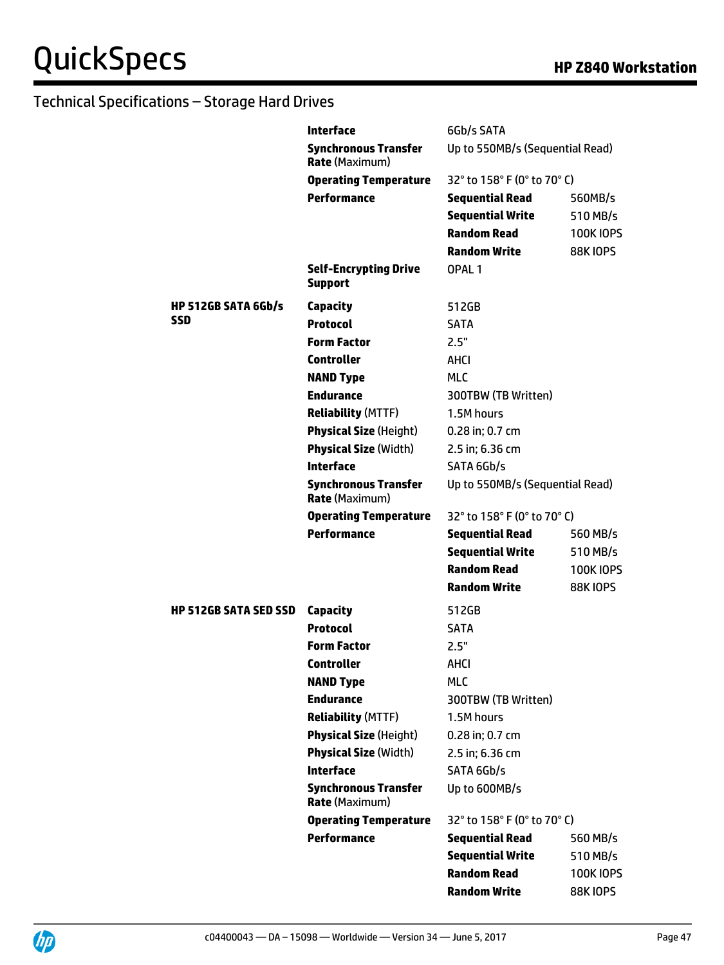|                              | <b>Interface</b>                                     | 6Gb/s SATA                      |                  |
|------------------------------|------------------------------------------------------|---------------------------------|------------------|
|                              | <b>Synchronous Transfer</b><br><b>Rate (Maximum)</b> | Up to 550MB/s (Sequential Read) |                  |
|                              | <b>Operating Temperature</b>                         | 32° to 158° F (0° to 70° C)     |                  |
|                              | <b>Performance</b>                                   | <b>Sequential Read</b>          | 560MB/s          |
|                              |                                                      | <b>Sequential Write</b>         | 510 MB/s         |
|                              |                                                      | <b>Random Read</b>              | <b>100KIOPS</b>  |
|                              |                                                      | <b>Random Write</b>             | <b>88K10PS</b>   |
|                              | <b>Self-Encrypting Drive</b>                         | OPAL <sub>1</sub>               |                  |
|                              | <b>Support</b>                                       |                                 |                  |
| <b>HP 512GB SATA 6Gb/s</b>   | Capacity                                             | 512GB                           |                  |
| <b>SSD</b>                   | <b>Protocol</b>                                      | <b>SATA</b>                     |                  |
|                              | <b>Form Factor</b>                                   | 2.5"                            |                  |
|                              | <b>Controller</b>                                    | AHCI                            |                  |
|                              | <b>NAND Type</b>                                     | <b>MLC</b>                      |                  |
|                              | <b>Endurance</b>                                     | 300TBW (TB Written)             |                  |
|                              | <b>Reliability (MTTF)</b>                            | 1.5M hours                      |                  |
|                              | <b>Physical Size (Height)</b>                        | 0.28 in; 0.7 cm                 |                  |
|                              | <b>Physical Size (Width)</b>                         | 2.5 in; 6.36 cm                 |                  |
|                              | <b>Interface</b>                                     | SATA 6Gb/s                      |                  |
|                              | <b>Synchronous Transfer</b><br><b>Rate (Maximum)</b> | Up to 550MB/s (Sequential Read) |                  |
|                              | <b>Operating Temperature</b>                         | 32° to 158° F (0° to 70° C)     |                  |
|                              | <b>Performance</b>                                   | <b>Sequential Read</b>          | 560 MB/s         |
|                              |                                                      | <b>Sequential Write</b>         | 510 MB/s         |
|                              |                                                      | <b>Random Read</b>              | <b>100KIOPS</b>  |
|                              |                                                      | <b>Random Write</b>             | <b>88K10PS</b>   |
| <b>HP 512GB SATA SED SSD</b> | Capacity                                             | 512GB                           |                  |
|                              | <b>Protocol</b>                                      | <b>SATA</b>                     |                  |
|                              | <b>Form Factor</b>                                   | 2.5"                            |                  |
|                              | <b>Controller</b>                                    | AHCI                            |                  |
|                              | <b>NAND Type</b>                                     | <b>MLC</b>                      |                  |
|                              | <b>Endurance</b>                                     | 300TBW (TB Written)             |                  |
|                              | <b>Reliability (MTTF)</b>                            | 1.5M hours                      |                  |
|                              | <b>Physical Size (Height)</b>                        | 0.28 in; 0.7 cm                 |                  |
|                              | <b>Physical Size (Width)</b>                         | 2.5 in; 6.36 cm                 |                  |
|                              | <b>Interface</b>                                     | SATA 6Gb/s                      |                  |
|                              | <b>Synchronous Transfer</b><br><b>Rate (Maximum)</b> | Up to 600MB/s                   |                  |
|                              | <b>Operating Temperature</b>                         | 32° to 158° F (0° to 70° C)     |                  |
|                              | <b>Performance</b>                                   | <b>Sequential Read</b>          | 560 MB/s         |
|                              |                                                      | <b>Sequential Write</b>         | 510 MB/s         |
|                              |                                                      | <b>Random Read</b>              | <b>100K IOPS</b> |
|                              |                                                      | <b>Random Write</b>             | <b>88K10PS</b>   |

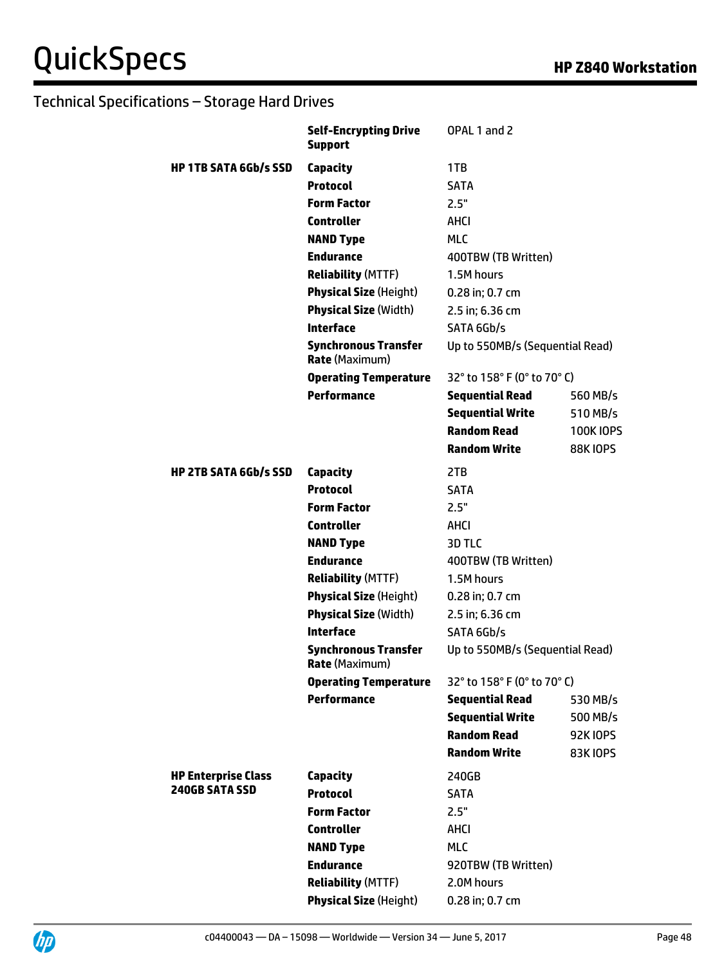|                              | <b>Self-Encrypting Drive</b><br><b>Support</b>       | OPAL 1 and 2                    |                  |
|------------------------------|------------------------------------------------------|---------------------------------|------------------|
| <b>HP 1TB SATA 6Gb/s SSD</b> | <b>Capacity</b>                                      | 1TB                             |                  |
|                              | <b>Protocol</b>                                      | SATA                            |                  |
|                              | <b>Form Factor</b>                                   | 2.5"                            |                  |
|                              | <b>Controller</b>                                    | AHCI                            |                  |
|                              | <b>NAND Type</b>                                     | <b>MLC</b>                      |                  |
|                              | <b>Endurance</b>                                     | 400TBW (TB Written)             |                  |
|                              | <b>Reliability (MTTF)</b>                            | 1.5M hours                      |                  |
|                              | <b>Physical Size (Height)</b>                        | 0.28 in; 0.7 cm                 |                  |
|                              | <b>Physical Size (Width)</b>                         | 2.5 in; 6.36 cm                 |                  |
|                              | <b>Interface</b>                                     | SATA 6Gb/s                      |                  |
|                              | <b>Synchronous Transfer</b><br><b>Rate (Maximum)</b> | Up to 550MB/s (Sequential Read) |                  |
|                              | <b>Operating Temperature</b>                         | 32° to 158° F (0° to 70° C)     |                  |
|                              | <b>Performance</b>                                   | <b>Sequential Read</b>          | 560 MB/s         |
|                              |                                                      | <b>Sequential Write</b>         | 510 MB/s         |
|                              |                                                      | <b>Random Read</b>              | <b>100K IOPS</b> |
|                              |                                                      | <b>Random Write</b>             | <b>88K10PS</b>   |
| <b>HP 2TB SATA 6Gb/s SSD</b> | <b>Capacity</b>                                      | 2TB                             |                  |
|                              | <b>Protocol</b>                                      | <b>SATA</b>                     |                  |
|                              | <b>Form Factor</b>                                   | 2.5"                            |                  |
|                              | <b>Controller</b>                                    | <b>AHCI</b>                     |                  |
|                              | <b>NAND Type</b>                                     | 3D TLC                          |                  |
|                              | <b>Endurance</b>                                     | 400TBW (TB Written)             |                  |
|                              | <b>Reliability (MTTF)</b>                            | 1.5M hours                      |                  |
|                              | <b>Physical Size (Height)</b>                        | 0.28 in; 0.7 cm                 |                  |
|                              | <b>Physical Size (Width)</b>                         | 2.5 in; 6.36 cm                 |                  |
|                              | <b>Interface</b>                                     | SATA 6Gb/s                      |                  |
|                              | <b>Synchronous Transfer</b><br><b>Rate</b> (Maximum) | Up to 550MB/s (Sequential Read) |                  |
|                              | <b>Operating Temperature</b>                         | 32° to 158° F (0° to 70° C)     |                  |
|                              | <b>Performance</b>                                   | <b>Sequential Read</b>          | 530 MB/s         |
|                              |                                                      | <b>Sequential Write</b>         | 500 MB/s         |
|                              |                                                      | <b>Random Read</b>              | <b>92K10PS</b>   |
|                              |                                                      | <b>Random Write</b>             | <b>83K10PS</b>   |
| <b>HP Enterprise Class</b>   | <b>Capacity</b>                                      | 240GB                           |                  |
| 240GB SATA SSD               | <b>Protocol</b>                                      | <b>SATA</b>                     |                  |
|                              | <b>Form Factor</b>                                   | 2.5"                            |                  |
|                              | <b>Controller</b>                                    | AHCI                            |                  |
|                              | <b>NAND Type</b>                                     | <b>MLC</b>                      |                  |
|                              | <b>Endurance</b>                                     | 920TBW (TB Written)             |                  |
|                              | <b>Reliability (MTTF)</b>                            | 2.0M hours                      |                  |
|                              | <b>Physical Size (Height)</b>                        | 0.28 in; 0.7 cm                 |                  |

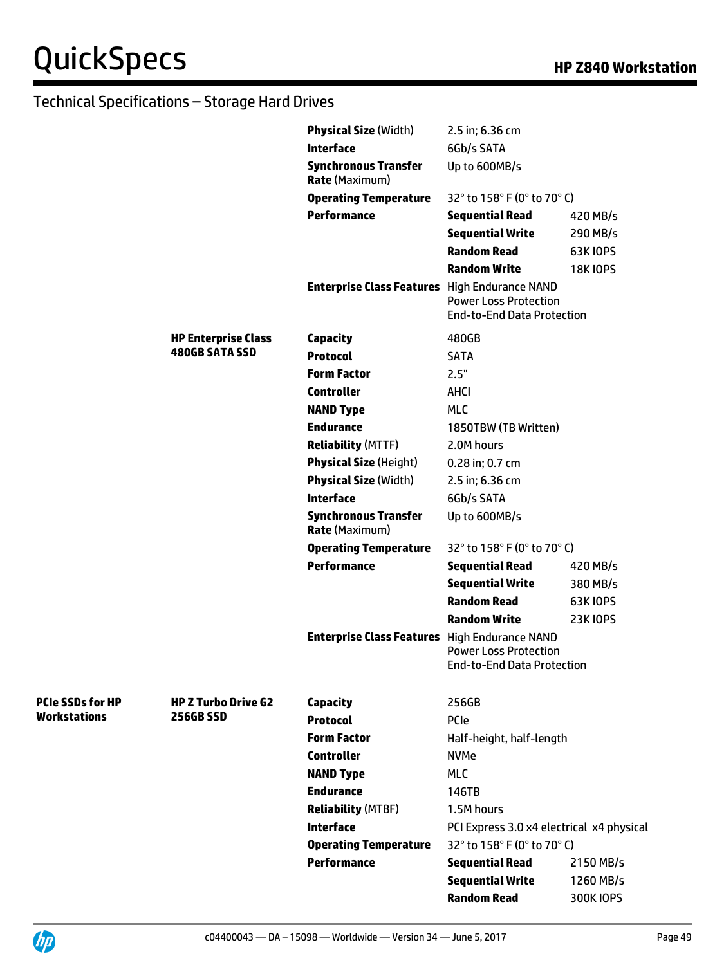|                         |                            | <b>Physical Size (Width)</b>                         | 2.5 in; 6.36 cm                                                   |                 |
|-------------------------|----------------------------|------------------------------------------------------|-------------------------------------------------------------------|-----------------|
|                         |                            | Interface                                            | 6Gb/s SATA                                                        |                 |
|                         |                            | <b>Synchronous Transfer</b><br><b>Rate (Maximum)</b> | Up to 600MB/s                                                     |                 |
|                         |                            | <b>Operating Temperature</b>                         | 32° to 158° F (0° to 70° C)                                       |                 |
|                         |                            | <b>Performance</b>                                   | <b>Sequential Read</b>                                            | 420 MB/s        |
|                         |                            |                                                      | <b>Sequential Write</b>                                           | 290 MB/s        |
|                         |                            |                                                      | <b>Random Read</b>                                                | <b>63K IOPS</b> |
|                         |                            |                                                      | <b>Random Write</b>                                               | <b>18K IOPS</b> |
|                         |                            | <b>Enterprise Class Features</b> High Endurance NAND | <b>Power Loss Protection</b><br><b>End-to-End Data Protection</b> |                 |
|                         | <b>HP Enterprise Class</b> | Capacity                                             | 480GB                                                             |                 |
|                         | <b>480GB SATA SSD</b>      | <b>Protocol</b>                                      | <b>SATA</b>                                                       |                 |
|                         |                            | <b>Form Factor</b>                                   | 2.5"                                                              |                 |
|                         |                            | <b>Controller</b>                                    | <b>AHCI</b>                                                       |                 |
|                         |                            | <b>NAND Type</b>                                     | <b>MLC</b>                                                        |                 |
|                         |                            | <b>Endurance</b>                                     | 1850TBW (TB Written)                                              |                 |
|                         |                            | <b>Reliability (MTTF)</b>                            | 2.0M hours                                                        |                 |
|                         |                            | <b>Physical Size (Height)</b>                        | 0.28 in; 0.7 cm                                                   |                 |
|                         |                            | <b>Physical Size (Width)</b>                         | 2.5 in; 6.36 cm                                                   |                 |
|                         |                            | <b>Interface</b>                                     | 6Gb/s SATA                                                        |                 |
|                         |                            | <b>Synchronous Transfer</b><br><b>Rate (Maximum)</b> | Up to 600MB/s                                                     |                 |
|                         |                            | <b>Operating Temperature</b>                         | 32° to 158° F (0° to 70° C)                                       |                 |
|                         |                            | <b>Performance</b>                                   | <b>Sequential Read</b>                                            | 420 MB/s        |
|                         |                            |                                                      | <b>Sequential Write</b>                                           | 380 MB/s        |
|                         |                            |                                                      | <b>Random Read</b>                                                | <b>63K IOPS</b> |
|                         |                            |                                                      | <b>Random Write</b>                                               | <b>23K10PS</b>  |
|                         |                            | <b>Enterprise Class Features</b> High Endurance NAND | <b>Power Loss Protection</b><br><b>End-to-End Data Protection</b> |                 |
| <b>PCIe SSDs for HP</b> | <b>HP Z Turbo Drive G2</b> | Capacity                                             | 256GB                                                             |                 |
| <b>Workstations</b>     | <b>256GB SSD</b>           | <b>Protocol</b>                                      | <b>PCIe</b>                                                       |                 |
|                         |                            | <b>Form Factor</b>                                   | Half-height, half-length                                          |                 |
|                         |                            | <b>Controller</b>                                    | <b>NVMe</b>                                                       |                 |
|                         |                            | <b>NAND Type</b>                                     | <b>MLC</b>                                                        |                 |
|                         |                            | <b>Endurance</b>                                     | 146TB                                                             |                 |
|                         |                            | <b>Reliability (MTBF)</b>                            | 1.5M hours                                                        |                 |
|                         |                            | <b>Interface</b>                                     | PCI Express 3.0 x4 electrical x4 physical                         |                 |
|                         |                            | <b>Operating Temperature</b>                         | 32° to 158° F (0° to 70° C)                                       |                 |
|                         |                            | <b>Performance</b>                                   | <b>Sequential Read</b>                                            | 2150 MB/s       |
|                         |                            |                                                      | <b>Sequential Write</b>                                           | 1260 MB/s       |
|                         |                            |                                                      | <b>Random Read</b>                                                | 300K IOPS       |

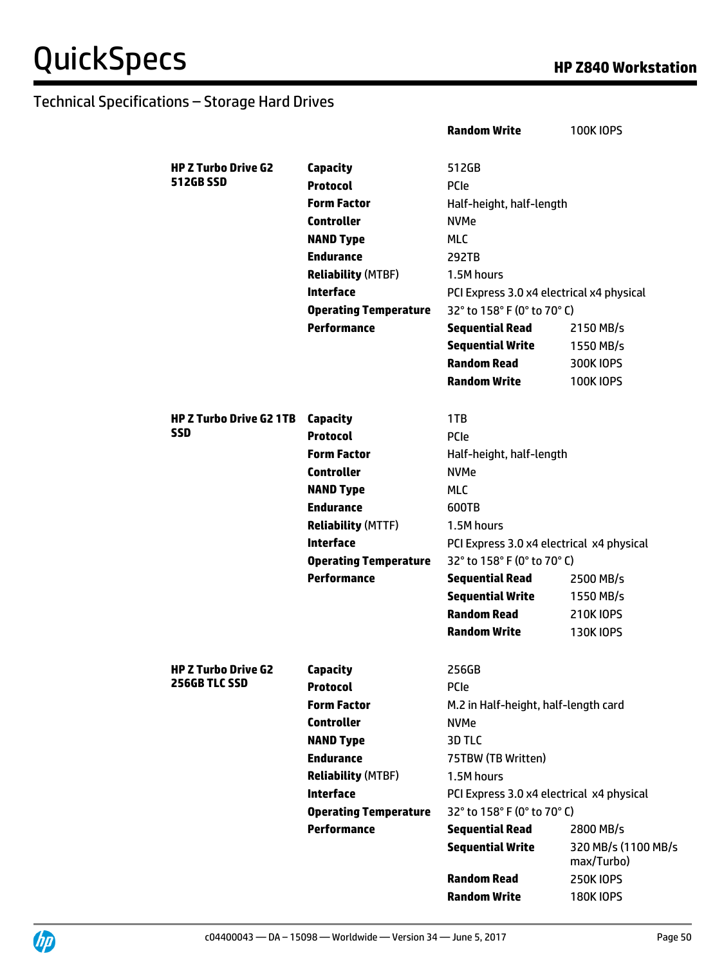|                                |                              | <b>Random Write</b>                       | <b>100KIOPS</b>                   |
|--------------------------------|------------------------------|-------------------------------------------|-----------------------------------|
| <b>HP Z Turbo Drive G2</b>     | <b>Capacity</b>              | 512GB                                     |                                   |
| 512GB SSD                      | <b>Protocol</b>              | <b>PCIe</b>                               |                                   |
|                                | <b>Form Factor</b>           | Half-height, half-length                  |                                   |
|                                | <b>Controller</b>            | <b>NVMe</b>                               |                                   |
|                                | <b>NAND Type</b>             | <b>MLC</b>                                |                                   |
|                                | <b>Endurance</b>             | 292TB                                     |                                   |
|                                | <b>Reliability (MTBF)</b>    | 1.5M hours                                |                                   |
|                                | <b>Interface</b>             | PCI Express 3.0 x4 electrical x4 physical |                                   |
|                                | <b>Operating Temperature</b> | 32° to 158° F (0° to 70° C)               |                                   |
|                                | <b>Performance</b>           | <b>Sequential Read</b>                    | 2150 MB/s                         |
|                                |                              | <b>Sequential Write</b>                   | 1550 MB/s                         |
|                                |                              | <b>Random Read</b>                        | 300K IOPS                         |
|                                |                              | <b>Random Write</b>                       | <b>100KIOPS</b>                   |
| <b>HP Z Turbo Drive G2 1TB</b> | <b>Capacity</b>              | 1TB                                       |                                   |
| <b>SSD</b>                     | <b>Protocol</b>              | PCIe                                      |                                   |
|                                | <b>Form Factor</b>           | Half-height, half-length                  |                                   |
|                                | <b>Controller</b>            | <b>NVMe</b>                               |                                   |
|                                | <b>NAND Type</b>             | <b>MLC</b>                                |                                   |
|                                | <b>Endurance</b>             | 600TB                                     |                                   |
|                                | <b>Reliability (MTTF)</b>    | 1.5M hours                                |                                   |
|                                | <b>Interface</b>             | PCI Express 3.0 x4 electrical x4 physical |                                   |
|                                | <b>Operating Temperature</b> | 32° to 158° F (0° to 70° C)               |                                   |
|                                | <b>Performance</b>           | <b>Sequential Read</b>                    | 2500 MB/s                         |
|                                |                              | <b>Sequential Write</b>                   | 1550 MB/s                         |
|                                |                              | <b>Random Read</b>                        | 210K IOPS                         |
|                                |                              | <b>Random Write</b>                       | <b>130K IOPS</b>                  |
| <b>HP Z Turbo Drive G2</b>     | Capacity                     | 256GB                                     |                                   |
| 256GB TLC SSD                  | <b>Protocol</b>              | PCIe                                      |                                   |
|                                | <b>Form Factor</b>           | M.2 in Half-height, half-length card      |                                   |
|                                | <b>Controller</b>            | <b>NVMe</b>                               |                                   |
|                                | <b>NAND Type</b>             | 3D TLC                                    |                                   |
|                                | <b>Endurance</b>             | 75TBW (TB Written)                        |                                   |
|                                | <b>Reliability (MTBF)</b>    | 1.5M hours                                |                                   |
|                                | <b>Interface</b>             | PCI Express 3.0 x4 electrical x4 physical |                                   |
|                                | <b>Operating Temperature</b> | 32° to 158° F (0° to 70° C)               |                                   |
|                                | <b>Performance</b>           | <b>Sequential Read</b>                    | 2800 MB/s                         |
|                                |                              | <b>Sequential Write</b>                   | 320 MB/s (1100 MB/s<br>max/Turbo) |
|                                |                              | <b>Random Read</b>                        | <b>250K IOPS</b>                  |
|                                |                              | <b>Random Write</b>                       | <b>180K IOPS</b>                  |
|                                |                              |                                           |                                   |

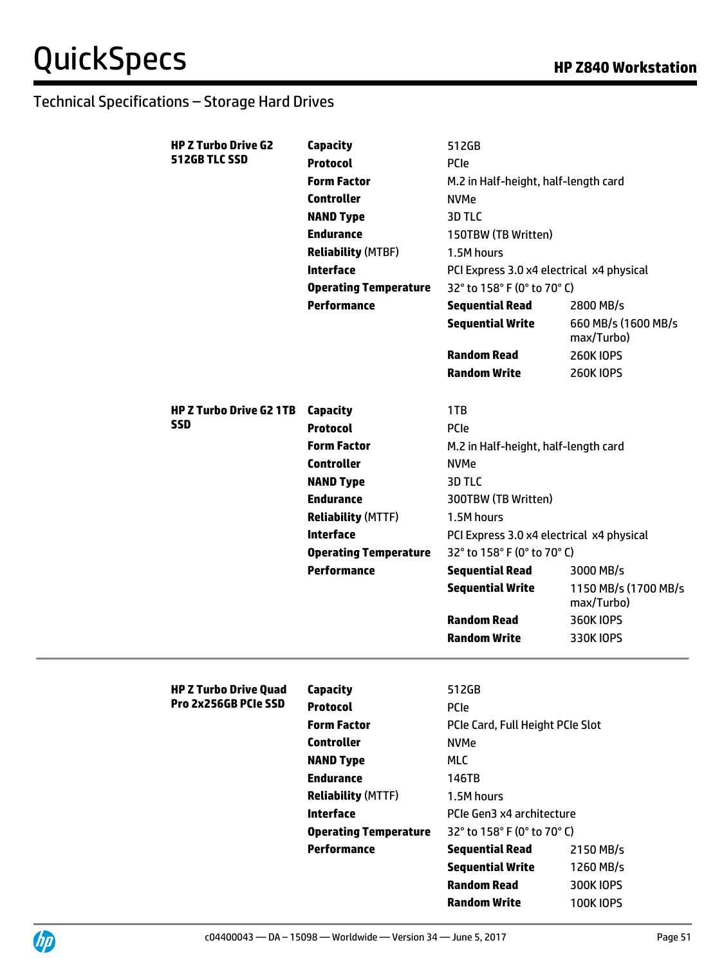| <b>HP Z Turbo Drive G2</b><br>512GB TLC SSD          | <b>Capacity</b><br><b>Protocol</b><br><b>Form Factor</b><br><b>Controller</b><br><b>NAND Type</b><br><b>Endurance</b><br><b>Reliability (MTBF)</b><br>Interface<br><b>Operating Temperature</b><br><b>Performance</b>        | 512GB<br>PCIe<br>M.2 in Half-height, half-length card<br><b>NVMe</b><br>3D TLC<br>150TBW (TB Written)<br>1.5M hours<br>PCI Express 3.0 x4 electrical x4 physical<br>32° to 158° F (0° to 70° C)<br><b>Sequential Read</b><br>2800 MB/s                                   |                                                              |  |
|------------------------------------------------------|------------------------------------------------------------------------------------------------------------------------------------------------------------------------------------------------------------------------------|--------------------------------------------------------------------------------------------------------------------------------------------------------------------------------------------------------------------------------------------------------------------------|--------------------------------------------------------------|--|
|                                                      |                                                                                                                                                                                                                              | <b>Sequential Write</b>                                                                                                                                                                                                                                                  | 660 MB/s (1600 MB/s<br>max/Turbo)                            |  |
|                                                      |                                                                                                                                                                                                                              | <b>Random Read</b>                                                                                                                                                                                                                                                       | <b>260KIOPS</b>                                              |  |
|                                                      |                                                                                                                                                                                                                              | <b>Random Write</b>                                                                                                                                                                                                                                                      | <b>260KIOPS</b>                                              |  |
| <b>HP Z Turbo Drive G2 1TB</b><br><b>SSD</b>         | <b>Capacity</b><br><b>Protocol</b><br><b>Form Factor</b><br><b>Controller</b><br><b>NAND Type</b><br><b>Endurance</b><br><b>Reliability (MTTF)</b><br><b>Interface</b><br><b>Operating Temperature</b><br><b>Performance</b> | 1TB<br>PCIe<br>M.2 in Half-height, half-length card<br><b>NVMe</b><br>3D TLC<br>300TBW (TB Written)<br>1.5M hours<br>PCI Express 3.0 x4 electrical x4 physical<br>32° to 158° F (0° to 70° C)<br><b>Sequential Read</b><br><b>Sequential Write</b><br><b>Random Read</b> | 3000 MB/s<br>1150 MB/s (1700 MB/s<br>max/Turbo)<br>360K IOPS |  |
|                                                      |                                                                                                                                                                                                                              | <b>Random Write</b>                                                                                                                                                                                                                                                      | 330K IOPS                                                    |  |
| <b>HP Z Turbo Drive Quad</b><br>Pro 2x256GB PCIe SSD | <b>Capacity</b><br><b>Protocol</b><br><b>Form Factor</b><br><b>Controller</b><br><b>NAND Type</b><br><b>Endurance</b><br><b>Reliability (MTTF)</b><br><b>Interface</b><br><b>Operating Temperature</b><br><b>Performance</b> | 512GB<br>PCIe<br>PCIe Card, Full Height PCIe Slot<br><b>NVMe</b><br><b>MLC</b><br>146TB<br>1.5M hours<br>PCIe Gen3 x4 architecture<br>32° to 158° F (0° to 70° C)<br><b>Sequential Read</b><br><b>Sequential Write</b><br><b>Random Read</b>                             | 2150 MB/s<br>1260 MB/s<br>300K IOPS                          |  |
|                                                      |                                                                                                                                                                                                                              | <b>Random Write</b>                                                                                                                                                                                                                                                      | <b>100K IOPS</b>                                             |  |

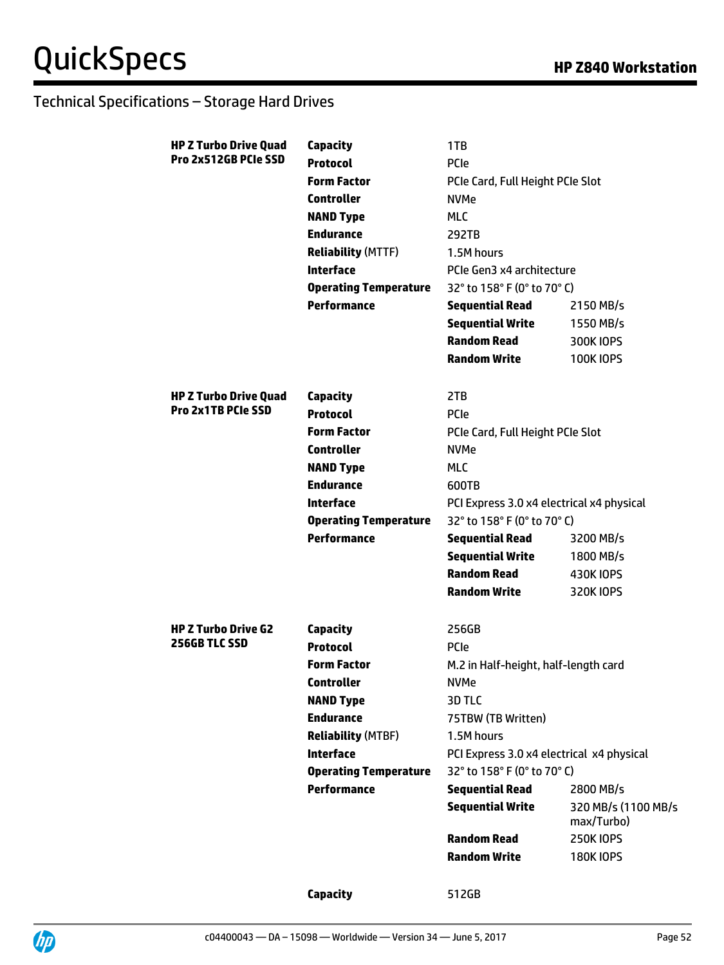| <b>HP Z Turbo Drive Quad</b>                       | <b>Capacity</b>                                    | 1TB                                                                      |                                  |
|----------------------------------------------------|----------------------------------------------------|--------------------------------------------------------------------------|----------------------------------|
| Pro 2x512GB PCIe SSD                               | <b>Protocol</b>                                    | <b>PCIe</b>                                                              |                                  |
|                                                    | <b>Form Factor</b>                                 | PCIe Card, Full Height PCIe Slot                                         |                                  |
|                                                    | <b>Controller</b>                                  | <b>NVMe</b>                                                              |                                  |
|                                                    | <b>NAND Type</b>                                   | MLC                                                                      |                                  |
|                                                    | <b>Endurance</b>                                   | 292TB                                                                    |                                  |
|                                                    | <b>Reliability (MTTF)</b>                          | 1.5M hours                                                               |                                  |
|                                                    | <b>Interface</b>                                   | PCIe Gen3 x4 architecture                                                |                                  |
|                                                    | <b>Operating Temperature</b>                       | 32° to 158° F (0° to 70° C)                                              |                                  |
|                                                    | <b>Performance</b>                                 | <b>Sequential Read</b>                                                   | 2150 MB/s                        |
|                                                    |                                                    | <b>Sequential Write</b>                                                  | 1550 MB/s                        |
|                                                    |                                                    | <b>Random Read</b>                                                       | 300K IOPS                        |
|                                                    |                                                    | <b>Random Write</b>                                                      | <b>100KIOPS</b>                  |
|                                                    |                                                    |                                                                          |                                  |
| <b>HP Z Turbo Drive Quad</b><br>Pro 2x1TB PCIe SSD | <b>Capacity</b><br><b>Protocol</b>                 | 2TB<br><b>PCIe</b>                                                       |                                  |
|                                                    | <b>Form Factor</b>                                 | PCIe Card, Full Height PCIe Slot                                         |                                  |
|                                                    | <b>Controller</b>                                  | <b>NVMe</b>                                                              |                                  |
|                                                    | <b>NAND Type</b>                                   | <b>MLC</b>                                                               |                                  |
|                                                    | <b>Endurance</b>                                   | 600TB                                                                    |                                  |
|                                                    | <b>Interface</b>                                   | PCI Express 3.0 x4 electrical x4 physical                                |                                  |
|                                                    | <b>Operating Temperature</b>                       | 32° to 158° F (0° to 70° C)                                              |                                  |
|                                                    | <b>Performance</b>                                 | <b>Sequential Read</b>                                                   | 3200 MB/s                        |
|                                                    |                                                    | <b>Sequential Write</b>                                                  | 1800 MB/s                        |
|                                                    |                                                    | <b>Random Read</b>                                                       | 430K IOPS                        |
|                                                    |                                                    | <b>Random Write</b>                                                      | 320K IOPS                        |
|                                                    |                                                    |                                                                          |                                  |
| <b>HP Z Turbo Drive G2</b>                         | Capacity                                           | 256GB                                                                    |                                  |
| 256GB TLC SSD                                      | <b>Protocol</b>                                    | PCIe                                                                     |                                  |
|                                                    | <b>Form Factor</b>                                 | M.2 in Half-height, half-length card                                     |                                  |
|                                                    | <b>Controller</b>                                  | <b>NVMe</b>                                                              |                                  |
|                                                    | <b>NAND Type</b>                                   | 3D TLC                                                                   |                                  |
|                                                    | <b>Endurance</b>                                   | 75TBW (TB Written)                                                       |                                  |
|                                                    | <b>Reliability (MTBF)</b>                          | 1.5M hours                                                               |                                  |
|                                                    | <b>Interface</b>                                   | PCI Express 3.0 x4 electrical x4 physical<br>32° to 158° F (0° to 70° C) |                                  |
|                                                    | <b>Operating Temperature</b><br><b>Performance</b> |                                                                          |                                  |
|                                                    |                                                    | <b>Sequential Read</b><br><b>Sequential Write</b>                        | 2800 MB/s<br>320 MB/s (1100 MB/s |
|                                                    |                                                    |                                                                          | max/Turbo)                       |
|                                                    |                                                    | <b>Random Read</b>                                                       | <b>250K IOPS</b>                 |
|                                                    |                                                    | <b>Random Write</b>                                                      | <b>180K IOPS</b>                 |
|                                                    | <b>Capacity</b>                                    | 512GB                                                                    |                                  |
|                                                    |                                                    |                                                                          |                                  |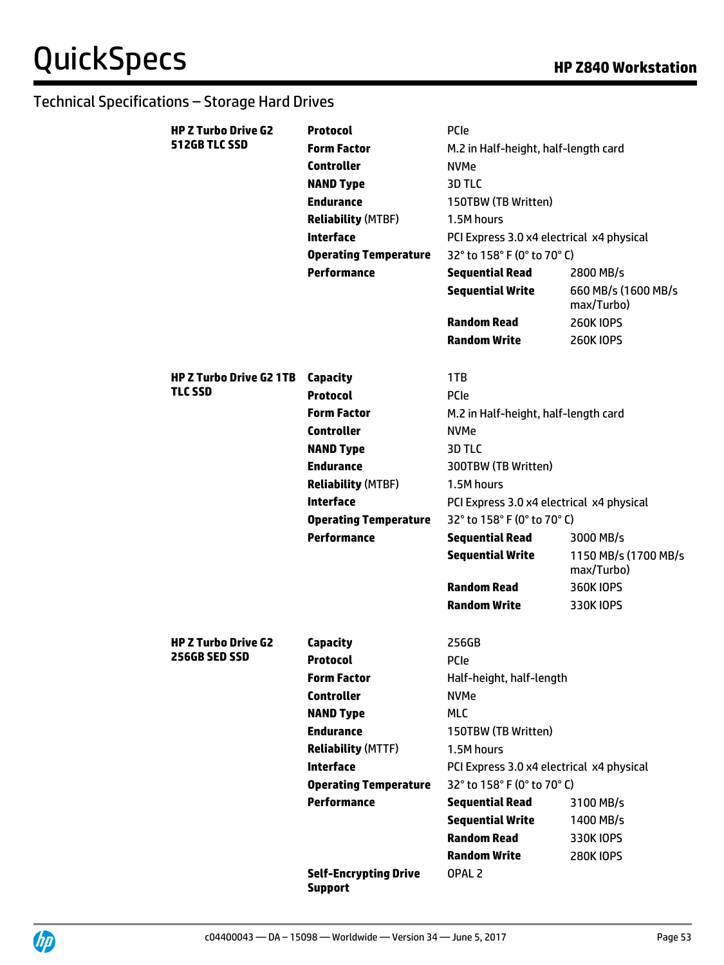| <b>HP Z Turbo Drive G2</b>     | <b>Protocol</b>                                | <b>PCIe</b>                               |                                    |
|--------------------------------|------------------------------------------------|-------------------------------------------|------------------------------------|
| 512GB TLC SSD                  | <b>Form Factor</b>                             | M.2 in Half-height, half-length card      |                                    |
|                                | <b>Controller</b>                              | <b>NVMe</b>                               |                                    |
|                                | <b>NAND Type</b>                               | 3D TLC                                    |                                    |
|                                | <b>Endurance</b>                               | 150TBW (TB Written)                       |                                    |
|                                | <b>Reliability (MTBF)</b>                      | 1.5M hours                                |                                    |
|                                | <b>Interface</b>                               | PCI Express 3.0 x4 electrical x4 physical |                                    |
|                                | <b>Operating Temperature</b>                   | 32° to 158° F (0° to 70° C)               |                                    |
|                                | <b>Performance</b>                             | <b>Sequential Read</b>                    | 2800 MB/s                          |
|                                |                                                | <b>Sequential Write</b>                   | 660 MB/s (1600 MB/s<br>max/Turbo)  |
|                                |                                                | <b>Random Read</b>                        | <b>260K IOPS</b>                   |
|                                |                                                | <b>Random Write</b>                       | <b>260KIOPS</b>                    |
| <b>HP Z Turbo Drive G2 1TB</b> | <b>Capacity</b>                                | 1TB                                       |                                    |
| <b>TLC SSD</b>                 | <b>Protocol</b>                                | PCIe                                      |                                    |
|                                | <b>Form Factor</b>                             | M.2 in Half-height, half-length card      |                                    |
|                                | <b>Controller</b>                              | <b>NVMe</b>                               |                                    |
|                                | <b>NAND Type</b>                               | 3D TLC                                    |                                    |
|                                | <b>Endurance</b>                               | 300TBW (TB Written)                       |                                    |
|                                | <b>Reliability (MTBF)</b>                      | 1.5M hours                                |                                    |
|                                | <b>Interface</b>                               | PCI Express 3.0 x4 electrical x4 physical |                                    |
|                                | <b>Operating Temperature</b>                   | 32° to 158° F (0° to 70° C)               |                                    |
|                                | <b>Performance</b>                             | <b>Sequential Read</b>                    | 3000 MB/s                          |
|                                |                                                | <b>Sequential Write</b>                   | 1150 MB/s (1700 MB/s<br>max/Turbo) |
|                                |                                                | <b>Random Read</b>                        | 360K IOPS                          |
|                                |                                                | <b>Random Write</b>                       | 330K IOPS                          |
| <b>HP Z Turbo Drive G2</b>     | <b>Capacity</b>                                | 256GB                                     |                                    |
| 256GB SED SSD                  | <b>Protocol</b>                                | PCIe                                      |                                    |
|                                | <b>Form Factor</b>                             | Half-height, half-length                  |                                    |
|                                | <b>Controller</b>                              | <b>NVMe</b>                               |                                    |
|                                | <b>NAND Type</b>                               | <b>MLC</b>                                |                                    |
|                                | <b>Endurance</b>                               | 150TBW (TB Written)                       |                                    |
|                                | <b>Reliability (MTTF)</b>                      | 1.5M hours                                |                                    |
|                                | <b>Interface</b>                               | PCI Express 3.0 x4 electrical x4 physical |                                    |
|                                | <b>Operating Temperature</b>                   | 32° to 158° F (0° to 70° C)               |                                    |
|                                | <b>Performance</b>                             | <b>Sequential Read</b>                    | 3100 MB/s                          |
|                                |                                                | <b>Sequential Write</b>                   | 1400 MB/s                          |
|                                |                                                | <b>Random Read</b>                        | 330K IOPS                          |
|                                |                                                | <b>Random Write</b>                       | <b>280KIOPS</b>                    |
|                                | <b>Self-Encrypting Drive</b><br><b>Support</b> | OPAL <sub>2</sub>                         |                                    |

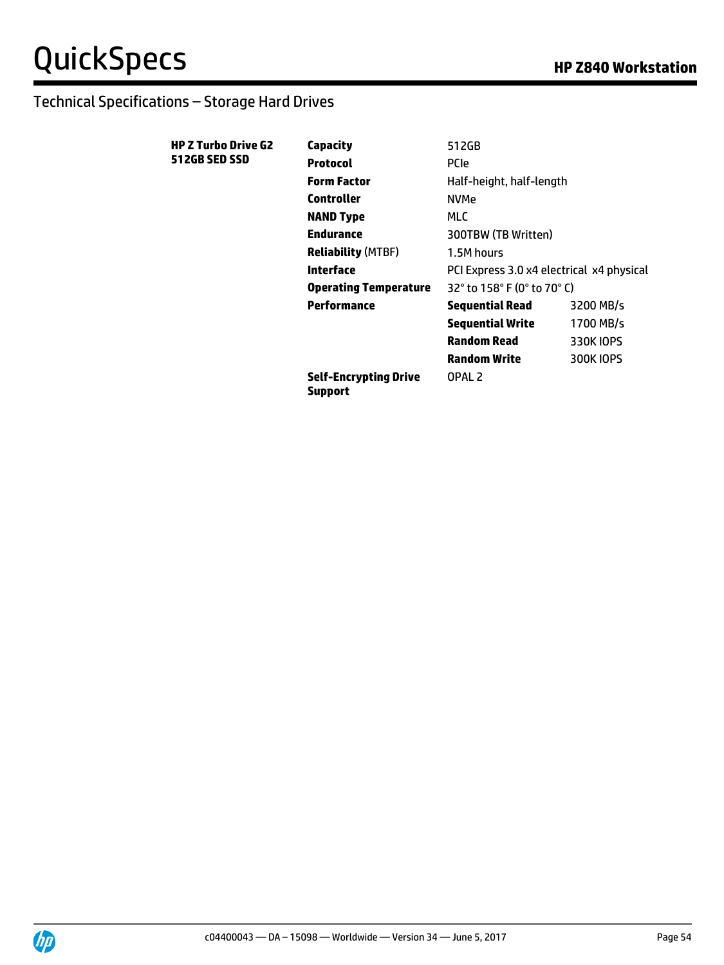| HP Z Turbo Drive G2<br>512GB SED SSD | <b>Capacity</b>                                | 512GB                                     |           |  |
|--------------------------------------|------------------------------------------------|-------------------------------------------|-----------|--|
|                                      | Protocol                                       | <b>PCIe</b>                               |           |  |
|                                      | <b>Form Factor</b>                             | Half-height, half-length                  |           |  |
|                                      | Controller                                     | <b>NVMe</b>                               |           |  |
|                                      | <b>NAND Type</b>                               | <b>MLC</b>                                |           |  |
|                                      | <b>Endurance</b>                               | 300TBW (TB Written)                       |           |  |
|                                      | <b>Reliability (MTBF)</b>                      | 1.5M hours                                |           |  |
|                                      | Interface                                      | PCI Express 3.0 x4 electrical x4 physical |           |  |
|                                      | <b>Operating Temperature</b>                   | 32° to 158° F (0° to 70° C)               |           |  |
|                                      | Performance                                    | <b>Sequential Read</b>                    | 3200 MB/s |  |
|                                      |                                                | <b>Sequential Write</b>                   | 1700 MB/s |  |
|                                      |                                                | <b>Random Read</b>                        | 330K IOPS |  |
|                                      |                                                | <b>Random Write</b>                       | 300K IOPS |  |
|                                      | <b>Self-Encrypting Drive</b><br><b>Support</b> | OPAL <sub>2</sub>                         |           |  |
|                                      |                                                |                                           |           |  |

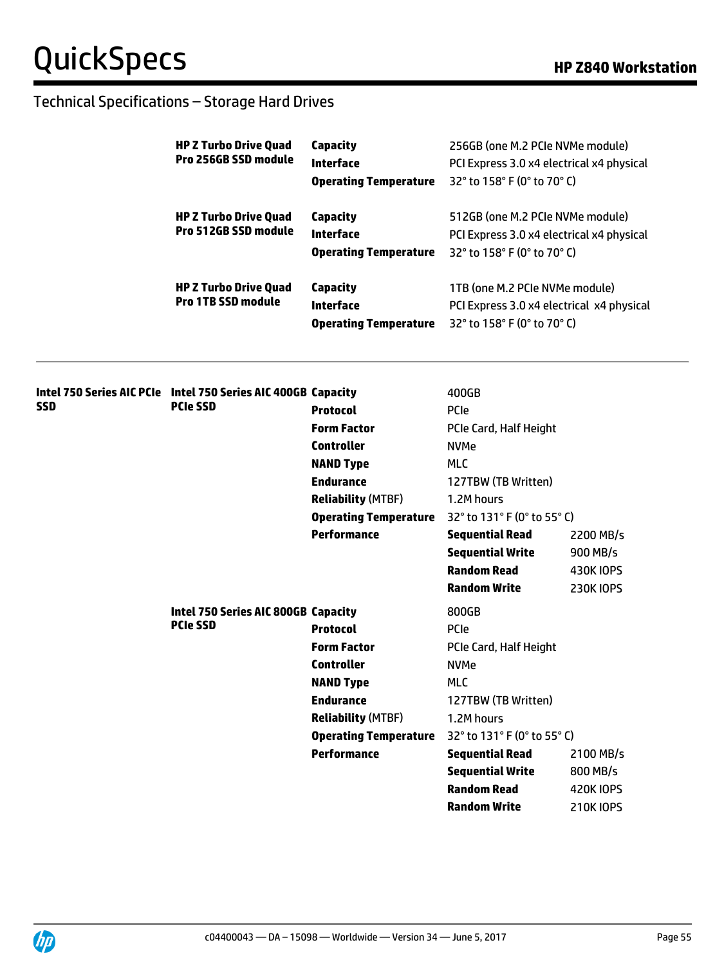| <b>HP Z Turbo Drive Quad</b> | Capacity                     | 256GB (one M.2 PCIe NVMe module)                                    |
|------------------------------|------------------------------|---------------------------------------------------------------------|
| Pro 256GB SSD module         | Interface                    | PCI Express 3.0 x4 electrical x4 physical                           |
|                              | <b>Operating Temperature</b> | 32° to 158° F (0° to 70° C)                                         |
| <b>HP Z Turbo Drive Quad</b> | Capacity                     | 512GB (one M.2 PCIe NVMe module)                                    |
| <b>Pro 512GB SSD module</b>  | Interface                    | PCI Express 3.0 x4 electrical x4 physical                           |
|                              | <b>Operating Temperature</b> | 32 $^{\circ}$ to 158 $^{\circ}$ F (0 $^{\circ}$ to 70 $^{\circ}$ C) |
| <b>HP Z Turbo Drive Quad</b> | Capacity                     | 1TB (one M.2 PCIe NVMe module)                                      |
| <b>Pro 1TB SSD module</b>    | Interface                    | PCI Express 3.0 x4 electrical x4 physical                           |
|                              | <b>Operating Temperature</b> | 32° to 158° F (0° to 70° C)                                         |

|     | Intel 750 Series AIC PCIe    Intel 750 Series AIC 400GB  Capacity |                              | 400GB                                                               |                  |
|-----|-------------------------------------------------------------------|------------------------------|---------------------------------------------------------------------|------------------|
| SSD | <b>PCIe SSD</b>                                                   | <b>Protocol</b>              | PCIe                                                                |                  |
|     |                                                                   | <b>Form Factor</b>           | PCIe Card, Half Height                                              |                  |
|     |                                                                   | <b>Controller</b>            | <b>NVMe</b>                                                         |                  |
|     |                                                                   | <b>NAND Type</b>             | <b>MLC</b>                                                          |                  |
|     |                                                                   | <b>Endurance</b>             | 127TBW (TB Written)                                                 |                  |
|     |                                                                   | <b>Reliability (MTBF)</b>    | 1.2M hours                                                          |                  |
|     |                                                                   | <b>Operating Temperature</b> | 32 $^{\circ}$ to 131 $^{\circ}$ F (0 $^{\circ}$ to 55 $^{\circ}$ C) |                  |
|     |                                                                   | <b>Performance</b>           | <b>Sequential Read</b>                                              | 2200 MB/s        |
|     |                                                                   |                              | <b>Sequential Write</b>                                             | 900 MB/s         |
|     |                                                                   |                              | <b>Random Read</b>                                                  | 430K IOPS        |
|     |                                                                   |                              | <b>Random Write</b>                                                 | <b>230K IOPS</b> |
|     | Intel 750 Series AIC 800GB Capacity                               |                              | 800GB                                                               |                  |
|     | <b>PCIe SSD</b>                                                   | <b>Protocol</b>              | PCIe                                                                |                  |
|     |                                                                   | <b>Form Factor</b>           | PCIe Card, Half Height                                              |                  |
|     |                                                                   |                              |                                                                     |                  |
|     |                                                                   | <b>Controller</b>            | <b>NVMe</b>                                                         |                  |
|     |                                                                   | <b>NAND Type</b>             | <b>MLC</b>                                                          |                  |
|     |                                                                   | <b>Endurance</b>             | 127TBW (TB Written)                                                 |                  |
|     |                                                                   | <b>Reliability (MTBF)</b>    | 1.2M hours                                                          |                  |
|     |                                                                   | <b>Operating Temperature</b> | 32° to 131° F (0° to 55° C)                                         |                  |
|     |                                                                   | <b>Performance</b>           | <b>Sequential Read</b>                                              | 2100 MB/s        |
|     |                                                                   |                              | <b>Sequential Write</b>                                             | 800 MB/s         |
|     |                                                                   |                              | <b>Random Read</b>                                                  | <b>420K IOPS</b> |
|     |                                                                   |                              | <b>Random Write</b>                                                 | <b>210K10PS</b>  |

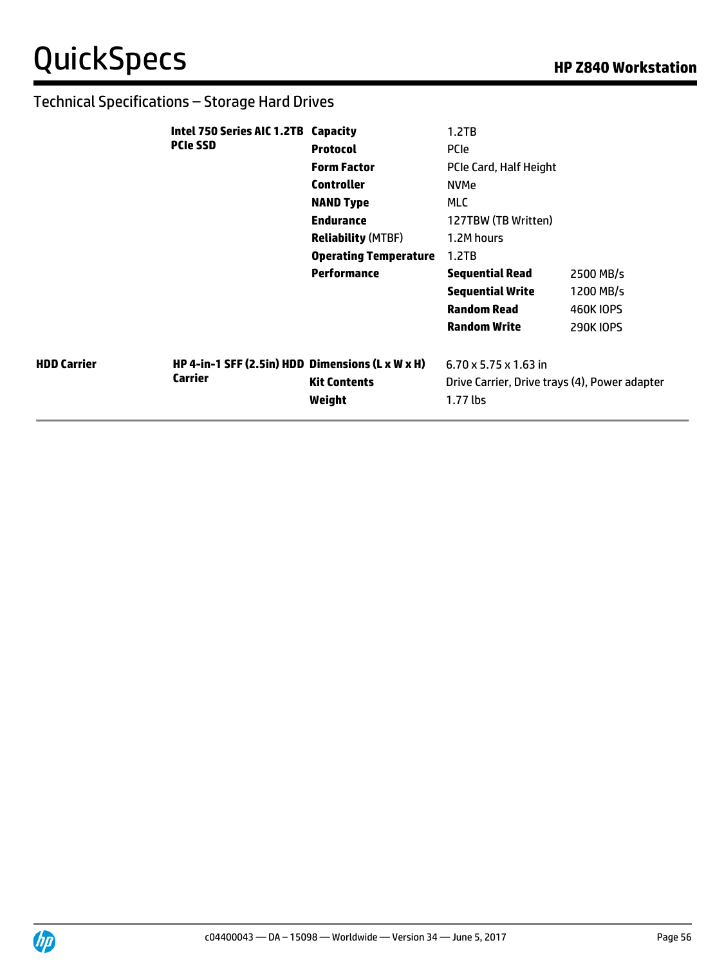|             | Intel 750 Series AIC 1.2TB<br><b>PCIe SSD</b>                   | Capacity                      | 1.2TB                                                     |                  |
|-------------|-----------------------------------------------------------------|-------------------------------|-----------------------------------------------------------|------------------|
|             |                                                                 | <b>Protocol</b>               | <b>PCIe</b>                                               |                  |
|             |                                                                 | <b>Form Factor</b>            | PCIe Card, Half Height                                    |                  |
|             |                                                                 | Controller                    | <b>NVMe</b>                                               |                  |
|             |                                                                 | <b>NAND Type</b>              | MLC                                                       |                  |
|             |                                                                 | <b>Endurance</b>              | 127TBW (TB Written)                                       |                  |
|             |                                                                 | <b>Reliability (MTBF)</b>     | 1.2M hours                                                |                  |
|             |                                                                 | <b>Operating Temperature</b>  | 1.2TB                                                     |                  |
|             |                                                                 | Performance                   | <b>Sequential Read</b>                                    | 2500 MB/s        |
|             |                                                                 |                               | <b>Sequential Write</b>                                   | 1200 MB/s        |
|             |                                                                 |                               | <b>Random Read</b>                                        | 460K IOPS        |
|             |                                                                 |                               | <b>Random Write</b>                                       | <b>290K IOPS</b> |
| HDD Carrier | HP 4-in-1 SFF (2.5in) HDD Dimensions (L $x$ W $x$ H)<br>Carrier |                               | $6.70 \times 5.75 \times 1.63$ in                         |                  |
|             |                                                                 | <b>Kit Contents</b><br>Weight | Drive Carrier, Drive trays (4), Power adapter<br>1.77 lbs |                  |
|             |                                                                 |                               |                                                           |                  |

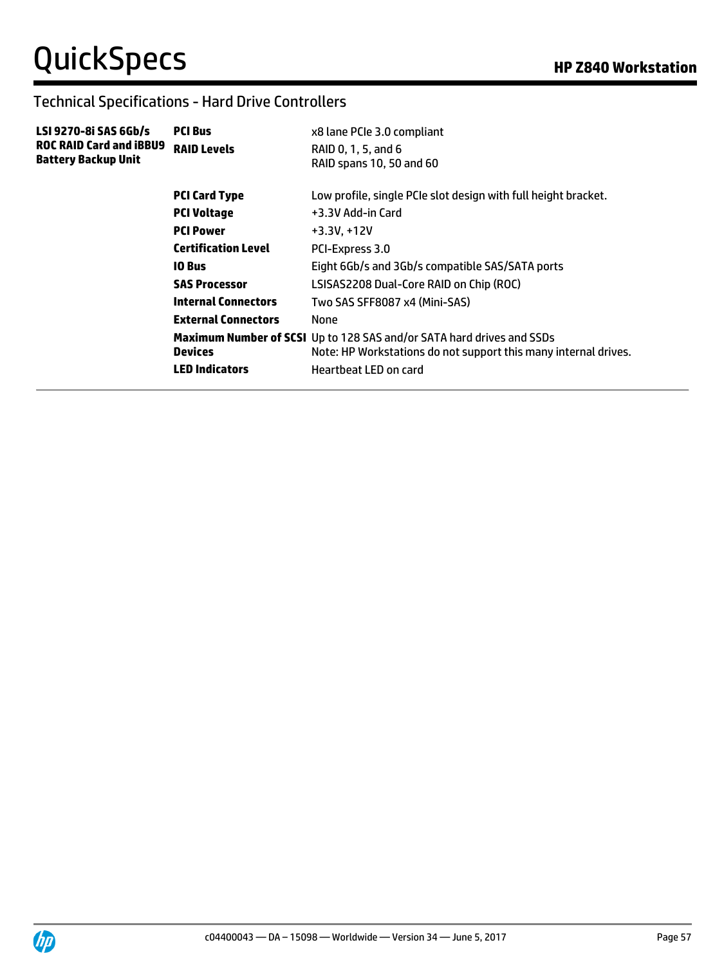### Technical Specifications - Hard Drive Controllers

| LSI 9270-8i SAS 6Gb/s          | <b>PCI Bus</b>             | x8 lane PCIe 3.0 compliant                                            |
|--------------------------------|----------------------------|-----------------------------------------------------------------------|
| <b>ROC RAID Card and iBBU9</b> | <b>RAID Levels</b>         | RAID 0, 1, 5, and 6                                                   |
| <b>Battery Backup Unit</b>     |                            | RAID spans 10, 50 and 60                                              |
|                                | <b>PCI Card Type</b>       | Low profile, single PCIe slot design with full height bracket.        |
|                                | <b>PCI Voltage</b>         | +3.3V Add-in Card                                                     |
|                                | <b>PCI Power</b>           | +3.3V. +12V                                                           |
|                                | <b>Certification Level</b> | PCI-Express 3.0                                                       |
|                                | <b>10 Bus</b>              | Eight 6Gb/s and 3Gb/s compatible SAS/SATA ports                       |
|                                | <b>SAS Processor</b>       | LSISAS2208 Dual-Core RAID on Chip (ROC)                               |
|                                | <b>Internal Connectors</b> | Two SAS SFF8087 x4 (Mini-SAS)                                         |
|                                | <b>External Connectors</b> | None                                                                  |
|                                |                            | Maximum Number of SCSI Up to 128 SAS and/or SATA hard drives and SSDs |
|                                | <b>Devices</b>             | Note: HP Workstations do not support this many internal drives.       |
|                                | <b>LED Indicators</b>      | Heartbeat LED on card                                                 |
|                                |                            |                                                                       |

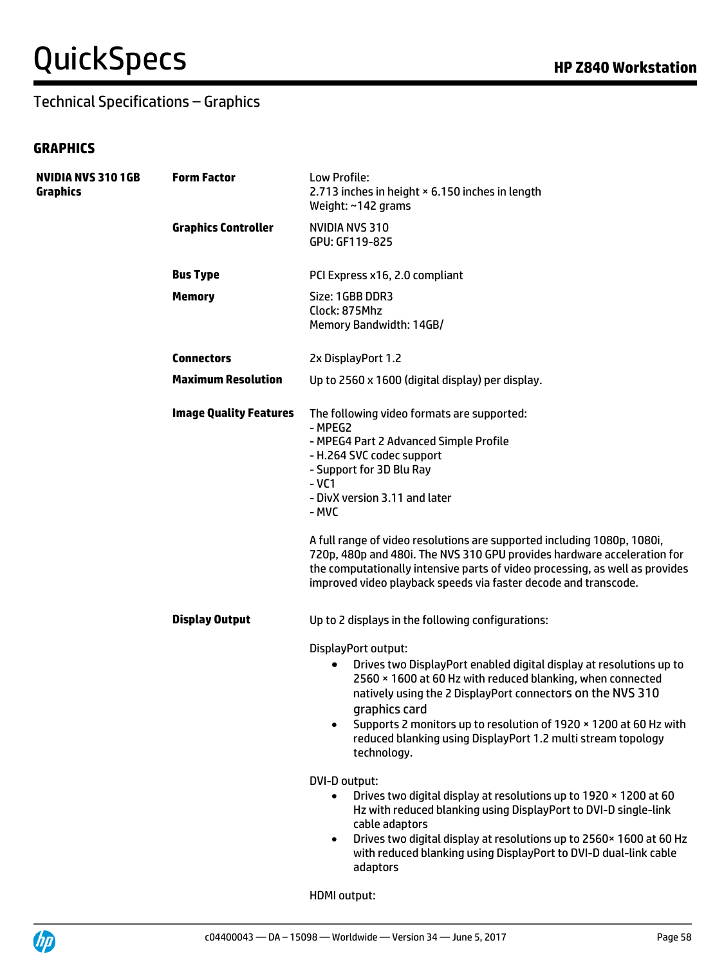#### **GRAPHICS**

| <b>NVIDIA NVS 310 1GB</b><br>Graphics | <b>Form Factor</b>            | Low Profile:<br>2.713 inches in height × 6.150 inches in length<br>Weight: ~142 grams                                                                                                                                                                                                                                                                                                                                                                                                                                 |  |  |
|---------------------------------------|-------------------------------|-----------------------------------------------------------------------------------------------------------------------------------------------------------------------------------------------------------------------------------------------------------------------------------------------------------------------------------------------------------------------------------------------------------------------------------------------------------------------------------------------------------------------|--|--|
|                                       | <b>Graphics Controller</b>    | NVIDIA NVS 310<br>GPU: GF119-825                                                                                                                                                                                                                                                                                                                                                                                                                                                                                      |  |  |
|                                       | <b>Bus Type</b>               | PCI Express x16, 2.0 compliant                                                                                                                                                                                                                                                                                                                                                                                                                                                                                        |  |  |
|                                       | <b>Memory</b>                 | Size: 1GBB DDR3<br>Clock: 875Mhz<br>Memory Bandwidth: 14GB/                                                                                                                                                                                                                                                                                                                                                                                                                                                           |  |  |
|                                       | <b>Connectors</b>             | 2x DisplayPort 1.2                                                                                                                                                                                                                                                                                                                                                                                                                                                                                                    |  |  |
|                                       | <b>Maximum Resolution</b>     | Up to 2560 x 1600 (digital display) per display.                                                                                                                                                                                                                                                                                                                                                                                                                                                                      |  |  |
|                                       | <b>Image Quality Features</b> | The following video formats are supported:<br>- MPEG2<br>- MPEG4 Part 2 Advanced Simple Profile<br>- H.264 SVC codec support<br>- Support for 3D Blu Ray<br>$-VC1$<br>- DivX version 3.11 and later<br>- MVC<br>A full range of video resolutions are supported including 1080p, 1080i,<br>720p, 480p and 480i. The NVS 310 GPU provides hardware acceleration for<br>the computationally intensive parts of video processing, as well as provides<br>improved video playback speeds via faster decode and transcode. |  |  |
|                                       | <b>Display Output</b>         | Up to 2 displays in the following configurations:                                                                                                                                                                                                                                                                                                                                                                                                                                                                     |  |  |
|                                       |                               | DisplayPort output:<br>Drives two DisplayPort enabled digital display at resolutions up to<br>$\bullet$<br>2560 × 1600 at 60 Hz with reduced blanking, when connected<br>natively using the 2 DisplayPort connectors on the NVS 310<br>graphics card<br>Supports 2 monitors up to resolution of 1920 × 1200 at 60 Hz with<br>reduced blanking using DisplayPort 1.2 multi stream topology<br>technology.                                                                                                              |  |  |
|                                       |                               | DVI-D output:<br>Drives two digital display at resolutions up to 1920 x 1200 at 60<br>$\bullet$<br>Hz with reduced blanking using DisplayPort to DVI-D single-link<br>cable adaptors<br>Drives two digital display at resolutions up to 2560 x 1600 at 60 Hz<br>$\bullet$<br>with reduced blanking using DisplayPort to DVI-D dual-link cable<br>adaptors                                                                                                                                                             |  |  |

HDMI output:

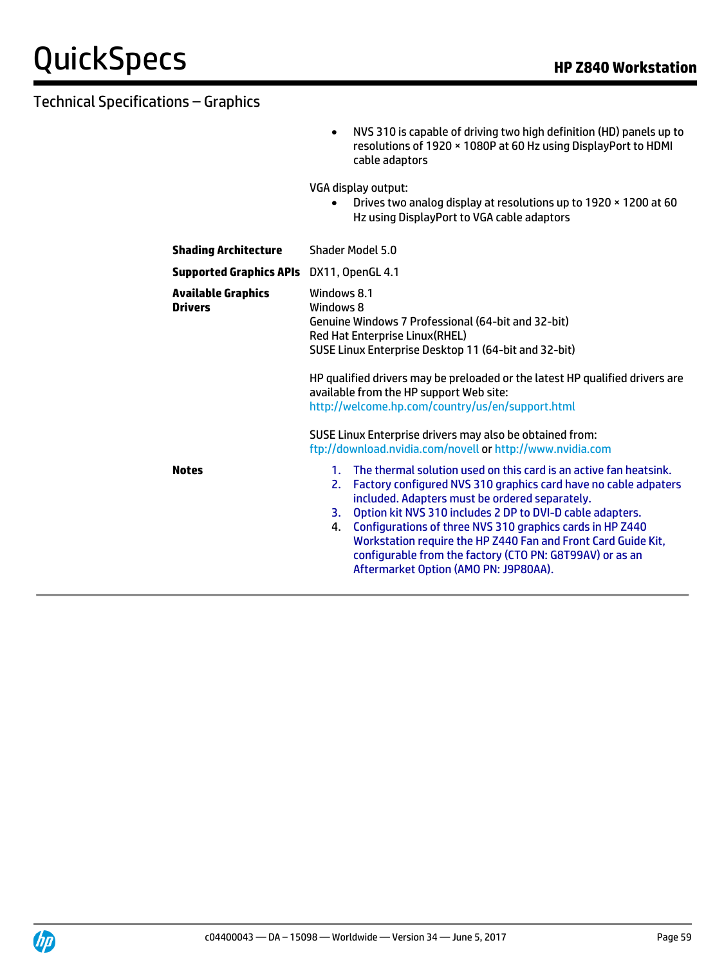NVS 310 is capable of driving two high definition (HD) panels up to resolutions of 1920 × 1080P at 60 Hz using DisplayPort to HDMI cable adaptors

VGA display output:

 Drives two analog display at resolutions up to 1920 × 1200 at 60 Hz using DisplayPort to VGA cable adaptors

| <b>Shading Architecture</b>                 | Shader Model 5.0                                                                                                                                                                                                                                                                                                                                                                                                                                                                                                                                                            |  |  |
|---------------------------------------------|-----------------------------------------------------------------------------------------------------------------------------------------------------------------------------------------------------------------------------------------------------------------------------------------------------------------------------------------------------------------------------------------------------------------------------------------------------------------------------------------------------------------------------------------------------------------------------|--|--|
| Supported Graphics APIs DX11, OpenGL 4.1    |                                                                                                                                                                                                                                                                                                                                                                                                                                                                                                                                                                             |  |  |
| <b>Available Graphics</b><br><b>Drivers</b> | Windows 8.1<br>Windows 8<br>Genuine Windows 7 Professional (64-bit and 32-bit)<br>Red Hat Enterprise Linux(RHEL)<br>SUSE Linux Enterprise Desktop 11 (64-bit and 32-bit)<br>HP qualified drivers may be preloaded or the latest HP qualified drivers are<br>available from the HP support Web site:<br>http://welcome.hp.com/country/us/en/support.html<br>SUSE Linux Enterprise drivers may also be obtained from:                                                                                                                                                         |  |  |
| <b>Notes</b>                                | ftp://download.nvidia.com/novell or http://www.nvidia.com<br>The thermal solution used on this card is an active fan heatsink.<br>1.<br>Factory configured NVS 310 graphics card have no cable adpaters<br>2.<br>included. Adapters must be ordered separately.<br>Option kit NVS 310 includes 2 DP to DVI-D cable adapters.<br>3.<br>Configurations of three NVS 310 graphics cards in HP Z440<br>4.<br>Workstation require the HP Z440 Fan and Front Card Guide Kit,<br>configurable from the factory (CTO PN: G8T99AV) or as an<br>Aftermarket Option (AMO PN: J9P80AA). |  |  |

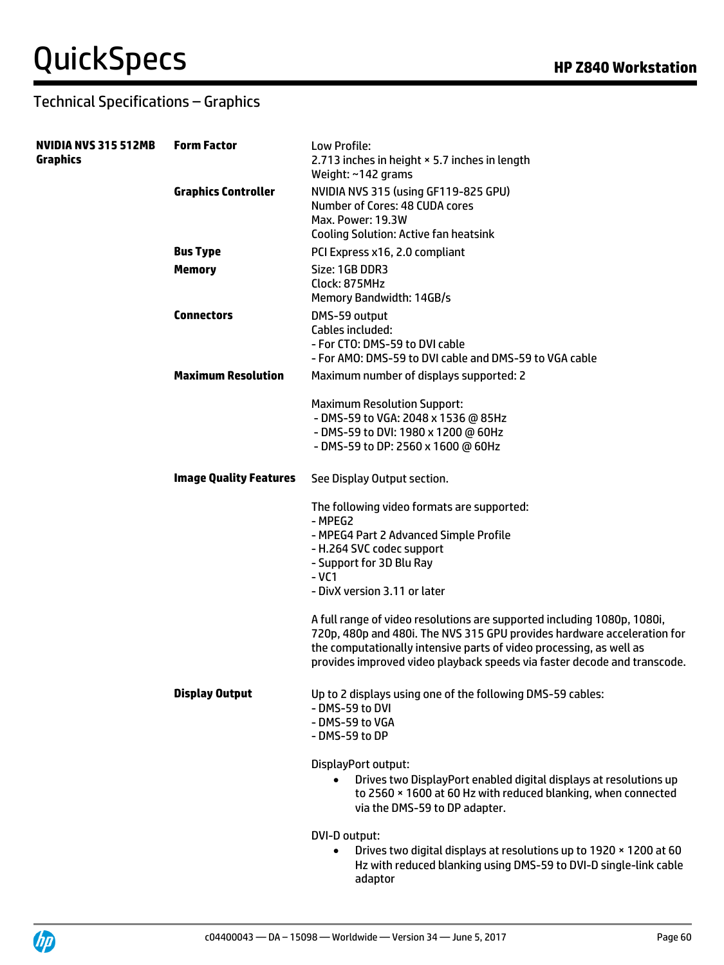| <b>NVIDIA NVS 315 512MB</b><br><b>Graphics</b> | <b>Form Factor</b>            | Low Profile:<br>2.713 inches in height × 5.7 inches in length<br>Weight: ~142 grams                                                                                                                                                                                                                                                                                                                                                                                                                        |
|------------------------------------------------|-------------------------------|------------------------------------------------------------------------------------------------------------------------------------------------------------------------------------------------------------------------------------------------------------------------------------------------------------------------------------------------------------------------------------------------------------------------------------------------------------------------------------------------------------|
|                                                | <b>Graphics Controller</b>    | NVIDIA NVS 315 (using GF119-825 GPU)<br>Number of Cores: 48 CUDA cores<br>Max. Power: 19.3W<br><b>Cooling Solution: Active fan heatsink</b>                                                                                                                                                                                                                                                                                                                                                                |
|                                                | <b>Bus Type</b>               | PCI Express x16, 2.0 compliant                                                                                                                                                                                                                                                                                                                                                                                                                                                                             |
|                                                | <b>Memory</b>                 | Size: 1GB DDR3<br>Clock: 875MHz<br>Memory Bandwidth: 14GB/s                                                                                                                                                                                                                                                                                                                                                                                                                                                |
|                                                | <b>Connectors</b>             | DMS-59 output<br>Cables included:<br>- For CTO: DMS-59 to DVI cable<br>- For AMO: DMS-59 to DVI cable and DMS-59 to VGA cable                                                                                                                                                                                                                                                                                                                                                                              |
|                                                | <b>Maximum Resolution</b>     | Maximum number of displays supported: 2                                                                                                                                                                                                                                                                                                                                                                                                                                                                    |
|                                                |                               | <b>Maximum Resolution Support:</b><br>- DMS-59 to VGA: 2048 x 1536 @ 85Hz<br>- DMS-59 to DVI: 1980 x 1200 @ 60Hz<br>- DMS-59 to DP: 2560 x 1600 @ 60Hz                                                                                                                                                                                                                                                                                                                                                     |
|                                                | <b>Image Quality Features</b> | See Display Output section.                                                                                                                                                                                                                                                                                                                                                                                                                                                                                |
|                                                |                               | The following video formats are supported:<br>- MPEG2<br>- MPEG4 Part 2 Advanced Simple Profile<br>- H.264 SVC codec support<br>- Support for 3D Blu Ray<br>- VC1<br>- DivX version 3.11 or later<br>A full range of video resolutions are supported including 1080p, 1080i,<br>720p, 480p and 480i. The NVS 315 GPU provides hardware acceleration for<br>the computationally intensive parts of video processing, as well as<br>provides improved video playback speeds via faster decode and transcode. |
|                                                | <b>Display Output</b>         | Up to 2 displays using one of the following DMS-59 cables:<br>- DMS-59 to DVI<br>- DMS-59 to VGA<br>- DMS-59 to DP                                                                                                                                                                                                                                                                                                                                                                                         |
|                                                |                               | DisplayPort output:<br>Drives two DisplayPort enabled digital displays at resolutions up<br>to 2560 × 1600 at 60 Hz with reduced blanking, when connected<br>via the DMS-59 to DP adapter.                                                                                                                                                                                                                                                                                                                 |
|                                                |                               | DVI-D output:<br>Drives two digital displays at resolutions up to 1920 x 1200 at 60<br>Hz with reduced blanking using DMS-59 to DVI-D single-link cable                                                                                                                                                                                                                                                                                                                                                    |

adaptor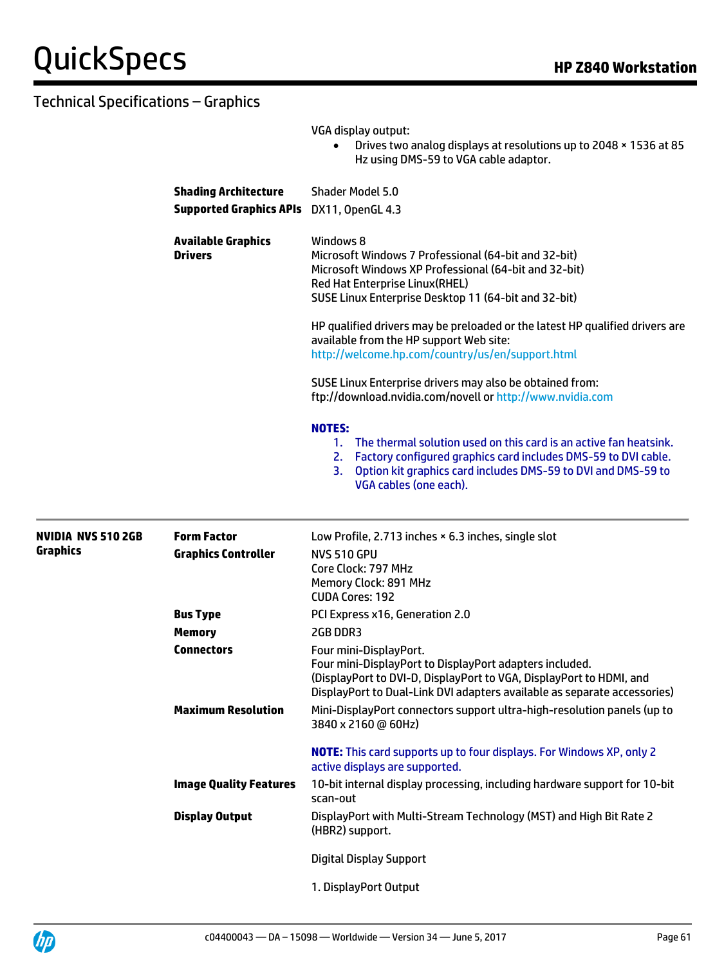|                                                                               |                                                                                                                                                                                                                                                                                                                                                                                                                         | VGA display output:<br>Drives two analog displays at resolutions up to 2048 x 1536 at 85<br>$\bullet$<br>Hz using DMS-59 to VGA cable adaptor. |  |                                                                                                                                                                                                                                                                   |
|-------------------------------------------------------------------------------|-------------------------------------------------------------------------------------------------------------------------------------------------------------------------------------------------------------------------------------------------------------------------------------------------------------------------------------------------------------------------------------------------------------------------|------------------------------------------------------------------------------------------------------------------------------------------------|--|-------------------------------------------------------------------------------------------------------------------------------------------------------------------------------------------------------------------------------------------------------------------|
|                                                                               | <b>Shading Architecture</b>                                                                                                                                                                                                                                                                                                                                                                                             | Shader Model 5.0                                                                                                                               |  |                                                                                                                                                                                                                                                                   |
| <b>Supported Graphics APIs</b><br><b>Available Graphics</b><br><b>Drivers</b> | DX11, OpenGL 4.3<br>Windows 8<br>Microsoft Windows 7 Professional (64-bit and 32-bit)<br>Microsoft Windows XP Professional (64-bit and 32-bit)<br>Red Hat Enterprise Linux(RHEL)<br>SUSE Linux Enterprise Desktop 11 (64-bit and 32-bit)<br>HP qualified drivers may be preloaded or the latest HP qualified drivers are<br>available from the HP support Web site:<br>http://welcome.hp.com/country/us/en/support.html |                                                                                                                                                |  |                                                                                                                                                                                                                                                                   |
|                                                                               |                                                                                                                                                                                                                                                                                                                                                                                                                         |                                                                                                                                                |  | SUSE Linux Enterprise drivers may also be obtained from:<br>ftp://download.nvidia.com/novell or http://www.nvidia.com                                                                                                                                             |
|                                                                               |                                                                                                                                                                                                                                                                                                                                                                                                                         |                                                                                                                                                |  | <b>NOTES:</b><br>The thermal solution used on this card is an active fan heatsink.<br>1.<br>Factory configured graphics card includes DMS-59 to DVI cable.<br>2.<br>Option kit graphics card includes DMS-59 to DVI and DMS-59 to<br>3.<br>VGA cables (one each). |
| <b>NVIDIA NVS 510 2GB</b>                                                     | <b>Form Factor</b>                                                                                                                                                                                                                                                                                                                                                                                                      | Low Profile, 2.713 inches × 6.3 inches, single slot                                                                                            |  |                                                                                                                                                                                                                                                                   |
| Graphics                                                                      | <b>Graphics Controller</b>                                                                                                                                                                                                                                                                                                                                                                                              | <b>NVS 510 GPU</b><br>Core Clock: 797 MHz<br>Memory Clock: 891 MHz<br>CUDA Cores: 192                                                          |  |                                                                                                                                                                                                                                                                   |
|                                                                               | <b>Bus Type</b>                                                                                                                                                                                                                                                                                                                                                                                                         | PCI Express x16, Generation 2.0                                                                                                                |  |                                                                                                                                                                                                                                                                   |

|                               | Memory Clock: 891 MHz<br>CUDA Cores: 192                                                                                                                                                                                             |
|-------------------------------|--------------------------------------------------------------------------------------------------------------------------------------------------------------------------------------------------------------------------------------|
| <b>Bus Type</b>               | PCI Express x16, Generation 2.0                                                                                                                                                                                                      |
| <b>Memory</b>                 | 2GB DDR3                                                                                                                                                                                                                             |
| <b>Connectors</b>             | Four mini-DisplayPort.<br>Four mini-DisplayPort to DisplayPort adapters included.<br>(DisplayPort to DVI-D, DisplayPort to VGA, DisplayPort to HDMI, and<br>DisplayPort to Dual-Link DVI adapters available as separate accessories) |
| <b>Maximum Resolution</b>     | Mini-DisplayPort connectors support ultra-high-resolution panels (up to<br>3840 x 2160 @ 60Hz)                                                                                                                                       |
|                               | <b>NOTE:</b> This card supports up to four displays. For Windows XP, only 2<br>active displays are supported.                                                                                                                        |
| <b>Image Quality Features</b> | 10-bit internal display processing, including hardware support for 10-bit<br>scan-out                                                                                                                                                |
| <b>Display Output</b>         | DisplayPort with Multi-Stream Technology (MST) and High Bit Rate 2<br>(HBR2) support.                                                                                                                                                |
|                               | <b>Digital Display Support</b>                                                                                                                                                                                                       |
|                               | 1. DisplayPort Output                                                                                                                                                                                                                |

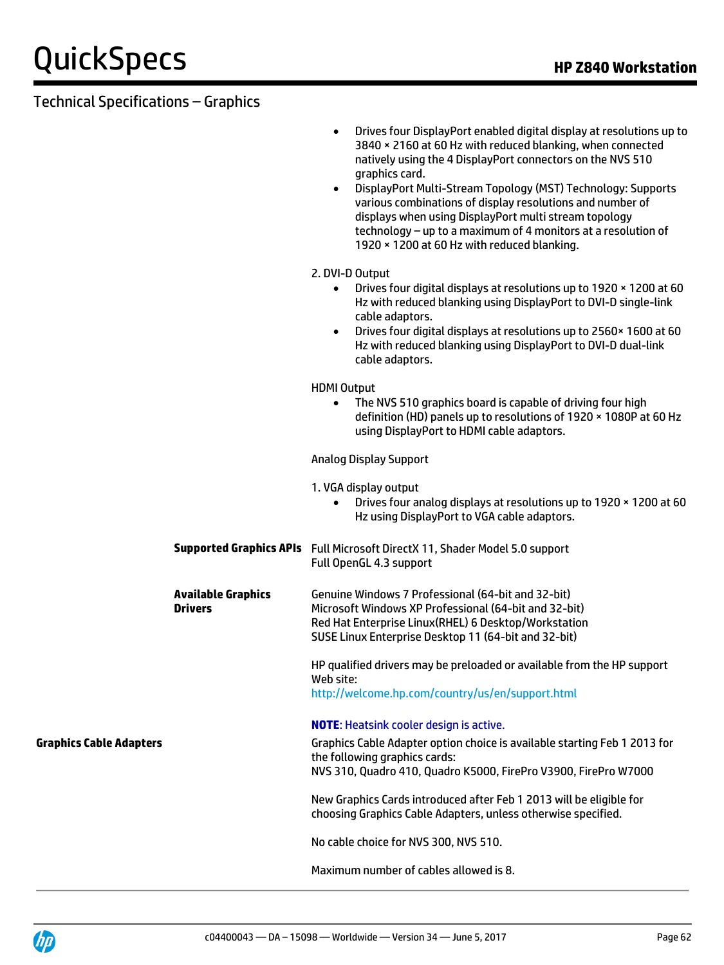| $\bullet$ | Drives four DisplayPort enabled digital display at resolutions up to |
|-----------|----------------------------------------------------------------------|
|           | 3840 × 2160 at 60 Hz with reduced blanking, when connected           |
|           | natively using the 4 DisplayPort connectors on the NVS 510           |
|           | graphics card.                                                       |

 DisplayPort Multi-Stream Topology (MST) Technology: Supports various combinations of display resolutions and number of displays when using DisplayPort multi stream topology technology – up to a maximum of 4 monitors at a resolution of 1920 × 1200 at 60 Hz with reduced blanking.

#### 2. DVI-D Output

- Drives four digital displays at resolutions up to 1920 × 1200 at 60 Hz with reduced blanking using DisplayPort to DVI-D single-link cable adaptors.
- Drives four digital displays at resolutions up to 2560× 1600 at 60 Hz with reduced blanking using DisplayPort to DVI-D dual-link cable adaptors.

#### HDMI Output

• The NVS 510 graphics board is capable of driving four high definition (HD) panels up to resolutions of 1920 × 1080P at 60 Hz using DisplayPort to HDMI cable adaptors.

#### Analog Display Support

#### 1. VGA display output

- Drives four analog displays at resolutions up to 1920 × 1200 at 60 Hz using DisplayPort to VGA cable adaptors.
- **Supported Graphics APIs** Full Microsoft DirectX 11, Shader Model 5.0 support Full OpenGL 4.3 support
- **Available Graphics Drivers** Genuine Windows 7 Professional (64-bit and 32-bit) Microsoft Windows XP Professional (64-bit and 32-bit) Red Hat Enterprise Linux(RHEL) 6 Desktop/Workstation SUSE Linux Enterprise Desktop 11 (64-bit and 32-bit)

HP qualified drivers may be preloaded or available from the HP support Web site: <http://welcome.hp.com/country/us/en/support.html>

#### **NOTE**: Heatsink cooler design is active.

**Graphics Cable Adapters** Graphics Cable Adapter option choice is available starting Feb 1 2013 for the following graphics cards: NVS 310, Quadro 410, Quadro K5000, FirePro V3900, FirePro W7000 New Graphics Cards introduced after Feb 1 2013 will be eligible for choosing Graphics Cable Adapters, unless otherwise specified. No cable choice for NVS 300, NVS 510.

Maximum number of cables allowed is 8.

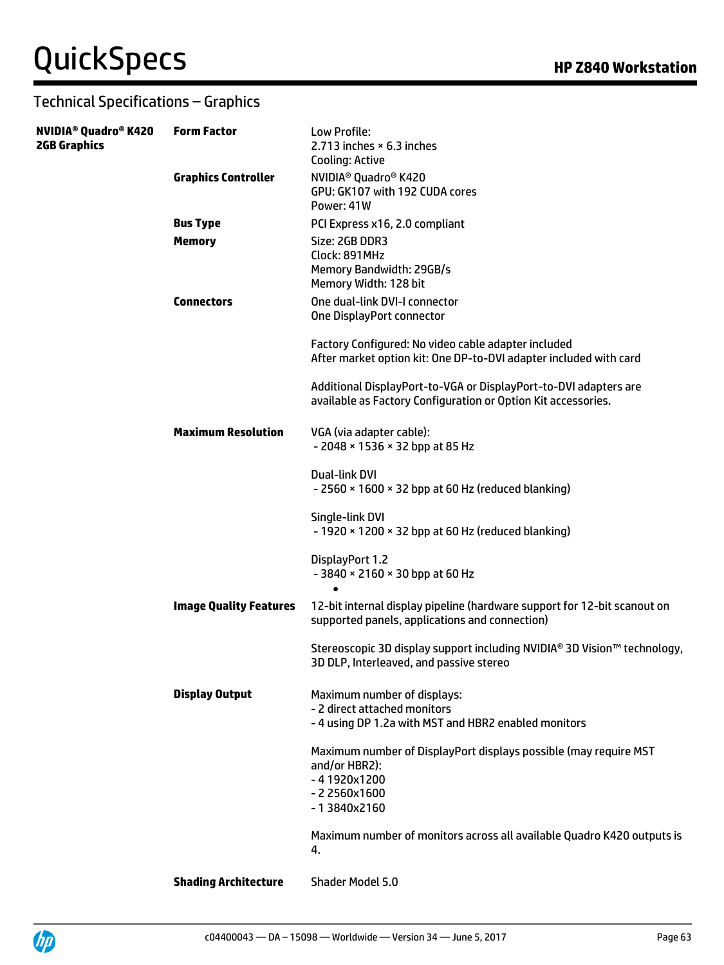| <b>NVIDIA<sup>®</sup> Quadro<sup>®</sup> K420</b><br><b>2GB Graphics</b> | <b>Form Factor</b>            | Low Profile:<br>2.713 inches $\times$ 6.3 inches<br>Cooling: Active                                                               |
|--------------------------------------------------------------------------|-------------------------------|-----------------------------------------------------------------------------------------------------------------------------------|
|                                                                          | <b>Graphics Controller</b>    | NVIDIA <sup>®</sup> Quadro <sup>®</sup> K420<br>GPU: GK107 with 192 CUDA cores<br>Power: 41W                                      |
|                                                                          | <b>Bus Type</b>               | PCI Express x16, 2.0 compliant                                                                                                    |
|                                                                          | <b>Memory</b>                 | Size: 2GB DDR3<br>Clock: 891MHz<br>Memory Bandwidth: 29GB/s<br>Memory Width: 128 bit                                              |
|                                                                          | <b>Connectors</b>             | One dual-link DVI-I connector<br>One DisplayPort connector                                                                        |
|                                                                          |                               | Factory Configured: No video cable adapter included<br>After market option kit: One DP-to-DVI adapter included with card          |
|                                                                          |                               | Additional DisplayPort-to-VGA or DisplayPort-to-DVI adapters are<br>available as Factory Configuration or Option Kit accessories. |
|                                                                          | <b>Maximum Resolution</b>     | VGA (via adapter cable):<br>$-2048 \times 1536 \times 32$ bpp at 85 Hz                                                            |
|                                                                          |                               | <b>Dual-link DVI</b><br>$-2560 \times 1600 \times 32$ bpp at 60 Hz (reduced blanking)                                             |
|                                                                          |                               | Single-link DVI<br>$-1920 \times 1200 \times 32$ bpp at 60 Hz (reduced blanking)                                                  |
|                                                                          |                               | DisplayPort 1.2<br>$-3840 \times 2160 \times 30$ bpp at 60 Hz<br>$\bullet$                                                        |
|                                                                          | <b>Image Quality Features</b> | 12-bit internal display pipeline (hardware support for 12-bit scanout on<br>supported panels, applications and connection)        |
|                                                                          |                               | Stereoscopic 3D display support including NVIDIA® 3D Vision™ technology,<br>3D DLP, Interleaved, and passive stereo               |
|                                                                          | <b>Display Output</b>         | Maximum number of displays:<br>- 2 direct attached monitors<br>- 4 using DP 1.2a with MST and HBR2 enabled monitors               |
|                                                                          |                               | Maximum number of DisplayPort displays possible (may require MST<br>and/or HBR2):<br>$-41920x1200$                                |
|                                                                          |                               | $-22560x1600$<br>$-13840x2160$                                                                                                    |
|                                                                          |                               | Maximum number of monitors across all available Quadro K420 outputs is<br>4.                                                      |
|                                                                          | <b>Shading Architecture</b>   | Shader Model 5.0                                                                                                                  |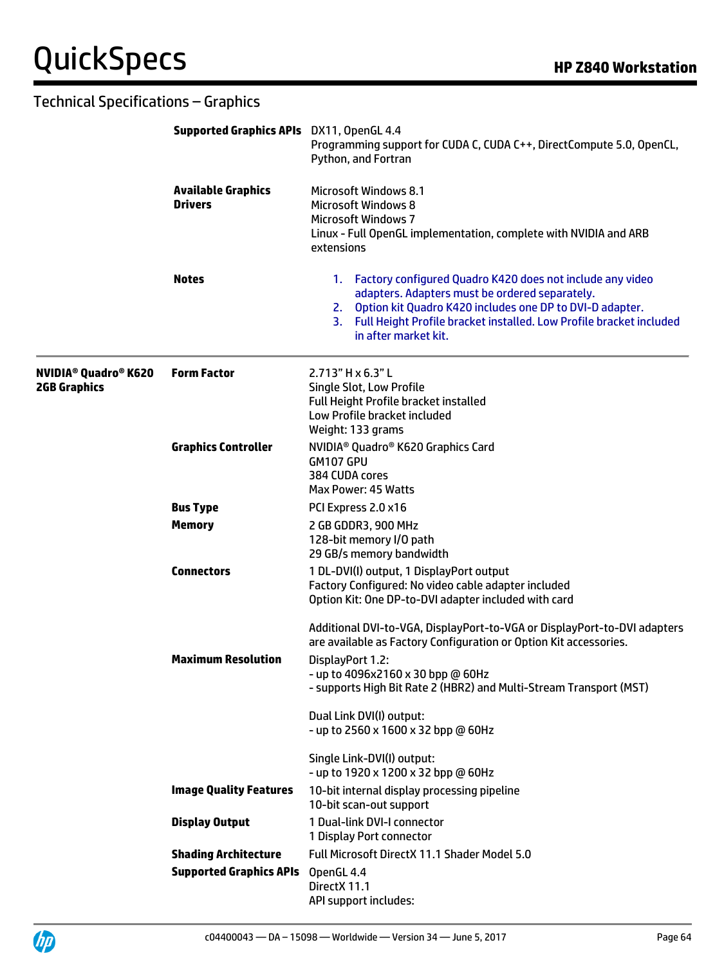|                                             | Supported Graphics APIs DX11, OpenGL 4.4    | Programming support for CUDA C, CUDA C++, DirectCompute 5.0, OpenCL,<br>Python, and Fortran                                                                                                                                                                                     |
|---------------------------------------------|---------------------------------------------|---------------------------------------------------------------------------------------------------------------------------------------------------------------------------------------------------------------------------------------------------------------------------------|
|                                             | <b>Available Graphics</b><br><b>Drivers</b> | <b>Microsoft Windows 8.1</b><br><b>Microsoft Windows 8</b><br><b>Microsoft Windows 7</b><br>Linux - Full OpenGL implementation, complete with NVIDIA and ARB<br>extensions                                                                                                      |
|                                             | <b>Notes</b>                                | 1. Factory configured Quadro K420 does not include any video<br>adapters. Adapters must be ordered separately.<br>2. Option kit Quadro K420 includes one DP to DVI-D adapter.<br>3. Full Height Profile bracket installed. Low Profile bracket included<br>in after market kit. |
| NVIDIA® Quadro® K620<br><b>2GB Graphics</b> | <b>Form Factor</b>                          | 2.713" H x 6.3" L<br>Single Slot, Low Profile<br>Full Height Profile bracket installed<br>Low Profile bracket included<br>Weight: 133 grams                                                                                                                                     |
|                                             | <b>Graphics Controller</b>                  | NVIDIA <sup>®</sup> Quadro® K620 Graphics Card<br>GM107 GPU<br>384 CUDA cores<br>Max Power: 45 Watts                                                                                                                                                                            |
|                                             | <b>Bus Type</b>                             | PCI Express 2.0 x16                                                                                                                                                                                                                                                             |
|                                             | <b>Memory</b>                               | 2 GB GDDR3, 900 MHz<br>128-bit memory I/O path<br>29 GB/s memory bandwidth                                                                                                                                                                                                      |
|                                             | <b>Connectors</b>                           | 1 DL-DVI(I) output, 1 DisplayPort output<br>Factory Configured: No video cable adapter included<br>Option Kit: One DP-to-DVI adapter included with card                                                                                                                         |
|                                             | <b>Maximum Resolution</b>                   | Additional DVI-to-VGA, DisplayPort-to-VGA or DisplayPort-to-DVI adapters<br>are available as Factory Configuration or Option Kit accessories.<br>DisplayPort 1.2:                                                                                                               |
|                                             |                                             | - up to 4096x2160 x 30 bpp @ 60Hz<br>- supports High Bit Rate 2 (HBR2) and Multi-Stream Transport (MST)                                                                                                                                                                         |
|                                             |                                             | Dual Link DVI(I) output:<br>- up to 2560 x 1600 x 32 bpp @ 60Hz                                                                                                                                                                                                                 |
|                                             |                                             | Single Link-DVI(I) output:<br>- up to 1920 x 1200 x 32 bpp @ 60Hz                                                                                                                                                                                                               |
|                                             | <b>Image Quality Features</b>               | 10-bit internal display processing pipeline<br>10-bit scan-out support                                                                                                                                                                                                          |
|                                             | <b>Display Output</b>                       | 1 Dual-link DVI-I connector<br>1 Display Port connector                                                                                                                                                                                                                         |
|                                             | <b>Shading Architecture</b>                 | Full Microsoft DirectX 11.1 Shader Model 5.0                                                                                                                                                                                                                                    |
|                                             | <b>Supported Graphics APIs</b>              | OpenGL 4.4<br>DirectX 11.1<br>API support includes:                                                                                                                                                                                                                             |

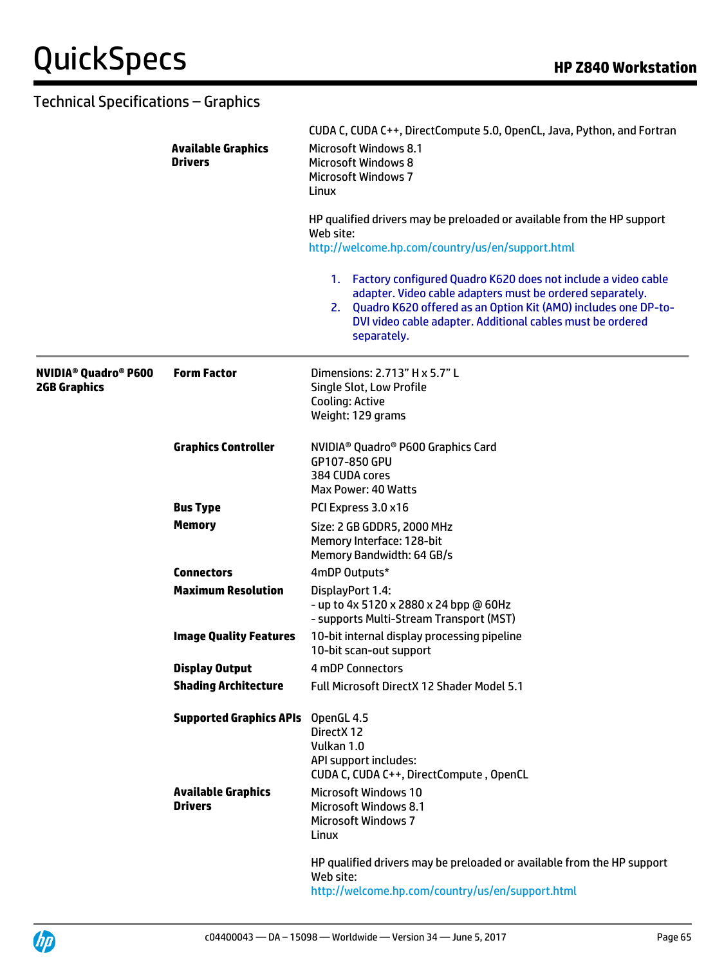#### Technical Specifications – Graphics CUDA C, CUDA C++, DirectCompute 5.0, OpenCL, Java, Python, and Fortran **Available Graphics Drivers** Microsoft Windows 8.1 Microsoft Windows 8 Microsoft Windows 7 Linux HP qualified drivers may be preloaded or available from the HP support Web site: <http://welcome.hp.com/country/us/en/support.html> 1. Factory configured Quadro K620 does not include a video cable adapter. Video cable adapters must be ordered separately. 2. Quadro K620 offered as an Option Kit (AMO) includes one DP-to-DVI video cable adapter. Additional cables must be ordered separately. **NVIDIA® Quadro® P600 2GB Graphics Form Factor Dimensions: 2.713" H x 5.7" L** Single Slot, Low Profile Cooling: Active Weight: 129 grams **Graphics Controller** NVIDIA® Quadro® P600 Graphics Card GP107-850 GPU 384 CUDA cores Max Power: 40 Watts **Bus Type** PCI Express 3.0 x16 **Memory** Size: 2 GB GDDR5, 2000 MHz Memory Interface: 128-bit Memory Bandwidth: 64 GB/s **Connectors** 4mDP Outputs\* **Maximum Resolution** DisplayPort 1.4: - up to 4x 5120 x 2880 x 24 bpp @ 60Hz - supports Multi-Stream Transport (MST) **Image Quality Features** 10-bit internal display processing pipeline 10-bit scan-out support **Display Output** 4 mDP Connectors **Shading Architecture** Full Microsoft DirectX 12 Shader Model 5.1 **Supported Graphics APIs** OpenGL 4.5 DirectX 12 Vulkan 1.0 API support includes: CUDA C, CUDA C++, DirectCompute , OpenCL **Available Graphics Drivers** Microsoft Windows 10 Microsoft Windows 8.1 Microsoft Windows 7 Linux HP qualified drivers may be preloaded or available from the HP support Web site: http://welcome.hp.com/country/us/en/support.html

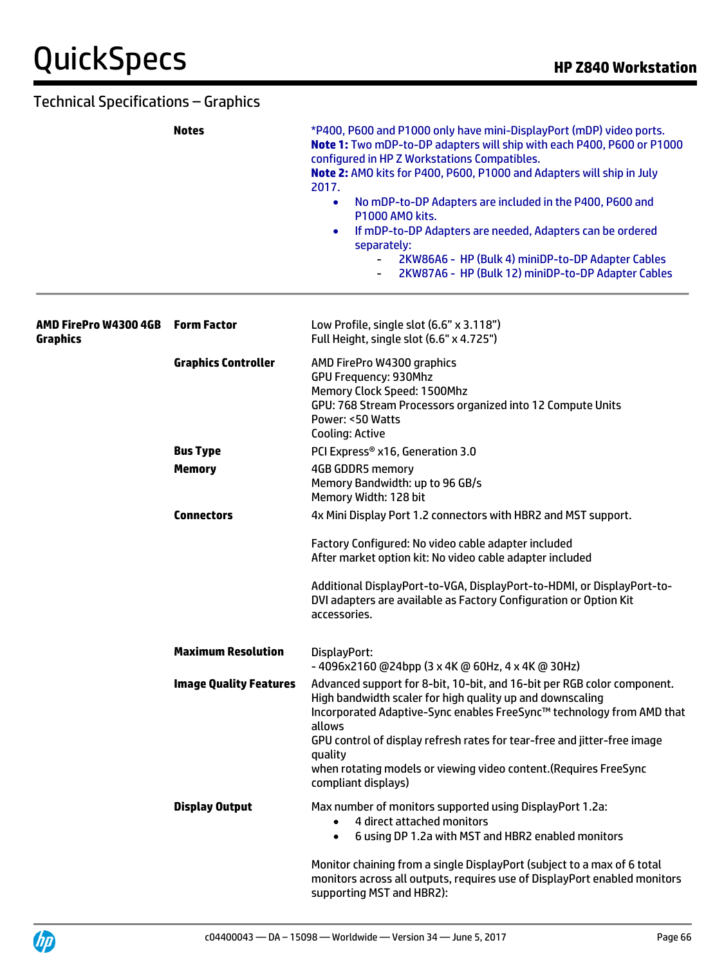|                                   | <b>Notes</b>                  | *P400, P600 and P1000 only have mini-DisplayPort (mDP) video ports.<br>Note 1: Two mDP-to-DP adapters will ship with each P400, P600 or P1000<br>configured in HP Z Workstations Compatibles.<br>Note 2: AMO kits for P400, P600, P1000 and Adapters will ship in July<br>2017.<br>No mDP-to-DP Adapters are included in the P400, P600 and<br>$\bullet$<br>P1000 AMO kits.<br>If mDP-to-DP Adapters are needed, Adapters can be ordered<br>۰<br>separately:<br>2KW86A6 - HP (Bulk 4) miniDP-to-DP Adapter Cables<br>$\sim$<br>2KW87A6 - HP (Bulk 12) miniDP-to-DP Adapter Cables |
|-----------------------------------|-------------------------------|-----------------------------------------------------------------------------------------------------------------------------------------------------------------------------------------------------------------------------------------------------------------------------------------------------------------------------------------------------------------------------------------------------------------------------------------------------------------------------------------------------------------------------------------------------------------------------------|
| AMD FirePro W4300 4GB<br>Graphics | <b>Form Factor</b>            | Low Profile, single slot (6.6" x 3.118")<br>Full Height, single slot (6.6" x 4.725")                                                                                                                                                                                                                                                                                                                                                                                                                                                                                              |
|                                   | <b>Graphics Controller</b>    | AMD FirePro W4300 graphics<br><b>GPU Frequency: 930Mhz</b><br>Memory Clock Speed: 1500Mhz<br>GPU: 768 Stream Processors organized into 12 Compute Units<br>Power: <50 Watts<br><b>Cooling: Active</b>                                                                                                                                                                                                                                                                                                                                                                             |
|                                   | <b>Bus Type</b>               | PCI Express® x16, Generation 3.0                                                                                                                                                                                                                                                                                                                                                                                                                                                                                                                                                  |
|                                   | <b>Memory</b>                 | 4GB GDDR5 memory<br>Memory Bandwidth: up to 96 GB/s<br>Memory Width: 128 bit                                                                                                                                                                                                                                                                                                                                                                                                                                                                                                      |
|                                   | <b>Connectors</b>             | 4x Mini Display Port 1.2 connectors with HBR2 and MST support.                                                                                                                                                                                                                                                                                                                                                                                                                                                                                                                    |
|                                   |                               | Factory Configured: No video cable adapter included<br>After market option kit: No video cable adapter included<br>Additional DisplayPort-to-VGA, DisplayPort-to-HDMI, or DisplayPort-to-<br>DVI adapters are available as Factory Configuration or Option Kit<br>accessories.                                                                                                                                                                                                                                                                                                    |
|                                   | <b>Maximum Resolution</b>     | DisplayPort:<br>-4096x2160 @24bpp (3 x 4K @ 60Hz, 4 x 4K @ 30Hz)                                                                                                                                                                                                                                                                                                                                                                                                                                                                                                                  |
|                                   | <b>Image Quality Features</b> | Advanced support for 8-bit, 10-bit, and 16-bit per RGB color component.<br>High bandwidth scaler for high quality up and downscaling<br>Incorporated Adaptive-Sync enables FreeSync™ technology from AMD that<br>allows<br>GPU control of display refresh rates for tear-free and jitter-free image<br>quality<br>when rotating models or viewing video content. (Requires FreeSync<br>compliant displays)                                                                                                                                                                        |
|                                   | <b>Display Output</b>         | Max number of monitors supported using DisplayPort 1.2a:<br>4 direct attached monitors<br>$\bullet$<br>6 using DP 1.2a with MST and HBR2 enabled monitors<br>$\bullet$                                                                                                                                                                                                                                                                                                                                                                                                            |
|                                   |                               | Monitor chaining from a single DisplayPort (subject to a max of 6 total<br>monitors across all outputs, requires use of DisplayPort enabled monitors<br>supporting MST and HBR2):                                                                                                                                                                                                                                                                                                                                                                                                 |

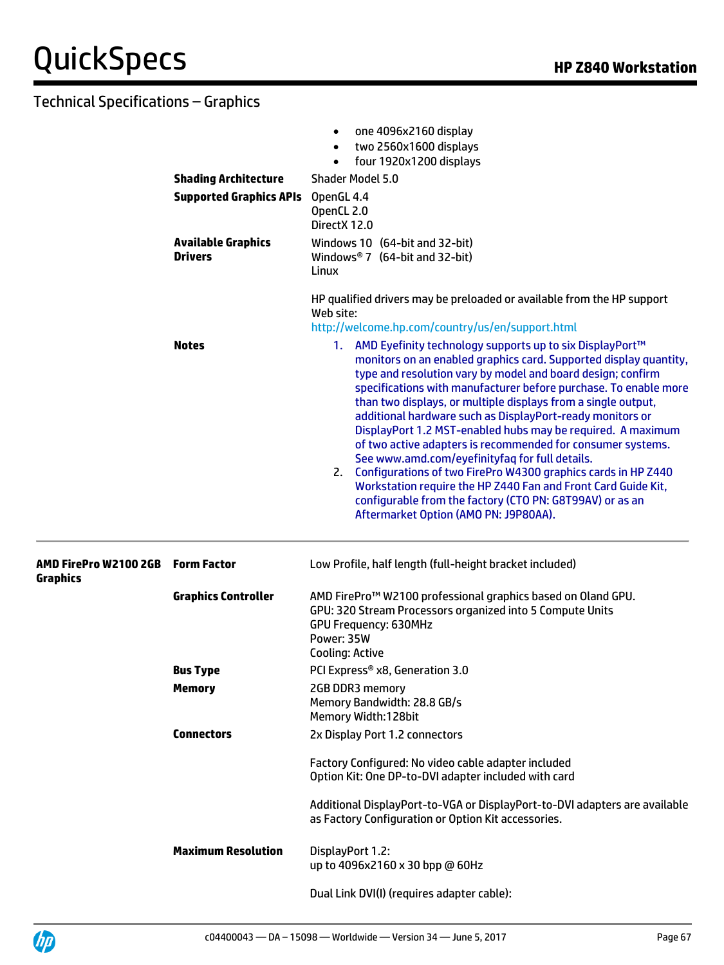|                                                      |                                             | one 4096x2160 display<br>$\bullet$<br>two 2560x1600 displays<br>$\bullet$<br>four 1920x1200 displays<br>$\bullet$                                                                                                                                                                                                                                                                                                                                                                                                                                                                                                                                                                                                                                                                                                           |
|------------------------------------------------------|---------------------------------------------|-----------------------------------------------------------------------------------------------------------------------------------------------------------------------------------------------------------------------------------------------------------------------------------------------------------------------------------------------------------------------------------------------------------------------------------------------------------------------------------------------------------------------------------------------------------------------------------------------------------------------------------------------------------------------------------------------------------------------------------------------------------------------------------------------------------------------------|
|                                                      | <b>Shading Architecture</b>                 | Shader Model 5.0                                                                                                                                                                                                                                                                                                                                                                                                                                                                                                                                                                                                                                                                                                                                                                                                            |
|                                                      | <b>Supported Graphics APIs</b>              | OpenGL 4.4<br>OpenCL 2.0<br>DirectX 12.0                                                                                                                                                                                                                                                                                                                                                                                                                                                                                                                                                                                                                                                                                                                                                                                    |
|                                                      | <b>Available Graphics</b><br><b>Drivers</b> | Windows 10 (64-bit and 32-bit)<br>Windows <sup>®</sup> 7 $(64$ -bit and 32-bit)<br>Linux                                                                                                                                                                                                                                                                                                                                                                                                                                                                                                                                                                                                                                                                                                                                    |
|                                                      |                                             | HP qualified drivers may be preloaded or available from the HP support<br>Web site:<br>http://welcome.hp.com/country/us/en/support.html                                                                                                                                                                                                                                                                                                                                                                                                                                                                                                                                                                                                                                                                                     |
|                                                      | <b>Notes</b>                                | 1. AMD Eyefinity technology supports up to six DisplayPort™<br>monitors on an enabled graphics card. Supported display quantity,<br>type and resolution vary by model and board design; confirm<br>specifications with manufacturer before purchase. To enable more<br>than two displays, or multiple displays from a single output,<br>additional hardware such as DisplayPort-ready monitors or<br>DisplayPort 1.2 MST-enabled hubs may be required. A maximum<br>of two active adapters is recommended for consumer systems.<br>See www.amd.com/eyefinityfaq for full details.<br>2. Configurations of two FirePro W4300 graphics cards in HP Z440<br>Workstation require the HP Z440 Fan and Front Card Guide Kit,<br>configurable from the factory (CTO PN: G8T99AV) or as an<br>Aftermarket Option (AMO PN: J9P80AA). |
| AMD FirePro W2100 2GB Form Factor<br><b>Graphics</b> |                                             | Low Profile, half length (full-height bracket included)                                                                                                                                                                                                                                                                                                                                                                                                                                                                                                                                                                                                                                                                                                                                                                     |
|                                                      | <b>Graphics Controller</b>                  | AMD FirePro™ W2100 professional graphics based on Oland GPU.<br>GPU: 320 Stream Processors organized into 5 Compute Units<br><b>GPU Frequency: 630MHz</b><br>Power: 35W<br>Cooling: Active                                                                                                                                                                                                                                                                                                                                                                                                                                                                                                                                                                                                                                  |
|                                                      | <b>Bus Type</b>                             | PCI Express® x8, Generation 3.0                                                                                                                                                                                                                                                                                                                                                                                                                                                                                                                                                                                                                                                                                                                                                                                             |
|                                                      | <b>Memory</b>                               | 2GB DDR3 memory<br>Memory Bandwidth: 28.8 GB/s<br>Memory Width:128bit                                                                                                                                                                                                                                                                                                                                                                                                                                                                                                                                                                                                                                                                                                                                                       |
|                                                      | <b>Connectors</b>                           | 2x Display Port 1.2 connectors                                                                                                                                                                                                                                                                                                                                                                                                                                                                                                                                                                                                                                                                                                                                                                                              |
|                                                      |                                             | Factory Configured: No video cable adapter included<br>Option Kit: One DP-to-DVI adapter included with card                                                                                                                                                                                                                                                                                                                                                                                                                                                                                                                                                                                                                                                                                                                 |
|                                                      |                                             | Additional DisplayPort-to-VGA or DisplayPort-to-DVI adapters are available<br>as Factory Configuration or Option Kit accessories.                                                                                                                                                                                                                                                                                                                                                                                                                                                                                                                                                                                                                                                                                           |
|                                                      | <b>Maximum Resolution</b>                   | DisplayPort 1.2:<br>up to 4096x2160 x 30 bpp @ 60Hz                                                                                                                                                                                                                                                                                                                                                                                                                                                                                                                                                                                                                                                                                                                                                                         |
|                                                      |                                             | Dual Link DVI(I) (requires adapter cable):                                                                                                                                                                                                                                                                                                                                                                                                                                                                                                                                                                                                                                                                                                                                                                                  |

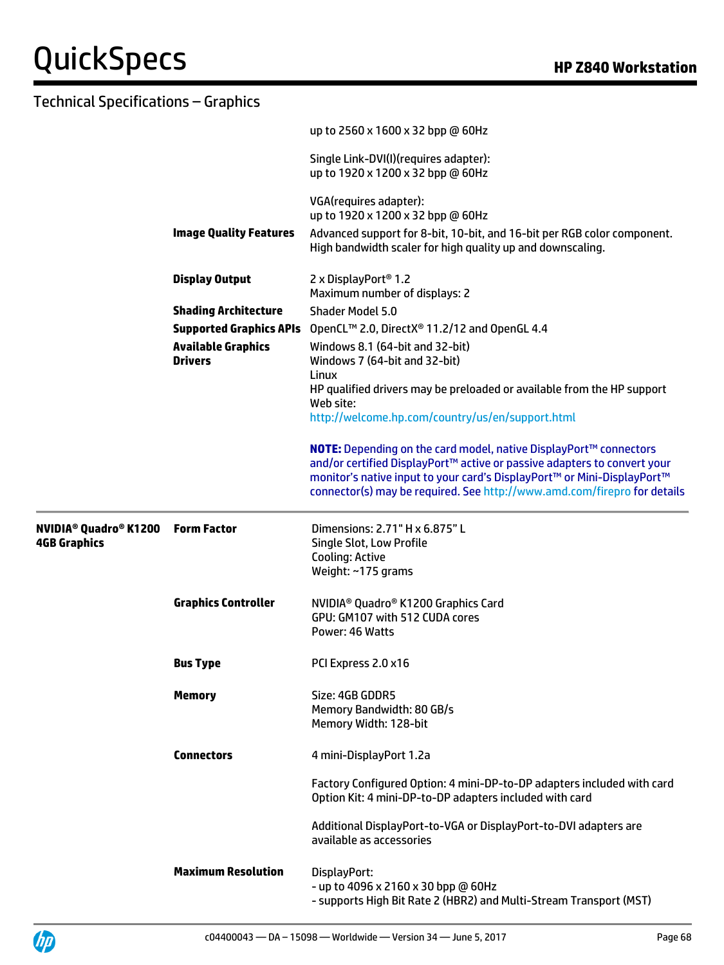| Technical Specifications – Graphics          |                                             |                                                                                                                                                                                                                                                                                                      |
|----------------------------------------------|---------------------------------------------|------------------------------------------------------------------------------------------------------------------------------------------------------------------------------------------------------------------------------------------------------------------------------------------------------|
|                                              |                                             | up to 2560 x 1600 x 32 bpp @ 60Hz                                                                                                                                                                                                                                                                    |
|                                              |                                             | Single Link-DVI(I)(requires adapter):<br>up to 1920 x 1200 x 32 bpp @ 60Hz                                                                                                                                                                                                                           |
|                                              |                                             | VGA(requires adapter):<br>up to 1920 x 1200 x 32 bpp @ 60Hz                                                                                                                                                                                                                                          |
|                                              | <b>Image Quality Features</b>               | Advanced support for 8-bit, 10-bit, and 16-bit per RGB color component.<br>High bandwidth scaler for high quality up and downscaling.                                                                                                                                                                |
|                                              | <b>Display Output</b>                       | 2 x DisplayPort <sup>®</sup> 1.2<br>Maximum number of displays: 2                                                                                                                                                                                                                                    |
|                                              | <b>Shading Architecture</b>                 | <b>Shader Model 5.0</b>                                                                                                                                                                                                                                                                              |
|                                              |                                             | Supported Graphics APIs OpenCL™ 2.0, DirectX® 11.2/12 and OpenGL 4.4                                                                                                                                                                                                                                 |
|                                              | <b>Available Graphics</b><br><b>Drivers</b> | Windows 8.1 (64-bit and 32-bit)<br>Windows 7 (64-bit and 32-bit)                                                                                                                                                                                                                                     |
|                                              |                                             | Linux<br>HP qualified drivers may be preloaded or available from the HP support<br>Web site:<br>http://welcome.hp.com/country/us/en/support.html                                                                                                                                                     |
|                                              |                                             | NOTE: Depending on the card model, native DisplayPort™ connectors<br>and/or certified DisplayPort™ active or passive adapters to convert your<br>monitor's native input to your card's DisplayPort™ or Mini-DisplayPort™<br>connector(s) may be required. See http://www.amd.com/firepro for details |
| NVIDIA® Quadro® K1200<br><b>4GB Graphics</b> | <b>Form Factor</b>                          | Dimensions: 2.71" H x 6.875" L<br>Single Slot, Low Profile<br><b>Cooling: Active</b><br>Weight: ~175 grams                                                                                                                                                                                           |
|                                              | <b>Graphics Controller</b>                  | NVIDIA <sup>®</sup> Quadro <sup>®</sup> K1200 Graphics Card<br>GPU: GM107 with 512 CUDA cores<br>Power: 46 Watts                                                                                                                                                                                     |
|                                              | <b>Bus Type</b>                             | PCI Express 2.0 x16                                                                                                                                                                                                                                                                                  |
|                                              | <b>Memory</b>                               | Size: 4GB GDDR5<br>Memory Bandwidth: 80 GB/s<br>Memory Width: 128-bit                                                                                                                                                                                                                                |
|                                              | <b>Connectors</b>                           | 4 mini-DisplayPort 1.2a                                                                                                                                                                                                                                                                              |
|                                              |                                             | Factory Configured Option: 4 mini-DP-to-DP adapters included with card<br>Option Kit: 4 mini-DP-to-DP adapters included with card                                                                                                                                                                    |
|                                              |                                             | Additional DisplayPort-to-VGA or DisplayPort-to-DVI adapters are<br>available as accessories                                                                                                                                                                                                         |
|                                              | <b>Maximum Resolution</b>                   | DisplayPort:<br>- up to 4096 x 2160 x 30 bpp @ 60Hz<br>- supports High Bit Rate 2 (HBR2) and Multi-Stream Transport (MST)                                                                                                                                                                            |

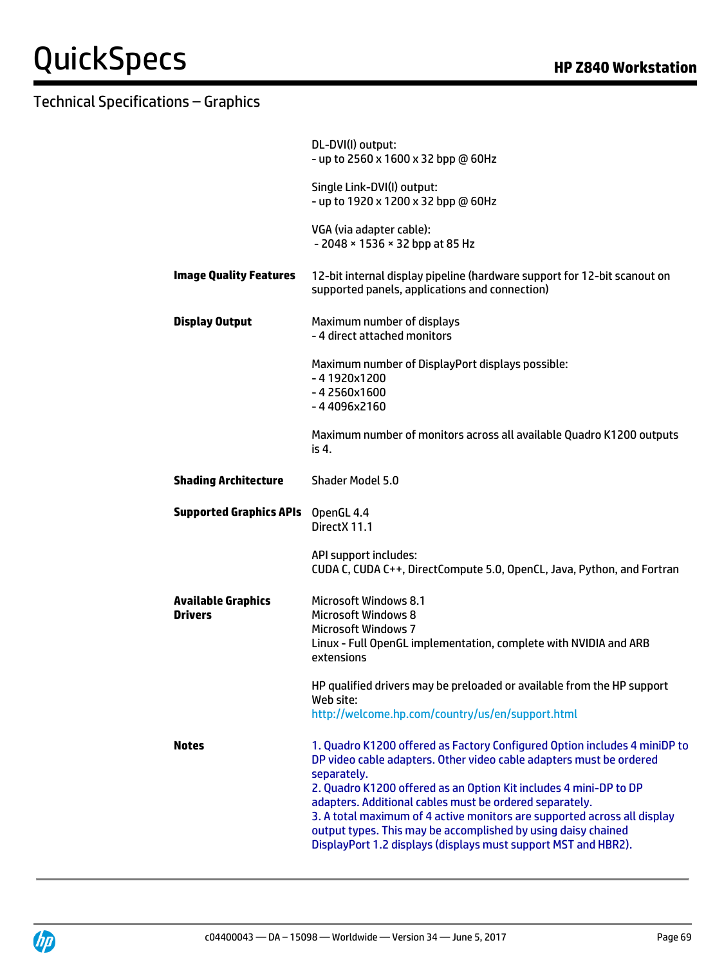|                                             | DL-DVI(I) output:<br>- up to 2560 x 1600 x 32 bpp @ 60Hz                                                                                                                   |
|---------------------------------------------|----------------------------------------------------------------------------------------------------------------------------------------------------------------------------|
|                                             | Single Link-DVI(I) output:<br>- up to 1920 x 1200 x 32 bpp @ 60Hz                                                                                                          |
|                                             | VGA (via adapter cable):<br>- 2048 × 1536 × 32 bpp at 85 Hz                                                                                                                |
| <b>Image Quality Features</b>               | 12-bit internal display pipeline (hardware support for 12-bit scanout on<br>supported panels, applications and connection)                                                 |
| <b>Display Output</b>                       | Maximum number of displays<br>- 4 direct attached monitors                                                                                                                 |
|                                             | Maximum number of DisplayPort displays possible:<br>-41920x1200<br>$-42560x1600$<br>-44096x2160                                                                            |
|                                             | Maximum number of monitors across all available Quadro K1200 outputs<br>is 4.                                                                                              |
| <b>Shading Architecture</b>                 | Shader Model 5.0                                                                                                                                                           |
|                                             |                                                                                                                                                                            |
| <b>Supported Graphics APIs</b>              | OpenGL 4.4<br>DirectX 11.1                                                                                                                                                 |
|                                             | API support includes:<br>CUDA C, CUDA C++, DirectCompute 5.0, OpenCL, Java, Python, and Fortran                                                                            |
| <b>Available Graphics</b><br><b>Drivers</b> | <b>Microsoft Windows 8.1</b><br><b>Microsoft Windows 8</b><br><b>Microsoft Windows 7</b><br>Linux - Full OpenGL implementation, complete with NVIDIA and ARB<br>extensions |
|                                             | HP qualified drivers may be preloaded or available from the HP support<br>Web site:<br>http://welcome.hp.com/country/us/en/support.html                                    |

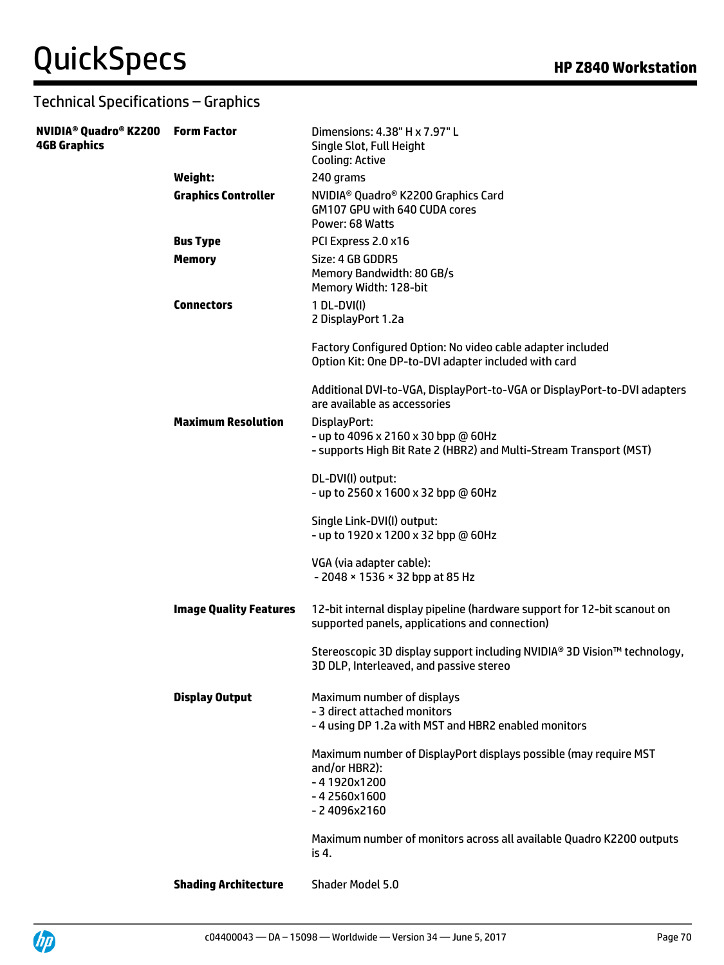| NVIDIA <sup>®</sup> Quadro® K2200 Form Factor<br><b>4GB Graphics</b> |                               | Dimensions: 4.38" H x 7.97" L<br>Single Slot, Full Height<br><b>Cooling: Active</b>                                        |
|----------------------------------------------------------------------|-------------------------------|----------------------------------------------------------------------------------------------------------------------------|
|                                                                      | Weight:                       | 240 grams                                                                                                                  |
|                                                                      | <b>Graphics Controller</b>    | NVIDIA <sup>®</sup> Quadro® K2200 Graphics Card<br><b>GM107 GPU with 640 CUDA cores</b><br>Power: 68 Watts                 |
|                                                                      | <b>Bus Type</b>               | PCI Express 2.0 x16                                                                                                        |
|                                                                      | <b>Memory</b>                 | Size: 4 GB GDDR5<br>Memory Bandwidth: 80 GB/s<br>Memory Width: 128-bit                                                     |
|                                                                      | <b>Connectors</b>             | 1 DL-DVI(I)<br>2 DisplayPort 1.2a                                                                                          |
|                                                                      |                               | Factory Configured Option: No video cable adapter included<br>Option Kit: One DP-to-DVI adapter included with card         |
|                                                                      |                               | Additional DVI-to-VGA, DisplayPort-to-VGA or DisplayPort-to-DVI adapters<br>are available as accessories                   |
|                                                                      | <b>Maximum Resolution</b>     | DisplayPort:<br>- up to 4096 x 2160 x 30 bpp @ 60Hz<br>- supports High Bit Rate 2 (HBR2) and Multi-Stream Transport (MST)  |
|                                                                      |                               | DL-DVI(I) output:<br>- up to 2560 x 1600 x 32 bpp @ 60Hz                                                                   |
|                                                                      |                               | Single Link-DVI(I) output:<br>- up to 1920 x 1200 x 32 bpp @ 60Hz                                                          |
|                                                                      |                               | VGA (via adapter cable):<br>$-2048 \times 1536 \times 32$ bpp at 85 Hz                                                     |
|                                                                      | <b>Image Quality Features</b> | 12-bit internal display pipeline (hardware support for 12-bit scanout on<br>supported panels, applications and connection) |
|                                                                      |                               | Stereoscopic 3D display support including NVIDIA® 3D Vision™ technology,<br>3D DLP, Interleaved, and passive stereo        |
|                                                                      | <b>Display Output</b>         | Maximum number of displays<br>- 3 direct attached monitors<br>- 4 using DP 1.2a with MST and HBR2 enabled monitors         |
|                                                                      |                               | Maximum number of DisplayPort displays possible (may require MST<br>and/or HBR2):<br>$-41920x1200$                         |
|                                                                      |                               | $-42560x1600$<br>$-24096x2160$                                                                                             |
|                                                                      |                               | Maximum number of monitors across all available Quadro K2200 outputs<br>is 4.                                              |
|                                                                      | <b>Shading Architecture</b>   | Shader Model 5.0                                                                                                           |

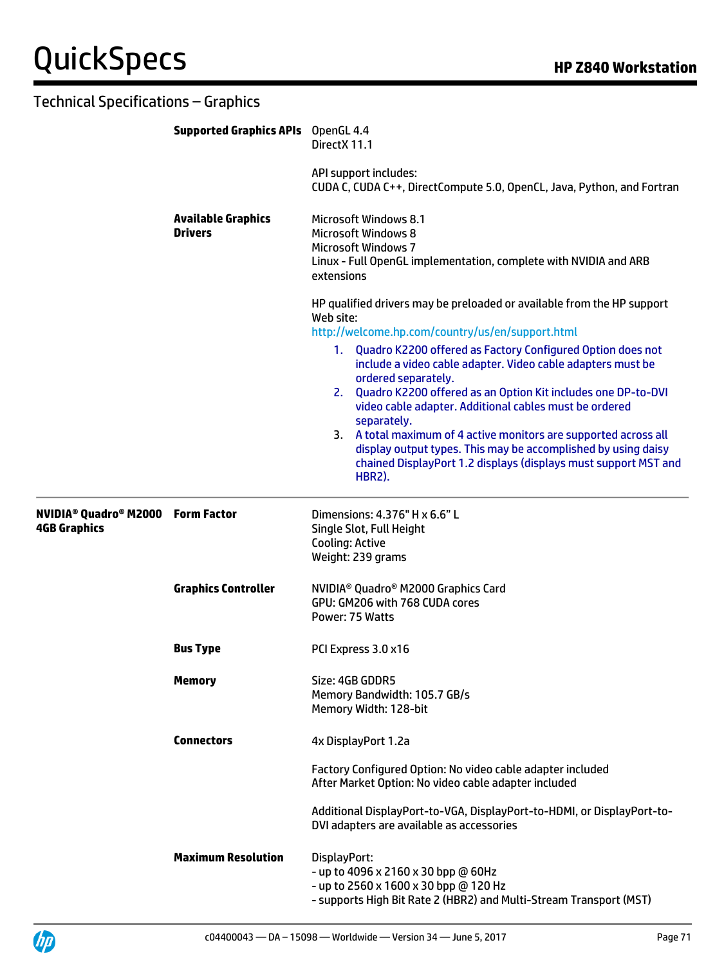#### Technical Specifications – Graphics **Supported Graphics APIs** OpenGL 4.4 DirectX 11.1 API support includes: CUDA C, CUDA C++, DirectCompute 5.0, OpenCL, Java, Python, and Fortran **Available Graphics Drivers** Microsoft Windows 8.1 Microsoft Windows 8 Microsoft Windows 7 Linux - Full OpenGL implementation, complete with NVIDIA and ARB extensions HP qualified drivers may be preloaded or available from the HP support Web site: <http://welcome.hp.com/country/us/en/support.html> 1. Quadro K2200 offered as Factory Configured Option does not include a video cable adapter. Video cable adapters must be ordered separately. 2. Quadro K2200 offered as an Option Kit includes one DP-to-DVI video cable adapter. Additional cables must be ordered separately. 3. A total maximum of 4 active monitors are supported across all display output types. This may be accomplished by using daisy chained DisplayPort 1.2 displays (displays must support MST and HBR2). **NVIDIA® Quadro® M2000 4GB Graphics Form Factor** Dimensions: 4.376" H x 6.6" L Single Slot, Full Height Cooling: Active Weight: 239 grams **Graphics Controller** NVIDIA® Quadro® M2000 Graphics Card GPU: GM206 with 768 CUDA cores Power: 75 Watts **Bus Type** PCI Express 3.0 x16 **Memory** Size: 4GB GDDR5 Memory Bandwidth: 105.7 GB/s Memory Width: 128-bit **Connectors** 4x DisplayPort 1.2a Factory Configured Option: No video cable adapter included After Market Option: No video cable adapter included Additional DisplayPort-to-VGA, DisplayPort-to-HDMI, or DisplayPort-to-DVI adapters are available as accessories **Maximum Resolution** DisplayPort: - up to 4096 x 2160 x 30 bpp @ 60Hz

- up to 2560 x 1600 x 30 bpp @ 120 Hz

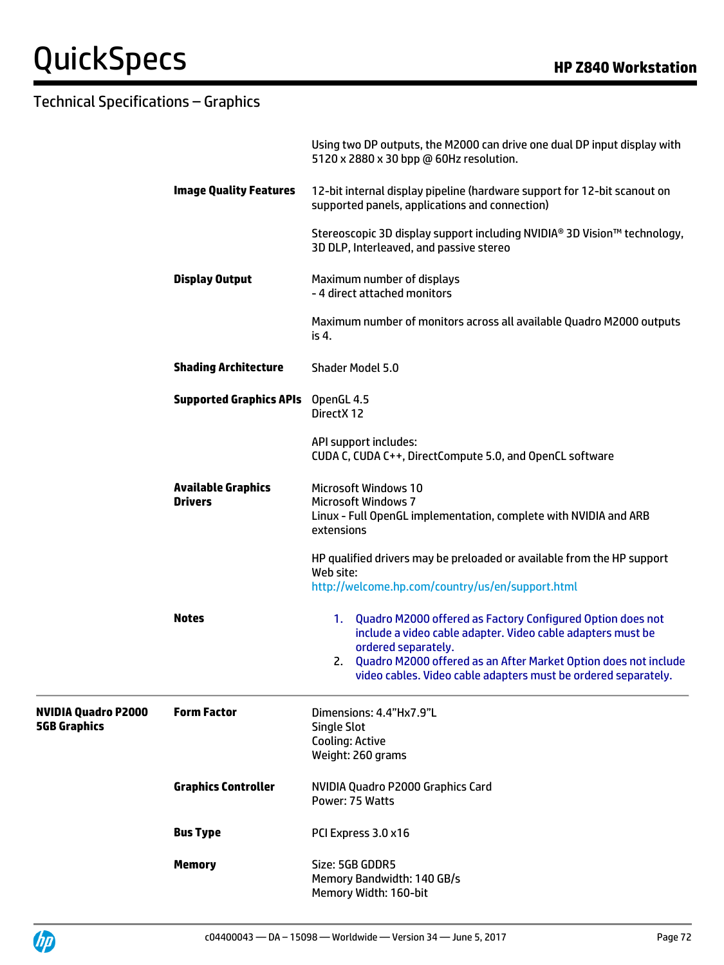|                                                   |                                             | Using two DP outputs, the M2000 can drive one dual DP input display with<br>5120 x 2880 x 30 bpp @ 60Hz resolution.                                 |
|---------------------------------------------------|---------------------------------------------|-----------------------------------------------------------------------------------------------------------------------------------------------------|
|                                                   | <b>Image Quality Features</b>               | 12-bit internal display pipeline (hardware support for 12-bit scanout on<br>supported panels, applications and connection)                          |
|                                                   |                                             | Stereoscopic 3D display support including NVIDIA® 3D Vision™ technology,<br>3D DLP, Interleaved, and passive stereo                                 |
|                                                   | <b>Display Output</b>                       | Maximum number of displays<br>- 4 direct attached monitors                                                                                          |
|                                                   |                                             | Maximum number of monitors across all available Quadro M2000 outputs<br>is 4.                                                                       |
|                                                   | <b>Shading Architecture</b>                 | <b>Shader Model 5.0</b>                                                                                                                             |
|                                                   | <b>Supported Graphics APIs</b> OpenGL 4.5   | DirectX 12                                                                                                                                          |
|                                                   |                                             | API support includes:<br>CUDA C, CUDA C++, DirectCompute 5.0, and OpenCL software                                                                   |
|                                                   | <b>Available Graphics</b><br><b>Drivers</b> | <b>Microsoft Windows 10</b><br><b>Microsoft Windows 7</b>                                                                                           |
|                                                   |                                             | Linux - Full OpenGL implementation, complete with NVIDIA and ARB<br>extensions                                                                      |
|                                                   |                                             | HP qualified drivers may be preloaded or available from the HP support<br>Web site:                                                                 |
|                                                   |                                             | http://welcome.hp.com/country/us/en/support.html                                                                                                    |
|                                                   | <b>Notes</b>                                | 1. Quadro M2000 offered as Factory Configured Option does not<br>include a video cable adapter. Video cable adapters must be<br>ordered separately. |
|                                                   |                                             | 2. Quadro M2000 offered as an After Market Option does not include<br>video cables. Video cable adapters must be ordered separately.                |
| <b>NVIDIA Quadro P2000</b><br><b>5GB Graphics</b> | <b>Form Factor</b>                          | Dimensions: 4.4"Hx7.9"L<br><b>Single Slot</b>                                                                                                       |
|                                                   |                                             | <b>Cooling: Active</b><br>Weight: 260 grams                                                                                                         |
|                                                   | <b>Graphics Controller</b>                  | NVIDIA Quadro P2000 Graphics Card<br>Power: 75 Watts                                                                                                |
|                                                   | <b>Bus Type</b>                             | PCI Express 3.0 x16                                                                                                                                 |
|                                                   | <b>Memory</b>                               | Size: 5GB GDDR5<br>Memory Bandwidth: 140 GB/s<br>Memory Width: 160-bit                                                                              |

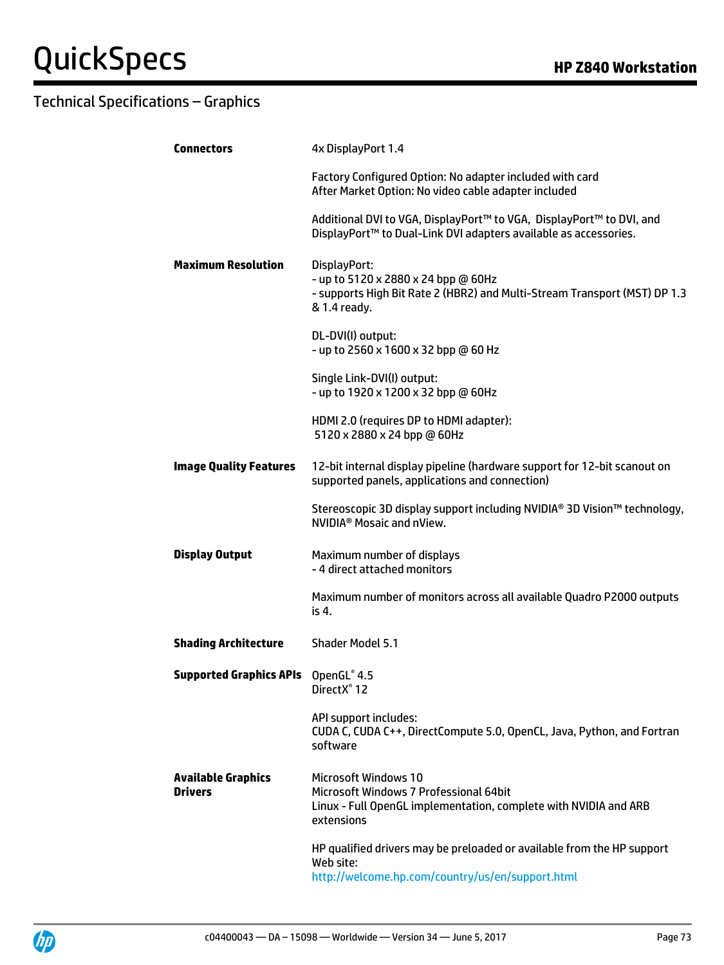| <b>Connectors</b>                           | 4x DisplayPort 1.4                                                                                                                                      |
|---------------------------------------------|---------------------------------------------------------------------------------------------------------------------------------------------------------|
|                                             | Factory Configured Option: No adapter included with card<br>After Market Option: No video cable adapter included                                        |
|                                             | Additional DVI to VGA, DisplayPort™ to VGA, DisplayPort™ to DVI, and<br>DisplayPort™ to Dual-Link DVI adapters available as accessories.                |
| <b>Maximum Resolution</b>                   | DisplayPort:<br>- up to 5120 x 2880 x 24 bpp @ 60Hz<br>- supports High Bit Rate 2 (HBR2) and Multi-Stream Transport (MST) DP 1.3<br>& 1.4 ready.        |
|                                             | DL-DVI(I) output:<br>- up to 2560 x 1600 x 32 bpp @ 60 Hz                                                                                               |
|                                             | Single Link-DVI(I) output:<br>- up to 1920 x 1200 x 32 bpp @ 60Hz                                                                                       |
|                                             | HDMI 2.0 (requires DP to HDMI adapter):<br>5120 x 2880 x 24 bpp @ 60Hz                                                                                  |
| <b>Image Quality Features</b>               | 12-bit internal display pipeline (hardware support for 12-bit scanout on<br>supported panels, applications and connection)                              |
|                                             | Stereoscopic 3D display support including NVIDIA® 3D Vision™ technology,<br>NVIDIA <sup>®</sup> Mosaic and nView.                                       |
| <b>Display Output</b>                       | Maximum number of displays<br>- 4 direct attached monitors                                                                                              |
|                                             | Maximum number of monitors across all available Quadro P2000 outputs<br>is 4.                                                                           |
| <b>Shading Architecture</b>                 | Shader Model 5.1                                                                                                                                        |
| <b>Supported Graphics APIs</b> OpenGL® 4.5  | DirectX® 12                                                                                                                                             |
|                                             | API support includes:<br>CUDA C, CUDA C++, DirectCompute 5.0, OpenCL, Java, Python, and Fortran<br>software                                             |
| <b>Available Graphics</b><br><b>Drivers</b> | <b>Microsoft Windows 10</b><br>Microsoft Windows 7 Professional 64bit<br>Linux - Full OpenGL implementation, complete with NVIDIA and ARB<br>extensions |
|                                             | HP qualified drivers may be preloaded or available from the HP support<br>Web site:<br>http://welcome.hp.com/country/us/en/support.html                 |

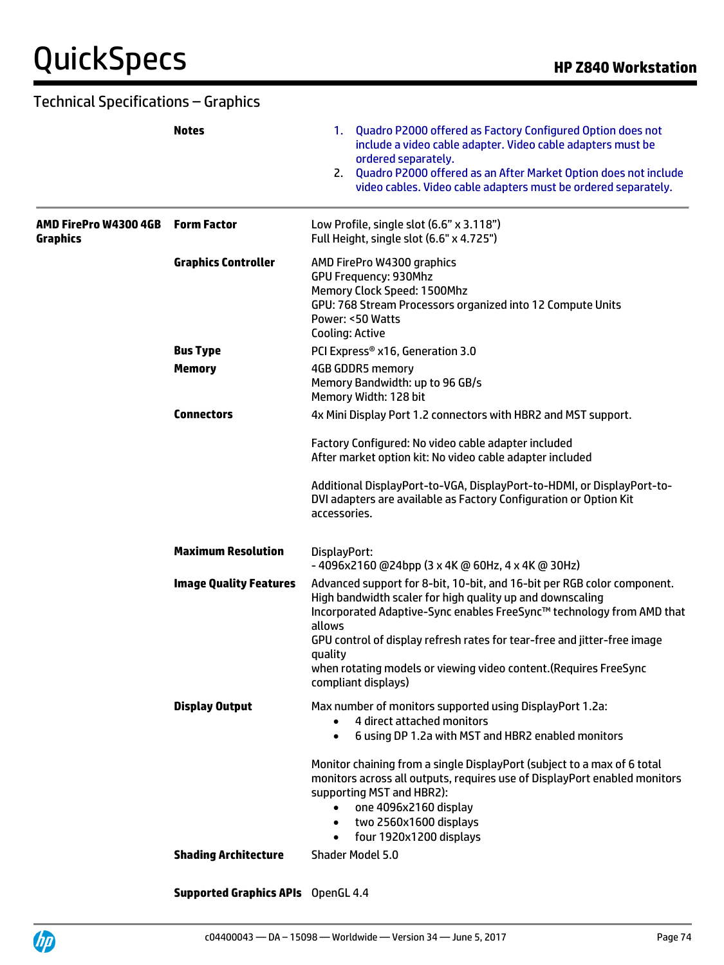#### Technical Specifications – Graphics

|                                   |                               | include a video cable adapter. Video cable adapters must be<br>ordered separately.<br>2. Quadro P2000 offered as an After Market Option does not include<br>video cables. Video cable adapters must be ordered separately.                                                                                                                                                                                 |
|-----------------------------------|-------------------------------|------------------------------------------------------------------------------------------------------------------------------------------------------------------------------------------------------------------------------------------------------------------------------------------------------------------------------------------------------------------------------------------------------------|
| AMD FirePro W4300 4GB<br>Graphics | <b>Form Factor</b>            | Low Profile, single slot (6.6" x 3.118")<br>Full Height, single slot (6.6" x 4.725")                                                                                                                                                                                                                                                                                                                       |
|                                   | <b>Graphics Controller</b>    | AMD FirePro W4300 graphics<br><b>GPU Frequency: 930Mhz</b><br>Memory Clock Speed: 1500Mhz<br>GPU: 768 Stream Processors organized into 12 Compute Units<br>Power: <50 Watts<br><b>Cooling: Active</b>                                                                                                                                                                                                      |
|                                   | <b>Bus Type</b>               | PCI Express® x16, Generation 3.0                                                                                                                                                                                                                                                                                                                                                                           |
|                                   | <b>Memory</b>                 | <b>4GB GDDR5 memory</b><br>Memory Bandwidth: up to 96 GB/s<br>Memory Width: 128 bit                                                                                                                                                                                                                                                                                                                        |
|                                   | <b>Connectors</b>             | 4x Mini Display Port 1.2 connectors with HBR2 and MST support.                                                                                                                                                                                                                                                                                                                                             |
|                                   |                               | Factory Configured: No video cable adapter included<br>After market option kit: No video cable adapter included                                                                                                                                                                                                                                                                                            |
|                                   |                               | Additional DisplayPort-to-VGA, DisplayPort-to-HDMI, or DisplayPort-to-<br>DVI adapters are available as Factory Configuration or Option Kit<br>accessories.                                                                                                                                                                                                                                                |
|                                   | <b>Maximum Resolution</b>     | DisplayPort:<br>$-$ 4096x2160 @24bpp (3 x 4K @ 60Hz, 4 x 4K @ 30Hz)                                                                                                                                                                                                                                                                                                                                        |
|                                   | <b>Image Quality Features</b> | Advanced support for 8-bit, 10-bit, and 16-bit per RGB color component.<br>High bandwidth scaler for high quality up and downscaling<br>Incorporated Adaptive-Sync enables FreeSync™ technology from AMD that<br>allows<br>GPU control of display refresh rates for tear-free and jitter-free image<br>quality<br>when rotating models or viewing video content. (Requires FreeSync<br>compliant displays) |
|                                   | <b>Display Output</b>         | Max number of monitors supported using DisplayPort 1.2a:<br>4 direct attached monitors<br>$\bullet$<br>6 using DP 1.2a with MST and HBR2 enabled monitors<br>$\bullet$                                                                                                                                                                                                                                     |
|                                   |                               | Monitor chaining from a single DisplayPort (subject to a max of 6 total<br>monitors across all outputs, requires use of DisplayPort enabled monitors<br>supporting MST and HBR2):<br>one 4096x2160 display<br>$\bullet$<br>two 2560x1600 displays<br>$\bullet$<br>four 1920x1200 displays<br>$\bullet$                                                                                                     |
|                                   | <b>Shading Architecture</b>   | Shader Model 5.0                                                                                                                                                                                                                                                                                                                                                                                           |

**Supported Graphics APIs** OpenGL 4.4

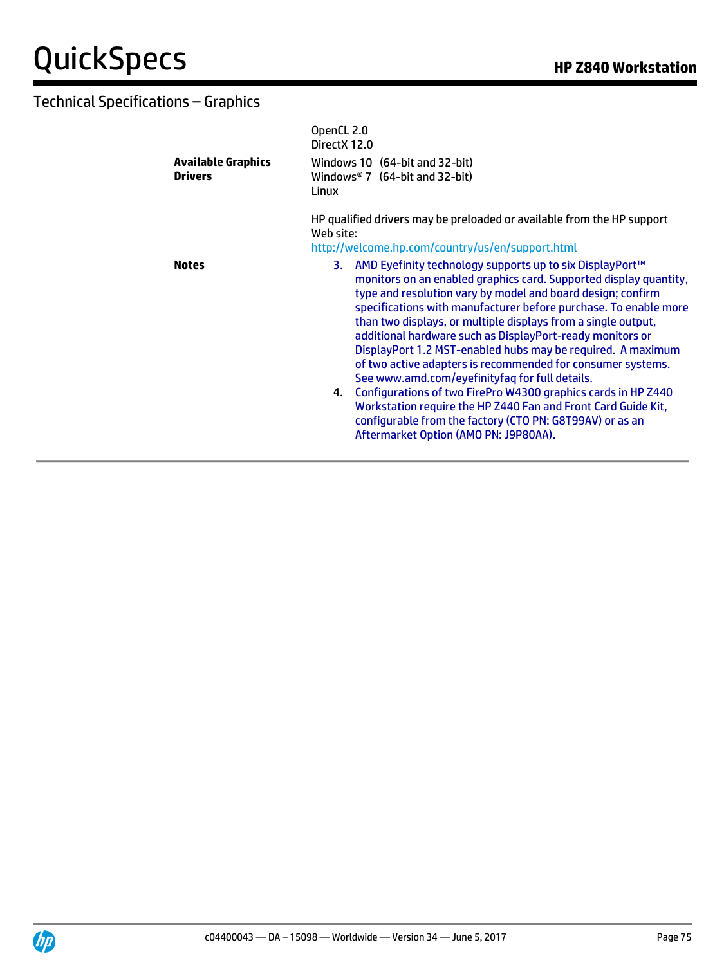| <b>Available Graphics</b><br><b>Drivers</b> | OpenCL 2.0<br>DirectX 12.0<br>Windows 10 (64-bit and 32-bit)<br>Windows <sup>®</sup> 7 $(64-bit and 32-bit)$<br>Linux                                                                                                                                                                                                                                                                                                                                                                                                                                                                                                                                                                                                                                                                                                             |
|---------------------------------------------|-----------------------------------------------------------------------------------------------------------------------------------------------------------------------------------------------------------------------------------------------------------------------------------------------------------------------------------------------------------------------------------------------------------------------------------------------------------------------------------------------------------------------------------------------------------------------------------------------------------------------------------------------------------------------------------------------------------------------------------------------------------------------------------------------------------------------------------|
|                                             | HP qualified drivers may be preloaded or available from the HP support<br>Web site:<br>http://welcome.hp.com/country/us/en/support.html                                                                                                                                                                                                                                                                                                                                                                                                                                                                                                                                                                                                                                                                                           |
| <b>Notes</b>                                | AMD Eyefinity technology supports up to six DisplayPort™<br>3.<br>monitors on an enabled graphics card. Supported display quantity,<br>type and resolution vary by model and board design; confirm<br>specifications with manufacturer before purchase. To enable more<br>than two displays, or multiple displays from a single output,<br>additional hardware such as DisplayPort-ready monitors or<br>DisplayPort 1.2 MST-enabled hubs may be required. A maximum<br>of two active adapters is recommended for consumer systems.<br>See www.amd.com/eyefinityfaq for full details.<br>Configurations of two FirePro W4300 graphics cards in HP Z440<br>4.<br>Workstation require the HP Z440 Fan and Front Card Guide Kit,<br>configurable from the factory (CTO PN: G8T99AV) or as an<br>Aftermarket Option (AMO PN: J9P80AA). |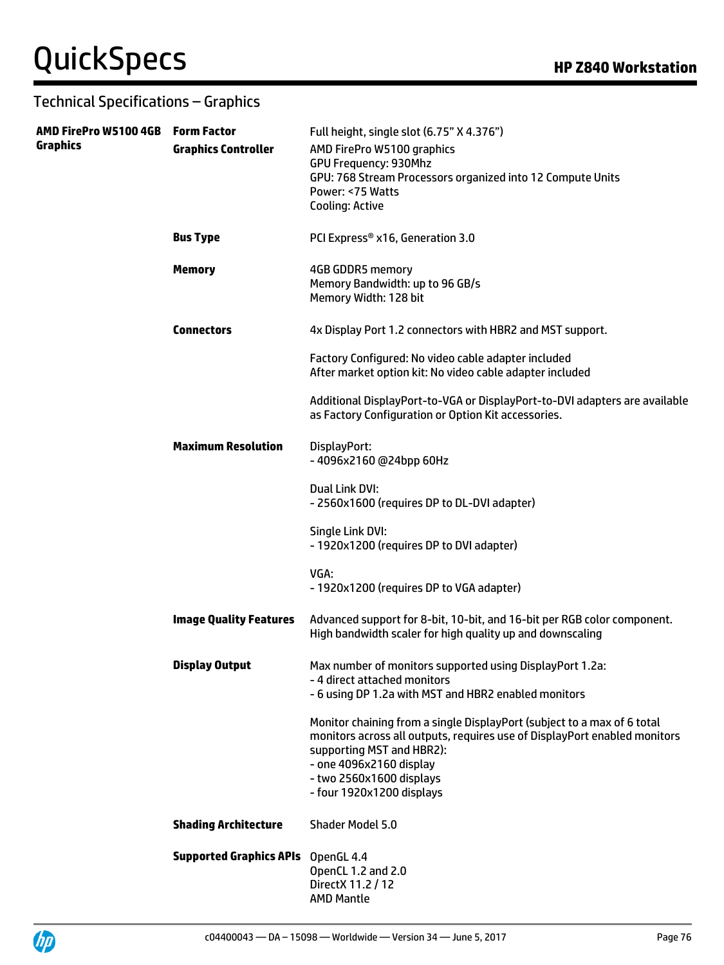| AMD FirePro W5100 4GB Form Factor |                                           | Full height, single slot (6.75" X 4.376")                                                                                                                                         |
|-----------------------------------|-------------------------------------------|-----------------------------------------------------------------------------------------------------------------------------------------------------------------------------------|
| Graphics                          | <b>Graphics Controller</b>                | AMD FirePro W5100 graphics<br><b>GPU Frequency: 930Mhz</b><br>GPU: 768 Stream Processors organized into 12 Compute Units                                                          |
|                                   |                                           | Power: <75 Watts                                                                                                                                                                  |
|                                   |                                           | <b>Cooling: Active</b>                                                                                                                                                            |
|                                   | <b>Bus Type</b>                           | PCI Express® x16, Generation 3.0                                                                                                                                                  |
|                                   | <b>Memory</b>                             | <b>4GB GDDR5 memory</b><br>Memory Bandwidth: up to 96 GB/s<br>Memory Width: 128 bit                                                                                               |
|                                   | <b>Connectors</b>                         | 4x Display Port 1.2 connectors with HBR2 and MST support.                                                                                                                         |
|                                   |                                           | Factory Configured: No video cable adapter included<br>After market option kit: No video cable adapter included                                                                   |
|                                   |                                           | Additional DisplayPort-to-VGA or DisplayPort-to-DVI adapters are available<br>as Factory Configuration or Option Kit accessories.                                                 |
|                                   | <b>Maximum Resolution</b>                 | DisplayPort:<br>-4096x2160@24bpp 60Hz                                                                                                                                             |
|                                   |                                           | Dual Link DVI:<br>- 2560x1600 (requires DP to DL-DVI adapter)                                                                                                                     |
|                                   |                                           | Single Link DVI:<br>- 1920x1200 (requires DP to DVI adapter)                                                                                                                      |
|                                   |                                           | VGA:<br>- 1920x1200 (requires DP to VGA adapter)                                                                                                                                  |
|                                   | <b>Image Quality Features</b>             | Advanced support for 8-bit, 10-bit, and 16-bit per RGB color component.<br>High bandwidth scaler for high quality up and downscaling                                              |
|                                   | <b>Display Output</b>                     | Max number of monitors supported using DisplayPort 1.2a:<br>- 4 direct attached monitors                                                                                          |
|                                   |                                           | - 6 using DP 1.2a with MST and HBR2 enabled monitors                                                                                                                              |
|                                   |                                           | Monitor chaining from a single DisplayPort (subject to a max of 6 total<br>monitors across all outputs, requires use of DisplayPort enabled monitors<br>supporting MST and HBR2): |
|                                   |                                           | - one 4096x2160 display                                                                                                                                                           |
|                                   |                                           | - two 2560x1600 displays<br>- four 1920x1200 displays                                                                                                                             |
|                                   | <b>Shading Architecture</b>               | Shader Model 5.0                                                                                                                                                                  |
|                                   | <b>Supported Graphics APIs</b> OpenGL 4.4 |                                                                                                                                                                                   |
|                                   |                                           | OpenCL 1.2 and 2.0                                                                                                                                                                |
|                                   |                                           | DirectX 11.2 / 12<br><b>AMD Mantle</b>                                                                                                                                            |

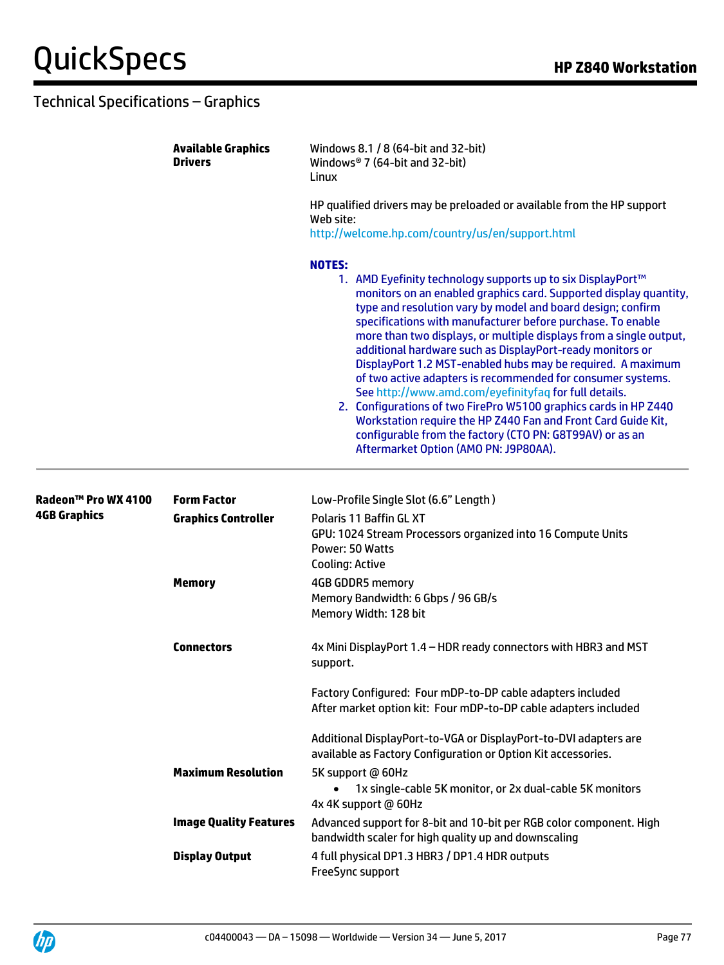|                     | <b>Available Graphics</b><br><b>Drivers</b> | Windows 8.1 / 8 (64-bit and 32-bit)<br>Windows <sup>®</sup> 7 (64-bit and 32-bit)<br>Linux                                                                                                                                                                                                                                                                                                                                                                                                                                                                                                                                                                                                                                                                                                                                                          |  |  |
|---------------------|---------------------------------------------|-----------------------------------------------------------------------------------------------------------------------------------------------------------------------------------------------------------------------------------------------------------------------------------------------------------------------------------------------------------------------------------------------------------------------------------------------------------------------------------------------------------------------------------------------------------------------------------------------------------------------------------------------------------------------------------------------------------------------------------------------------------------------------------------------------------------------------------------------------|--|--|
|                     |                                             | HP qualified drivers may be preloaded or available from the HP support<br>Web site:<br>http://welcome.hp.com/country/us/en/support.html                                                                                                                                                                                                                                                                                                                                                                                                                                                                                                                                                                                                                                                                                                             |  |  |
|                     |                                             | <b>NOTES:</b><br>1. AMD Eyefinity technology supports up to six DisplayPort™<br>monitors on an enabled graphics card. Supported display quantity,<br>type and resolution vary by model and board design; confirm<br>specifications with manufacturer before purchase. To enable<br>more than two displays, or multiple displays from a single output,<br>additional hardware such as DisplayPort-ready monitors or<br>DisplayPort 1.2 MST-enabled hubs may be required. A maximum<br>of two active adapters is recommended for consumer systems.<br>See http://www.amd.com/eyefinityfaq for full details.<br>2. Configurations of two FirePro W5100 graphics cards in HP Z440<br>Workstation require the HP Z440 Fan and Front Card Guide Kit,<br>configurable from the factory (CTO PN: G8T99AV) or as an<br>Aftermarket Option (AMO PN: J9P80AA). |  |  |
| Radeon™ Pro WX 4100 | <b>Form Factor</b>                          | Low-Profile Single Slot (6.6" Length)                                                                                                                                                                                                                                                                                                                                                                                                                                                                                                                                                                                                                                                                                                                                                                                                               |  |  |
| <b>4GB Graphics</b> | <b>Graphics Controller</b>                  | Polaris 11 Baffin GL XT<br>GPU: 1024 Stream Processors organized into 16 Compute Units<br>Power: 50 Watts<br><b>Cooling: Active</b>                                                                                                                                                                                                                                                                                                                                                                                                                                                                                                                                                                                                                                                                                                                 |  |  |
|                     | <b>Memory</b>                               | 4GB GDDR5 memory<br>Memory Bandwidth: 6 Gbps / 96 GB/s<br>Memory Width: 128 bit                                                                                                                                                                                                                                                                                                                                                                                                                                                                                                                                                                                                                                                                                                                                                                     |  |  |
|                     | <b>Connectors</b>                           | 4x Mini DisplayPort 1.4 - HDR ready connectors with HBR3 and MST<br>support.                                                                                                                                                                                                                                                                                                                                                                                                                                                                                                                                                                                                                                                                                                                                                                        |  |  |
|                     |                                             | Factory Configured: Four mDP-to-DP cable adapters included<br>After market option kit: Four mDP-to-DP cable adapters included                                                                                                                                                                                                                                                                                                                                                                                                                                                                                                                                                                                                                                                                                                                       |  |  |
|                     |                                             | Additional DisplayPort-to-VGA or DisplayPort-to-DVI adapters are<br>available as Factory Configuration or Option Kit accessories.                                                                                                                                                                                                                                                                                                                                                                                                                                                                                                                                                                                                                                                                                                                   |  |  |
|                     | <b>Maximum Resolution</b>                   | 5K support @ 60Hz<br>1x single-cable 5K monitor, or 2x dual-cable 5K monitors<br>4x 4K support @ 60Hz                                                                                                                                                                                                                                                                                                                                                                                                                                                                                                                                                                                                                                                                                                                                               |  |  |
|                     | <b>Image Quality Features</b>               | Advanced support for 8-bit and 10-bit per RGB color component. High<br>bandwidth scaler for high quality up and downscaling                                                                                                                                                                                                                                                                                                                                                                                                                                                                                                                                                                                                                                                                                                                         |  |  |
|                     | <b>Display Output</b>                       | 4 full physical DP1.3 HBR3 / DP1.4 HDR outputs<br>FreeSync support                                                                                                                                                                                                                                                                                                                                                                                                                                                                                                                                                                                                                                                                                                                                                                                  |  |  |

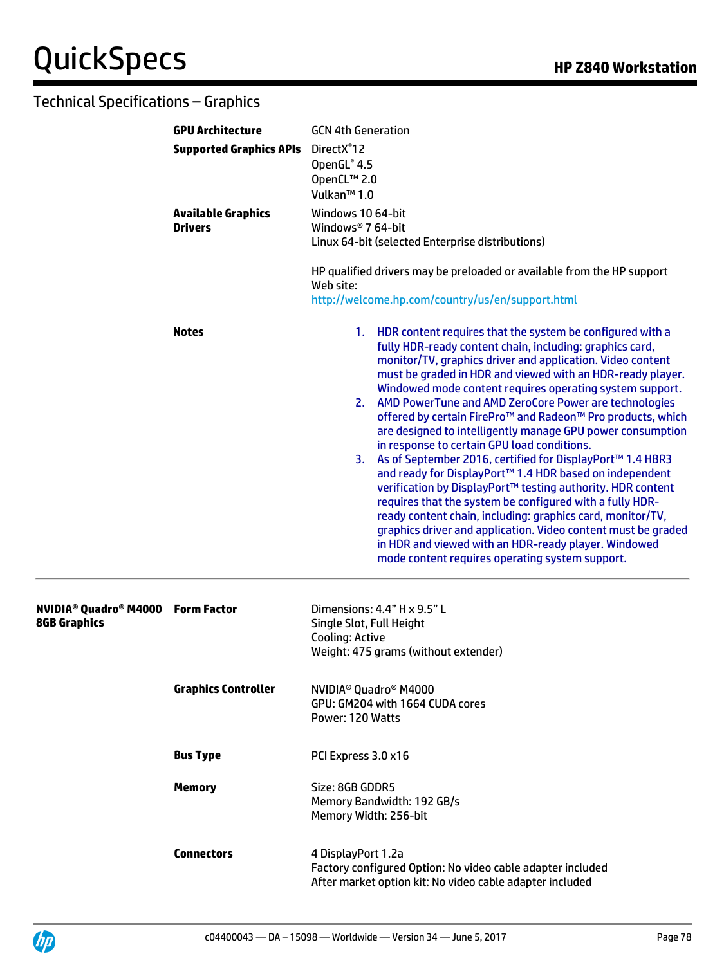|                                                                                  | <b>GPU Architecture</b><br><b>Supported Graphics APIs</b><br><b>Available Graphics</b><br><b>Drivers</b> | <b>GCN 4th Generation</b><br>DirectX <sup>®</sup> 12<br>OpenGL® 4.5<br>OpenCL™ 2.0<br>Vulkan <sup>™</sup> 1.0<br>Windows 10 64-bit<br>Windows <sup>®</sup> 7 64-bit<br>Linux 64-bit (selected Enterprise distributions)<br>HP qualified drivers may be preloaded or available from the HP support<br>Web site:<br>http://welcome.hp.com/country/us/en/support.html                                                                                                                                                                                                                                                                                                                                                                                                                                                                                                                                                                                                                                                                                       |
|----------------------------------------------------------------------------------|----------------------------------------------------------------------------------------------------------|----------------------------------------------------------------------------------------------------------------------------------------------------------------------------------------------------------------------------------------------------------------------------------------------------------------------------------------------------------------------------------------------------------------------------------------------------------------------------------------------------------------------------------------------------------------------------------------------------------------------------------------------------------------------------------------------------------------------------------------------------------------------------------------------------------------------------------------------------------------------------------------------------------------------------------------------------------------------------------------------------------------------------------------------------------|
|                                                                                  | <b>Notes</b>                                                                                             | 1. HDR content requires that the system be configured with a<br>fully HDR-ready content chain, including: graphics card,<br>monitor/TV, graphics driver and application. Video content<br>must be graded in HDR and viewed with an HDR-ready player.<br>Windowed mode content requires operating system support.<br>2. AMD PowerTune and AMD ZeroCore Power are technologies<br>offered by certain FirePro™ and Radeon™ Pro products, which<br>are designed to intelligently manage GPU power consumption<br>in response to certain GPU load conditions.<br>3. As of September 2016, certified for DisplayPort™ 1.4 HBR3<br>and ready for DisplayPort™ 1.4 HDR based on independent<br>verification by DisplayPort™ testing authority. HDR content<br>requires that the system be configured with a fully HDR-<br>ready content chain, including: graphics card, monitor/TV,<br>graphics driver and application. Video content must be graded<br>in HDR and viewed with an HDR-ready player. Windowed<br>mode content requires operating system support. |
| NVIDIA <sup>®</sup> Quadro <sup>®</sup> M4000 Form Factor<br><b>8GB Graphics</b> |                                                                                                          | Dimensions: 4.4" H x 9.5" L<br>Single Slot, Full Height<br><b>Cooling: Active</b><br>Weight: 475 grams (without extender)                                                                                                                                                                                                                                                                                                                                                                                                                                                                                                                                                                                                                                                                                                                                                                                                                                                                                                                                |
|                                                                                  | <b>Graphics Controller</b>                                                                               | NVIDIA <sup>®</sup> Quadro <sup>®</sup> M4000<br>GPU: GM204 with 1664 CUDA cores<br>Power: 120 Watts                                                                                                                                                                                                                                                                                                                                                                                                                                                                                                                                                                                                                                                                                                                                                                                                                                                                                                                                                     |
|                                                                                  | <b>Bus Type</b>                                                                                          | PCI Express 3.0 x16                                                                                                                                                                                                                                                                                                                                                                                                                                                                                                                                                                                                                                                                                                                                                                                                                                                                                                                                                                                                                                      |
|                                                                                  | <b>Memory</b>                                                                                            | Size: 8GB GDDR5<br>Memory Bandwidth: 192 GB/s<br>Memory Width: 256-bit                                                                                                                                                                                                                                                                                                                                                                                                                                                                                                                                                                                                                                                                                                                                                                                                                                                                                                                                                                                   |
|                                                                                  | <b>Connectors</b>                                                                                        | 4 DisplayPort 1.2a<br>Factory configured Option: No video cable adapter included<br>After market option kit: No video cable adapter included                                                                                                                                                                                                                                                                                                                                                                                                                                                                                                                                                                                                                                                                                                                                                                                                                                                                                                             |

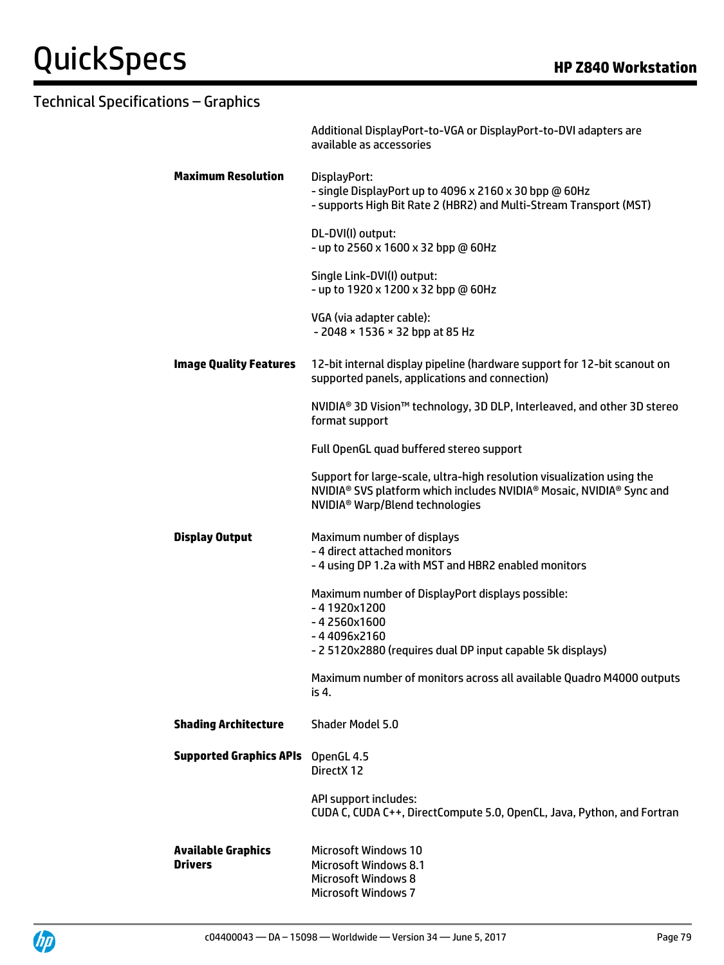|                                             | Additional DisplayPort-to-VGA or DisplayPort-to-DVI adapters are<br>available as accessories                                                                                                                                      |
|---------------------------------------------|-----------------------------------------------------------------------------------------------------------------------------------------------------------------------------------------------------------------------------------|
| <b>Maximum Resolution</b>                   | DisplayPort:<br>- single DisplayPort up to 4096 x 2160 x 30 bpp @ 60Hz<br>- supports High Bit Rate 2 (HBR2) and Multi-Stream Transport (MST)                                                                                      |
|                                             | DL-DVI(I) output:<br>- up to 2560 x 1600 x 32 bpp @ 60Hz                                                                                                                                                                          |
|                                             | Single Link-DVI(I) output:<br>- up to 1920 x 1200 x 32 bpp @ 60Hz                                                                                                                                                                 |
|                                             | VGA (via adapter cable):<br>- 2048 × 1536 × 32 bpp at 85 Hz                                                                                                                                                                       |
| <b>Image Quality Features</b>               | 12-bit internal display pipeline (hardware support for 12-bit scanout on<br>supported panels, applications and connection)                                                                                                        |
|                                             | NVIDIA <sup>®</sup> 3D Vision <sup>™</sup> technology, 3D DLP, Interleaved, and other 3D stereo<br>format support                                                                                                                 |
|                                             | Full OpenGL quad buffered stereo support                                                                                                                                                                                          |
|                                             | Support for large-scale, ultra-high resolution visualization using the<br>NVIDIA <sup>®</sup> SVS platform which includes NVIDIA <sup>®</sup> Mosaic, NVIDIA <sup>®</sup> Sync and<br>NVIDIA <sup>®</sup> Warp/Blend technologies |
| <b>Display Output</b>                       | Maximum number of displays<br>- 4 direct attached monitors<br>- 4 using DP 1.2a with MST and HBR2 enabled monitors                                                                                                                |
|                                             | Maximum number of DisplayPort displays possible:                                                                                                                                                                                  |
|                                             | $-41920x1200$<br>$-42560x1600$                                                                                                                                                                                                    |
|                                             | $-44096x2160$<br>- 2 5120x2880 (requires dual DP input capable 5k displays)                                                                                                                                                       |
|                                             | Maximum number of monitors across all available Quadro M4000 outputs<br>is 4.                                                                                                                                                     |
| <b>Shading Architecture</b>                 | Shader Model 5.0                                                                                                                                                                                                                  |
| <b>Supported Graphics APIs</b>              | OpenGL 4.5<br>DirectX 12                                                                                                                                                                                                          |
|                                             | API support includes:<br>CUDA C, CUDA C++, DirectCompute 5.0, OpenCL, Java, Python, and Fortran                                                                                                                                   |
| <b>Available Graphics</b><br><b>Drivers</b> | <b>Microsoft Windows 10</b><br><b>Microsoft Windows 8.1</b><br><b>Microsoft Windows 8</b><br><b>Microsoft Windows 7</b>                                                                                                           |

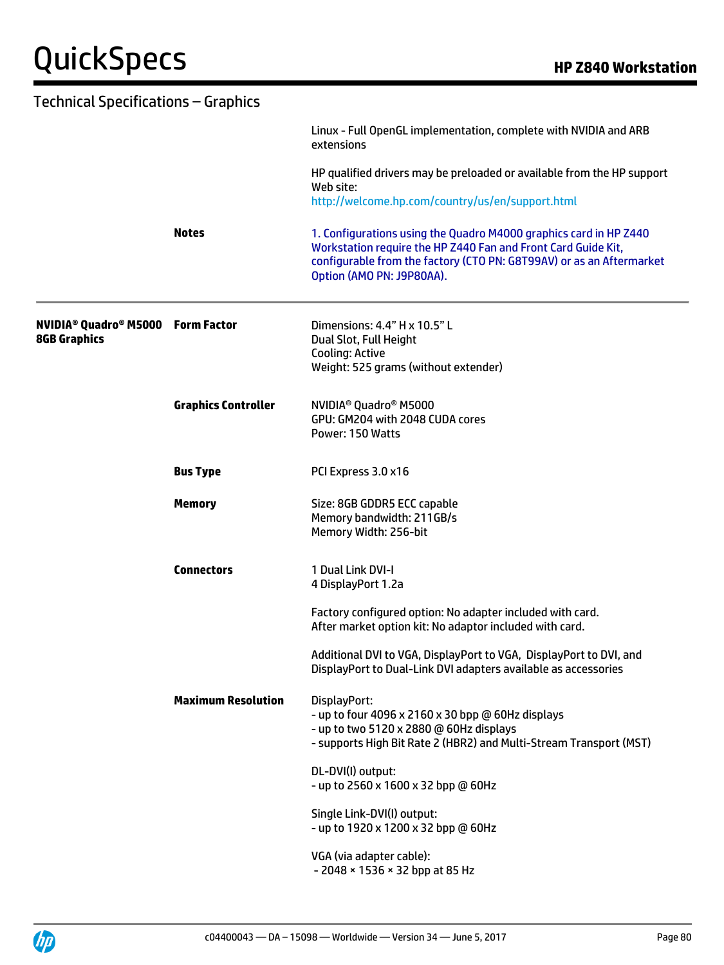| Technical Specifications – Graphics                            |                            |                                                                                                                                                                                                                                         |
|----------------------------------------------------------------|----------------------------|-----------------------------------------------------------------------------------------------------------------------------------------------------------------------------------------------------------------------------------------|
|                                                                |                            | Linux - Full OpenGL implementation, complete with NVIDIA and ARB<br>extensions                                                                                                                                                          |
|                                                                |                            | HP qualified drivers may be preloaded or available from the HP support<br>Web site:<br>http://welcome.hp.com/country/us/en/support.html                                                                                                 |
|                                                                | <b>Notes</b>               | 1. Configurations using the Quadro M4000 graphics card in HP Z440<br>Workstation require the HP Z440 Fan and Front Card Guide Kit,<br>configurable from the factory (CTO PN: G8T99AV) or as an Aftermarket<br>Option (AMO PN: J9P80AA). |
| <b>NVIDIA<sup>®</sup> Quadro® M5000</b><br><b>8GB Graphics</b> | <b>Form Factor</b>         | Dimensions: 4.4" H x 10.5" L<br>Dual Slot, Full Height<br><b>Cooling: Active</b><br>Weight: 525 grams (without extender)                                                                                                                |
|                                                                | <b>Graphics Controller</b> | NVIDIA <sup>®</sup> Quadro <sup>®</sup> M5000<br>GPU: GM204 with 2048 CUDA cores<br>Power: 150 Watts                                                                                                                                    |
|                                                                | <b>Bus Type</b>            | PCI Express 3.0 x16                                                                                                                                                                                                                     |
|                                                                | <b>Memory</b>              | Size: 8GB GDDR5 ECC capable<br>Memory bandwidth: 211GB/s<br>Memory Width: 256-bit                                                                                                                                                       |
|                                                                | <b>Connectors</b>          | 1 Dual Link DVI-I<br>4 DisplayPort 1.2a                                                                                                                                                                                                 |
|                                                                |                            | Factory configured option: No adapter included with card.<br>After market option kit: No adaptor included with card.                                                                                                                    |
|                                                                |                            | Additional DVI to VGA, DisplayPort to VGA, DisplayPort to DVI, and<br>DisplayPort to Dual-Link DVI adapters available as accessories                                                                                                    |
|                                                                | <b>Maximum Resolution</b>  | DisplayPort:<br>- up to four 4096 x 2160 x 30 bpp @ 60Hz displays<br>- up to two 5120 x 2880 @ 60Hz displays<br>- supports High Bit Rate 2 (HBR2) and Multi-Stream Transport (MST)                                                      |
|                                                                |                            | DL-DVI(I) output:<br>- up to 2560 x 1600 x 32 bpp @ 60Hz                                                                                                                                                                                |
|                                                                |                            | Single Link-DVI(I) output:<br>- up to 1920 x 1200 x 32 bpp @ 60Hz                                                                                                                                                                       |
|                                                                |                            | VGA (via adapter cable):<br>$-2048 \times 1536 \times 32$ bpp at 85 Hz                                                                                                                                                                  |

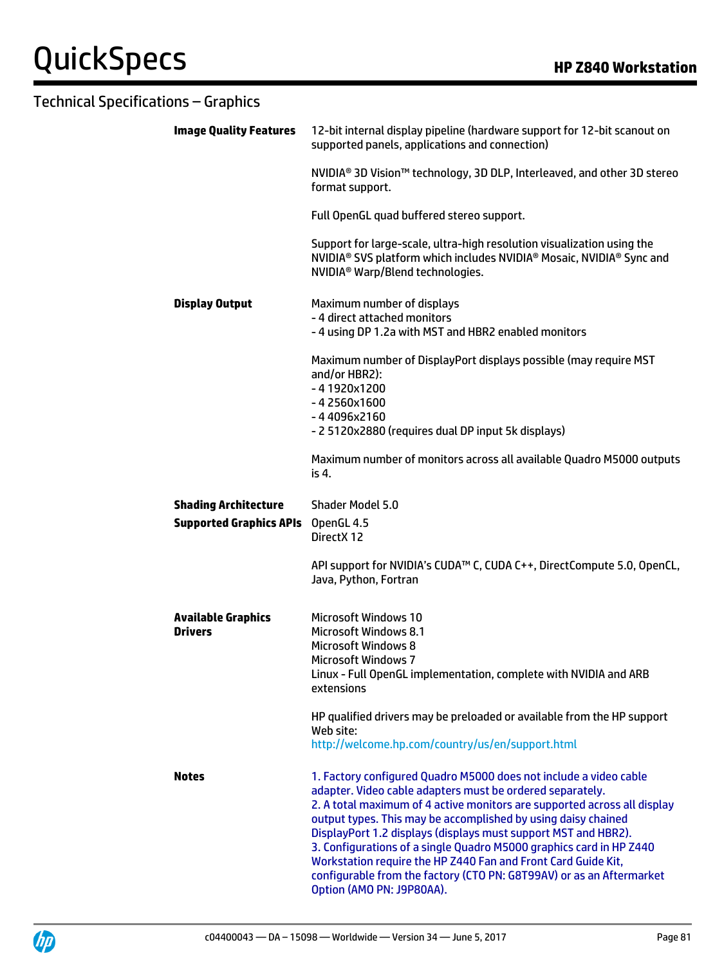| <b>Image Quality Features</b>               | 12-bit internal display pipeline (hardware support for 12-bit scanout on<br>supported panels, applications and connection)                                                                                                                                                                                                                                                                                                                                                                                                                                                                 |
|---------------------------------------------|--------------------------------------------------------------------------------------------------------------------------------------------------------------------------------------------------------------------------------------------------------------------------------------------------------------------------------------------------------------------------------------------------------------------------------------------------------------------------------------------------------------------------------------------------------------------------------------------|
|                                             | NVIDIA <sup>®</sup> 3D Vision™ technology, 3D DLP, Interleaved, and other 3D stereo<br>format support.                                                                                                                                                                                                                                                                                                                                                                                                                                                                                     |
|                                             | Full OpenGL quad buffered stereo support.                                                                                                                                                                                                                                                                                                                                                                                                                                                                                                                                                  |
|                                             | Support for large-scale, ultra-high resolution visualization using the<br>NVIDIA <sup>®</sup> SVS platform which includes NVIDIA <sup>®</sup> Mosaic, NVIDIA <sup>®</sup> Sync and<br>NVIDIA <sup>®</sup> Warp/Blend technologies.                                                                                                                                                                                                                                                                                                                                                         |
| <b>Display Output</b>                       | Maximum number of displays<br>- 4 direct attached monitors<br>- 4 using DP 1.2a with MST and HBR2 enabled monitors                                                                                                                                                                                                                                                                                                                                                                                                                                                                         |
|                                             | Maximum number of DisplayPort displays possible (may require MST<br>and/or HBR2):<br>$-41920x1200$<br>$-42560x1600$<br>$-44096x2160$<br>- 2 5120x2880 (requires dual DP input 5k displays)                                                                                                                                                                                                                                                                                                                                                                                                 |
|                                             | Maximum number of monitors across all available Quadro M5000 outputs<br>is 4.                                                                                                                                                                                                                                                                                                                                                                                                                                                                                                              |
| <b>Shading Architecture</b>                 | Shader Model 5.0                                                                                                                                                                                                                                                                                                                                                                                                                                                                                                                                                                           |
| <b>Supported Graphics APIs</b>              | OpenGL 4.5<br>DirectX 12                                                                                                                                                                                                                                                                                                                                                                                                                                                                                                                                                                   |
|                                             | API support for NVIDIA's CUDA™ C, CUDA C++, DirectCompute 5.0, OpenCL,<br>Java, Python, Fortran                                                                                                                                                                                                                                                                                                                                                                                                                                                                                            |
| <b>Available Graphics</b><br><b>Drivers</b> | <b>Microsoft Windows 10</b><br><b>Microsoft Windows 8.1</b><br><b>Microsoft Windows 8</b><br><b>Microsoft Windows 7</b><br>Linux - Full OpenGL implementation, complete with NVIDIA and ARB<br>extensions                                                                                                                                                                                                                                                                                                                                                                                  |
|                                             | HP qualified drivers may be preloaded or available from the HP support<br>Web site:<br>http://welcome.hp.com/country/us/en/support.html                                                                                                                                                                                                                                                                                                                                                                                                                                                    |
| <b>Notes</b>                                | 1. Factory configured Quadro M5000 does not include a video cable<br>adapter. Video cable adapters must be ordered separately.<br>2. A total maximum of 4 active monitors are supported across all display<br>output types. This may be accomplished by using daisy chained<br>DisplayPort 1.2 displays (displays must support MST and HBR2).<br>3. Configurations of a single Quadro M5000 graphics card in HP Z440<br>Workstation require the HP Z440 Fan and Front Card Guide Kit,<br>configurable from the factory (CTO PN: G8T99AV) or as an Aftermarket<br>Option (AMO PN: J9P80AA). |

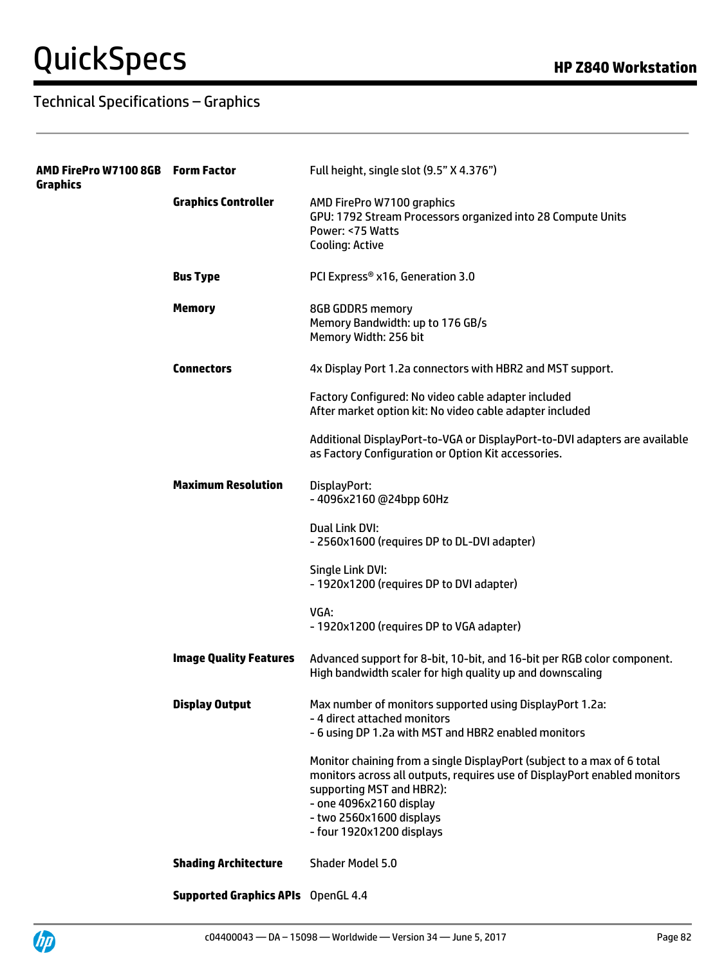| AMD FirePro W7100 8GB<br><b>Graphics</b> | <b>Form Factor</b>                        | Full height, single slot (9.5" X 4.376")                                                                                                                                                                                                                              |
|------------------------------------------|-------------------------------------------|-----------------------------------------------------------------------------------------------------------------------------------------------------------------------------------------------------------------------------------------------------------------------|
|                                          | <b>Graphics Controller</b>                | AMD FirePro W7100 graphics<br>GPU: 1792 Stream Processors organized into 28 Compute Units<br>Power: <75 Watts<br><b>Cooling: Active</b>                                                                                                                               |
|                                          | <b>Bus Type</b>                           | PCI Express® x16, Generation 3.0                                                                                                                                                                                                                                      |
|                                          | <b>Memory</b>                             | 8GB GDDR5 memory<br>Memory Bandwidth: up to 176 GB/s<br>Memory Width: 256 bit                                                                                                                                                                                         |
|                                          | <b>Connectors</b>                         | 4x Display Port 1.2a connectors with HBR2 and MST support.                                                                                                                                                                                                            |
|                                          |                                           | Factory Configured: No video cable adapter included<br>After market option kit: No video cable adapter included                                                                                                                                                       |
|                                          |                                           | Additional DisplayPort-to-VGA or DisplayPort-to-DVI adapters are available<br>as Factory Configuration or Option Kit accessories.                                                                                                                                     |
|                                          | <b>Maximum Resolution</b>                 | DisplayPort:<br>-4096x2160@24bpp 60Hz                                                                                                                                                                                                                                 |
|                                          |                                           | Dual Link DVI:<br>- 2560x1600 (requires DP to DL-DVI adapter)                                                                                                                                                                                                         |
|                                          |                                           | Single Link DVI:<br>- 1920x1200 (requires DP to DVI adapter)                                                                                                                                                                                                          |
|                                          |                                           | VGA:<br>- 1920x1200 (requires DP to VGA adapter)                                                                                                                                                                                                                      |
|                                          | <b>Image Quality Features</b>             | Advanced support for 8-bit, 10-bit, and 16-bit per RGB color component.<br>High bandwidth scaler for high quality up and downscaling                                                                                                                                  |
|                                          | <b>Display Output</b>                     | Max number of monitors supported using DisplayPort 1.2a:<br>- 4 direct attached monitors<br>- 6 using DP 1.2a with MST and HBR2 enabled monitors                                                                                                                      |
|                                          |                                           | Monitor chaining from a single DisplayPort (subject to a max of 6 total<br>monitors across all outputs, requires use of DisplayPort enabled monitors<br>supporting MST and HBR2):<br>- one 4096x2160 display<br>- two 2560x1600 displays<br>- four 1920x1200 displays |
|                                          | <b>Shading Architecture</b>               | Shader Model 5.0                                                                                                                                                                                                                                                      |
|                                          | <b>Supported Graphics APIs</b> OpenGL 4.4 |                                                                                                                                                                                                                                                                       |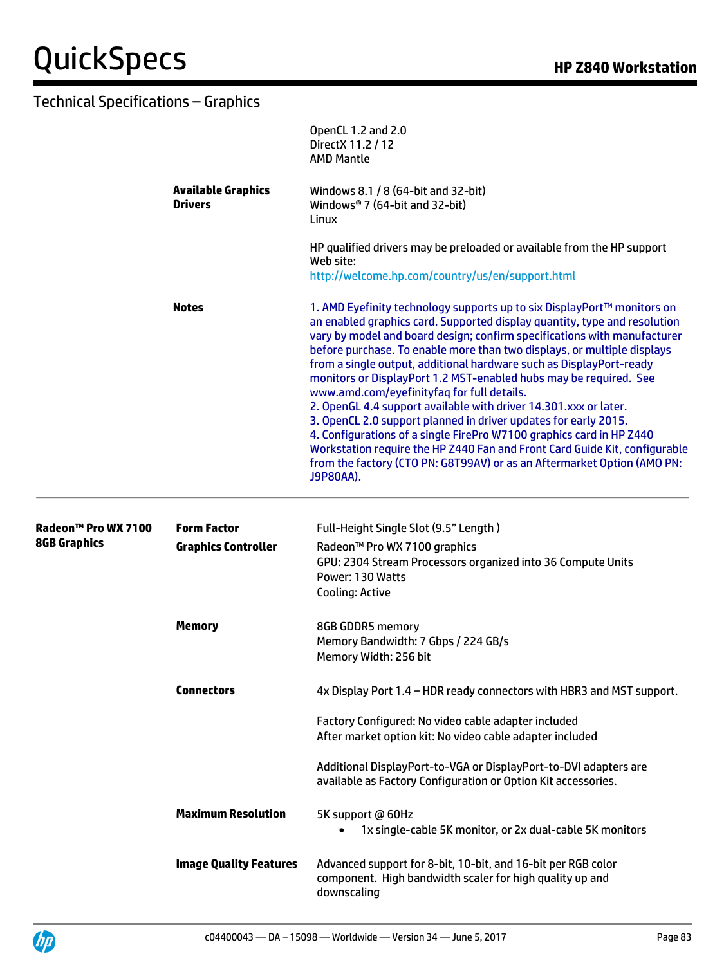|                                            |                                                  | OpenCL 1.2 and 2.0<br>Direct X 11.2 / 12<br><b>AMD Mantle</b>                                                                                                                                                                                                                                                                                                                                                                                                                                                                                                                                                                                                                                                                                                                                                                                                                              |
|--------------------------------------------|--------------------------------------------------|--------------------------------------------------------------------------------------------------------------------------------------------------------------------------------------------------------------------------------------------------------------------------------------------------------------------------------------------------------------------------------------------------------------------------------------------------------------------------------------------------------------------------------------------------------------------------------------------------------------------------------------------------------------------------------------------------------------------------------------------------------------------------------------------------------------------------------------------------------------------------------------------|
|                                            | <b>Available Graphics</b><br><b>Drivers</b>      | Windows 8.1 / 8 (64-bit and 32-bit)<br>Windows <sup>®</sup> 7 (64-bit and 32-bit)<br>Linux                                                                                                                                                                                                                                                                                                                                                                                                                                                                                                                                                                                                                                                                                                                                                                                                 |
|                                            |                                                  | HP qualified drivers may be preloaded or available from the HP support<br>Web site:<br>http://welcome.hp.com/country/us/en/support.html                                                                                                                                                                                                                                                                                                                                                                                                                                                                                                                                                                                                                                                                                                                                                    |
|                                            | <b>Notes</b>                                     | 1. AMD Eyefinity technology supports up to six DisplayPort™ monitors on<br>an enabled graphics card. Supported display quantity, type and resolution<br>vary by model and board design; confirm specifications with manufacturer<br>before purchase. To enable more than two displays, or multiple displays<br>from a single output, additional hardware such as DisplayPort-ready<br>monitors or DisplayPort 1.2 MST-enabled hubs may be required. See<br>www.amd.com/eyefinityfaq for full details.<br>2. OpenGL 4.4 support available with driver 14.301.xxx or later.<br>3. OpenCL 2.0 support planned in driver updates for early 2015.<br>4. Configurations of a single FirePro W7100 graphics card in HP Z440<br>Workstation require the HP Z440 Fan and Front Card Guide Kit, configurable<br>from the factory (CTO PN: G8T99AV) or as an Aftermarket Option (AMO PN:<br>J9P80AA). |
| Radeon™ Pro WX 7100<br><b>8GB Graphics</b> | <b>Form Factor</b><br><b>Graphics Controller</b> | Full-Height Single Slot (9.5" Length)<br>Radeon <sup>™</sup> Pro WX 7100 graphics                                                                                                                                                                                                                                                                                                                                                                                                                                                                                                                                                                                                                                                                                                                                                                                                          |
|                                            |                                                  | GPU: 2304 Stream Processors organized into 36 Compute Units<br>Power: 130 Watts<br><b>Cooling: Active</b>                                                                                                                                                                                                                                                                                                                                                                                                                                                                                                                                                                                                                                                                                                                                                                                  |
|                                            | <b>Memory</b>                                    | 8GB GDDR5 memory<br>Memory Bandwidth: 7 Gbps / 224 GB/s<br>Memory Width: 256 bit                                                                                                                                                                                                                                                                                                                                                                                                                                                                                                                                                                                                                                                                                                                                                                                                           |
|                                            | <b>Connectors</b>                                | 4x Display Port 1.4 - HDR ready connectors with HBR3 and MST support.                                                                                                                                                                                                                                                                                                                                                                                                                                                                                                                                                                                                                                                                                                                                                                                                                      |
|                                            |                                                  | Factory Configured: No video cable adapter included<br>After market option kit: No video cable adapter included                                                                                                                                                                                                                                                                                                                                                                                                                                                                                                                                                                                                                                                                                                                                                                            |
|                                            |                                                  | Additional DisplayPort-to-VGA or DisplayPort-to-DVI adapters are<br>available as Factory Configuration or Option Kit accessories.                                                                                                                                                                                                                                                                                                                                                                                                                                                                                                                                                                                                                                                                                                                                                          |
|                                            | <b>Maximum Resolution</b>                        | 5K support @ 60Hz<br>1x single-cable 5K monitor, or 2x dual-cable 5K monitors                                                                                                                                                                                                                                                                                                                                                                                                                                                                                                                                                                                                                                                                                                                                                                                                              |
|                                            | <b>Image Quality Features</b>                    | Advanced support for 8-bit, 10-bit, and 16-bit per RGB color<br>component. High bandwidth scaler for high quality up and<br>downscaling                                                                                                                                                                                                                                                                                                                                                                                                                                                                                                                                                                                                                                                                                                                                                    |

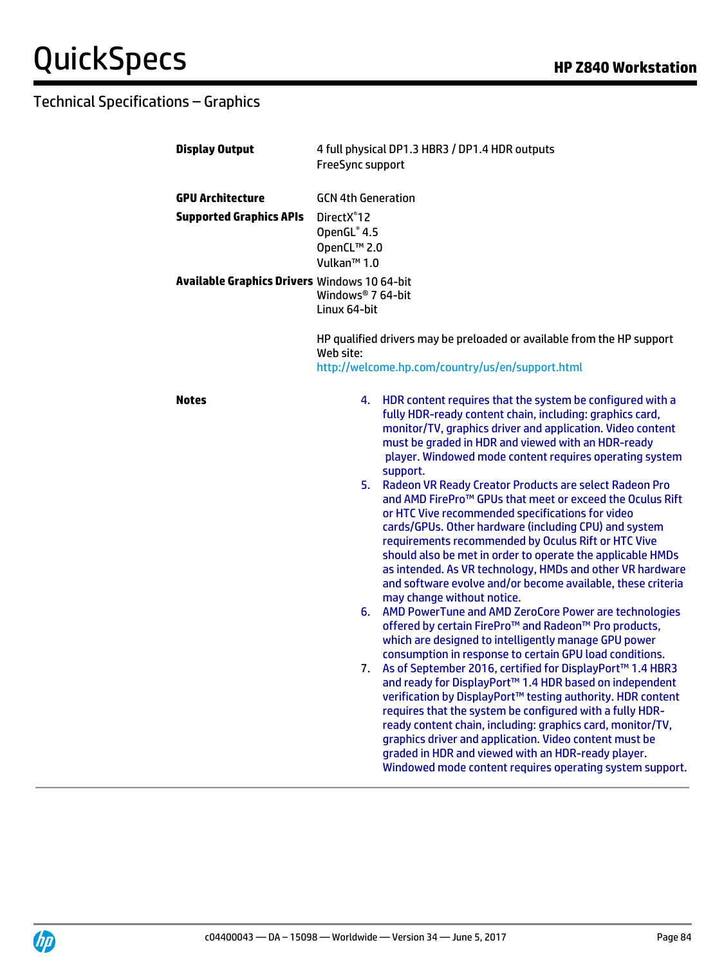| <b>Display Output</b>                               | 4 full physical DP1.3 HBR3 / DP1.4 HDR outputs<br>FreeSync support                                                                                                                                                                                                                                                                                                                                                                                                                                                                                                                                                                                                                    |  |  |
|-----------------------------------------------------|---------------------------------------------------------------------------------------------------------------------------------------------------------------------------------------------------------------------------------------------------------------------------------------------------------------------------------------------------------------------------------------------------------------------------------------------------------------------------------------------------------------------------------------------------------------------------------------------------------------------------------------------------------------------------------------|--|--|
| <b>GPU Architecture</b>                             | <b>GCN 4th Generation</b>                                                                                                                                                                                                                                                                                                                                                                                                                                                                                                                                                                                                                                                             |  |  |
| <b>Supported Graphics APIs</b>                      | DirectX <sup>®</sup> 12<br>OpenGL® 4.5<br>OpenCL™ 2.0<br>Vulkan <sup>™</sup> 1.0                                                                                                                                                                                                                                                                                                                                                                                                                                                                                                                                                                                                      |  |  |
| <b>Available Graphics Drivers Windows 10 64-bit</b> | Windows <sup>®</sup> 7 64-bit<br>Linux 64-bit                                                                                                                                                                                                                                                                                                                                                                                                                                                                                                                                                                                                                                         |  |  |
|                                                     | HP qualified drivers may be preloaded or available from the HP support<br>Web site:<br>http://welcome.hp.com/country/us/en/support.html                                                                                                                                                                                                                                                                                                                                                                                                                                                                                                                                               |  |  |
| <b>Notes</b>                                        | HDR content requires that the system be configured with a<br>4.<br>fully HDR-ready content chain, including: graphics card,<br>monitor/TV, graphics driver and application. Video content<br>must be graded in HDR and viewed with an HDR-ready<br>player. Windowed mode content requires operating system<br>support.<br>Radeon VR Ready Creator Products are select Radeon Pro<br>5.<br>and AMD FirePro™ GPUs that meet or exceed the Oculus Rift<br>or HTC Vive recommended specifications for video<br>cards/GPUs. Other hardware (including CPU) and system<br>requirements recommended by Oculus Rift or HTC Vive<br>should also be met in order to operate the applicable HMDs |  |  |
|                                                     | as intended. As VR technology, HMDs and other VR hardware<br>and software evolve and/or become available, these criteria<br>may change without notice.                                                                                                                                                                                                                                                                                                                                                                                                                                                                                                                                |  |  |
|                                                     | AMD PowerTune and AMD ZeroCore Power are technologies<br>6.<br>offered by certain FirePro™ and Radeon™ Pro products,<br>which are designed to intelligently manage GPU power<br>consumption in response to certain GPU load conditions.                                                                                                                                                                                                                                                                                                                                                                                                                                               |  |  |
|                                                     | As of September 2016, certified for DisplayPort™ 1.4 HBR3<br>7.<br>and ready for DisplayPort™ 1.4 HDR based on independent<br>verification by DisplayPort™ testing authority. HDR content<br>requires that the system be configured with a fully HDR-<br>ready content chain, including: graphics card, monitor/TV,<br>graphics driver and application. Video content must be<br>graded in HDR and viewed with an HDR-ready player.<br>Windowed mode content requires operating system support.                                                                                                                                                                                       |  |  |

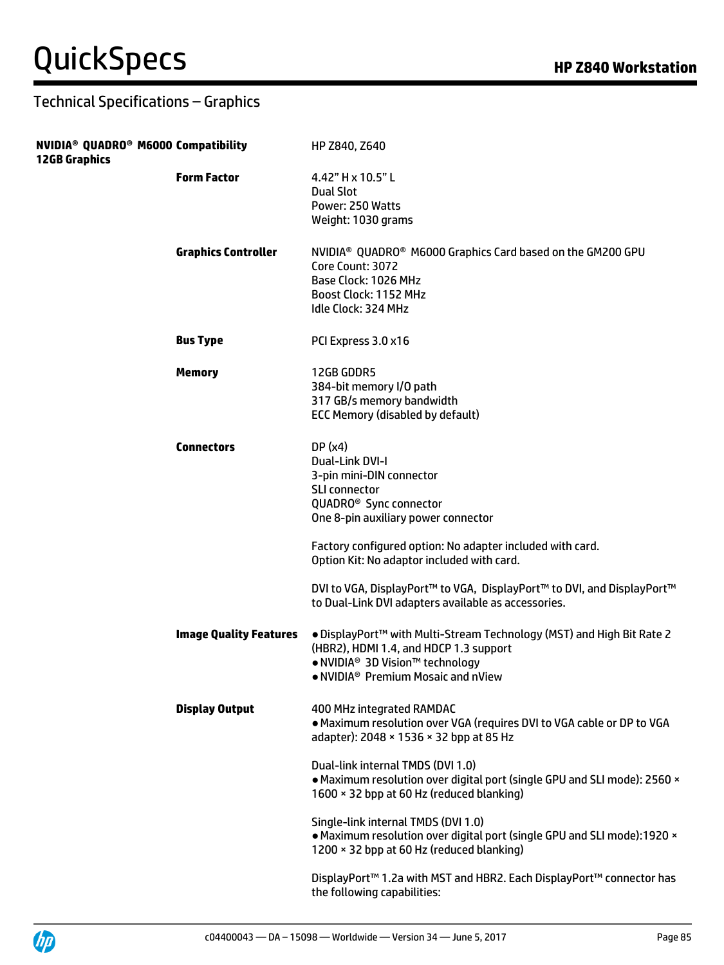| <b>NVIDIA<sup>®</sup> QUADRO<sup>®</sup> M6000 Compatibility</b><br><b>12GB Graphics</b> |                               | HP Z840, Z640                                                                                                                                                                                                                                                                                                                                                                                          |  |  |
|------------------------------------------------------------------------------------------|-------------------------------|--------------------------------------------------------------------------------------------------------------------------------------------------------------------------------------------------------------------------------------------------------------------------------------------------------------------------------------------------------------------------------------------------------|--|--|
|                                                                                          | <b>Form Factor</b>            | 4.42" H x 10.5" L<br>Dual Slot<br>Power: 250 Watts<br>Weight: 1030 grams                                                                                                                                                                                                                                                                                                                               |  |  |
|                                                                                          | <b>Graphics Controller</b>    | NVIDIA <sup>®</sup> QUADRO <sup>®</sup> M6000 Graphics Card based on the GM200 GPU<br>Core Count: 3072<br>Base Clock: 1026 MHz<br>Boost Clock: 1152 MHz<br>Idle Clock: 324 MHz                                                                                                                                                                                                                         |  |  |
|                                                                                          | <b>Bus Type</b>               | PCI Express 3.0 x16                                                                                                                                                                                                                                                                                                                                                                                    |  |  |
|                                                                                          | <b>Memory</b>                 | 12GB GDDR5<br>384-bit memory I/O path<br>317 GB/s memory bandwidth<br>ECC Memory (disabled by default)                                                                                                                                                                                                                                                                                                 |  |  |
|                                                                                          | <b>Connectors</b>             | DP(x4)<br>Dual-Link DVI-I<br>3-pin mini-DIN connector<br><b>SLI connector</b><br>QUADRO <sup>®</sup> Sync connector<br>One 8-pin auxiliary power connector<br>Factory configured option: No adapter included with card.<br>Option Kit: No adaptor included with card.<br>DVI to VGA, DisplayPort™ to VGA, DisplayPort™ to DVI, and DisplayPort™<br>to Dual-Link DVI adapters available as accessories. |  |  |
|                                                                                          | <b>Image Quality Features</b> | . DisplayPort™ with Multi-Stream Technology (MST) and High Bit Rate 2<br>(HBR2), HDMI 1.4, and HDCP 1.3 support<br>● NVIDIA <sup>®</sup> 3D Vision <sup>™</sup> technology<br>. NVIDIA <sup>®</sup> Premium Mosaic and nView                                                                                                                                                                           |  |  |
|                                                                                          | <b>Display Output</b>         | 400 MHz integrated RAMDAC<br>. Maximum resolution over VGA (requires DVI to VGA cable or DP to VGA<br>adapter): 2048 × 1536 × 32 bpp at 85 Hz                                                                                                                                                                                                                                                          |  |  |
|                                                                                          |                               | Dual-link internal TMDS (DVI 1.0)<br>• Maximum resolution over digital port (single GPU and SLI mode): 2560 ×<br>1600 × 32 bpp at 60 Hz (reduced blanking)                                                                                                                                                                                                                                             |  |  |
|                                                                                          |                               | Single-link internal TMDS (DVI 1.0)<br>• Maximum resolution over digital port (single GPU and SLI mode):1920 ×<br>1200 × 32 bpp at 60 Hz (reduced blanking)                                                                                                                                                                                                                                            |  |  |
|                                                                                          |                               | DisplayPort™ 1.2a with MST and HBR2. Each DisplayPort™ connector has<br>the following capabilities:                                                                                                                                                                                                                                                                                                    |  |  |

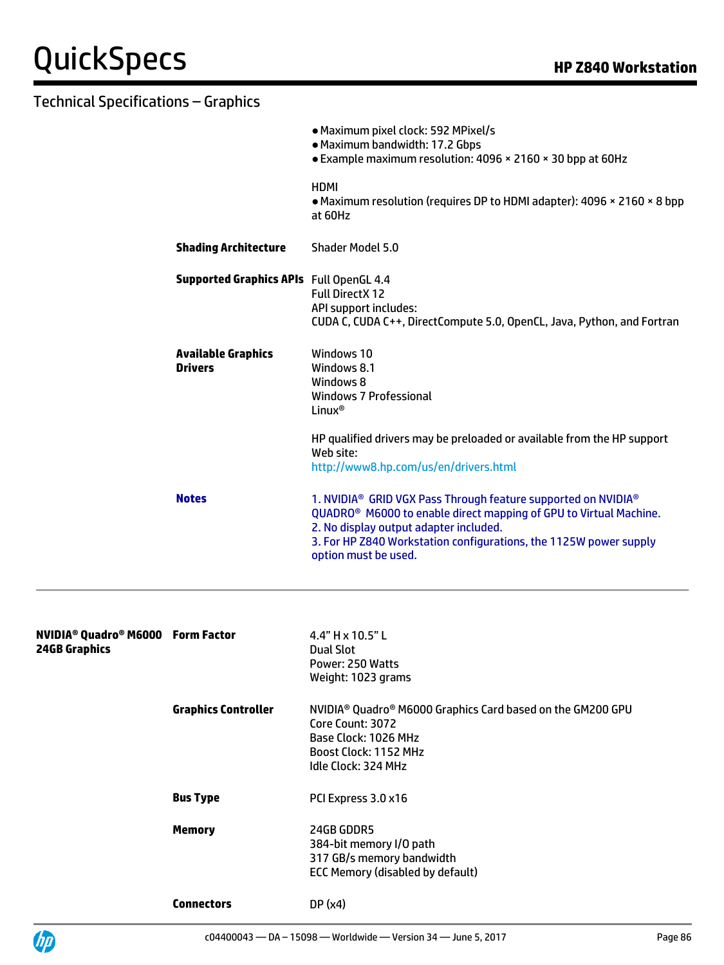|                                                | · Maximum pixel clock: 592 MPixel/s<br>• Maximum bandwidth: 17.2 Gbps<br>• Example maximum resolution: 4096 × 2160 × 30 bpp at 60Hz                                                                                                                                                                           |
|------------------------------------------------|---------------------------------------------------------------------------------------------------------------------------------------------------------------------------------------------------------------------------------------------------------------------------------------------------------------|
|                                                | <b>HDMI</b><br>• Maximum resolution (requires DP to HDMI adapter): 4096 x 2160 x 8 bpp<br>at 60Hz                                                                                                                                                                                                             |
| <b>Shading Architecture</b>                    | Shader Model 5.0                                                                                                                                                                                                                                                                                              |
| <b>Supported Graphics APIs Full OpenGL 4.4</b> | <b>Full DirectX 12</b><br>API support includes:<br>CUDA C, CUDA C++, DirectCompute 5.0, OpenCL, Java, Python, and Fortran                                                                                                                                                                                     |
| <b>Available Graphics</b><br><b>Drivers</b>    | Windows 10<br>Windows 8.1<br>Windows 8<br>Windows 7 Professional<br>Linux <sup>®</sup>                                                                                                                                                                                                                        |
|                                                | HP qualified drivers may be preloaded or available from the HP support<br>Web site:<br>http://www8.hp.com/us/en/drivers.html                                                                                                                                                                                  |
| <b>Notes</b>                                   | 1. NVIDIA <sup>®</sup> GRID VGX Pass Through feature supported on NVIDIA <sup>®</sup><br>QUADRO <sup>®</sup> M6000 to enable direct mapping of GPU to Virtual Machine.<br>2. No display output adapter included.<br>3. For HP Z840 Workstation configurations, the 1125W power supply<br>option must be used. |

| <b>NVIDIA<sup>®</sup> Quadro<sup>®</sup> M6000 Form Factor</b><br><b>24GB Graphics</b> |                            | $4.4"$ H x 10.5" L<br>Dual Slot<br>Power: 250 Watts<br>Weight: 1023 grams                                                                                          |
|----------------------------------------------------------------------------------------|----------------------------|--------------------------------------------------------------------------------------------------------------------------------------------------------------------|
|                                                                                        | <b>Graphics Controller</b> | NVIDIA <sup>®</sup> Quadro® M6000 Graphics Card based on the GM200 GPU<br>Core Count: 3072<br>Base Clock: 1026 MHz<br>Boost Clock: 1152 MHz<br>Idle Clock: 324 MHz |
|                                                                                        | <b>Bus Type</b>            | PCI Express 3.0 x16                                                                                                                                                |
|                                                                                        | <b>Memory</b>              | 24GB GDDR5<br>384-bit memory I/O path<br>317 GB/s memory bandwidth<br>ECC Memory (disabled by default)                                                             |
|                                                                                        | <b>Connectors</b>          | DP(x4)                                                                                                                                                             |

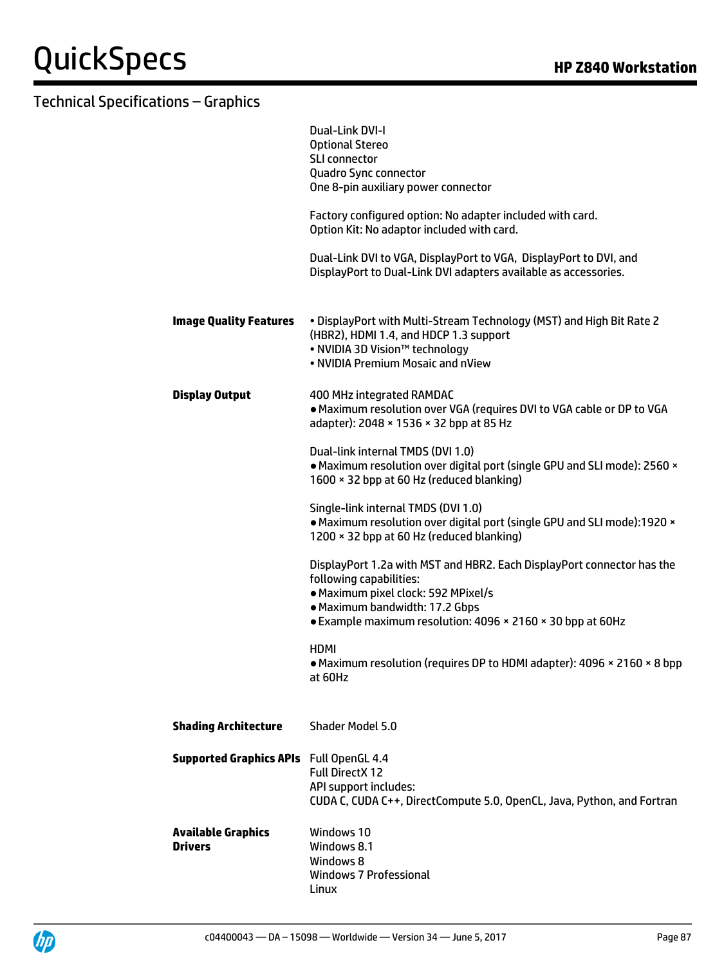|                                                | Dual-Link DVI-I<br><b>Optional Stereo</b><br><b>SLI connector</b><br><b>Quadro Sync connector</b>                                                                                     |
|------------------------------------------------|---------------------------------------------------------------------------------------------------------------------------------------------------------------------------------------|
|                                                | One 8-pin auxiliary power connector                                                                                                                                                   |
|                                                | Factory configured option: No adapter included with card.<br>Option Kit: No adaptor included with card.                                                                               |
|                                                | Dual-Link DVI to VGA, DisplayPort to VGA, DisplayPort to DVI, and<br>DisplayPort to Dual-Link DVI adapters available as accessories.                                                  |
| <b>Image Quality Features</b>                  | . DisplayPort with Multi-Stream Technology (MST) and High Bit Rate 2<br>(HBR2), HDMI 1.4, and HDCP 1.3 support<br>. NVIDIA 3D Vision™ technology<br>. NVIDIA Premium Mosaic and nView |
| <b>Display Output</b>                          | 400 MHz integrated RAMDAC<br>. Maximum resolution over VGA (requires DVI to VGA cable or DP to VGA<br>adapter): 2048 × 1536 × 32 bpp at 85 Hz                                         |
|                                                | Dual-link internal TMDS (DVI 1.0)<br>. Maximum resolution over digital port (single GPU and SLI mode): 2560 x<br>1600 × 32 bpp at 60 Hz (reduced blanking)                            |
|                                                | Single-link internal TMDS (DVI 1.0)<br>• Maximum resolution over digital port (single GPU and SLI mode):1920 ×<br>1200 × 32 bpp at 60 Hz (reduced blanking)                           |
|                                                | DisplayPort 1.2a with MST and HBR2. Each DisplayPort connector has the<br>following capabilities:<br>· Maximum pixel clock: 592 MPixel/s<br>· Maximum bandwidth: 17.2 Gbps            |
|                                                | • Example maximum resolution: 4096 × 2160 × 30 bpp at 60Hz                                                                                                                            |
|                                                | <b>HDMI</b><br>• Maximum resolution (requires DP to HDMI adapter): 4096 × 2160 × 8 bpp<br>at 60Hz                                                                                     |
| <b>Shading Architecture</b>                    | Shader Model 5.0                                                                                                                                                                      |
| <b>Supported Graphics APIs</b> Full OpenGL 4.4 | <b>Full DirectX 12</b><br>API support includes:<br>CUDA C, CUDA C++, DirectCompute 5.0, OpenCL, Java, Python, and Fortran                                                             |
| <b>Available Graphics</b><br><b>Drivers</b>    | Windows 10<br>Windows 8.1<br>Windows 8<br><b>Windows 7 Professional</b><br>Linux                                                                                                      |

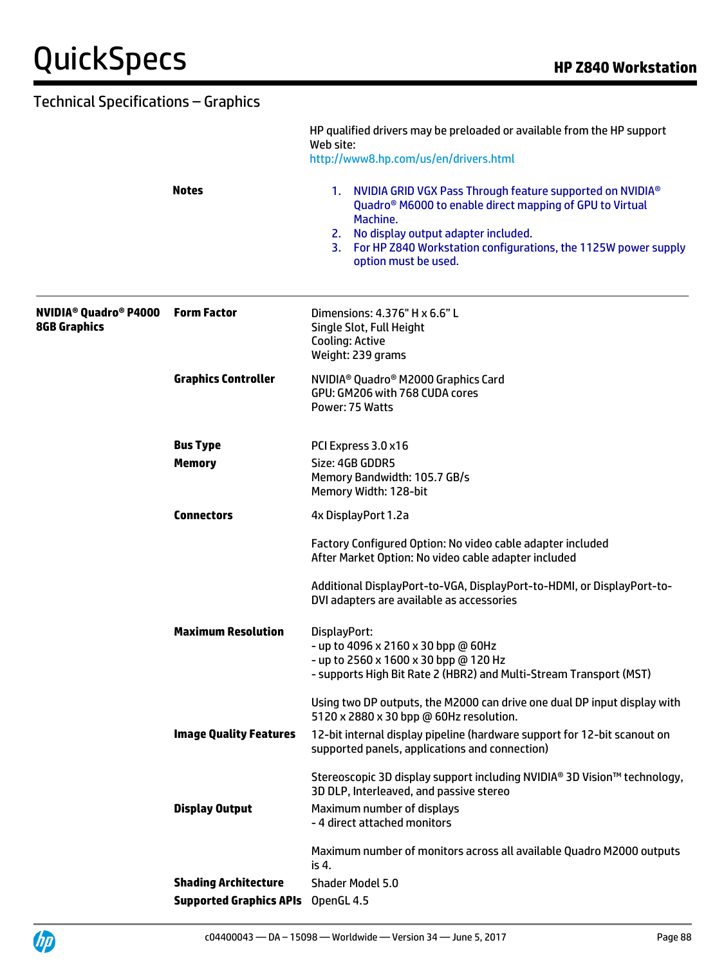| Technical Specifications – Graphics                                       |                                  |                                                                                                                                                                                                                                                                                                     |
|---------------------------------------------------------------------------|----------------------------------|-----------------------------------------------------------------------------------------------------------------------------------------------------------------------------------------------------------------------------------------------------------------------------------------------------|
|                                                                           |                                  | HP qualified drivers may be preloaded or available from the HP support<br>Web site:<br>http://www8.hp.com/us/en/drivers.html                                                                                                                                                                        |
|                                                                           | <b>Notes</b>                     | 1. NVIDIA GRID VGX Pass Through feature supported on NVIDIA <sup>®</sup><br>Quadro <sup>®</sup> M6000 to enable direct mapping of GPU to Virtual<br>Machine.<br>2. No display output adapter included.<br>3. For HP Z840 Workstation configurations, the 1125W power supply<br>option must be used. |
| <b>NVIDIA<sup>®</sup> Quadro<sup>®</sup> P4000</b><br><b>8GB Graphics</b> | <b>Form Factor</b>               | Dimensions: 4.376" H x 6.6" L<br>Single Slot, Full Height<br><b>Cooling: Active</b><br>Weight: 239 grams                                                                                                                                                                                            |
|                                                                           | <b>Graphics Controller</b>       | NVIDIA <sup>®</sup> Quadro® M2000 Graphics Card<br>GPU: GM206 with 768 CUDA cores<br>Power: 75 Watts                                                                                                                                                                                                |
|                                                                           | <b>Bus Type</b><br><b>Memory</b> | PCI Express 3.0 x16<br>Size: 4GB GDDR5<br>Memory Bandwidth: 105.7 GB/s<br>Memory Width: 128-bit                                                                                                                                                                                                     |
|                                                                           | <b>Connectors</b>                | 4x DisplayPort 1.2a<br>Factory Configured Option: No video cable adapter included                                                                                                                                                                                                                   |
|                                                                           |                                  | After Market Option: No video cable adapter included<br>Additional DisplayPort-to-VGA, DisplayPort-to-HDMI, or DisplayPort-to-<br>DVI adapters are available as accessories                                                                                                                         |
|                                                                           | <b>Maximum Resolution</b>        | DisplayPort:<br>- up to 4096 x 2160 x 30 bpp @ 60Hz<br>- up to 2560 x 1600 x 30 bpp @ 120 Hz<br>- supports High Bit Rate 2 (HBR2) and Multi-Stream Transport (MST)                                                                                                                                  |
|                                                                           |                                  | Using two DP outputs, the M2000 can drive one dual DP input display with<br>5120 x 2880 x 30 bpp @ 60Hz resolution.                                                                                                                                                                                 |
|                                                                           | <b>Image Quality Features</b>    | 12-bit internal display pipeline (hardware support for 12-bit scanout on<br>supported panels, applications and connection)                                                                                                                                                                          |
|                                                                           |                                  | Stereoscopic 3D display support including NVIDIA® 3D Vision™ technology,<br>3D DLP, Interleaved, and passive stereo                                                                                                                                                                                 |
|                                                                           | <b>Display Output</b>            | Maximum number of displays<br>- 4 direct attached monitors                                                                                                                                                                                                                                          |
|                                                                           |                                  | Maximum number of monitors across all available Quadro M2000 outputs<br>is 4.                                                                                                                                                                                                                       |
|                                                                           | <b>Shading Architecture</b>      | <b>Shader Model 5.0</b>                                                                                                                                                                                                                                                                             |
|                                                                           | <b>Supported Graphics APIs</b>   | OpenGL 4.5                                                                                                                                                                                                                                                                                          |

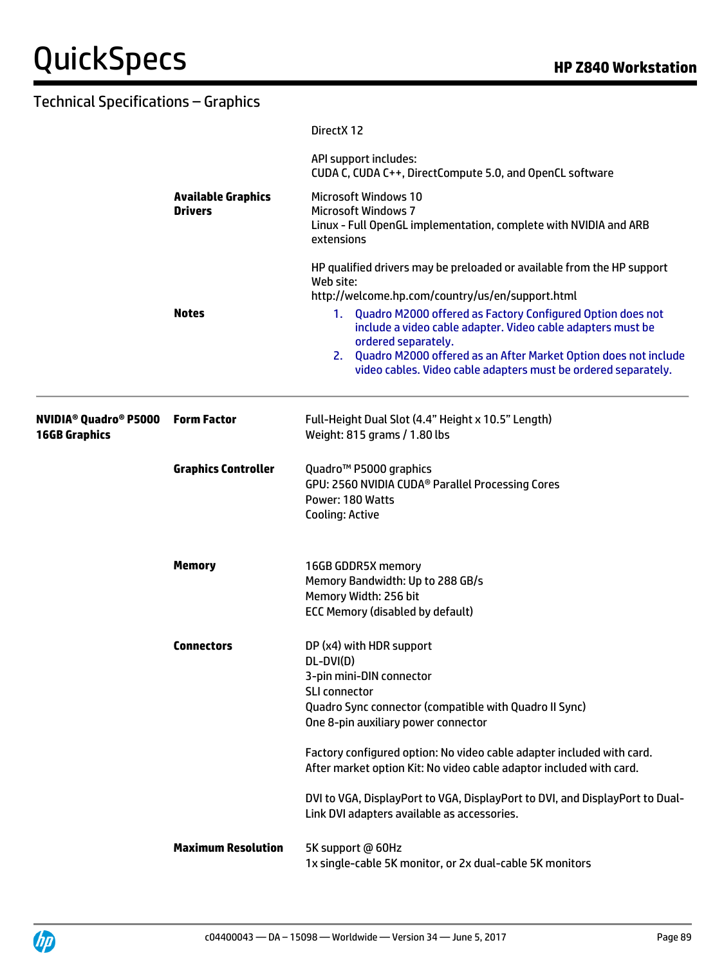| Technical Specifications – Graphics                                        |                                             |                                                                                                                                                                                                                                                                                                                                                                                                                            |
|----------------------------------------------------------------------------|---------------------------------------------|----------------------------------------------------------------------------------------------------------------------------------------------------------------------------------------------------------------------------------------------------------------------------------------------------------------------------------------------------------------------------------------------------------------------------|
|                                                                            |                                             | DirectX 12                                                                                                                                                                                                                                                                                                                                                                                                                 |
|                                                                            |                                             | API support includes:<br>CUDA C, CUDA C++, DirectCompute 5.0, and OpenCL software                                                                                                                                                                                                                                                                                                                                          |
|                                                                            | <b>Available Graphics</b><br><b>Drivers</b> | <b>Microsoft Windows 10</b><br><b>Microsoft Windows 7</b><br>Linux - Full OpenGL implementation, complete with NVIDIA and ARB<br>extensions                                                                                                                                                                                                                                                                                |
|                                                                            |                                             | HP qualified drivers may be preloaded or available from the HP support<br>Web site:<br>http://welcome.hp.com/country/us/en/support.html                                                                                                                                                                                                                                                                                    |
|                                                                            | <b>Notes</b>                                | 1. Quadro M2000 offered as Factory Configured Option does not<br>include a video cable adapter. Video cable adapters must be<br>ordered separately.<br>2. Quadro M2000 offered as an After Market Option does not include<br>video cables. Video cable adapters must be ordered separately.                                                                                                                                |
| <b>NVIDIA<sup>®</sup> Quadro<sup>®</sup> P5000</b><br><b>16GB Graphics</b> | <b>Form Factor</b>                          | Full-Height Dual Slot (4.4" Height x 10.5" Length)<br>Weight: 815 grams / 1.80 lbs                                                                                                                                                                                                                                                                                                                                         |
|                                                                            | <b>Graphics Controller</b>                  | Quadro <sup>™</sup> P5000 graphics<br>GPU: 2560 NVIDIA CUDA <sup>®</sup> Parallel Processing Cores<br>Power: 180 Watts<br><b>Cooling: Active</b>                                                                                                                                                                                                                                                                           |
|                                                                            | <b>Memory</b>                               | 16GB GDDR5X memory<br>Memory Bandwidth: Up to 288 GB/s<br>Memory Width: 256 bit<br><b>ECC Memory (disabled by default)</b>                                                                                                                                                                                                                                                                                                 |
|                                                                            | <b>Connectors</b>                           | DP (x4) with HDR support<br>DL-DVI(D)<br>3-pin mini-DIN connector<br><b>SLI</b> connector<br>Quadro Sync connector (compatible with Quadro II Sync)<br>One 8-pin auxiliary power connector<br>Factory configured option: No video cable adapter included with card.<br>After market option Kit: No video cable adaptor included with card.<br>DVI to VGA, DisplayPort to VGA, DisplayPort to DVI, and DisplayPort to Dual- |
|                                                                            | <b>Maximum Resolution</b>                   | Link DVI adapters available as accessories.<br>5K support @ 60Hz<br>1x single-cable 5K monitor, or 2x dual-cable 5K monitors                                                                                                                                                                                                                                                                                               |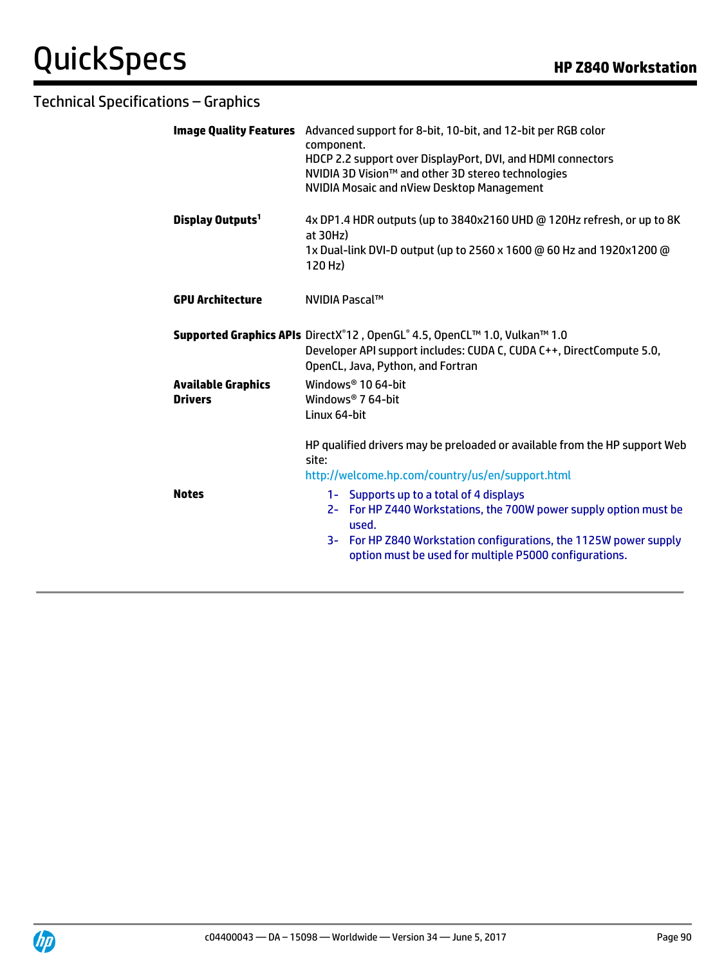|                                             | <b>Image Quality Features</b> Advanced support for 8-bit, 10-bit, and 12-bit per RGB color<br>component.<br>HDCP 2.2 support over DisplayPort, DVI, and HDMI connectors<br>NVIDIA 3D Vision™ and other 3D stereo technologies<br><b>NVIDIA Mosaic and nView Desktop Management</b> |
|---------------------------------------------|------------------------------------------------------------------------------------------------------------------------------------------------------------------------------------------------------------------------------------------------------------------------------------|
| Display Outputs <sup>1</sup>                | 4x DP1.4 HDR outputs (up to 3840x2160 UHD @ 120Hz refresh, or up to 8K<br>at $30Hz$ )<br>1x Dual-link DVI-D output (up to 2560 x 1600 @ 60 Hz and 1920x1200 @<br>$120$ Hz)                                                                                                         |
| <b>GPU Architecture</b>                     | NVIDIA Pascal™                                                                                                                                                                                                                                                                     |
|                                             | Supported Graphics APIs DirectX®12, OpenGL® 4.5, OpenCL™ 1.0, Vulkan™ 1.0<br>Developer API support includes: CUDA C, CUDA C++, DirectCompute 5.0,<br>OpenCL, Java, Python, and Fortran                                                                                             |
| <b>Available Graphics</b><br><b>Drivers</b> | Windows <sup>®</sup> 10 64-bit<br>Windows <sup>®</sup> 7 64-bit<br>Linux 64-bit                                                                                                                                                                                                    |
|                                             | HP qualified drivers may be preloaded or available from the HP support Web<br>site:<br>http://welcome.hp.com/country/us/en/support.html                                                                                                                                            |
| <b>Notes</b>                                | 1- Supports up to a total of 4 displays<br>2- For HP Z440 Workstations, the 700W power supply option must be<br>used.<br>3- For HP Z840 Workstation configurations, the 1125W power supply<br>option must be used for multiple P5000 configurations.                               |
|                                             |                                                                                                                                                                                                                                                                                    |

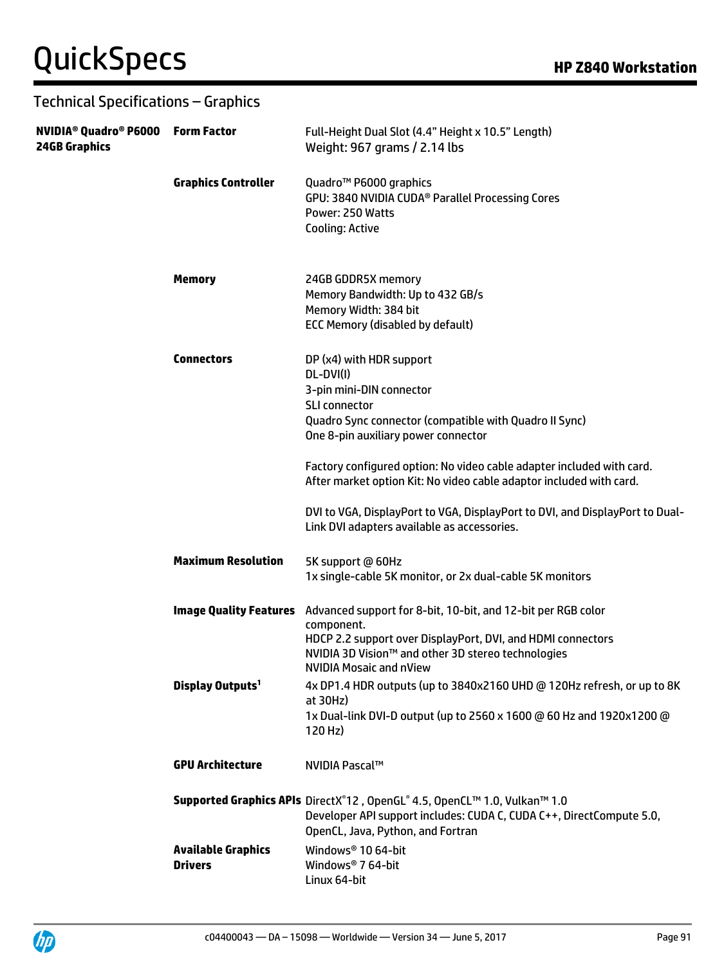| NVIDIA® Quadro® P6000<br><b>24GB Graphics</b> | Form Factor                                 | Full-Height Dual Slot (4.4" Height x 10.5" Length)<br>Weight: 967 grams / 2.14 lbs                                                                                                                                                                                  |
|-----------------------------------------------|---------------------------------------------|---------------------------------------------------------------------------------------------------------------------------------------------------------------------------------------------------------------------------------------------------------------------|
|                                               | <b>Graphics Controller</b>                  | Quadro <sup>™</sup> P6000 graphics<br>GPU: 3840 NVIDIA CUDA <sup>®</sup> Parallel Processing Cores<br>Power: 250 Watts<br>Cooling: Active                                                                                                                           |
|                                               | <b>Memory</b>                               | 24GB GDDR5X memory<br>Memory Bandwidth: Up to 432 GB/s<br>Memory Width: 384 bit<br><b>ECC Memory (disabled by default)</b>                                                                                                                                          |
|                                               | <b>Connectors</b>                           | DP (x4) with HDR support<br>DL-DVI(I)<br>3-pin mini-DIN connector<br><b>SLI connector</b><br>Quadro Sync connector (compatible with Quadro II Sync)<br>One 8-pin auxiliary power connector<br>Factory configured option: No video cable adapter included with card. |
|                                               |                                             | After market option Kit: No video cable adaptor included with card.<br>DVI to VGA, DisplayPort to VGA, DisplayPort to DVI, and DisplayPort to Dual-<br>Link DVI adapters available as accessories.                                                                  |
|                                               | <b>Maximum Resolution</b>                   | 5K support @ 60Hz<br>1x single-cable 5K monitor, or 2x dual-cable 5K monitors                                                                                                                                                                                       |
|                                               |                                             | Image Quality Features Advanced support for 8-bit, 10-bit, and 12-bit per RGB color<br>component.<br>HDCP 2.2 support over DisplayPort, DVI, and HDMI connectors<br>NVIDIA 3D Vision™ and other 3D stereo technologies<br><b>NVIDIA Mosaic and nView</b>            |
|                                               | Display Outputs <sup>1</sup>                | 4x DP1.4 HDR outputs (up to 3840x2160 UHD @ 120Hz refresh, or up to 8K<br>at $30Hz$ )<br>1x Dual-link DVI-D output (up to 2560 x 1600 @ 60 Hz and 1920x1200 @<br>120 Hz)                                                                                            |
|                                               | <b>GPU Architecture</b>                     | NVIDIA Pascal™                                                                                                                                                                                                                                                      |
|                                               |                                             | Supported Graphics APIs DirectX®12, OpenGL®4.5, OpenCL™1.0, Vulkan™1.0<br>Developer API support includes: CUDA C, CUDA C++, DirectCompute 5.0,<br>OpenCL, Java, Python, and Fortran                                                                                 |
|                                               | <b>Available Graphics</b><br><b>Drivers</b> | Windows <sup>®</sup> 10 64-bit<br>Windows <sup>®</sup> 7 64-bit<br>Linux 64-bit                                                                                                                                                                                     |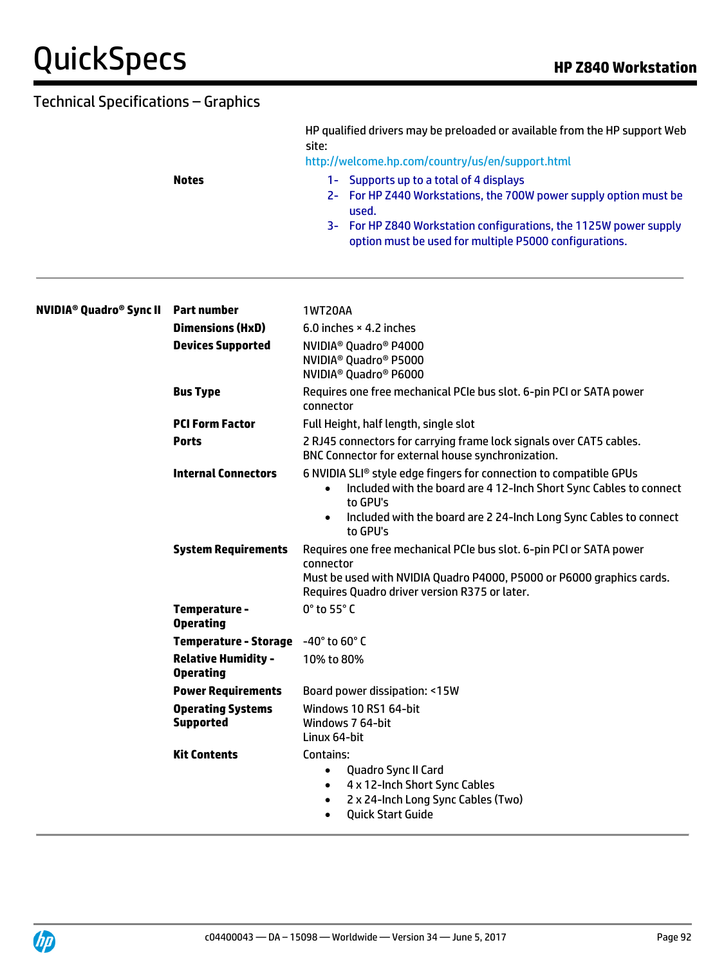HP qualified drivers may be preloaded or available from the HP support Web site:

<http://welcome.hp.com/country/us/en/support.html>

- **Notes** 1- Supports up to a total of 4 displays
	- 2- For HP Z440 Workstations, the 700W power supply option must be used.
	- 3- For HP Z840 Workstation configurations, the 1125W power supply option must be used for multiple P5000 configurations.

| <b>NVIDIA<sup>®</sup> Quadro<sup>®</sup> Sync II</b> | Part number                                    | 1WT20AA                                                                                                                                                                                                    |  |
|------------------------------------------------------|------------------------------------------------|------------------------------------------------------------------------------------------------------------------------------------------------------------------------------------------------------------|--|
|                                                      | <b>Dimensions (HxD)</b>                        | 6.0 inches $\times$ 4.2 inches                                                                                                                                                                             |  |
|                                                      | <b>Devices Supported</b>                       | NVIDIA <sup>®</sup> Quadro <sup>®</sup> P4000<br>NVIDIA <sup>®</sup> Quadro <sup>®</sup> P5000<br>NVIDIA <sup>®</sup> Quadro <sup>®</sup> P6000                                                            |  |
|                                                      | <b>Bus Type</b>                                | Requires one free mechanical PCIe bus slot. 6-pin PCI or SATA power<br>connector                                                                                                                           |  |
|                                                      | <b>PCI Form Factor</b>                         | Full Height, half length, single slot                                                                                                                                                                      |  |
|                                                      | <b>Ports</b>                                   | 2 RJ45 connectors for carrying frame lock signals over CAT5 cables.<br>BNC Connector for external house synchronization.                                                                                   |  |
|                                                      | <b>Internal Connectors</b>                     | 6 NVIDIA SLI® style edge fingers for connection to compatible GPUs<br>Included with the board are 4 12-Inch Short Sync Cables to connect<br>$\bullet$<br>to GPU's                                          |  |
|                                                      |                                                | Included with the board are 2 24-Inch Long Sync Cables to connect<br>$\bullet$<br>to GPU's                                                                                                                 |  |
|                                                      | <b>System Requirements</b>                     | Requires one free mechanical PCIe bus slot. 6-pin PCI or SATA power<br>connector<br>Must be used with NVIDIA Quadro P4000, P5000 or P6000 graphics cards.<br>Requires Quadro driver version R375 or later. |  |
|                                                      | Temperature -<br><b>Operating</b>              | $0^\circ$ to 55 $^\circ$ C                                                                                                                                                                                 |  |
|                                                      | Temperature - Storage -40° to 60° C            |                                                                                                                                                                                                            |  |
|                                                      | <b>Relative Humidity -</b><br><b>Operating</b> | 10% to 80%                                                                                                                                                                                                 |  |
|                                                      | <b>Power Requirements</b>                      | Board power dissipation: <15W                                                                                                                                                                              |  |
|                                                      | <b>Operating Systems</b><br><b>Supported</b>   | Windows 10 RS1 64-bit<br>Windows 7 64-bit<br>Linux 64-bit                                                                                                                                                  |  |
|                                                      | <b>Kit Contents</b>                            | Contains:<br>Quadro Sync II Card<br>$\bullet$<br>4 x 12-Inch Short Sync Cables<br>$\bullet$<br>2 x 24-Inch Long Sync Cables (Two)<br>$\bullet$<br><b>Quick Start Guide</b><br>$\bullet$                    |  |

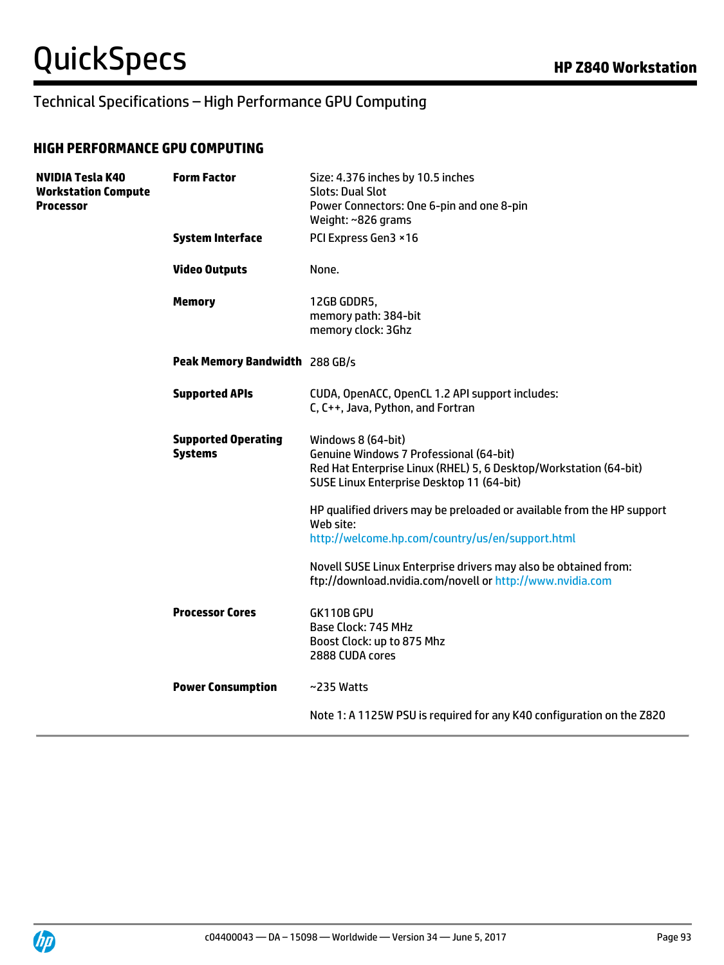# Technical Specifications – High Performance GPU Computing

#### **HIGH PERFORMANCE GPU COMPUTING**

| NVIDIA Tesla K40<br><b>Form Factor</b><br><b>Workstation Compute</b><br>Processor | Size: 4.376 inches by 10.5 inches<br><b>Slots: Dual Slot</b><br>Power Connectors: One 6-pin and one 8-pin<br>Weight: ~826 grams                                                 |
|-----------------------------------------------------------------------------------|---------------------------------------------------------------------------------------------------------------------------------------------------------------------------------|
| <b>System Interface</b>                                                           | PCI Express Gen3 ×16                                                                                                                                                            |
| <b>Video Outputs</b>                                                              | None.                                                                                                                                                                           |
| <b>Memory</b>                                                                     | 12GB GDDR5,<br>memory path: 384-bit<br>memory clock: 3Ghz                                                                                                                       |
| Peak Memory Bandwidth 288 GB/s                                                    |                                                                                                                                                                                 |
| <b>Supported APIs</b>                                                             | CUDA, OpenACC, OpenCL 1.2 API support includes:<br>C, C++, Java, Python, and Fortran                                                                                            |
| <b>Supported Operating</b><br><b>Systems</b>                                      | Windows 8 (64-bit)<br>Genuine Windows 7 Professional (64-bit)<br>Red Hat Enterprise Linux (RHEL) 5, 6 Desktop/Workstation (64-bit)<br>SUSE Linux Enterprise Desktop 11 (64-bit) |
|                                                                                   | HP qualified drivers may be preloaded or available from the HP support<br>Web site:<br>http://welcome.hp.com/country/us/en/support.html                                         |
|                                                                                   | Novell SUSE Linux Enterprise drivers may also be obtained from:<br>ftp://download.nvidia.com/novell or http://www.nvidia.com                                                    |
| <b>Processor Cores</b>                                                            | GK110B GPU<br>Base Clock: 745 MHz<br>Boost Clock: up to 875 Mhz<br>2888 CUDA cores                                                                                              |
| <b>Power Consumption</b>                                                          | $~235$ Watts                                                                                                                                                                    |
|                                                                                   | Note 1: A 1125W PSU is required for any K40 configuration on the Z820                                                                                                           |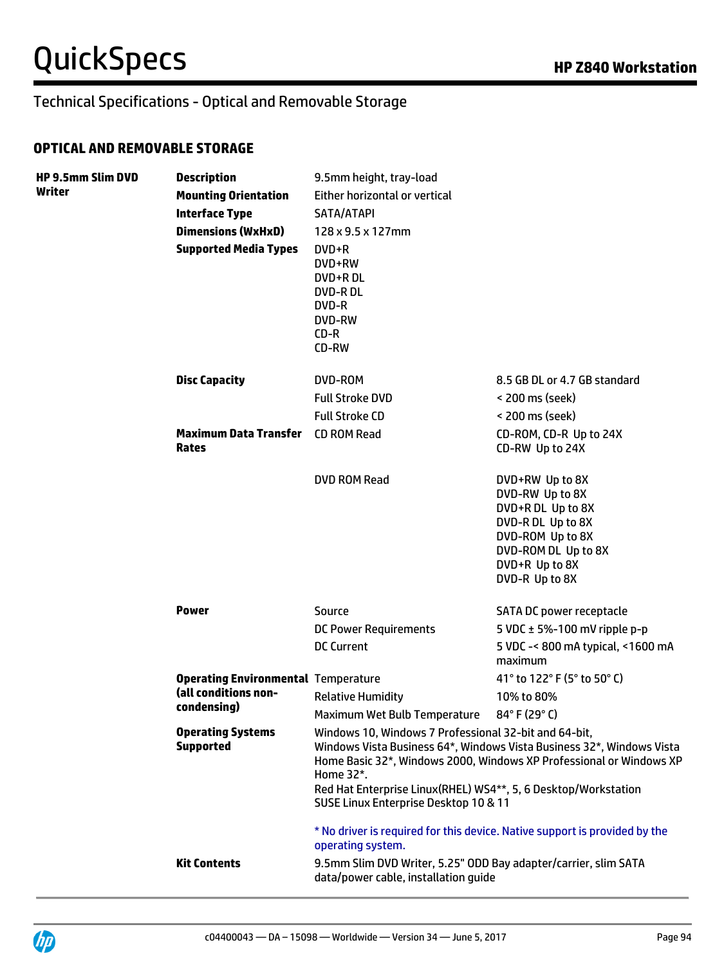#### **OPTICAL AND REMOVABLE STORAGE**

| <b>HP 9.5mm Slim DVD</b> | <b>Description</b>                           | 9.5mm height, tray-load                                                                                                                                                                                                                                                                                                       |                                                                                                                                                             |
|--------------------------|----------------------------------------------|-------------------------------------------------------------------------------------------------------------------------------------------------------------------------------------------------------------------------------------------------------------------------------------------------------------------------------|-------------------------------------------------------------------------------------------------------------------------------------------------------------|
| Writer                   | <b>Mounting Orientation</b>                  | Either horizontal or vertical                                                                                                                                                                                                                                                                                                 |                                                                                                                                                             |
|                          | <b>Interface Type</b>                        | SATA/ATAPI                                                                                                                                                                                                                                                                                                                    |                                                                                                                                                             |
|                          | <b>Dimensions (WxHxD)</b>                    | $128 \times 9.5 \times 127$ mm                                                                                                                                                                                                                                                                                                |                                                                                                                                                             |
|                          | <b>Supported Media Types</b>                 | DVD+R<br>DVD+RW<br>DVD+R DL<br><b>DVD-RDL</b><br>DVD-R<br><b>DVD-RW</b><br>$CD-R$<br>CD-RW                                                                                                                                                                                                                                    |                                                                                                                                                             |
|                          | <b>Disc Capacity</b>                         | DVD-ROM                                                                                                                                                                                                                                                                                                                       | 8.5 GB DL or 4.7 GB standard                                                                                                                                |
|                          |                                              | <b>Full Stroke DVD</b>                                                                                                                                                                                                                                                                                                        | < 200 ms (seek)                                                                                                                                             |
|                          |                                              | <b>Full Stroke CD</b>                                                                                                                                                                                                                                                                                                         | < 200 ms (seek)                                                                                                                                             |
|                          | <b>Maximum Data Transfer</b><br><b>Rates</b> | <b>CD ROM Read</b>                                                                                                                                                                                                                                                                                                            | CD-ROM, CD-R Up to 24X<br>CD-RW Up to 24X                                                                                                                   |
|                          |                                              | <b>DVD ROM Read</b>                                                                                                                                                                                                                                                                                                           | DVD+RW Up to 8X<br>DVD-RW Up to 8X<br>DVD+R DL Up to 8X<br>DVD-R DL Up to 8X<br>DVD-ROM Up to 8X<br>DVD-ROM DL Up to 8X<br>DVD+R Up to 8X<br>DVD-R Up to 8X |
|                          | <b>Power</b>                                 | Source                                                                                                                                                                                                                                                                                                                        | SATA DC power receptacle                                                                                                                                    |
|                          |                                              | <b>DC Power Requirements</b>                                                                                                                                                                                                                                                                                                  | 5 VDC $\pm$ 5%-100 mV ripple p-p                                                                                                                            |
|                          |                                              | <b>DC Current</b>                                                                                                                                                                                                                                                                                                             | 5 VDC -< 800 mA typical, <1600 mA<br>maximum                                                                                                                |
|                          | <b>Operating Environmental Temperature</b>   |                                                                                                                                                                                                                                                                                                                               | 41° to 122° F (5° to 50° C)                                                                                                                                 |
|                          | (all conditions non-                         | <b>Relative Humidity</b>                                                                                                                                                                                                                                                                                                      | 10% to 80%                                                                                                                                                  |
|                          | condensing)                                  | Maximum Wet Bulb Temperature                                                                                                                                                                                                                                                                                                  | 84°F (29°C)                                                                                                                                                 |
|                          | <b>Operating Systems</b><br><b>Supported</b> | Windows 10, Windows 7 Professional 32-bit and 64-bit,<br>Windows Vista Business 64*, Windows Vista Business 32*, Windows Vista<br>Home Basic 32*, Windows 2000, Windows XP Professional or Windows XP<br>Home 32*.<br>Red Hat Enterprise Linux(RHEL) WS4**, 5, 6 Desktop/Workstation<br>SUSE Linux Enterprise Desktop 10 & 11 |                                                                                                                                                             |
|                          |                                              | operating system.                                                                                                                                                                                                                                                                                                             | * No driver is required for this device. Native support is provided by the                                                                                  |
|                          | <b>Kit Contents</b>                          | 9.5mm Slim DVD Writer, 5.25" ODD Bay adapter/carrier, slim SATA<br>data/power cable, installation guide                                                                                                                                                                                                                       |                                                                                                                                                             |

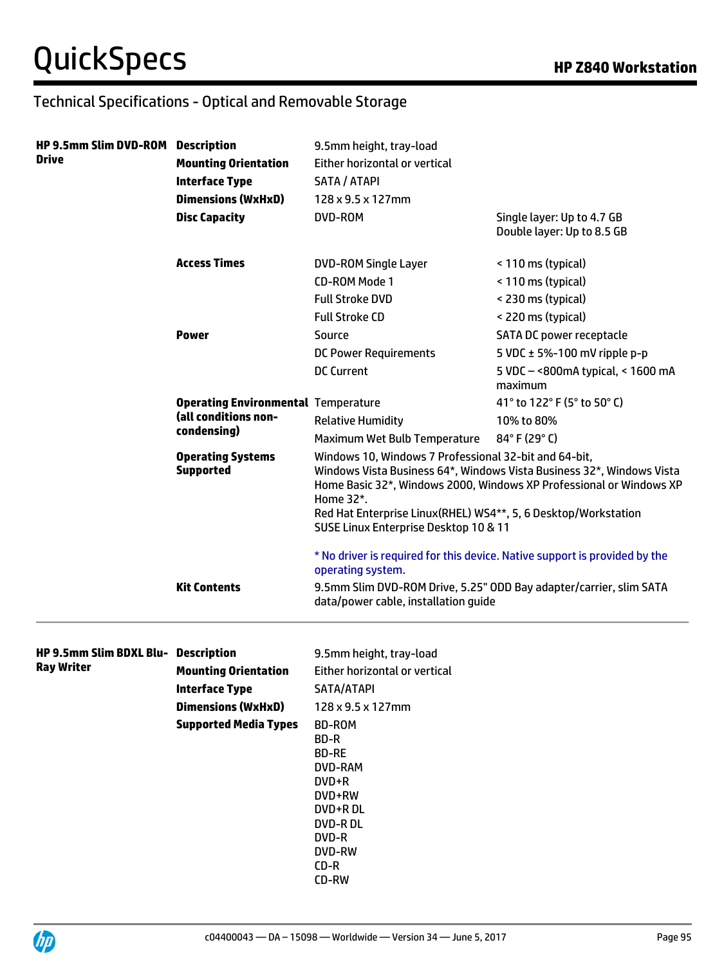| HP 9.5mm Slim DVD-ROM Description   |                                              | 9.5mm height, tray-load                                                                                                                                                                                                                                                                                                        |                                                                            |
|-------------------------------------|----------------------------------------------|--------------------------------------------------------------------------------------------------------------------------------------------------------------------------------------------------------------------------------------------------------------------------------------------------------------------------------|----------------------------------------------------------------------------|
| Drive                               | <b>Mounting Orientation</b>                  | Either horizontal or vertical                                                                                                                                                                                                                                                                                                  |                                                                            |
|                                     | <b>Interface Type</b>                        | SATA / ATAPI                                                                                                                                                                                                                                                                                                                   |                                                                            |
|                                     | <b>Dimensions (WxHxD)</b>                    | 128 x 9.5 x 127mm                                                                                                                                                                                                                                                                                                              |                                                                            |
|                                     | <b>Disc Capacity</b>                         | DVD-ROM                                                                                                                                                                                                                                                                                                                        | Single layer: Up to 4.7 GB<br>Double layer: Up to 8.5 GB                   |
|                                     | <b>Access Times</b>                          | <b>DVD-ROM Single Layer</b>                                                                                                                                                                                                                                                                                                    | < 110 ms (typical)                                                         |
|                                     |                                              | CD-ROM Mode 1                                                                                                                                                                                                                                                                                                                  | < 110 ms (typical)                                                         |
|                                     |                                              | <b>Full Stroke DVD</b>                                                                                                                                                                                                                                                                                                         | < 230 ms (typical)                                                         |
|                                     |                                              | <b>Full Stroke CD</b>                                                                                                                                                                                                                                                                                                          | < 220 ms (typical)                                                         |
|                                     | <b>Power</b>                                 | Source                                                                                                                                                                                                                                                                                                                         | SATA DC power receptacle                                                   |
|                                     |                                              | <b>DC Power Requirements</b>                                                                                                                                                                                                                                                                                                   | 5 VDC $\pm$ 5%-100 mV ripple p-p                                           |
|                                     |                                              | <b>DC Current</b>                                                                                                                                                                                                                                                                                                              | 5 VDC - < 800mA typical, < 1600 mA<br>maximum                              |
|                                     | <b>Operating Environmental Temperature</b>   |                                                                                                                                                                                                                                                                                                                                | 41° to 122° F (5° to 50° C)                                                |
|                                     | (all conditions non-                         | <b>Relative Humidity</b>                                                                                                                                                                                                                                                                                                       | 10% to 80%                                                                 |
|                                     | condensing)                                  | Maximum Wet Bulb Temperature                                                                                                                                                                                                                                                                                                   | 84°F (29°C)                                                                |
|                                     | <b>Operating Systems</b><br><b>Supported</b> | Windows 10, Windows 7 Professional 32-bit and 64-bit,<br>Windows Vista Business 64*, Windows Vista Business 32*, Windows Vista<br>Home Basic 32*, Windows 2000, Windows XP Professional or Windows XP<br>Home 32*.<br>Red Hat Enterprise Linux (RHEL) WS4**, 5, 6 Desktop/Workstation<br>SUSE Linux Enterprise Desktop 10 & 11 |                                                                            |
|                                     |                                              | operating system.                                                                                                                                                                                                                                                                                                              | * No driver is required for this device. Native support is provided by the |
|                                     | <b>Kit Contents</b>                          | data/power cable, installation guide                                                                                                                                                                                                                                                                                           | 9.5mm Slim DVD-ROM Drive, 5.25" ODD Bay adapter/carrier, slim SATA         |
| HP 9.5mm Slim BDXL Blu- Description |                                              | 9.5mm height, tray-load                                                                                                                                                                                                                                                                                                        |                                                                            |
| Ray Writer                          | <b>Mounting Orientation</b>                  | Either horizontal or vertical                                                                                                                                                                                                                                                                                                  |                                                                            |
|                                     | <b>Interface Type</b>                        | SATA/ATAPI                                                                                                                                                                                                                                                                                                                     |                                                                            |
|                                     | <b>Dimensions (WxHxD)</b>                    | 128 x 9.5 x 127mm                                                                                                                                                                                                                                                                                                              |                                                                            |
|                                     | <b>Supported Media Types</b>                 | <b>BD-ROM</b><br>BD-R<br><b>BD-RE</b><br>DVD-RAM<br>DVD+R<br>DVD+RW                                                                                                                                                                                                                                                            |                                                                            |

DVD+R DL DVD-R DL DVD-R DVD-RW CD-R CD-RW

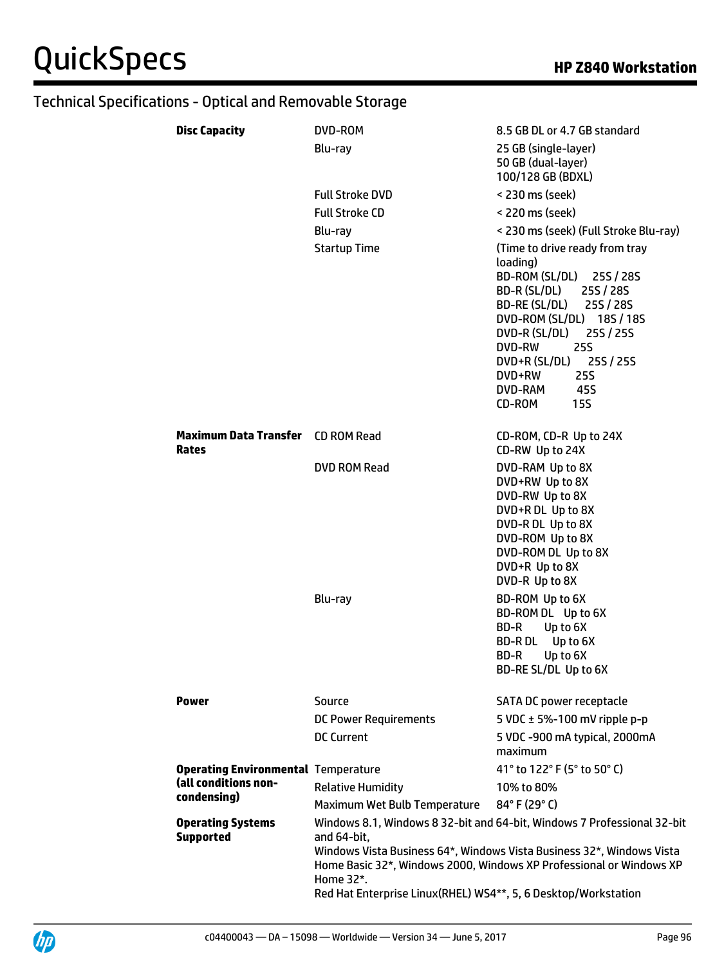| <b>Disc Capacity</b>                              | DVD-ROM                                                                                                                                                                                                                                                                                                               | 8.5 GB DL or 4.7 GB standard                                                                                                                                                                                                                                                                              |
|---------------------------------------------------|-----------------------------------------------------------------------------------------------------------------------------------------------------------------------------------------------------------------------------------------------------------------------------------------------------------------------|-----------------------------------------------------------------------------------------------------------------------------------------------------------------------------------------------------------------------------------------------------------------------------------------------------------|
|                                                   | Blu-ray                                                                                                                                                                                                                                                                                                               | 25 GB (single-layer)<br>50 GB (dual-layer)<br>100/128 GB (BDXL)                                                                                                                                                                                                                                           |
|                                                   | <b>Full Stroke DVD</b>                                                                                                                                                                                                                                                                                                | < 230 ms (seek)                                                                                                                                                                                                                                                                                           |
|                                                   | <b>Full Stroke CD</b>                                                                                                                                                                                                                                                                                                 | < 220 ms (seek)                                                                                                                                                                                                                                                                                           |
|                                                   | Blu-ray                                                                                                                                                                                                                                                                                                               | < 230 ms (seek) (Full Stroke Blu-ray)                                                                                                                                                                                                                                                                     |
|                                                   | <b>Startup Time</b>                                                                                                                                                                                                                                                                                                   | (Time to drive ready from tray<br>loading)<br>BD-ROM (SL/DL)<br>25S/28S<br>BD-R (SL/DL)<br>25S / 28S<br>BD-RE (SL/DL)<br>25S / 28S<br>DVD-ROM (SL/DL) 18S / 18S<br>DVD-R (SL/DL)<br>25S/25S<br>DVD-RW<br><b>25S</b><br>DVD+R (SL/DL) 25S / 25S<br>DVD+RW<br><b>25S</b><br>45S<br>DVD-RAM<br>CD-ROM<br>155 |
| Maximum Data Transfer CD ROM Read<br><b>Rates</b> |                                                                                                                                                                                                                                                                                                                       | CD-ROM, CD-R Up to 24X<br>CD-RW Up to 24X                                                                                                                                                                                                                                                                 |
|                                                   | DVD ROM Read                                                                                                                                                                                                                                                                                                          | DVD-RAM Up to 8X<br>DVD+RW Up to 8X<br>DVD-RW Up to 8X<br>DVD+R DL Up to 8X<br>DVD-R DL Up to 8X<br>DVD-ROM Up to 8X<br>DVD-ROM DL Up to 8X<br>DVD+R Up to 8X<br>DVD-R Up to 8X                                                                                                                           |
|                                                   | Blu-ray                                                                                                                                                                                                                                                                                                               | BD-ROM Up to 6X<br>BD-ROM DL Up to 6X<br>BD-R<br>Up to 6X<br>BD-R DL<br>Up to 6X<br>BD-R<br>Up to 6X<br>BD-RE SL/DL Up to 6X                                                                                                                                                                              |
| <b>Power</b>                                      | Source                                                                                                                                                                                                                                                                                                                | SATA DC power receptacle                                                                                                                                                                                                                                                                                  |
|                                                   | <b>DC Power Requirements</b>                                                                                                                                                                                                                                                                                          | 5 VDC $\pm$ 5%-100 mV ripple p-p                                                                                                                                                                                                                                                                          |
|                                                   | <b>DC Current</b>                                                                                                                                                                                                                                                                                                     | 5 VDC -900 mA typical, 2000mA<br>maximum                                                                                                                                                                                                                                                                  |
| <b>Operating Environmental Temperature</b>        |                                                                                                                                                                                                                                                                                                                       | 41° to 122° F (5° to 50° C)                                                                                                                                                                                                                                                                               |
| (all conditions non-<br>condensing)               | <b>Relative Humidity</b>                                                                                                                                                                                                                                                                                              | 10% to 80%                                                                                                                                                                                                                                                                                                |
|                                                   | Maximum Wet Bulb Temperature                                                                                                                                                                                                                                                                                          | 84°F (29°C)                                                                                                                                                                                                                                                                                               |
| <b>Operating Systems</b><br><b>Supported</b>      | Windows 8.1, Windows 8 32-bit and 64-bit, Windows 7 Professional 32-bit<br>and 64-bit,<br>Windows Vista Business 64*, Windows Vista Business 32*, Windows Vista<br>Home Basic 32*, Windows 2000, Windows XP Professional or Windows XP<br>Home 32*.<br>Red Hat Enterprise Linux(RHEL) WS4**, 5, 6 Desktop/Workstation |                                                                                                                                                                                                                                                                                                           |

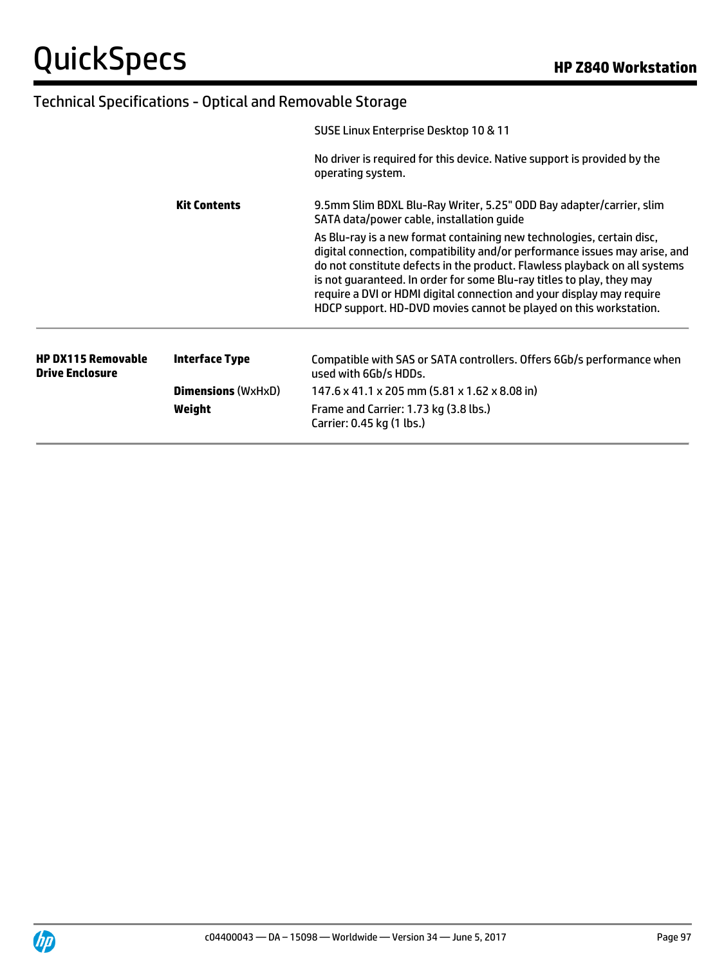í.

|                                       |                           | SUSE Linux Enterprise Desktop 10 & 11                                                                                                                                                                                                                                                                                                                                                                                                                    |
|---------------------------------------|---------------------------|----------------------------------------------------------------------------------------------------------------------------------------------------------------------------------------------------------------------------------------------------------------------------------------------------------------------------------------------------------------------------------------------------------------------------------------------------------|
|                                       |                           | No driver is required for this device. Native support is provided by the<br>operating system.                                                                                                                                                                                                                                                                                                                                                            |
|                                       | <b>Kit Contents</b>       | 9.5mm Slim BDXL Blu-Ray Writer, 5.25" ODD Bay adapter/carrier, slim<br>SATA data/power cable, installation guide                                                                                                                                                                                                                                                                                                                                         |
|                                       |                           | As Blu-ray is a new format containing new technologies, certain disc,<br>digital connection, compatibility and/or performance issues may arise, and<br>do not constitute defects in the product. Flawless playback on all systems<br>is not guaranteed. In order for some Blu-ray titles to play, they may<br>require a DVI or HDMI digital connection and your display may require<br>HDCP support. HD-DVD movies cannot be played on this workstation. |
| HP DX115 Removable<br>Drive Enclosure | <b>Interface Type</b>     | Compatible with SAS or SATA controllers. Offers 6Gb/s performance when<br>used with 6Gb/s HDDs.                                                                                                                                                                                                                                                                                                                                                          |
|                                       | <b>Dimensions</b> (WxHxD) | 147.6 x 41.1 x 205 mm (5.81 x 1.62 x 8.08 in)                                                                                                                                                                                                                                                                                                                                                                                                            |
|                                       | Weight                    | Frame and Carrier: 1.73 kg (3.8 lbs.)<br>Carrier: 0.45 kg (1 lbs.)                                                                                                                                                                                                                                                                                                                                                                                       |
|                                       |                           |                                                                                                                                                                                                                                                                                                                                                                                                                                                          |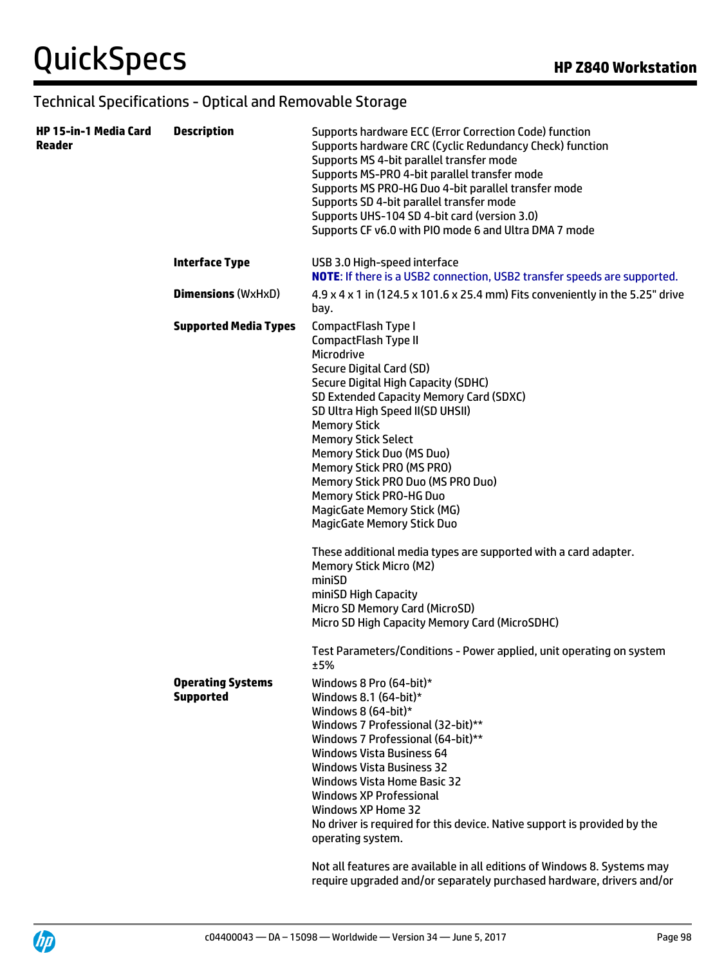| HP 15-in-1 Media Card<br><b>Reader</b> | <b>Description</b>                           | Supports hardware ECC (Error Correction Code) function<br>Supports hardware CRC (Cyclic Redundancy Check) function<br>Supports MS 4-bit parallel transfer mode<br>Supports MS-PRO 4-bit parallel transfer mode<br>Supports MS PRO-HG Duo 4-bit parallel transfer mode<br>Supports SD 4-bit parallel transfer mode<br>Supports UHS-104 SD 4-bit card (version 3.0)<br>Supports CF v6.0 with PIO mode 6 and Ultra DMA 7 mode                                                                                                                                                             |
|----------------------------------------|----------------------------------------------|----------------------------------------------------------------------------------------------------------------------------------------------------------------------------------------------------------------------------------------------------------------------------------------------------------------------------------------------------------------------------------------------------------------------------------------------------------------------------------------------------------------------------------------------------------------------------------------|
|                                        | <b>Interface Type</b>                        | USB 3.0 High-speed interface<br>NOTE: If there is a USB2 connection, USB2 transfer speeds are supported.                                                                                                                                                                                                                                                                                                                                                                                                                                                                               |
|                                        | <b>Dimensions (WxHxD)</b>                    | 4.9 x 4 x 1 in (124.5 x 101.6 x 25.4 mm) Fits conveniently in the 5.25" drive<br>bay.                                                                                                                                                                                                                                                                                                                                                                                                                                                                                                  |
|                                        | <b>Supported Media Types</b>                 | CompactFlash Type I<br>CompactFlash Type II<br>Microdrive<br>Secure Digital Card (SD)<br>Secure Digital High Capacity (SDHC)<br>SD Extended Capacity Memory Card (SDXC)<br>SD Ultra High Speed II(SD UHSII)<br><b>Memory Stick</b><br><b>Memory Stick Select</b><br>Memory Stick Duo (MS Duo)<br>Memory Stick PRO (MS PRO)<br>Memory Stick PRO Duo (MS PRO Duo)<br><b>Memory Stick PRO-HG Duo</b><br>MagicGate Memory Stick (MG)<br><b>MagicGate Memory Stick Duo</b><br>These additional media types are supported with a card adapter.                                               |
|                                        |                                              | <b>Memory Stick Micro (M2)</b><br>miniSD<br>miniSD High Capacity<br>Micro SD Memory Card (MicroSD)<br>Micro SD High Capacity Memory Card (MicroSDHC)<br>Test Parameters/Conditions - Power applied, unit operating on system<br>±5%                                                                                                                                                                                                                                                                                                                                                    |
|                                        | <b>Operating Systems</b><br><b>Supported</b> | Windows 8 Pro (64-bit)*<br>Windows 8.1 (64-bit)*<br>Windows 8 $(64-bit)*$<br>Windows 7 Professional (32-bit)**<br>Windows 7 Professional (64-bit)**<br><b>Windows Vista Business 64</b><br><b>Windows Vista Business 32</b><br><b>Windows Vista Home Basic 32</b><br><b>Windows XP Professional</b><br><b>Windows XP Home 32</b><br>No driver is required for this device. Native support is provided by the<br>operating system.<br>Not all features are available in all editions of Windows 8. Systems may<br>require upgraded and/or separately purchased hardware, drivers and/or |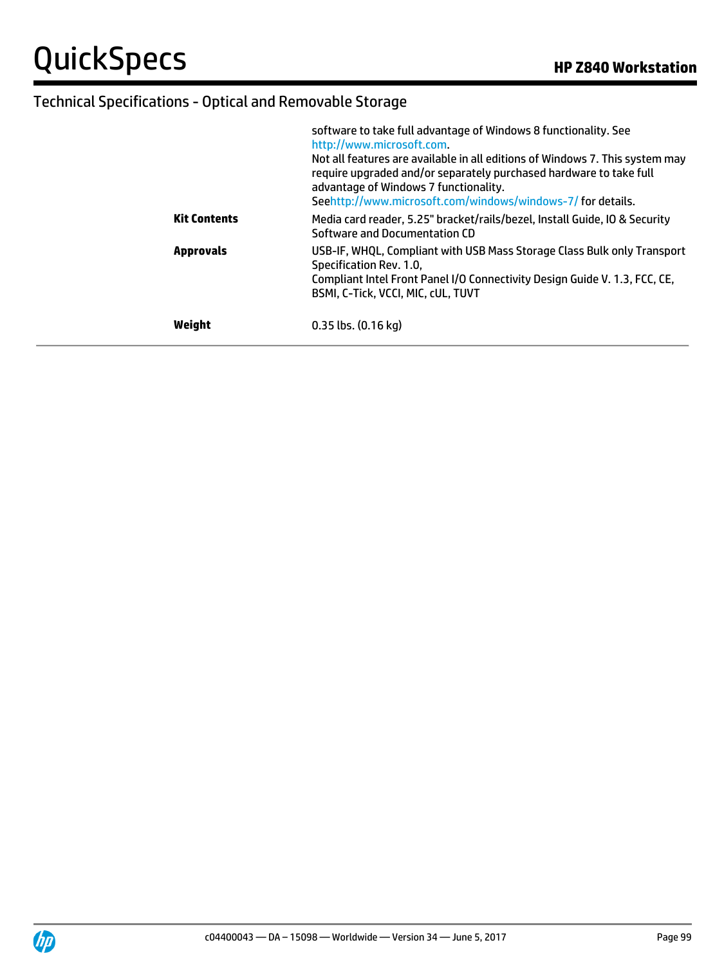|                     | software to take full advantage of Windows 8 functionality. See<br>http://www.microsoft.com.<br>Not all features are available in all editions of Windows 7. This system may<br>require upgraded and/or separately purchased hardware to take full<br>advantage of Windows 7 functionality.<br>Seehttp://www.microsoft.com/windows/windows-7/for details. |
|---------------------|-----------------------------------------------------------------------------------------------------------------------------------------------------------------------------------------------------------------------------------------------------------------------------------------------------------------------------------------------------------|
| <b>Kit Contents</b> | Media card reader, 5.25" bracket/rails/bezel, Install Guide, IO & Security<br>Software and Documentation CD                                                                                                                                                                                                                                               |
| <b>Approvals</b>    | USB-IF, WHQL, Compliant with USB Mass Storage Class Bulk only Transport<br>Specification Rev. 1.0,<br>Compliant Intel Front Panel I/O Connectivity Design Guide V. 1.3, FCC, CE,<br>BSMI, C-Tick, VCCI, MIC, cUL, TUVT                                                                                                                                    |
| Weight              | 0.35 lbs. (0.16 kg)                                                                                                                                                                                                                                                                                                                                       |

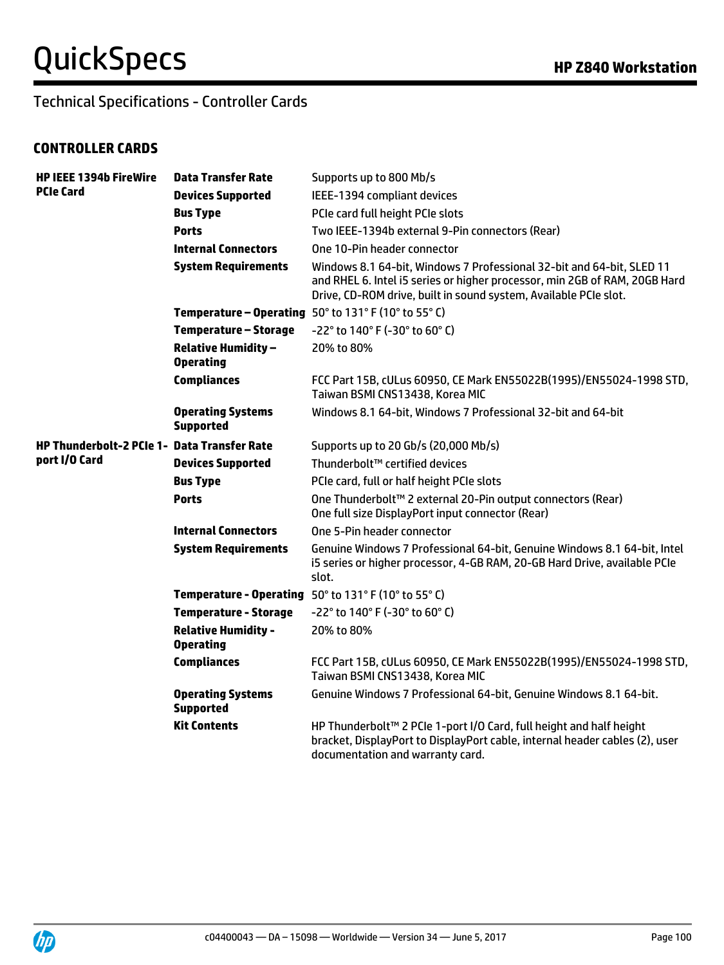## Technical Specifications - Controller Cards

#### **CONTROLLER CARDS**

| <b>HP IEEE 1394b FireWire</b>               | <b>Data Transfer Rate</b>                      | Supports up to 800 Mb/s                                                                                                                                                                                                 |
|---------------------------------------------|------------------------------------------------|-------------------------------------------------------------------------------------------------------------------------------------------------------------------------------------------------------------------------|
| <b>PCIe Card</b>                            | <b>Devices Supported</b>                       | IEEE-1394 compliant devices                                                                                                                                                                                             |
|                                             | <b>Bus Type</b>                                | PCIe card full height PCIe slots                                                                                                                                                                                        |
|                                             | <b>Ports</b>                                   | Two IEEE-1394b external 9-Pin connectors (Rear)                                                                                                                                                                         |
|                                             | <b>Internal Connectors</b>                     | One 10-Pin header connector                                                                                                                                                                                             |
|                                             | <b>System Requirements</b>                     | Windows 8.1 64-bit, Windows 7 Professional 32-bit and 64-bit, SLED 11<br>and RHEL 6. Intel i5 series or higher processor, min 2GB of RAM, 20GB Hard<br>Drive, CD-ROM drive, built in sound system, Available PCIe slot. |
|                                             |                                                | <b>Temperature - Operating</b> $50^{\circ}$ to $131^{\circ}$ F (10 $^{\circ}$ to 55 $^{\circ}$ C)                                                                                                                       |
|                                             | <b>Temperature - Storage</b>                   | -22° to 140° F (-30° to 60° C)                                                                                                                                                                                          |
|                                             | <b>Relative Humidity -</b><br><b>Operating</b> | 20% to 80%                                                                                                                                                                                                              |
|                                             | <b>Compliances</b>                             | FCC Part 15B, cULus 60950, CE Mark EN55022B(1995)/EN55024-1998 STD,<br>Taiwan BSMI CNS13438, Korea MIC                                                                                                                  |
|                                             | <b>Operating Systems</b><br><b>Supported</b>   | Windows 8.1 64-bit, Windows 7 Professional 32-bit and 64-bit                                                                                                                                                            |
| HP Thunderbolt-2 PCIe 1- Data Transfer Rate |                                                | Supports up to 20 Gb/s (20,000 Mb/s)                                                                                                                                                                                    |
| port I/O Card                               | <b>Devices Supported</b>                       | Thunderbolt™ certified devices                                                                                                                                                                                          |
|                                             | <b>Bus Type</b>                                | PCIe card, full or half height PCIe slots                                                                                                                                                                               |
|                                             | <b>Ports</b>                                   | One Thunderbolt™ 2 external 20-Pin output connectors (Rear)<br>One full size DisplayPort input connector (Rear)                                                                                                         |
|                                             | <b>Internal Connectors</b>                     | One 5-Pin header connector                                                                                                                                                                                              |
|                                             | <b>System Requirements</b>                     | Genuine Windows 7 Professional 64-bit, Genuine Windows 8.1 64-bit, Intel<br>i5 series or higher processor, 4-GB RAM, 20-GB Hard Drive, available PCIe<br>slot.                                                          |
|                                             |                                                | Temperature - Operating 50° to 131° F (10° to 55° C)                                                                                                                                                                    |
|                                             | <b>Temperature - Storage</b>                   | -22° to 140° F (-30° to 60° C)                                                                                                                                                                                          |
|                                             | <b>Relative Humidity -</b><br><b>Operating</b> | 20% to 80%                                                                                                                                                                                                              |
|                                             | <b>Compliances</b>                             | FCC Part 15B, cULus 60950, CE Mark EN55022B(1995)/EN55024-1998 STD,<br>Taiwan BSMI CNS13438, Korea MIC                                                                                                                  |
|                                             | <b>Operating Systems</b><br><b>Supported</b>   | Genuine Windows 7 Professional 64-bit, Genuine Windows 8.1 64-bit.                                                                                                                                                      |
|                                             | <b>Kit Contents</b>                            | HP Thunderbolt™ 2 PCIe 1-port I/O Card, full height and half height<br>bracket, DisplayPort to DisplayPort cable, internal header cables (2), user<br>documentation and warranty card.                                  |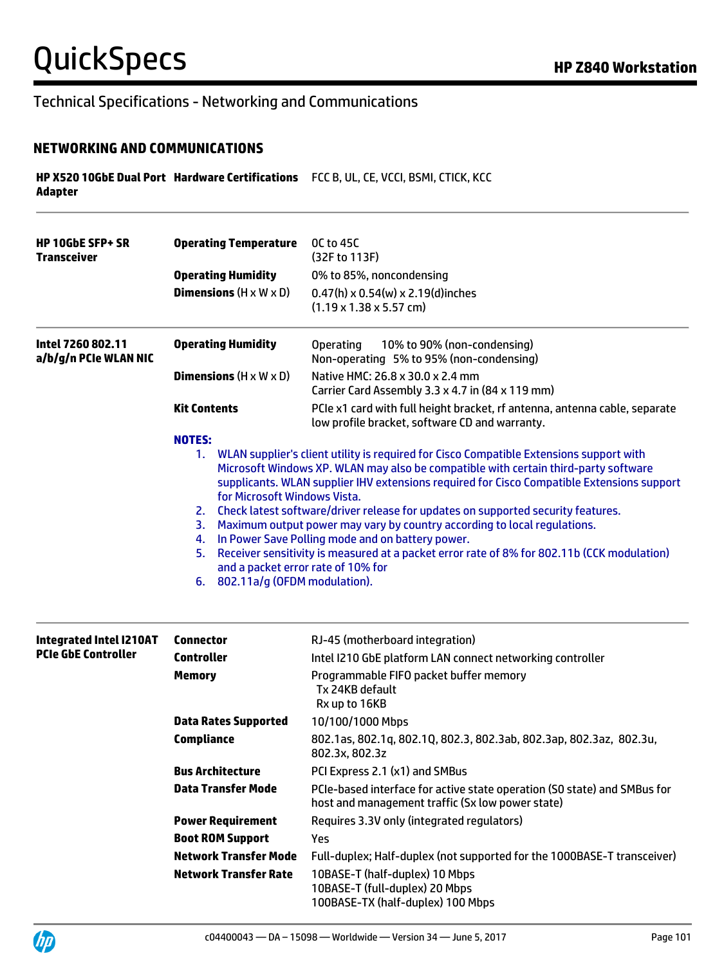#### Technical Specifications - Networking and Communications

#### **NETWORKING AND COMMUNICATIONS**

**HP X520 10GbE Dual Port Hardware Certifications** FCC B, UL, CE, VCCI, BSMI, CTICK, KCC **Adapter**

| <b>HP 10GbE SFP+ SR</b>                    | <b>Operating Temperature</b>                                             | <b>OC to 45C</b>                                                                                                                                                                                                                                                                                                                                                                                                                                                                                                                                                                                                                                 |
|--------------------------------------------|--------------------------------------------------------------------------|--------------------------------------------------------------------------------------------------------------------------------------------------------------------------------------------------------------------------------------------------------------------------------------------------------------------------------------------------------------------------------------------------------------------------------------------------------------------------------------------------------------------------------------------------------------------------------------------------------------------------------------------------|
| <b>Transceiver</b>                         |                                                                          | (32F to 113F)                                                                                                                                                                                                                                                                                                                                                                                                                                                                                                                                                                                                                                    |
|                                            | <b>Operating Humidity</b>                                                | 0% to 85%, noncondensing                                                                                                                                                                                                                                                                                                                                                                                                                                                                                                                                                                                                                         |
|                                            | <b>Dimensions</b> $(H \times W \times D)$                                | $0.47(h) \times 0.54(w) \times 2.19(d)$ inches<br>$(1.19 \times 1.38 \times 5.57$ cm)                                                                                                                                                                                                                                                                                                                                                                                                                                                                                                                                                            |
| Intel 7260 802.11<br>a/b/g/n PCIe WLAN NIC | <b>Operating Humidity</b>                                                | 10% to 90% (non-condensing)<br><b>Operating</b><br>Non-operating 5% to 95% (non-condensing)                                                                                                                                                                                                                                                                                                                                                                                                                                                                                                                                                      |
|                                            | <b>Dimensions</b> $(H \times W \times D)$                                | Native HMC: 26.8 x 30.0 x 2.4 mm<br>Carrier Card Assembly 3.3 x 4.7 in (84 x 119 mm)                                                                                                                                                                                                                                                                                                                                                                                                                                                                                                                                                             |
|                                            | <b>Kit Contents</b>                                                      | PCIe x1 card with full height bracket, rf antenna, antenna cable, separate<br>low profile bracket, software CD and warranty.                                                                                                                                                                                                                                                                                                                                                                                                                                                                                                                     |
|                                            | <b>NOTES:</b>                                                            |                                                                                                                                                                                                                                                                                                                                                                                                                                                                                                                                                                                                                                                  |
|                                            | for Microsoft Windows Vista.<br>5.<br>802.11a/g (OFDM modulation).<br>6. | 1. WLAN supplier's client utility is required for Cisco Compatible Extensions support with<br>Microsoft Windows XP. WLAN may also be compatible with certain third-party software<br>supplicants. WLAN supplier IHV extensions required for Cisco Compatible Extensions support<br>2. Check latest software/driver release for updates on supported security features.<br>3. Maximum output power may vary by country according to local regulations.<br>4. In Power Save Polling mode and on battery power.<br>Receiver sensitivity is measured at a packet error rate of 8% for 802.11b (CCK modulation)<br>and a packet error rate of 10% for |
| Integrated Intel I210AT                    | <b>Connector</b>                                                         | RJ-45 (motherboard integration)                                                                                                                                                                                                                                                                                                                                                                                                                                                                                                                                                                                                                  |
| <b>PCIe GbE Controller</b>                 | <b>Controller</b>                                                        | Intel I210 GbE platform LAN connect networking controller                                                                                                                                                                                                                                                                                                                                                                                                                                                                                                                                                                                        |
|                                            | <b>Memory</b>                                                            | Programmable FIFO packet buffer memory<br>Tx 24KB default<br>Rx up to 16KB                                                                                                                                                                                                                                                                                                                                                                                                                                                                                                                                                                       |
|                                            | <b>Data Rates Supported</b>                                              | 10/100/1000 Mbps                                                                                                                                                                                                                                                                                                                                                                                                                                                                                                                                                                                                                                 |
|                                            | <b>Compliance</b>                                                        | 802.1as, 802.1q, 802.1Q, 802.3, 802.3ab, 802.3ap, 802.3az, 802.3u,<br>802.3x, 802.3z                                                                                                                                                                                                                                                                                                                                                                                                                                                                                                                                                             |
|                                            | <b>Bus Architecture</b>                                                  | PCI Express 2.1 (x1) and SMBus                                                                                                                                                                                                                                                                                                                                                                                                                                                                                                                                                                                                                   |
|                                            | <b>Data Transfer Mode</b>                                                | PCIe-based interface for active state operation (SO state) and SMBus for<br>host and management traffic (Sx low power state)                                                                                                                                                                                                                                                                                                                                                                                                                                                                                                                     |
|                                            | <b>Power Requirement</b>                                                 | Requires 3.3V only (integrated regulators)                                                                                                                                                                                                                                                                                                                                                                                                                                                                                                                                                                                                       |
|                                            | <b>Boot ROM Support</b>                                                  | Yes                                                                                                                                                                                                                                                                                                                                                                                                                                                                                                                                                                                                                                              |
|                                            | <b>Network Transfer Mode</b>                                             | Full-duplex; Half-duplex (not supported for the 1000BASE-T transceiver)                                                                                                                                                                                                                                                                                                                                                                                                                                                                                                                                                                          |
|                                            | <b>Network Transfer Rate</b>                                             | 10BASE-T (half-duplex) 10 Mbps<br>10BASE-T (full-duplex) 20 Mbps<br>100BASE-TX (half-duplex) 100 Mbps                                                                                                                                                                                                                                                                                                                                                                                                                                                                                                                                            |

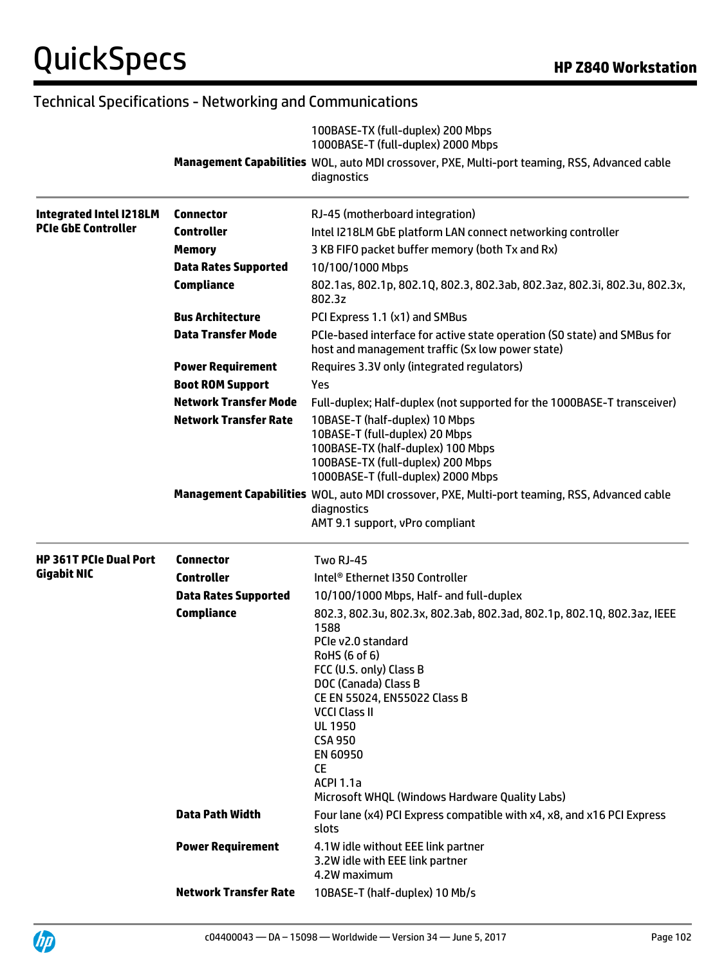## Technical Specifications - Networking and Communications

|                               |                                             | 100BASE-TX (full-duplex) 200 Mbps<br>1000BASE-T (full-duplex) 2000 Mbps                                                                                                                                                                                                                                                                                                                                                                       |
|-------------------------------|---------------------------------------------|-----------------------------------------------------------------------------------------------------------------------------------------------------------------------------------------------------------------------------------------------------------------------------------------------------------------------------------------------------------------------------------------------------------------------------------------------|
|                               |                                             | Management Capabilities WOL, auto MDI crossover, PXE, Multi-port teaming, RSS, Advanced cable<br>diagnostics                                                                                                                                                                                                                                                                                                                                  |
| Integrated Intel I218LM       | <b>Connector</b>                            | RJ-45 (motherboard integration)                                                                                                                                                                                                                                                                                                                                                                                                               |
| <b>PCIe GbE Controller</b>    | <b>Controller</b>                           | Intel I218LM GbE platform LAN connect networking controller                                                                                                                                                                                                                                                                                                                                                                                   |
|                               | <b>Memory</b>                               | 3 KB FIFO packet buffer memory (both Tx and Rx)                                                                                                                                                                                                                                                                                                                                                                                               |
|                               | <b>Data Rates Supported</b>                 | 10/100/1000 Mbps                                                                                                                                                                                                                                                                                                                                                                                                                              |
|                               | <b>Compliance</b>                           | 802.1as, 802.1p, 802.1Q, 802.3, 802.3ab, 802.3az, 802.3i, 802.3u, 802.3x,<br>802.3z                                                                                                                                                                                                                                                                                                                                                           |
|                               | <b>Bus Architecture</b>                     | PCI Express 1.1 (x1) and SMBus                                                                                                                                                                                                                                                                                                                                                                                                                |
|                               | <b>Data Transfer Mode</b>                   | PCIe-based interface for active state operation (SO state) and SMBus for<br>host and management traffic (Sx low power state)                                                                                                                                                                                                                                                                                                                  |
|                               | <b>Power Requirement</b>                    | Requires 3.3V only (integrated regulators)                                                                                                                                                                                                                                                                                                                                                                                                    |
|                               | <b>Boot ROM Support</b>                     | Yes                                                                                                                                                                                                                                                                                                                                                                                                                                           |
|                               | <b>Network Transfer Mode</b>                | Full-duplex; Half-duplex (not supported for the 1000BASE-T transceiver)                                                                                                                                                                                                                                                                                                                                                                       |
|                               | <b>Network Transfer Rate</b>                | 10BASE-T (half-duplex) 10 Mbps<br>10BASE-T (full-duplex) 20 Mbps<br>100BASE-TX (half-duplex) 100 Mbps<br>100BASE-TX (full-duplex) 200 Mbps<br>1000BASE-T (full-duplex) 2000 Mbps                                                                                                                                                                                                                                                              |
|                               |                                             | Management Capabilities WOL, auto MDI crossover, PXE, Multi-port teaming, RSS, Advanced cable<br>diagnostics<br>AMT 9.1 support, vPro compliant                                                                                                                                                                                                                                                                                               |
| <b>HP 361T PCIe Dual Port</b> | <b>Connector</b>                            | Two RJ-45                                                                                                                                                                                                                                                                                                                                                                                                                                     |
| <b>Gigabit NIC</b>            | <b>Controller</b>                           | Intel® Ethernet I350 Controller                                                                                                                                                                                                                                                                                                                                                                                                               |
|                               | <b>Data Rates Supported</b>                 | 10/100/1000 Mbps, Half- and full-duplex                                                                                                                                                                                                                                                                                                                                                                                                       |
|                               | <b>Compliance</b><br><b>Data Path Width</b> | 802.3, 802.3u, 802.3x, 802.3ab, 802.3ad, 802.1p, 802.1Q, 802.3az, IEEE<br>1588<br>PCIe v2.0 standard<br>RoHS (6 of 6)<br>FCC (U.S. only) Class B<br>DOC (Canada) Class B<br>CE EN 55024, EN55022 Class B<br><b>VCCI Class II</b><br><b>UL 1950</b><br><b>CSA 950</b><br>EN 60950<br><b>CE</b><br><b>ACPI 1.1a</b><br>Microsoft WHQL (Windows Hardware Quality Labs)<br>Four lane (x4) PCI Express compatible with x4, x8, and x16 PCI Express |
|                               | <b>Power Requirement</b>                    | slots<br>4.1W idle without EEE link partner                                                                                                                                                                                                                                                                                                                                                                                                   |
|                               |                                             | 3.2W idle with EEE link partner<br>4.2W maximum                                                                                                                                                                                                                                                                                                                                                                                               |
|                               | <b>Network Transfer Rate</b>                | 10BASE-T (half-duplex) 10 Mb/s                                                                                                                                                                                                                                                                                                                                                                                                                |

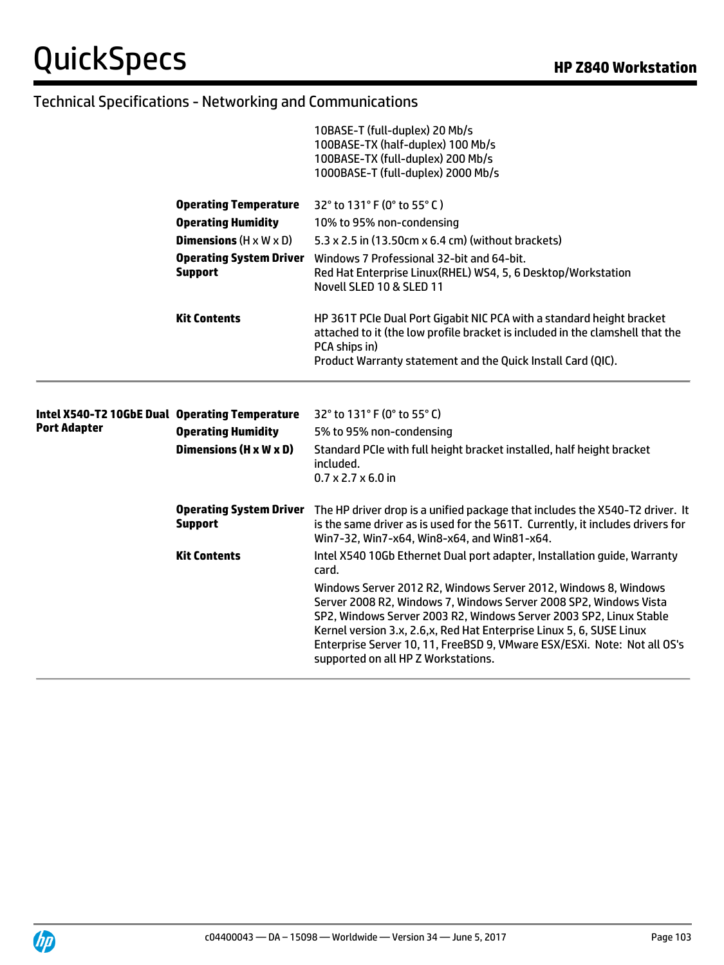## Technical Specifications - Networking and Communications

|                                                                       |                                                     | 10BASE-T (full-duplex) 20 Mb/s<br>100BASE-TX (half-duplex) 100 Mb/s<br>100BASE-TX (full-duplex) 200 Mb/s<br>1000BASE-T (full-duplex) 2000 Mb/s                                                                                                                                                                                                                                                        |
|-----------------------------------------------------------------------|-----------------------------------------------------|-------------------------------------------------------------------------------------------------------------------------------------------------------------------------------------------------------------------------------------------------------------------------------------------------------------------------------------------------------------------------------------------------------|
|                                                                       | <b>Operating Temperature</b>                        | 32° to 131° F (0° to 55° C)                                                                                                                                                                                                                                                                                                                                                                           |
|                                                                       | <b>Operating Humidity</b>                           | 10% to 95% non-condensing                                                                                                                                                                                                                                                                                                                                                                             |
|                                                                       | <b>Dimensions</b> $(H \times W \times D)$           | 5.3 x 2.5 in (13.50cm x 6.4 cm) (without brackets)                                                                                                                                                                                                                                                                                                                                                    |
|                                                                       | <b>Operating System Driver</b><br><b>Support</b>    | Windows 7 Professional 32-bit and 64-bit.<br>Red Hat Enterprise Linux (RHEL) WS4, 5, 6 Desktop/Workstation<br>Novell SLED 10 & SLED 11                                                                                                                                                                                                                                                                |
|                                                                       | <b>Kit Contents</b>                                 | HP 361T PCIe Dual Port Gigabit NIC PCA with a standard height bracket<br>attached to it (the low profile bracket is included in the clamshell that the<br>PCA ships in)<br>Product Warranty statement and the Quick Install Card (QIC).                                                                                                                                                               |
| Intel X540-T2 10GbE Dual Operating Temperature<br><b>Port Adapter</b> | <b>Operating Humidity</b><br>Dimensions (H x W x D) | 32° to 131° F (0° to 55° C)<br>5% to 95% non-condensing<br>Standard PCIe with full height bracket installed, half height bracket<br>included.<br>$0.7 \times 2.7 \times 6.0$ in                                                                                                                                                                                                                       |
|                                                                       | <b>Support</b>                                      | <b>Operating System Driver</b> The HP driver drop is a unified package that includes the X540-T2 driver. It<br>is the same driver as is used for the 561T. Currently, it includes drivers for<br>Win7-32, Win7-x64, Win8-x64, and Win81-x64.                                                                                                                                                          |
|                                                                       | <b>Kit Contents</b>                                 | Intel X540 10Gb Ethernet Dual port adapter, Installation guide, Warranty<br>card.                                                                                                                                                                                                                                                                                                                     |
|                                                                       |                                                     | Windows Server 2012 R2, Windows Server 2012, Windows 8, Windows<br>Server 2008 R2, Windows 7, Windows Server 2008 SP2, Windows Vista<br>SP2, Windows Server 2003 R2, Windows Server 2003 SP2, Linux Stable<br>Kernel version 3.x, 2.6,x, Red Hat Enterprise Linux 5, 6, SUSE Linux<br>Enterprise Server 10, 11, FreeBSD 9, VMware ESX/ESXi. Note: Not all OS's<br>supported on all HP Z Workstations. |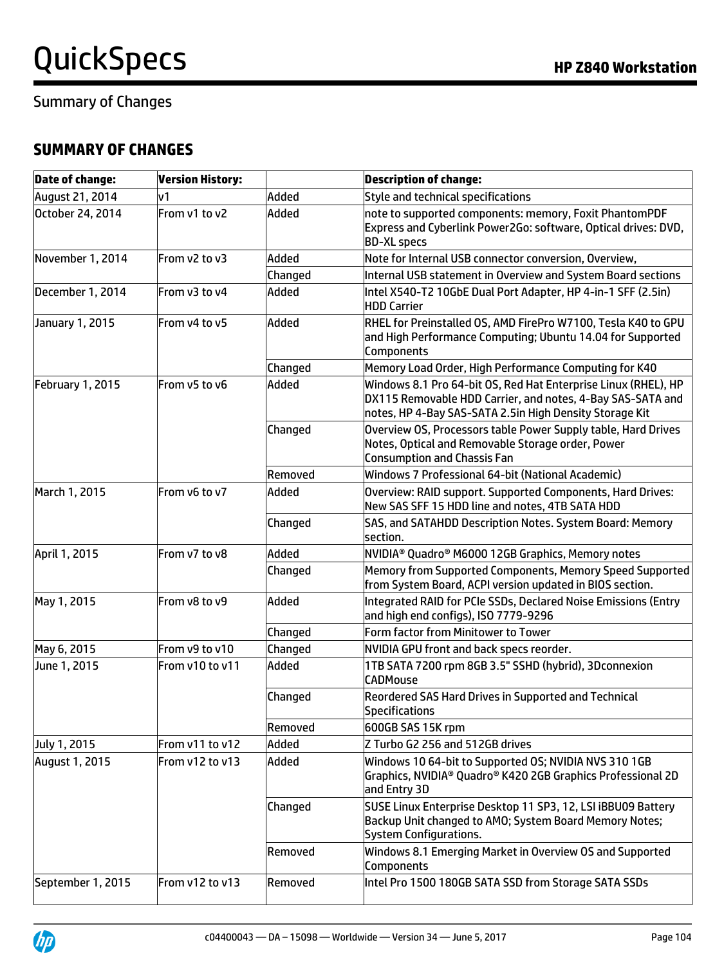#### Summary of Changes

#### **SUMMARY OF CHANGES**

| <b>Date of change:</b> | <b>Version History:</b> |         | <b>Description of change:</b>                                                                                                                                                           |
|------------------------|-------------------------|---------|-----------------------------------------------------------------------------------------------------------------------------------------------------------------------------------------|
| <b>August 21, 2014</b> | ν1                      | Added   | <b>Style and technical specifications</b>                                                                                                                                               |
| October 24, 2014       | From v1 to v2           | Added   | note to supported components: memory, Foxit PhantomPDF<br>Express and Cyberlink Power2Go: software, Optical drives: DVD,<br><b>BD-XL specs</b>                                          |
| November 1, 2014       | From v2 to v3           | Added   | Note for Internal USB connector conversion, Overview,                                                                                                                                   |
|                        |                         | Changed | Internal USB statement in Overview and System Board sections                                                                                                                            |
| December 1, 2014       | lFrom v3 to v4          | Added   | Intel X540-T2 10GbE Dual Port Adapter, HP 4-in-1 SFF (2.5in)<br><b>HDD Carrier</b>                                                                                                      |
| January 1, 2015        | From v4 to v5           | Added   | RHEL for Preinstalled OS, AMD FirePro W7100, Tesla K40 to GPU<br>and High Performance Computing; Ubuntu 14.04 for Supported<br>Components                                               |
|                        |                         | Changed | Memory Load Order, High Performance Computing for K40                                                                                                                                   |
| February 1, 2015       | From v5 to v6           | Added   | Windows 8.1 Pro 64-bit OS, Red Hat Enterprise Linux (RHEL), HP<br>DX115 Removable HDD Carrier, and notes, 4-Bay SAS-SATA and<br>notes, HP 4-Bay SAS-SATA 2.5in High Density Storage Kit |
|                        |                         | Changed | Overview OS, Processors table Power Supply table, Hard Drives<br>Notes, Optical and Removable Storage order, Power<br><b>Consumption and Chassis Fan</b>                                |
|                        |                         | Removed | Windows 7 Professional 64-bit (National Academic)                                                                                                                                       |
| March 1, 2015          | From v6 to v7           | Added   | Overview: RAID support. Supported Components, Hard Drives:<br>New SAS SFF 15 HDD line and notes, 4TB SATA HDD                                                                           |
|                        |                         | Changed | SAS, and SATAHDD Description Notes. System Board: Memory<br>section.                                                                                                                    |
| April 1, 2015          | From v7 to v8           | Added   | NVIDIA® Quadro® M6000 12GB Graphics, Memory notes                                                                                                                                       |
|                        |                         | Changed | Memory from Supported Components, Memory Speed Supported<br>from System Board, ACPI version updated in BIOS section.                                                                    |
| May 1, 2015            | From v8 to v9           | Added   | Integrated RAID for PCIe SSDs, Declared Noise Emissions (Entry<br>and high end configs), ISO 7779-9296                                                                                  |
|                        |                         | Changed | Form factor from Minitower to Tower                                                                                                                                                     |
| May 6, 2015            | From v9 to v10          | Changed | NVIDIA GPU front and back specs reorder.                                                                                                                                                |
| June 1, 2015           | From v10 to v11         | Added   | 1TB SATA 7200 rpm 8GB 3.5" SSHD (hybrid), 3Dconnexion<br><b>CADMouse</b>                                                                                                                |
|                        |                         | Changed | Reordered SAS Hard Drives in Supported and Technical<br><b>Specifications</b>                                                                                                           |
|                        |                         | Removed | 600GB SAS 15K rpm                                                                                                                                                                       |
| July 1, 2015           | From v11 to v12         | Added   | Z Turbo G2 256 and 512GB drives                                                                                                                                                         |
| <b>August 1, 2015</b>  | From v12 to v13         | Added   | Windows 10 64-bit to Supported OS; NVIDIA NVS 310 1GB<br>Graphics, NVIDIA® Quadro® K420 2GB Graphics Professional 2D<br>and Entry 3D                                                    |
|                        |                         | Changed | SUSE Linux Enterprise Desktop 11 SP3, 12, LSI iBBU09 Battery<br>Backup Unit changed to AMO; System Board Memory Notes;<br><b>System Configurations.</b>                                 |
|                        |                         | Removed | Windows 8.1 Emerging Market in Overview OS and Supported<br><b>Components</b>                                                                                                           |
| September 1, 2015      | From v12 to v13         | Removed | Intel Pro 1500 180GB SATA SSD from Storage SATA SSDs                                                                                                                                    |

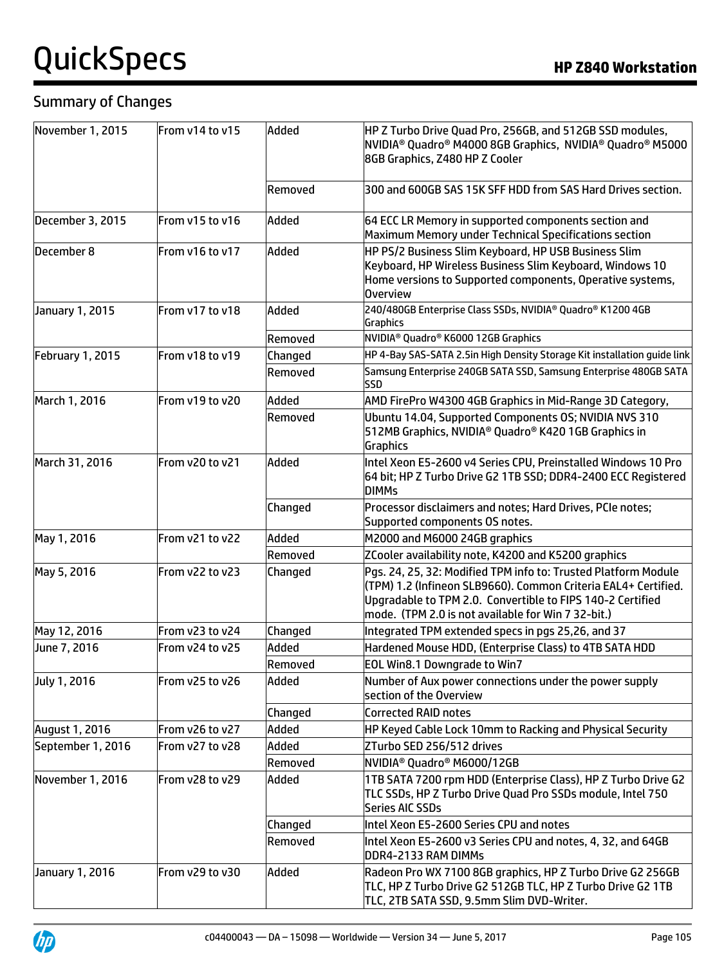#### Summary of Changes

| November 1, 2015<br>From v14 to v15 |                 | Added   | HP Z Turbo Drive Quad Pro, 256GB, and 512GB SSD modules,<br>NVIDIA® Quadro® M4000 8GB Graphics, NVIDIA® Quadro® M5000<br>8GB Graphics, Z480 HP Z Cooler                                                                                              |
|-------------------------------------|-----------------|---------|------------------------------------------------------------------------------------------------------------------------------------------------------------------------------------------------------------------------------------------------------|
|                                     |                 | Removed | 300 and 600GB SAS 15K SFF HDD from SAS Hard Drives section.                                                                                                                                                                                          |
| December 3, 2015                    | From v15 to v16 | Added   | 64 ECC LR Memory in supported components section and<br>Maximum Memory under Technical Specifications section                                                                                                                                        |
| December 8                          | From v16 to v17 | Added   | HP PS/2 Business Slim Keyboard, HP USB Business Slim<br>Keyboard, HP Wireless Business Slim Keyboard, Windows 10<br>Home versions to Supported components, Operative systems,<br><b>Overview</b>                                                     |
| January 1, 2015                     | From v17 to v18 | Added   | 240/480GB Enterprise Class SSDs, NVIDIA® Quadro® K1200 4GB<br>Graphics                                                                                                                                                                               |
|                                     |                 | Removed | NVIDIA <sup>®</sup> Quadro® K6000 12GB Graphics                                                                                                                                                                                                      |
| February 1, 2015                    | From v18 to v19 | Changed | HP 4-Bay SAS-SATA 2.5in High Density Storage Kit installation guide link                                                                                                                                                                             |
|                                     |                 | Removed | Samsung Enterprise 240GB SATA SSD, Samsung Enterprise 480GB SATA<br>SSD                                                                                                                                                                              |
| March 1, 2016                       | From v19 to v20 | Added   | AMD FirePro W4300 4GB Graphics in Mid-Range 3D Category,                                                                                                                                                                                             |
|                                     |                 | Removed | Ubuntu 14.04, Supported Components OS; NVIDIA NVS 310<br>512MB Graphics, NVIDIA® Quadro® K420 1GB Graphics in<br><b>Graphics</b>                                                                                                                     |
| March 31, 2016                      | From v20 to v21 | Added   | Intel Xeon E5-2600 v4 Series CPU, Preinstalled Windows 10 Pro<br>64 bit; HP Z Turbo Drive G2 1TB SSD; DDR4-2400 ECC Registered<br><b>DIMMs</b>                                                                                                       |
|                                     |                 | Changed | Processor disclaimers and notes; Hard Drives, PCIe notes;<br>Supported components OS notes.                                                                                                                                                          |
| May 1, 2016                         | From v21 to v22 | Added   | M2000 and M6000 24GB graphics                                                                                                                                                                                                                        |
|                                     |                 | Removed | ZCooler availability note, K4200 and K5200 graphics                                                                                                                                                                                                  |
| May 5, 2016                         | From v22 to v23 | Changed | Pgs. 24, 25, 32: Modified TPM info to: Trusted Platform Module<br>(TPM) 1.2 (Infineon SLB9660). Common Criteria EAL4+ Certified.<br>Upgradable to TPM 2.0. Convertible to FIPS 140-2 Certified<br>mode. (TPM 2.0 is not available for Win 7 32-bit.) |
| May 12, 2016                        | From v23 to v24 | Changed | Integrated TPM extended specs in pgs 25,26, and 37                                                                                                                                                                                                   |
| June 7, 2016                        | From v24 to v25 | Added   | Hardened Mouse HDD, (Enterprise Class) to 4TB SATA HDD                                                                                                                                                                                               |
|                                     |                 | Removed | EOL Win8.1 Downgrade to Win7                                                                                                                                                                                                                         |
| July 1, 2016                        | From v25 to v26 | Added   | Number of Aux power connections under the power supply<br>section of the Overview                                                                                                                                                                    |
|                                     |                 | Changed | <b>Corrected RAID notes</b>                                                                                                                                                                                                                          |
| <b>August 1, 2016</b>               | From v26 to v27 | Added   | HP Keyed Cable Lock 10mm to Racking and Physical Security                                                                                                                                                                                            |
| September 1, 2016                   | From v27 to v28 | Added   | ZTurbo SED 256/512 drives                                                                                                                                                                                                                            |
|                                     |                 | Removed | NVIDIA <sup>®</sup> Quadro® M6000/12GB                                                                                                                                                                                                               |
| November 1, 2016                    | From v28 to v29 | Added   | 1TB SATA 7200 rpm HDD (Enterprise Class), HP Z Turbo Drive G2<br>TLC SSDs, HP Z Turbo Drive Quad Pro SSDs module, Intel 750<br>Series AIC SSDs                                                                                                       |
|                                     |                 | Changed | Intel Xeon E5-2600 Series CPU and notes                                                                                                                                                                                                              |
|                                     |                 | Removed | Intel Xeon E5-2600 v3 Series CPU and notes, 4, 32, and 64GB<br>DDR4-2133 RAM DIMMs                                                                                                                                                                   |
| January 1, 2016                     | From v29 to v30 | Added   | Radeon Pro WX 7100 8GB graphics, HP Z Turbo Drive G2 256GB<br>TLC, HP Z Turbo Drive G2 512GB TLC, HP Z Turbo Drive G2 1TB<br>TLC, 2TB SATA SSD, 9.5mm Slim DVD-Writer.                                                                               |

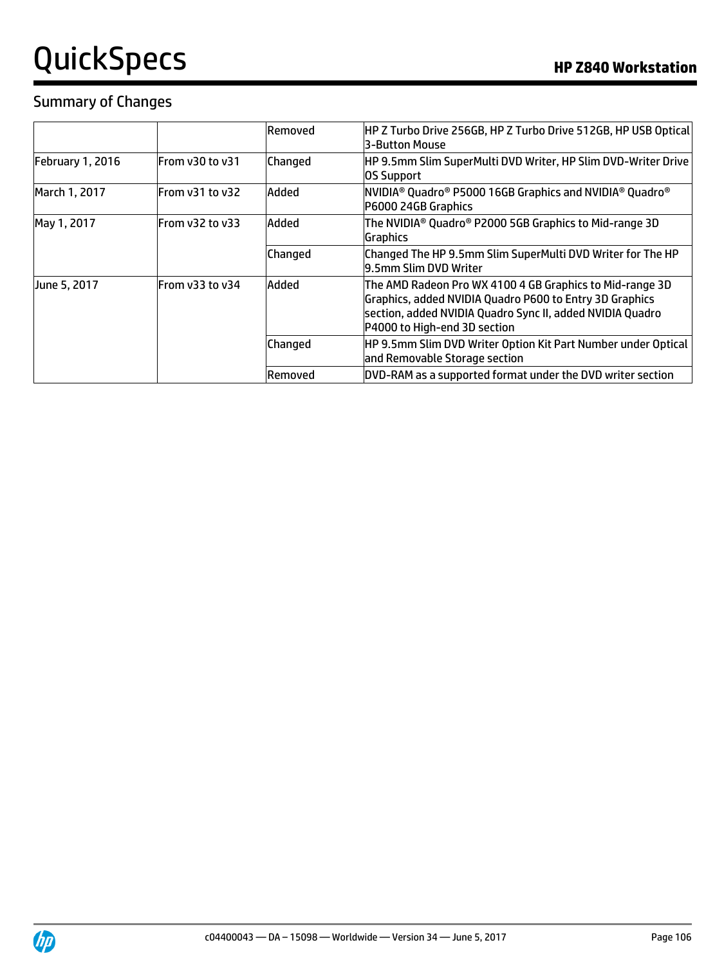#### Summary of Changes

|                  |                 | <b>Removed</b> | HP Z Turbo Drive 256GB, HP Z Turbo Drive 512GB, HP USB Optical<br>B-Button Mouse                                                                                                                                 |
|------------------|-----------------|----------------|------------------------------------------------------------------------------------------------------------------------------------------------------------------------------------------------------------------|
| February 1, 2016 | From v30 to v31 | Changed        | HP 9.5mm Slim SuperMulti DVD Writer, HP Slim DVD-Writer Drive<br><b>OS Support</b>                                                                                                                               |
| March 1, 2017    | From v31 to v32 | Added          | NVIDIA <sup>®</sup> Quadro® P5000 16GB Graphics and NVIDIA® Quadro®<br>P6000 24GB Graphics                                                                                                                       |
| May 1, 2017      | From y32 to y33 | Added          | The NVIDIA® Quadro® P2000 5GB Graphics to Mid-range 3D<br>Graphics                                                                                                                                               |
|                  |                 | Changed        | Changed The HP 9.5mm Slim SuperMulti DVD Writer for The HP<br>9.5mm Slim DVD Writer                                                                                                                              |
| June 5, 2017     | From v33 to v34 | Added          | The AMD Radeon Pro WX 4100 4 GB Graphics to Mid-range 3D<br>Graphics, added NVIDIA Quadro P600 to Entry 3D Graphics<br>section, added NVIDIA Quadro Sync II, added NVIDIA Quadro<br>P4000 to High-end 3D section |
|                  |                 | Changed        | HP 9.5mm Slim DVD Writer Option Kit Part Number under Optical<br>and Removable Storage section                                                                                                                   |
|                  |                 | Removed        | DVD-RAM as a supported format under the DVD writer section                                                                                                                                                       |